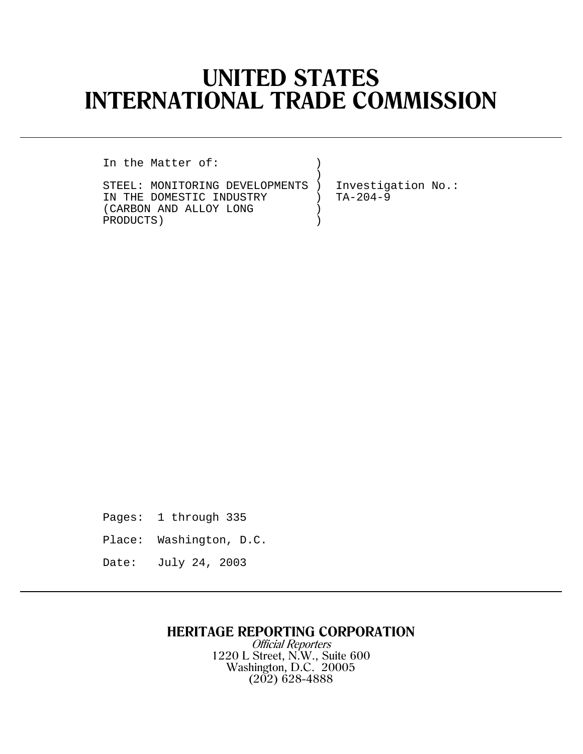# **UNITED STATES INTERNATIONAL TRADE COMMISSION**

)

In the Matter of:

STEEL: MONITORING DEVELOPMENTS ) Investigation No.: IN THE DOMESTIC INDUSTRY  $(CARBON AND ALLOGY LONG)$ (CARBON AND ALLOY LONG )<br>PRODUCTS) PRODUCTS) )

Pages: 1 through 335

- Place: Washington, D.C.
- Date: July 24, 2003

## **HERITAGE REPORTING CORPORATION**

Official Reporters 1220 L Street, N.W., Suite 600 Washington, D.C. 20005 (202) 628-4888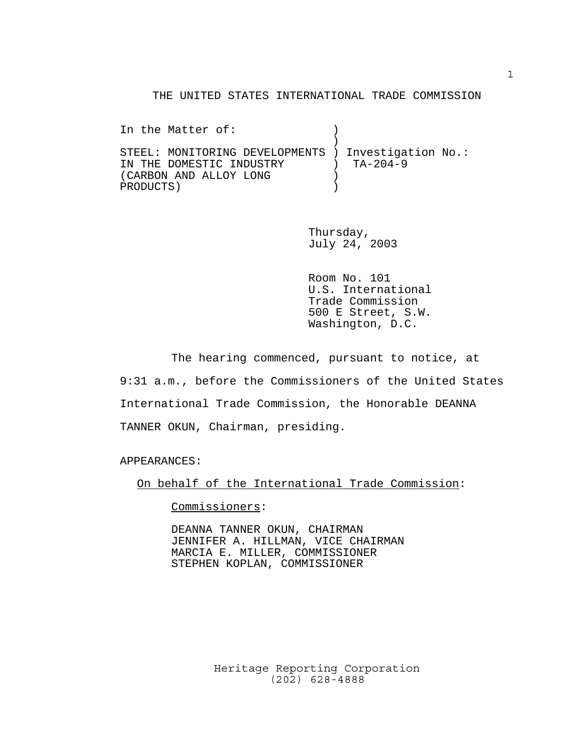#### THE UNITED STATES INTERNATIONAL TRADE COMMISSION

In the Matter of:  $\qquad \qquad$  )  $)$ STEEL: MONITORING DEVELOPMENTS ) Investigation No.: IN THE DOMESTIC INDUSTRY ) TA-204-9 (CARBON AND ALLOY LONG ) PRODUCTS )

> Thursday, July 24, 2003

Room No. 101 U.S. International Trade Commission 500 E Street, S.W. Washington, D.C.

The hearing commenced, pursuant to notice, at 9:31 a.m., before the Commissioners of the United States International Trade Commission, the Honorable DEANNA TANNER OKUN, Chairman, presiding.

APPEARANCES:

On behalf of the International Trade Commission:

Commissioners:

DEANNA TANNER OKUN, CHAIRMAN JENNIFER A. HILLMAN, VICE CHAIRMAN MARCIA E. MILLER, COMMISSIONER STEPHEN KOPLAN, COMMISSIONER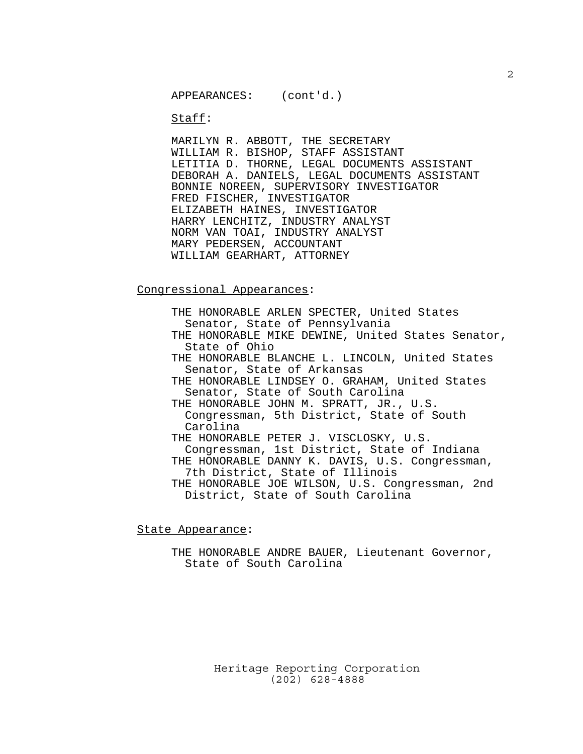Staff:

MARILYN R. ABBOTT, THE SECRETARY WILLIAM R. BISHOP, STAFF ASSISTANT LETITIA D. THORNE, LEGAL DOCUMENTS ASSISTANT DEBORAH A. DANIELS, LEGAL DOCUMENTS ASSISTANT BONNIE NOREEN, SUPERVISORY INVESTIGATOR FRED FISCHER, INVESTIGATOR ELIZABETH HAINES, INVESTIGATOR HARRY LENCHITZ, INDUSTRY ANALYST NORM VAN TOAI, INDUSTRY ANALYST MARY PEDERSEN, ACCOUNTANT WILLIAM GEARHART, ATTORNEY

Congressional Appearances:

THE HONORABLE ARLEN SPECTER, United States Senator, State of Pennsylvania THE HONORABLE MIKE DEWINE, United States Senator, State of Ohio THE HONORABLE BLANCHE L. LINCOLN, United States Senator, State of Arkansas THE HONORABLE LINDSEY O. GRAHAM, United States Senator, State of South Carolina THE HONORABLE JOHN M. SPRATT, JR., U.S. Congressman, 5th District, State of South Carolina THE HONORABLE PETER J. VISCLOSKY, U.S. Congressman, 1st District, State of Indiana THE HONORABLE DANNY K. DAVIS, U.S. Congressman, 7th District, State of Illinois THE HONORABLE JOE WILSON, U.S. Congressman, 2nd District, State of South Carolina

State Appearance:

THE HONORABLE ANDRE BAUER, Lieutenant Governor, State of South Carolina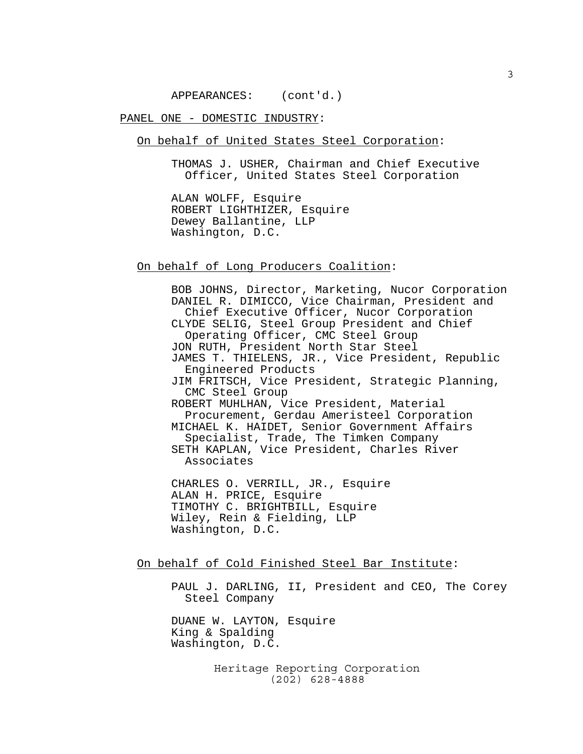APPEARANCES: (cont'd.)

PANEL ONE - DOMESTIC INDUSTRY:

On behalf of United States Steel Corporation:

THOMAS J. USHER, Chairman and Chief Executive Officer, United States Steel Corporation

ALAN WOLFF, Esquire ROBERT LIGHTHIZER, Esquire Dewey Ballantine, LLP Washington, D.C.

On behalf of Long Producers Coalition:

BOB JOHNS, Director, Marketing, Nucor Corporation DANIEL R. DIMICCO, Vice Chairman, President and Chief Executive Officer, Nucor Corporation CLYDE SELIG, Steel Group President and Chief Operating Officer, CMC Steel Group JON RUTH, President North Star Steel JAMES T. THIELENS, JR., Vice President, Republic Engineered Products JIM FRITSCH, Vice President, Strategic Planning, CMC Steel Group ROBERT MUHLHAN, Vice President, Material Procurement, Gerdau Ameristeel Corporation MICHAEL K. HAIDET, Senior Government Affairs Specialist, Trade, The Timken Company SETH KAPLAN, Vice President, Charles River Associates CHARLES O. VERRILL, JR., Esquire ALAN H. PRICE, Esquire TIMOTHY C. BRIGHTBILL, Esquire Wiley, Rein & Fielding, LLP Washington, D.C. On behalf of Cold Finished Steel Bar Institute: PAUL J. DARLING, II, President and CEO, The Corey Steel Company DUANE W. LAYTON, Esquire King & Spalding

> Heritage Reporting Corporation (202) 628-4888

Washington, D.C.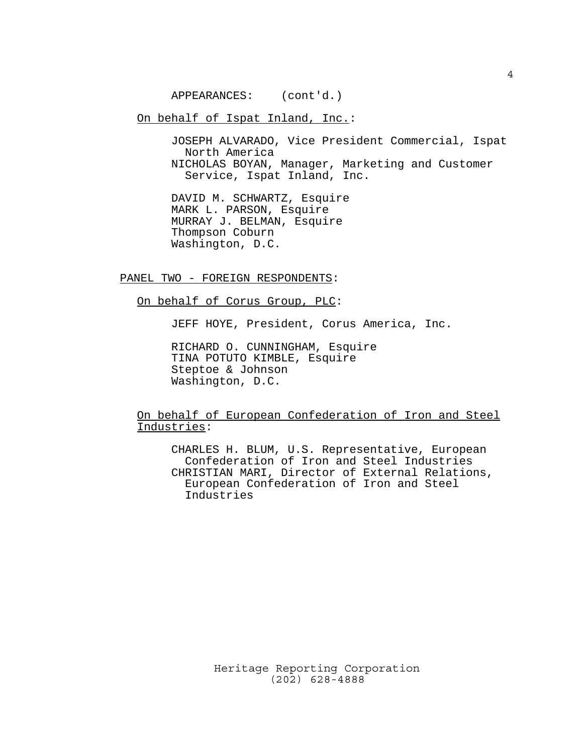APPEARANCES: (cont'd.)

On behalf of Ispat Inland, Inc.:

JOSEPH ALVARADO, Vice President Commercial, Ispat North America NICHOLAS BOYAN, Manager, Marketing and Customer Service, Ispat Inland, Inc.

DAVID M. SCHWARTZ, Esquire MARK L. PARSON, Esquire MURRAY J. BELMAN, Esquire Thompson Coburn Washington, D.C.

PANEL TWO - FOREIGN RESPONDENTS:

On behalf of Corus Group, PLC:

JEFF HOYE, President, Corus America, Inc.

RICHARD O. CUNNINGHAM, Esquire TINA POTUTO KIMBLE, Esquire Steptoe & Johnson Washington, D.C.

On behalf of European Confederation of Iron and Steel Industries:

CHARLES H. BLUM, U.S. Representative, European Confederation of Iron and Steel Industries CHRISTIAN MARI, Director of External Relations, European Confederation of Iron and Steel Industries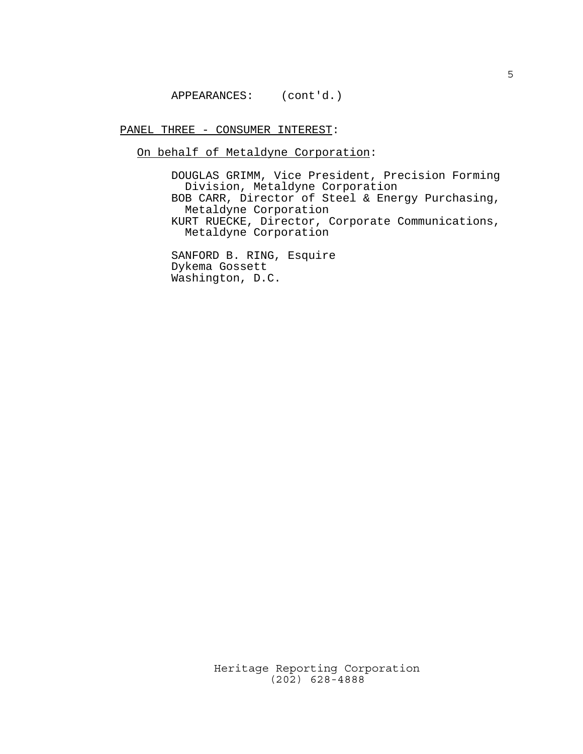APPEARANCES: (cont'd.)

PANEL THREE - CONSUMER INTEREST:

On behalf of Metaldyne Corporation:

DOUGLAS GRIMM, Vice President, Precision Forming Division, Metaldyne Corporation BOB CARR, Director of Steel & Energy Purchasing, Metaldyne Corporation KURT RUECKE, Director, Corporate Communications, Metaldyne Corporation

SANFORD B. RING, Esquire Dykema Gossett Washington, D.C.

Heritage Reporting Corporation

(202) 628-4888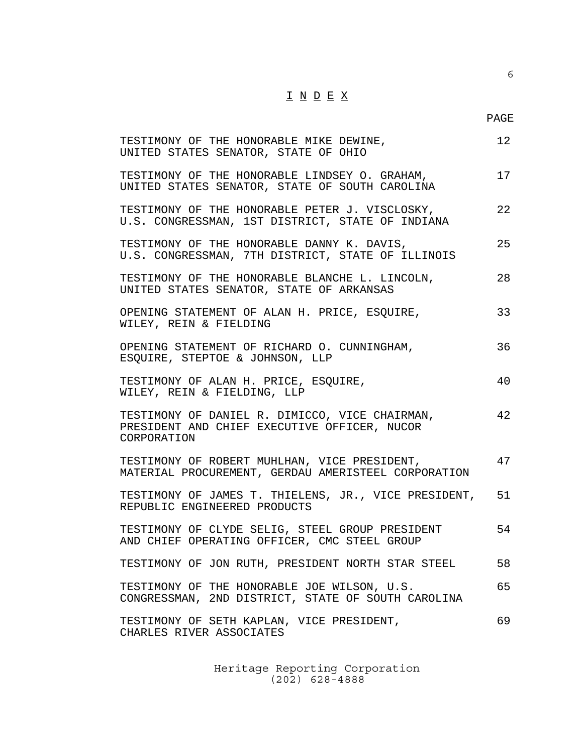### $\underline{\texttt{I}} \ \underline{\texttt{N}} \ \underline{\texttt{D}} \ \underline{\texttt{E}} \ \underline{\texttt{X}}$

6

| TESTIMONY OF THE HONORABLE MIKE DEWINE,<br>UNITED STATES SENATOR, STATE OF OHIO                               | 12 |
|---------------------------------------------------------------------------------------------------------------|----|
| TESTIMONY OF THE HONORABLE LINDSEY O. GRAHAM,<br>UNITED STATES SENATOR, STATE OF SOUTH CAROLINA               | 17 |
| TESTIMONY OF THE HONORABLE PETER J. VISCLOSKY,<br>U.S. CONGRESSMAN, 1ST DISTRICT, STATE OF INDIANA            | 22 |
| TESTIMONY OF THE HONORABLE DANNY K. DAVIS,<br>U.S. CONGRESSMAN, 7TH DISTRICT, STATE OF ILLINOIS               | 25 |
| TESTIMONY OF THE HONORABLE BLANCHE L. LINCOLN,<br>UNITED STATES SENATOR, STATE OF ARKANSAS                    | 28 |
| OPENING STATEMENT OF ALAN H. PRICE, ESQUIRE,<br>WILEY, REIN & FIELDING                                        | 33 |
| OPENING STATEMENT OF RICHARD O. CUNNINGHAM,<br>ESQUIRE, STEPTOE & JOHNSON, LLP                                | 36 |
| TESTIMONY OF ALAN H. PRICE, ESQUIRE,<br>WILEY, REIN & FIELDING, LLP                                           | 40 |
| TESTIMONY OF DANIEL R. DIMICCO, VICE CHAIRMAN,<br>PRESIDENT AND CHIEF EXECUTIVE OFFICER, NUCOR<br>CORPORATION | 42 |
| TESTIMONY OF ROBERT MUHLHAN, VICE PRESIDENT,<br>MATERIAL PROCUREMENT, GERDAU AMERISTEEL CORPORATION           | 47 |
| TESTIMONY OF JAMES T. THIELENS, JR., VICE PRESIDENT,<br>REPUBLIC ENGINEERED PRODUCTS                          | 51 |
| TESTIMONY OF CLYDE SELIG, STEEL GROUP PRESIDENT<br>AND CHIEF OPERATING OFFICER, CMC STEEL GROUP               | 54 |
| TESTIMONY OF JON RUTH, PRESIDENT NORTH STAR STEEL                                                             | 58 |
| TESTIMONY OF THE HONORABLE JOE WILSON, U.S.<br>CONGRESSMAN, 2ND DISTRICT, STATE OF SOUTH CAROLINA             | 65 |
| TESTIMONY OF SETH KAPLAN, VICE PRESIDENT,<br>CHARLES RIVER ASSOCIATES                                         | 69 |
|                                                                                                               |    |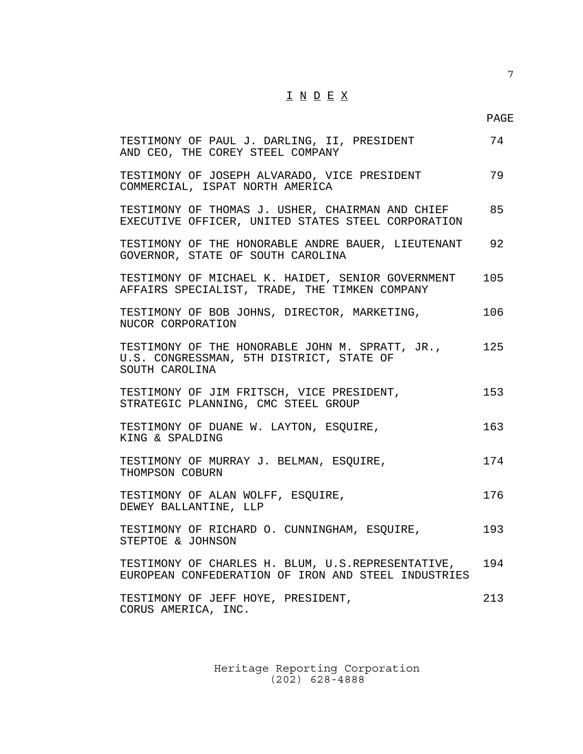### $\underline{\texttt{I}} \ \underline{\texttt{N}} \ \underline{\texttt{D}} \ \underline{\texttt{E}} \ \underline{\texttt{X}}$

7

| TESTIMONY OF PAUL J. DARLING, II, PRESIDENT<br>AND CEO, THE COREY STEEL COMPANY                               | 74  |
|---------------------------------------------------------------------------------------------------------------|-----|
| TESTIMONY OF JOSEPH ALVARADO, VICE PRESIDENT<br>COMMERCIAL, ISPAT NORTH AMERICA                               | 79  |
| TESTIMONY OF THOMAS J. USHER, CHAIRMAN AND CHIEF<br>EXECUTIVE OFFICER, UNITED STATES STEEL CORPORATION        | 85  |
| TESTIMONY OF THE HONORABLE ANDRE BAUER, LIEUTENANT<br>GOVERNOR, STATE OF SOUTH CAROLINA                       | 92  |
| TESTIMONY OF MICHAEL K. HAIDET, SENIOR GOVERNMENT<br>AFFAIRS SPECIALIST, TRADE, THE TIMKEN COMPANY            | 105 |
| TESTIMONY OF BOB JOHNS, DIRECTOR, MARKETING,<br>NUCOR CORPORATION                                             | 106 |
| TESTIMONY OF THE HONORABLE JOHN M. SPRATT, JR.,<br>U.S. CONGRESSMAN, 5TH DISTRICT, STATE OF<br>SOUTH CAROLINA | 125 |
| TESTIMONY OF JIM FRITSCH, VICE PRESIDENT,<br>STRATEGIC PLANNING, CMC STEEL GROUP                              | 153 |
| TESTIMONY OF DUANE W. LAYTON, ESQUIRE,<br>KING & SPALDING                                                     | 163 |
| TESTIMONY OF MURRAY J. BELMAN, ESOUIRE,<br>THOMPSON COBURN                                                    | 174 |
| TESTIMONY OF ALAN WOLFF, ESQUIRE,<br>DEWEY BALLANTINE, LLP                                                    | 176 |
| TESTIMONY OF RICHARD O. CUNNINGHAM, ESQUIRE,<br>STEPTOE & JOHNSON                                             | 193 |
| TESTIMONY OF CHARLES H. BLUM, U.S.REPRESENTATIVE,<br>EUROPEAN CONFEDERATION OF IRON AND STEEL INDUSTRIES      | 194 |
| TESTIMONY OF JEFF HOYE, PRESIDENT,<br>CORUS AMERICA, INC.                                                     | 213 |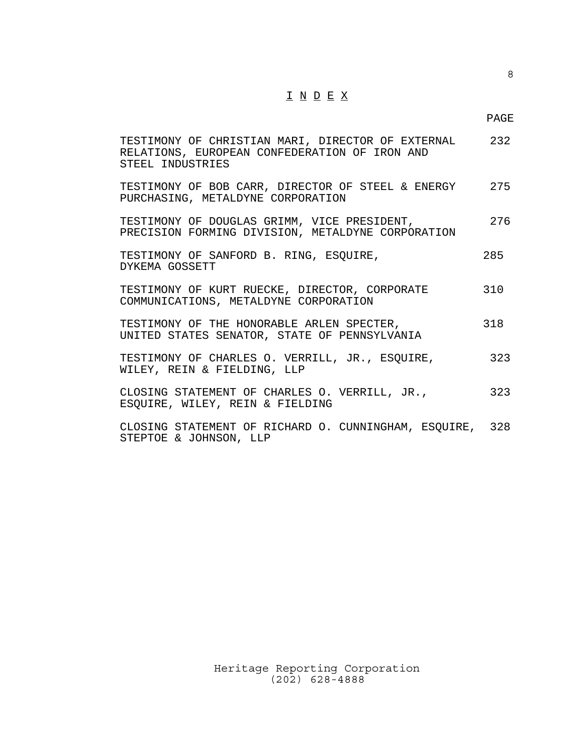### $\underline{\texttt{I}} \ \underline{\texttt{N}} \ \underline{\texttt{D}} \ \underline{\texttt{E}} \ \underline{\texttt{X}}$

8

| TESTIMONY OF CHRISTIAN MARI, DIRECTOR OF EXTERNAL 232<br>RELATIONS, EUROPEAN CONFEDERATION OF IRON AND<br>STEEL INDUSTRIES |     |
|----------------------------------------------------------------------------------------------------------------------------|-----|
| TESTIMONY OF BOB CARR, DIRECTOR OF STEEL & ENERGY 275<br>PURCHASING, METALDYNE CORPORATION                                 |     |
| TESTIMONY OF DOUGLAS GRIMM, VICE PRESIDENT,<br>PRECISION FORMING DIVISION, METALDYNE CORPORATION                           | 276 |
| TESTIMONY OF SANFORD B. RING, ESQUIRE,<br>DYKEMA GOSSETT                                                                   | 285 |
| TESTIMONY OF KURT RUECKE, DIRECTOR, CORPORATE<br>COMMUNICATIONS, METALDYNE CORPORATION                                     | 310 |
| TESTIMONY OF THE HONORABLE ARLEN SPECTER,<br>UNITED STATES SENATOR, STATE OF PENNSYLVANIA                                  | 318 |
| TESTIMONY OF CHARLES O. VERRILL, JR., ESQUIRE,<br>WILEY, REIN & FIELDING, LLP                                              | 323 |
| CLOSING STATEMENT OF CHARLES O. VERRILL, JR.,<br>ESQUIRE, WILEY, REIN & FIELDING                                           | 323 |
| CLOSING STATEMENT OF RICHARD O. CUNNINGHAM, ESQUIRE, 328                                                                   |     |

STEPTOE & JOHNSON, LLP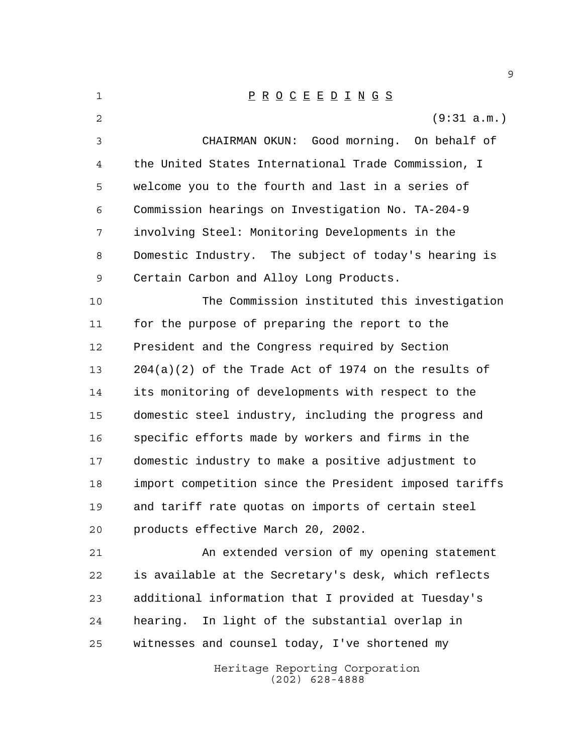| 1  | $\underline{P} \underline{R} \underline{O} \underline{C} \underline{E} \underline{E} \underline{D} \underline{I} \underline{N} \underline{G} \underline{S}$ |
|----|-------------------------------------------------------------------------------------------------------------------------------------------------------------|
| 2  | (9:31 a.m.)                                                                                                                                                 |
| 3  | CHAIRMAN OKUN: Good morning. On behalf of                                                                                                                   |
| 4  | the United States International Trade Commission, I                                                                                                         |
| 5  | welcome you to the fourth and last in a series of                                                                                                           |
| 6  | Commission hearings on Investigation No. TA-204-9                                                                                                           |
| 7  | involving Steel: Monitoring Developments in the                                                                                                             |
| 8  | Domestic Industry. The subject of today's hearing is                                                                                                        |
| 9  | Certain Carbon and Alloy Long Products.                                                                                                                     |
| 10 | The Commission instituted this investigation                                                                                                                |
| 11 | for the purpose of preparing the report to the                                                                                                              |
| 12 | President and the Congress required by Section                                                                                                              |
| 13 | $204(a)(2)$ of the Trade Act of 1974 on the results of                                                                                                      |
| 14 | its monitoring of developments with respect to the                                                                                                          |
| 15 | domestic steel industry, including the progress and                                                                                                         |
| 16 | specific efforts made by workers and firms in the                                                                                                           |
| 17 | domestic industry to make a positive adjustment to                                                                                                          |
| 18 | import competition since the President imposed tariffs                                                                                                      |
| 19 | and tariff rate quotas on imports of certain steel                                                                                                          |
| 20 | products effective March 20, 2002.                                                                                                                          |
| 21 | An extended version of my opening statement                                                                                                                 |
| 22 | is available at the Secretary's desk, which reflects                                                                                                        |
| 23 | additional information that I provided at Tuesday's                                                                                                         |
| 24 | In light of the substantial overlap in<br>hearing.                                                                                                          |
| 25 | witnesses and counsel today, I've shortened my                                                                                                              |
|    | Heritage Reporting Corporation                                                                                                                              |

(202) 628-4888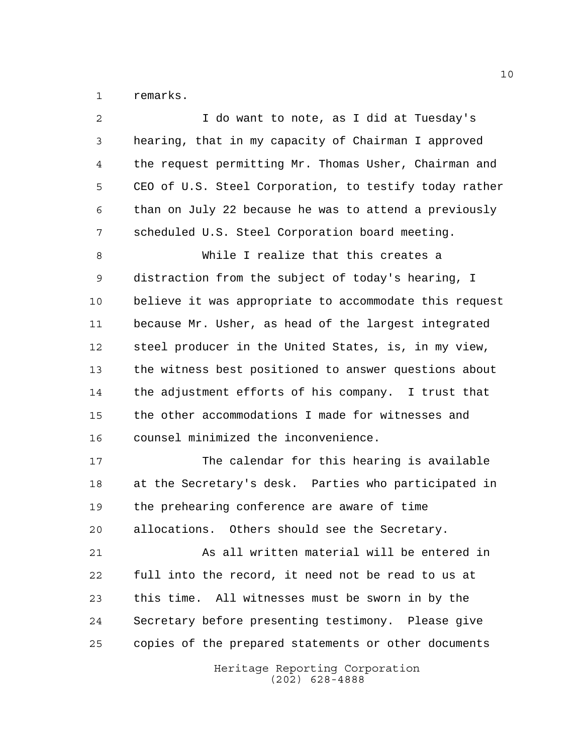remarks.

| 2  | I do want to note, as I did at Tuesday's               |
|----|--------------------------------------------------------|
| 3  | hearing, that in my capacity of Chairman I approved    |
| 4  | the request permitting Mr. Thomas Usher, Chairman and  |
| 5  | CEO of U.S. Steel Corporation, to testify today rather |
| 6  | than on July 22 because he was to attend a previously  |
| 7  | scheduled U.S. Steel Corporation board meeting.        |
| 8  | While I realize that this creates a                    |
| 9  | distraction from the subject of today's hearing, I     |
| 10 | believe it was appropriate to accommodate this request |
| 11 | because Mr. Usher, as head of the largest integrated   |
| 12 | steel producer in the United States, is, in my view,   |
| 13 | the witness best positioned to answer questions about  |
| 14 | the adjustment efforts of his company. I trust that    |
| 15 | the other accommodations I made for witnesses and      |
| 16 | counsel minimized the inconvenience.                   |
| 17 | The calendar for this hearing is available             |
| 18 | at the Secretary's desk. Parties who participated in   |
| 19 | the prehearing conference are aware of time            |
| 20 | allocations. Others should see the Secretary.          |
| 21 | As all written material will be entered in             |
| 22 | full into the record, it need not be read to us at     |
| 23 | this time. All witnesses must be sworn in by the       |
| 24 | Secretary before presenting testimony. Please give     |
| 25 | copies of the prepared statements or other documents   |
|    | Heritage Reporting Corporation<br>$(202)$ 628-4888     |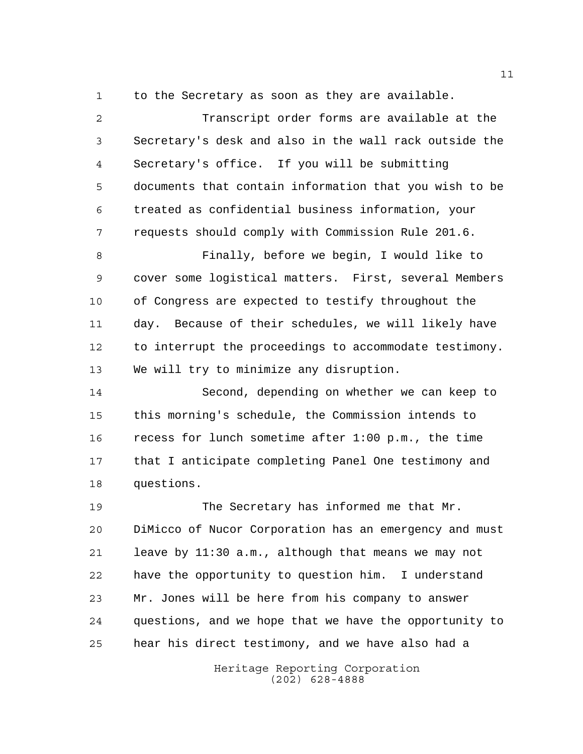to the Secretary as soon as they are available.

 Transcript order forms are available at the Secretary's desk and also in the wall rack outside the Secretary's office. If you will be submitting documents that contain information that you wish to be treated as confidential business information, your requests should comply with Commission Rule 201.6. Finally, before we begin, I would like to cover some logistical matters. First, several Members of Congress are expected to testify throughout the day. Because of their schedules, we will likely have to interrupt the proceedings to accommodate testimony. We will try to minimize any disruption. Second, depending on whether we can keep to this morning's schedule, the Commission intends to recess for lunch sometime after 1:00 p.m., the time that I anticipate completing Panel One testimony and questions. The Secretary has informed me that Mr.

 DiMicco of Nucor Corporation has an emergency and must leave by 11:30 a.m., although that means we may not have the opportunity to question him. I understand Mr. Jones will be here from his company to answer questions, and we hope that we have the opportunity to hear his direct testimony, and we have also had a

> Heritage Reporting Corporation (202) 628-4888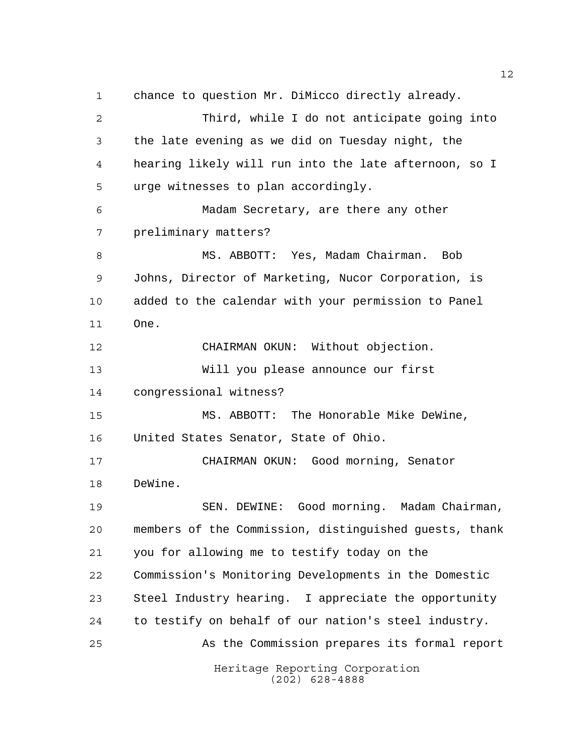chance to question Mr. DiMicco directly already. Third, while I do not anticipate going into the late evening as we did on Tuesday night, the hearing likely will run into the late afternoon, so I urge witnesses to plan accordingly. Madam Secretary, are there any other preliminary matters? MS. ABBOTT: Yes, Madam Chairman. Bob Johns, Director of Marketing, Nucor Corporation, is added to the calendar with your permission to Panel One. CHAIRMAN OKUN: Without objection. Will you please announce our first congressional witness? MS. ABBOTT: The Honorable Mike DeWine, United States Senator, State of Ohio. CHAIRMAN OKUN: Good morning, Senator DeWine. SEN. DEWINE: Good morning. Madam Chairman, members of the Commission, distinguished guests, thank you for allowing me to testify today on the Commission's Monitoring Developments in the Domestic Steel Industry hearing. I appreciate the opportunity to testify on behalf of our nation's steel industry. As the Commission prepares its formal report

Heritage Reporting Corporation (202) 628-4888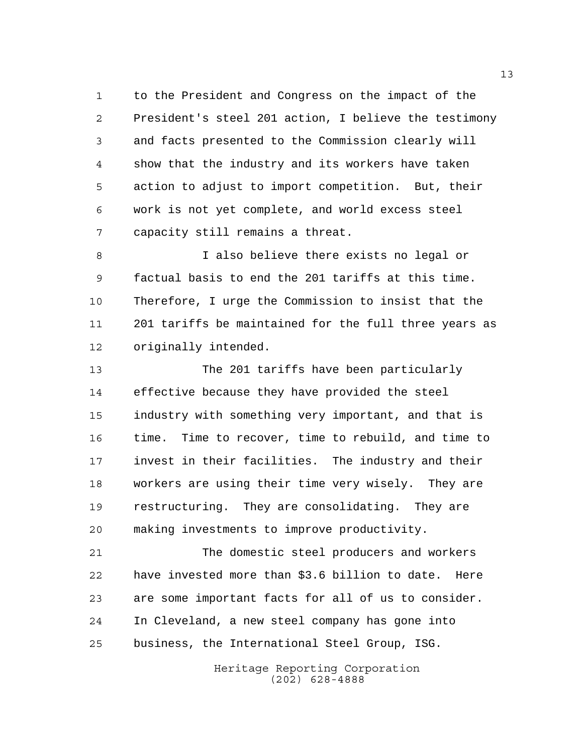to the President and Congress on the impact of the President's steel 201 action, I believe the testimony and facts presented to the Commission clearly will show that the industry and its workers have taken action to adjust to import competition. But, their work is not yet complete, and world excess steel capacity still remains a threat.

 I also believe there exists no legal or factual basis to end the 201 tariffs at this time. Therefore, I urge the Commission to insist that the 201 tariffs be maintained for the full three years as originally intended.

 The 201 tariffs have been particularly effective because they have provided the steel industry with something very important, and that is time. Time to recover, time to rebuild, and time to invest in their facilities. The industry and their workers are using their time very wisely. They are restructuring. They are consolidating. They are making investments to improve productivity.

 The domestic steel producers and workers have invested more than \$3.6 billion to date. Here are some important facts for all of us to consider. In Cleveland, a new steel company has gone into business, the International Steel Group, ISG.

> Heritage Reporting Corporation (202) 628-4888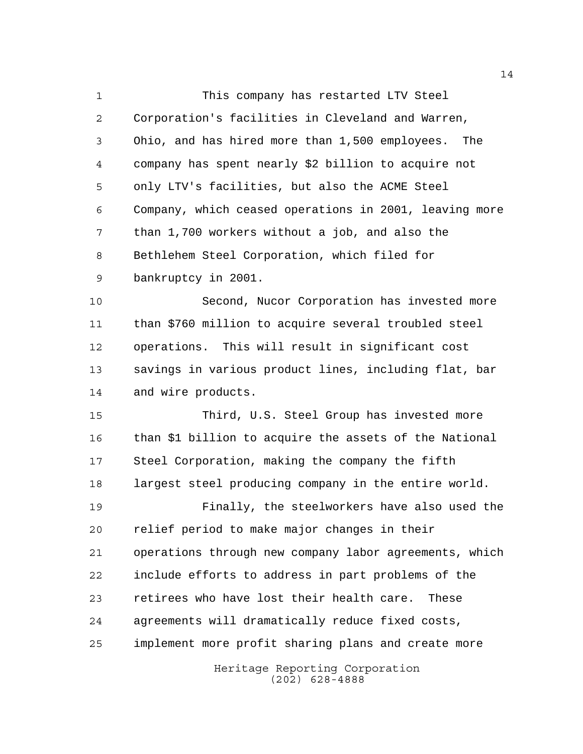This company has restarted LTV Steel Corporation's facilities in Cleveland and Warren, Ohio, and has hired more than 1,500 employees. The company has spent nearly \$2 billion to acquire not only LTV's facilities, but also the ACME Steel Company, which ceased operations in 2001, leaving more than 1,700 workers without a job, and also the Bethlehem Steel Corporation, which filed for bankruptcy in 2001.

 Second, Nucor Corporation has invested more than \$760 million to acquire several troubled steel operations. This will result in significant cost savings in various product lines, including flat, bar and wire products.

Heritage Reporting Corporation Third, U.S. Steel Group has invested more than \$1 billion to acquire the assets of the National Steel Corporation, making the company the fifth largest steel producing company in the entire world. Finally, the steelworkers have also used the relief period to make major changes in their operations through new company labor agreements, which include efforts to address in part problems of the retirees who have lost their health care. These agreements will dramatically reduce fixed costs, implement more profit sharing plans and create more

(202) 628-4888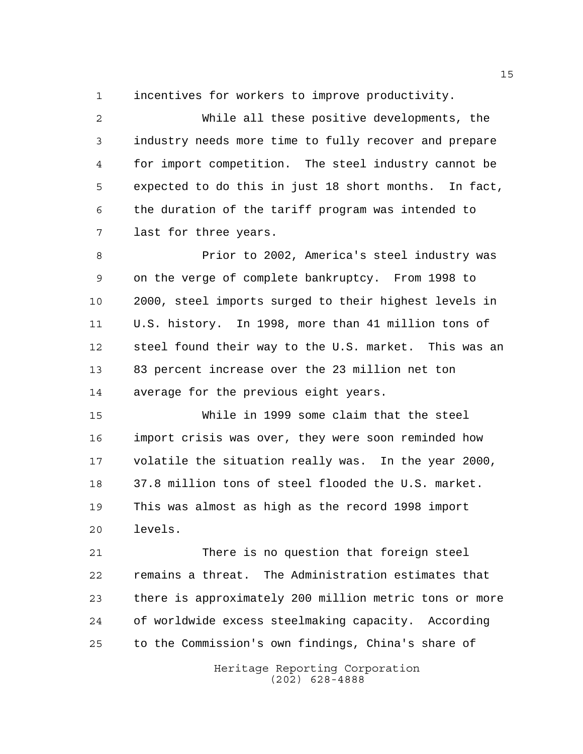incentives for workers to improve productivity.

 While all these positive developments, the industry needs more time to fully recover and prepare for import competition. The steel industry cannot be expected to do this in just 18 short months. In fact, the duration of the tariff program was intended to last for three years.

 Prior to 2002, America's steel industry was on the verge of complete bankruptcy. From 1998 to 2000, steel imports surged to their highest levels in U.S. history. In 1998, more than 41 million tons of steel found their way to the U.S. market. This was an 83 percent increase over the 23 million net ton average for the previous eight years.

 While in 1999 some claim that the steel import crisis was over, they were soon reminded how volatile the situation really was. In the year 2000, 37.8 million tons of steel flooded the U.S. market. This was almost as high as the record 1998 import levels.

 There is no question that foreign steel remains a threat. The Administration estimates that there is approximately 200 million metric tons or more of worldwide excess steelmaking capacity. According to the Commission's own findings, China's share of

> Heritage Reporting Corporation (202) 628-4888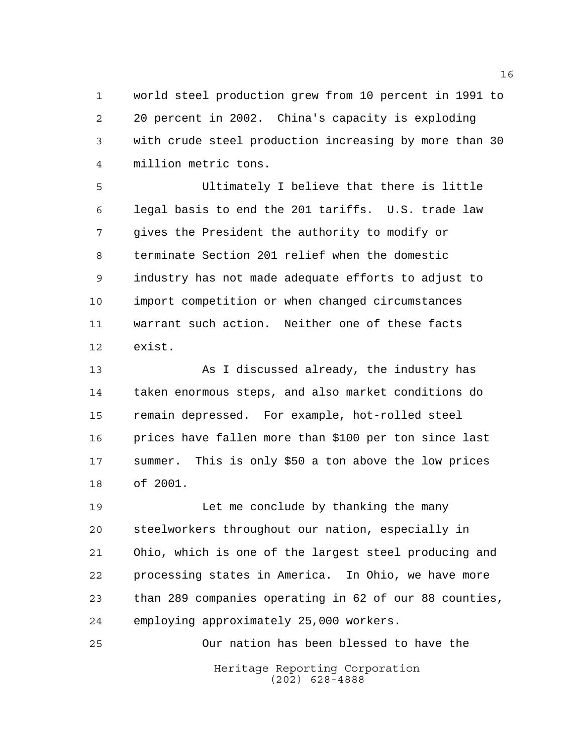world steel production grew from 10 percent in 1991 to 20 percent in 2002. China's capacity is exploding with crude steel production increasing by more than 30 million metric tons.

 Ultimately I believe that there is little legal basis to end the 201 tariffs. U.S. trade law gives the President the authority to modify or terminate Section 201 relief when the domestic industry has not made adequate efforts to adjust to import competition or when changed circumstances warrant such action. Neither one of these facts exist.

 As I discussed already, the industry has taken enormous steps, and also market conditions do remain depressed. For example, hot-rolled steel prices have fallen more than \$100 per ton since last summer. This is only \$50 a ton above the low prices of 2001.

 Let me conclude by thanking the many steelworkers throughout our nation, especially in Ohio, which is one of the largest steel producing and processing states in America. In Ohio, we have more than 289 companies operating in 62 of our 88 counties, employing approximately 25,000 workers.

Heritage Reporting Corporation (202) 628-4888 Our nation has been blessed to have the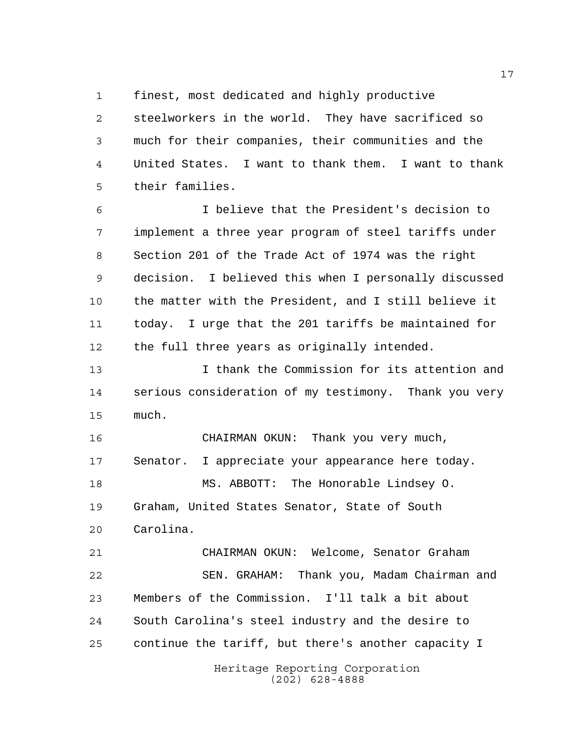finest, most dedicated and highly productive

 steelworkers in the world. They have sacrificed so much for their companies, their communities and the United States. I want to thank them. I want to thank their families.

 I believe that the President's decision to implement a three year program of steel tariffs under Section 201 of the Trade Act of 1974 was the right decision. I believed this when I personally discussed the matter with the President, and I still believe it today. I urge that the 201 tariffs be maintained for the full three years as originally intended.

 I thank the Commission for its attention and serious consideration of my testimony. Thank you very much.

 CHAIRMAN OKUN: Thank you very much, Senator. I appreciate your appearance here today. MS. ABBOTT: The Honorable Lindsey O. Graham, United States Senator, State of South Carolina.

 CHAIRMAN OKUN: Welcome, Senator Graham SEN. GRAHAM: Thank you, Madam Chairman and Members of the Commission. I'll talk a bit about South Carolina's steel industry and the desire to continue the tariff, but there's another capacity I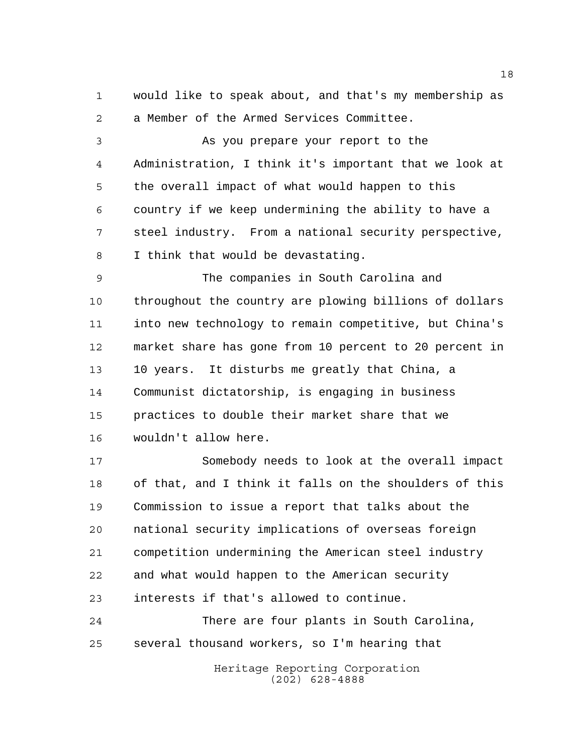would like to speak about, and that's my membership as a Member of the Armed Services Committee.

 As you prepare your report to the Administration, I think it's important that we look at the overall impact of what would happen to this country if we keep undermining the ability to have a steel industry. From a national security perspective, I think that would be devastating.

 The companies in South Carolina and throughout the country are plowing billions of dollars into new technology to remain competitive, but China's market share has gone from 10 percent to 20 percent in 10 years. It disturbs me greatly that China, a Communist dictatorship, is engaging in business practices to double their market share that we wouldn't allow here.

 Somebody needs to look at the overall impact of that, and I think it falls on the shoulders of this Commission to issue a report that talks about the national security implications of overseas foreign competition undermining the American steel industry and what would happen to the American security interests if that's allowed to continue.

 There are four plants in South Carolina, several thousand workers, so I'm hearing that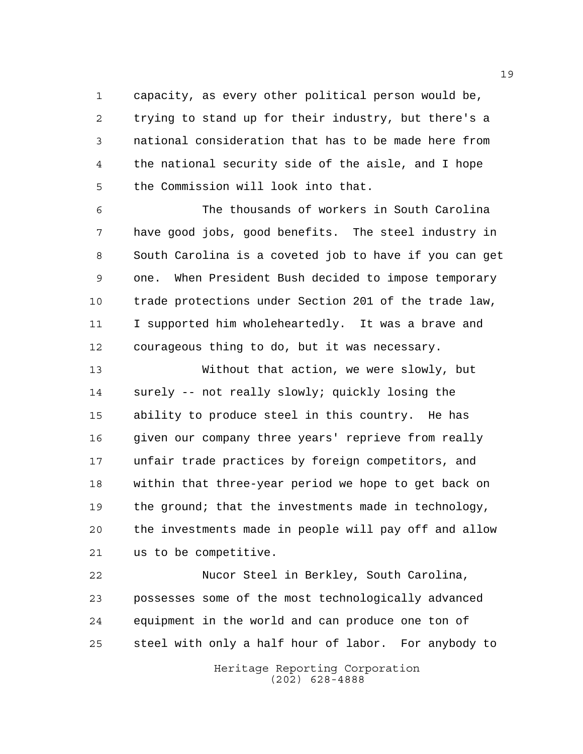capacity, as every other political person would be, trying to stand up for their industry, but there's a national consideration that has to be made here from the national security side of the aisle, and I hope the Commission will look into that.

 The thousands of workers in South Carolina have good jobs, good benefits. The steel industry in South Carolina is a coveted job to have if you can get one. When President Bush decided to impose temporary trade protections under Section 201 of the trade law, I supported him wholeheartedly. It was a brave and courageous thing to do, but it was necessary.

 Without that action, we were slowly, but surely -- not really slowly; quickly losing the ability to produce steel in this country. He has given our company three years' reprieve from really unfair trade practices by foreign competitors, and within that three-year period we hope to get back on 19 the ground; that the investments made in technology, the investments made in people will pay off and allow us to be competitive.

 Nucor Steel in Berkley, South Carolina, possesses some of the most technologically advanced equipment in the world and can produce one ton of steel with only a half hour of labor. For anybody to

> Heritage Reporting Corporation (202) 628-4888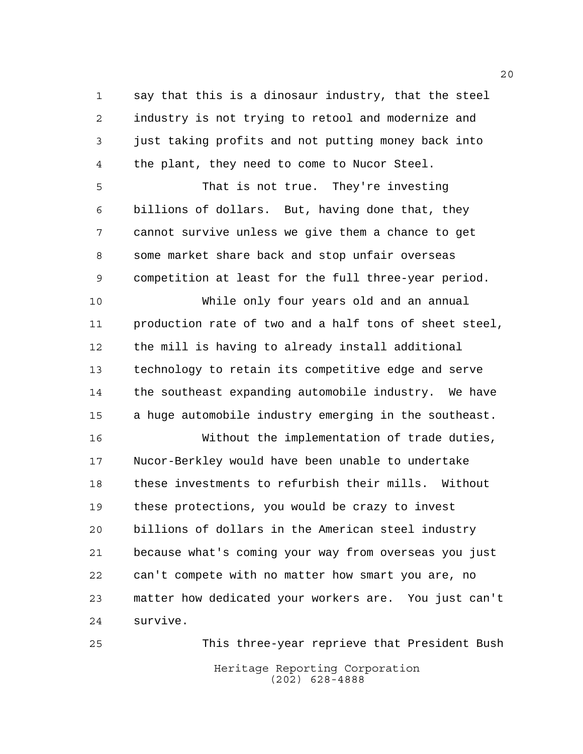say that this is a dinosaur industry, that the steel industry is not trying to retool and modernize and just taking profits and not putting money back into the plant, they need to come to Nucor Steel.

 That is not true. They're investing billions of dollars. But, having done that, they cannot survive unless we give them a chance to get some market share back and stop unfair overseas competition at least for the full three-year period.

 While only four years old and an annual production rate of two and a half tons of sheet steel, the mill is having to already install additional technology to retain its competitive edge and serve the southeast expanding automobile industry. We have a huge automobile industry emerging in the southeast.

 Without the implementation of trade duties, Nucor-Berkley would have been unable to undertake these investments to refurbish their mills. Without these protections, you would be crazy to invest billions of dollars in the American steel industry because what's coming your way from overseas you just can't compete with no matter how smart you are, no matter how dedicated your workers are. You just can't survive.

Heritage Reporting Corporation (202) 628-4888 This three-year reprieve that President Bush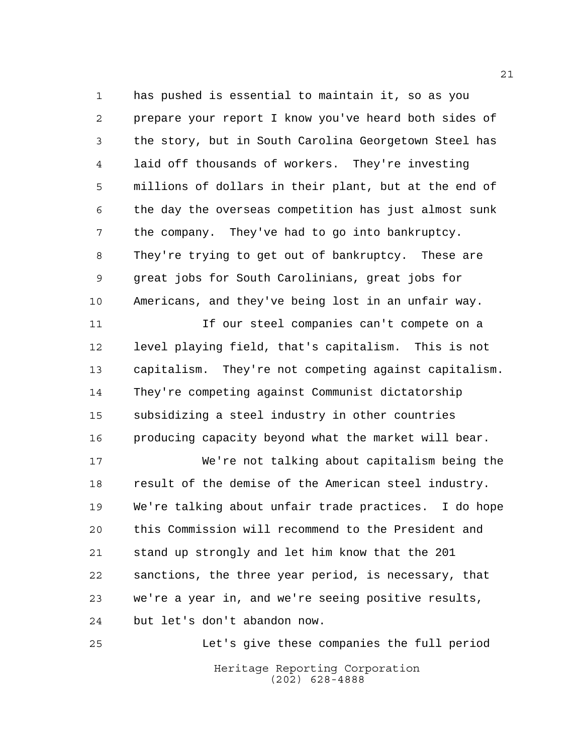has pushed is essential to maintain it, so as you prepare your report I know you've heard both sides of the story, but in South Carolina Georgetown Steel has laid off thousands of workers. They're investing millions of dollars in their plant, but at the end of the day the overseas competition has just almost sunk the company. They've had to go into bankruptcy. They're trying to get out of bankruptcy. These are great jobs for South Carolinians, great jobs for Americans, and they've being lost in an unfair way.

 If our steel companies can't compete on a level playing field, that's capitalism. This is not capitalism. They're not competing against capitalism. They're competing against Communist dictatorship subsidizing a steel industry in other countries producing capacity beyond what the market will bear.

 We're not talking about capitalism being the result of the demise of the American steel industry. We're talking about unfair trade practices. I do hope this Commission will recommend to the President and stand up strongly and let him know that the 201 sanctions, the three year period, is necessary, that we're a year in, and we're seeing positive results, but let's don't abandon now.

Heritage Reporting Corporation (202) 628-4888 Let's give these companies the full period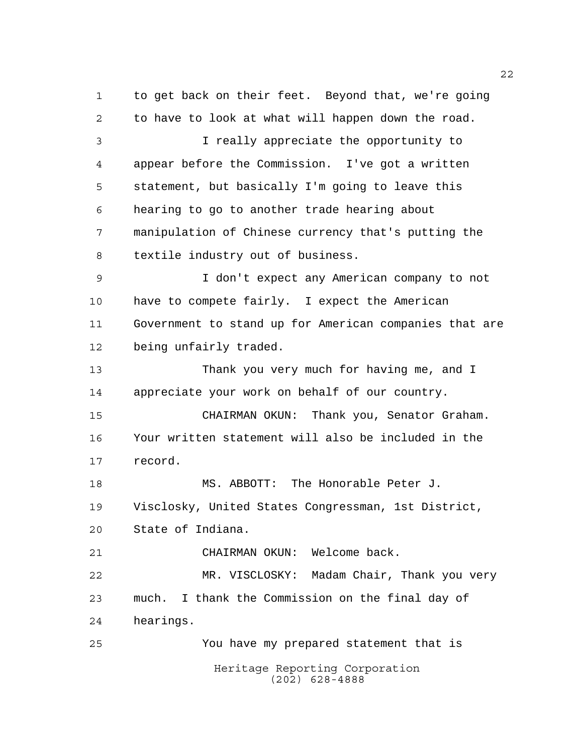Heritage Reporting Corporation (202) 628-4888 to get back on their feet. Beyond that, we're going to have to look at what will happen down the road. I really appreciate the opportunity to appear before the Commission. I've got a written statement, but basically I'm going to leave this hearing to go to another trade hearing about manipulation of Chinese currency that's putting the textile industry out of business. I don't expect any American company to not have to compete fairly. I expect the American Government to stand up for American companies that are being unfairly traded. Thank you very much for having me, and I appreciate your work on behalf of our country. CHAIRMAN OKUN: Thank you, Senator Graham. Your written statement will also be included in the record. MS. ABBOTT: The Honorable Peter J. Visclosky, United States Congressman, 1st District, State of Indiana. CHAIRMAN OKUN: Welcome back. MR. VISCLOSKY: Madam Chair, Thank you very much. I thank the Commission on the final day of hearings. You have my prepared statement that is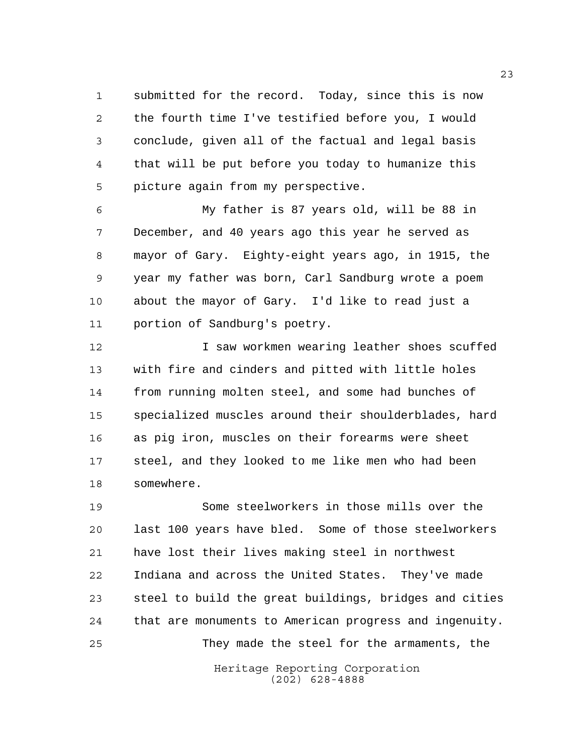submitted for the record. Today, since this is now the fourth time I've testified before you, I would conclude, given all of the factual and legal basis that will be put before you today to humanize this picture again from my perspective.

 My father is 87 years old, will be 88 in December, and 40 years ago this year he served as mayor of Gary. Eighty-eight years ago, in 1915, the year my father was born, Carl Sandburg wrote a poem about the mayor of Gary. I'd like to read just a portion of Sandburg's poetry.

**I** saw workmen wearing leather shoes scuffed with fire and cinders and pitted with little holes from running molten steel, and some had bunches of specialized muscles around their shoulderblades, hard as pig iron, muscles on their forearms were sheet steel, and they looked to me like men who had been somewhere.

 Some steelworkers in those mills over the last 100 years have bled. Some of those steelworkers have lost their lives making steel in northwest Indiana and across the United States. They've made steel to build the great buildings, bridges and cities that are monuments to American progress and ingenuity. They made the steel for the armaments, the

> Heritage Reporting Corporation (202) 628-4888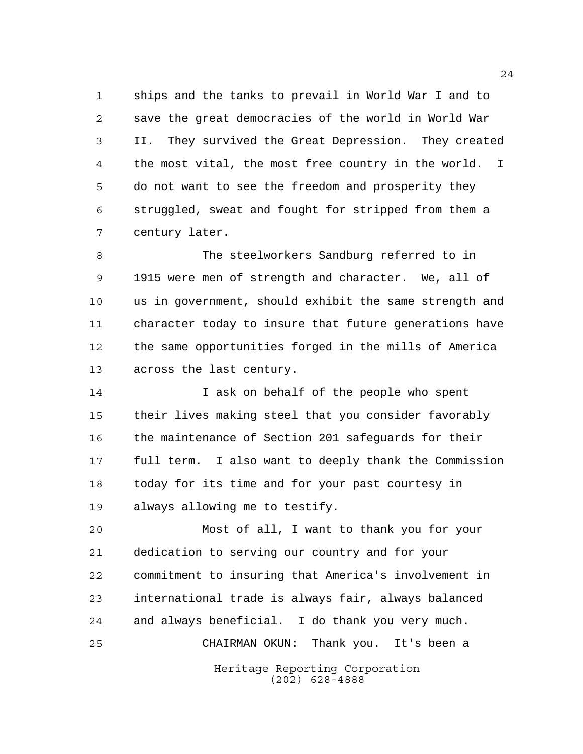ships and the tanks to prevail in World War I and to save the great democracies of the world in World War II. They survived the Great Depression. They created the most vital, the most free country in the world. I do not want to see the freedom and prosperity they struggled, sweat and fought for stripped from them a century later.

 The steelworkers Sandburg referred to in 1915 were men of strength and character. We, all of us in government, should exhibit the same strength and character today to insure that future generations have the same opportunities forged in the mills of America across the last century.

14 14 I ask on behalf of the people who spent their lives making steel that you consider favorably the maintenance of Section 201 safeguards for their full term. I also want to deeply thank the Commission today for its time and for your past courtesy in always allowing me to testify.

Heritage Reporting Corporation (202) 628-4888 Most of all, I want to thank you for your dedication to serving our country and for your commitment to insuring that America's involvement in international trade is always fair, always balanced and always beneficial. I do thank you very much. CHAIRMAN OKUN: Thank you. It's been a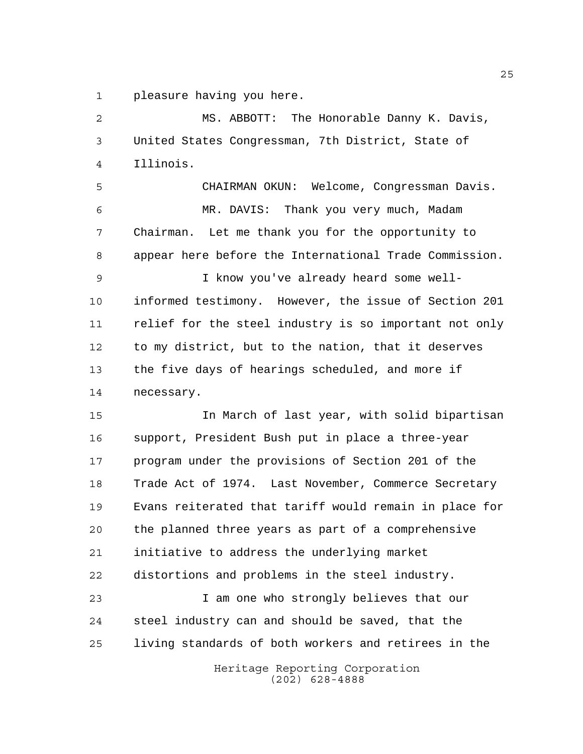pleasure having you here.

 MS. ABBOTT: The Honorable Danny K. Davis, United States Congressman, 7th District, State of Illinois. CHAIRMAN OKUN: Welcome, Congressman Davis. MR. DAVIS: Thank you very much, Madam Chairman. Let me thank you for the opportunity to appear here before the International Trade Commission. I know you've already heard some well- informed testimony. However, the issue of Section 201 relief for the steel industry is so important not only to my district, but to the nation, that it deserves the five days of hearings scheduled, and more if necessary. In March of last year, with solid bipartisan support, President Bush put in place a three-year program under the provisions of Section 201 of the Trade Act of 1974. Last November, Commerce Secretary Evans reiterated that tariff would remain in place for

 the planned three years as part of a comprehensive initiative to address the underlying market distortions and problems in the steel industry.

 I am one who strongly believes that our steel industry can and should be saved, that the living standards of both workers and retirees in the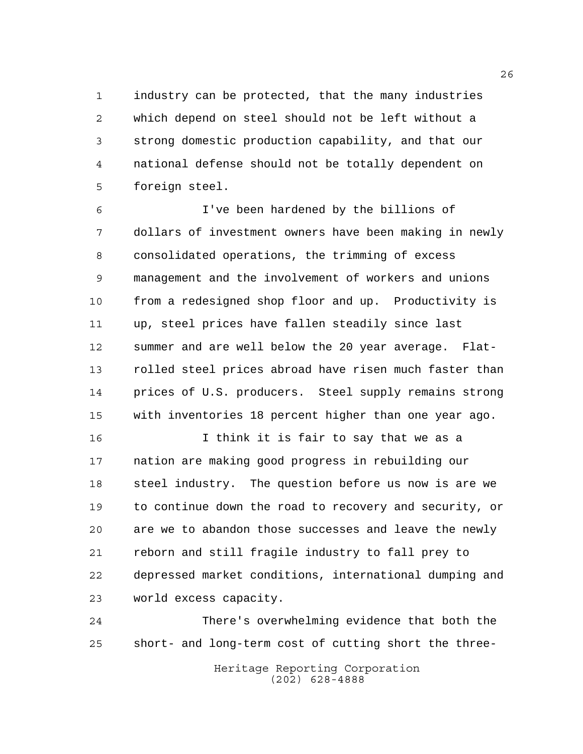industry can be protected, that the many industries which depend on steel should not be left without a strong domestic production capability, and that our national defense should not be totally dependent on foreign steel.

 I've been hardened by the billions of dollars of investment owners have been making in newly consolidated operations, the trimming of excess management and the involvement of workers and unions from a redesigned shop floor and up. Productivity is up, steel prices have fallen steadily since last summer and are well below the 20 year average. Flat- rolled steel prices abroad have risen much faster than prices of U.S. producers. Steel supply remains strong with inventories 18 percent higher than one year ago.

 I think it is fair to say that we as a nation are making good progress in rebuilding our steel industry. The question before us now is are we to continue down the road to recovery and security, or are we to abandon those successes and leave the newly reborn and still fragile industry to fall prey to depressed market conditions, international dumping and world excess capacity.

 There's overwhelming evidence that both the short- and long-term cost of cutting short the three-

Heritage Reporting Corporation (202) 628-4888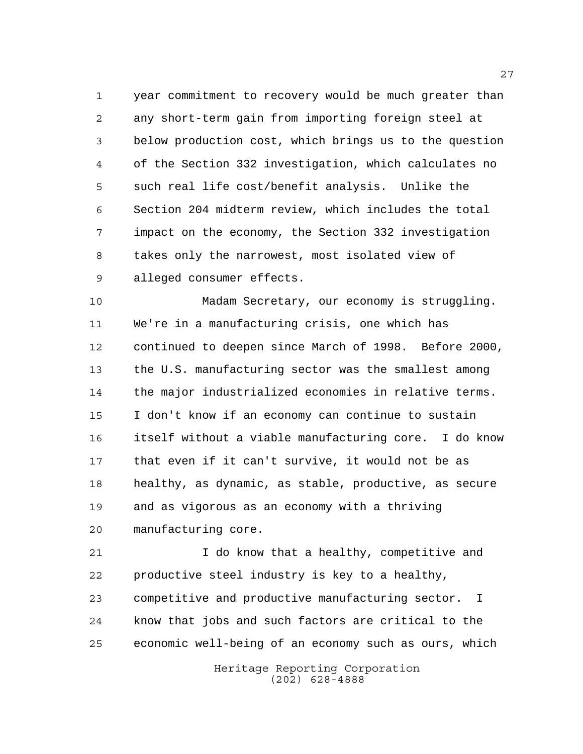year commitment to recovery would be much greater than any short-term gain from importing foreign steel at below production cost, which brings us to the question of the Section 332 investigation, which calculates no such real life cost/benefit analysis. Unlike the Section 204 midterm review, which includes the total impact on the economy, the Section 332 investigation takes only the narrowest, most isolated view of alleged consumer effects.

 Madam Secretary, our economy is struggling. We're in a manufacturing crisis, one which has continued to deepen since March of 1998. Before 2000, the U.S. manufacturing sector was the smallest among the major industrialized economies in relative terms. I don't know if an economy can continue to sustain itself without a viable manufacturing core. I do know that even if it can't survive, it would not be as healthy, as dynamic, as stable, productive, as secure and as vigorous as an economy with a thriving manufacturing core.

 I do know that a healthy, competitive and productive steel industry is key to a healthy, competitive and productive manufacturing sector. I know that jobs and such factors are critical to the economic well-being of an economy such as ours, which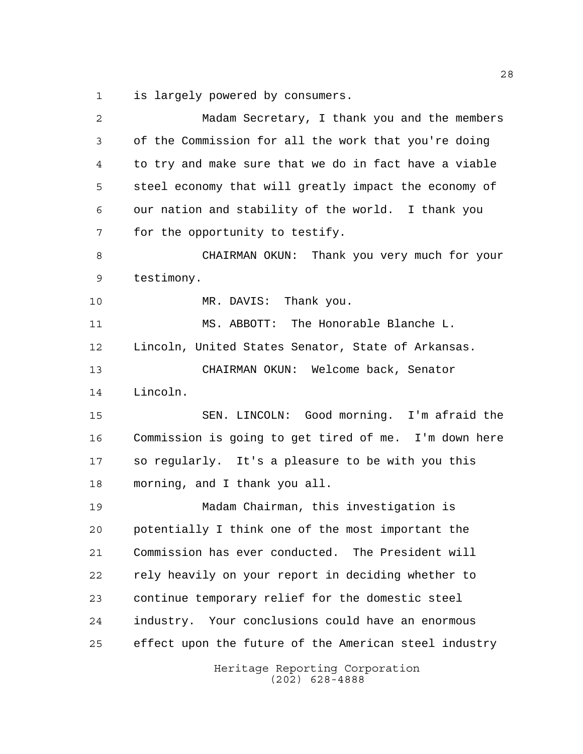is largely powered by consumers.

| 2  | Madam Secretary, I thank you and the members          |
|----|-------------------------------------------------------|
| 3  | of the Commission for all the work that you're doing  |
| 4  | to try and make sure that we do in fact have a viable |
| 5  | steel economy that will greatly impact the economy of |
| 6  | our nation and stability of the world. I thank you    |
| 7  | for the opportunity to testify.                       |
| 8  | CHAIRMAN OKUN: Thank you very much for your           |
| 9  | testimony.                                            |
| 10 | MR. DAVIS: Thank you.                                 |
| 11 | MS. ABBOTT: The Honorable Blanche L.                  |
| 12 | Lincoln, United States Senator, State of Arkansas.    |
| 13 | CHAIRMAN OKUN: Welcome back, Senator                  |
| 14 | Lincoln.                                              |
| 15 | SEN. LINCOLN: Good morning. I'm afraid the            |
| 16 | Commission is going to get tired of me. I'm down here |
| 17 | so regularly. It's a pleasure to be with you this     |
| 18 | morning, and I thank you all.                         |
| 19 | Madam Chairman, this investigation is                 |
| 20 | potentially I think one of the most important the     |
| 21 | Commission has ever conducted. The President will     |
| 22 | rely heavily on your report in deciding whether to    |
| 23 | continue temporary relief for the domestic steel      |
| 24 | industry. Your conclusions could have an enormous     |
| 25 | effect upon the future of the American steel industry |
|    | Heritage Reporting Corporation<br>$(202)$ 628-4888    |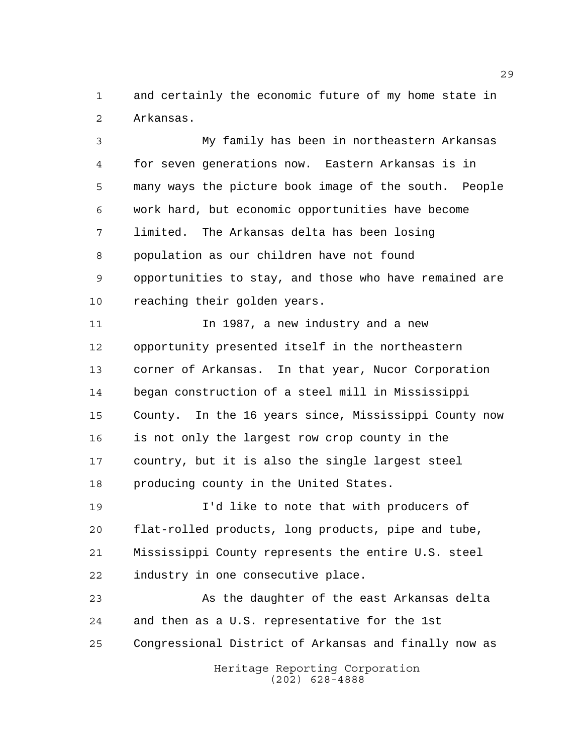and certainly the economic future of my home state in Arkansas.

 My family has been in northeastern Arkansas for seven generations now. Eastern Arkansas is in many ways the picture book image of the south. People work hard, but economic opportunities have become limited. The Arkansas delta has been losing population as our children have not found opportunities to stay, and those who have remained are reaching their golden years.

11 1987, a new industry and a new opportunity presented itself in the northeastern corner of Arkansas. In that year, Nucor Corporation began construction of a steel mill in Mississippi County. In the 16 years since, Mississippi County now is not only the largest row crop county in the country, but it is also the single largest steel producing county in the United States.

 I'd like to note that with producers of flat-rolled products, long products, pipe and tube, Mississippi County represents the entire U.S. steel industry in one consecutive place.

Heritage Reporting Corporation (202) 628-4888 As the daughter of the east Arkansas delta and then as a U.S. representative for the 1st Congressional District of Arkansas and finally now as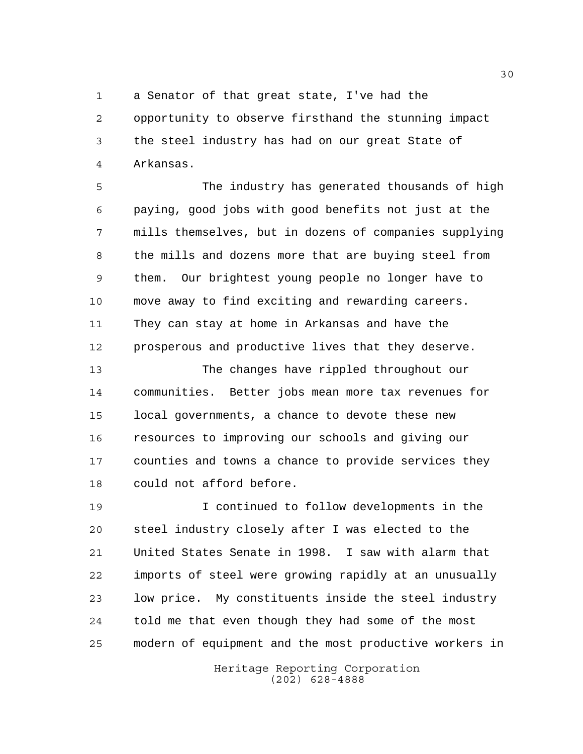a Senator of that great state, I've had the

 opportunity to observe firsthand the stunning impact the steel industry has had on our great State of Arkansas.

 The industry has generated thousands of high paying, good jobs with good benefits not just at the mills themselves, but in dozens of companies supplying the mills and dozens more that are buying steel from them. Our brightest young people no longer have to move away to find exciting and rewarding careers. They can stay at home in Arkansas and have the prosperous and productive lives that they deserve.

 The changes have rippled throughout our communities. Better jobs mean more tax revenues for local governments, a chance to devote these new resources to improving our schools and giving our counties and towns a chance to provide services they could not afford before.

 I continued to follow developments in the steel industry closely after I was elected to the United States Senate in 1998. I saw with alarm that imports of steel were growing rapidly at an unusually low price. My constituents inside the steel industry told me that even though they had some of the most modern of equipment and the most productive workers in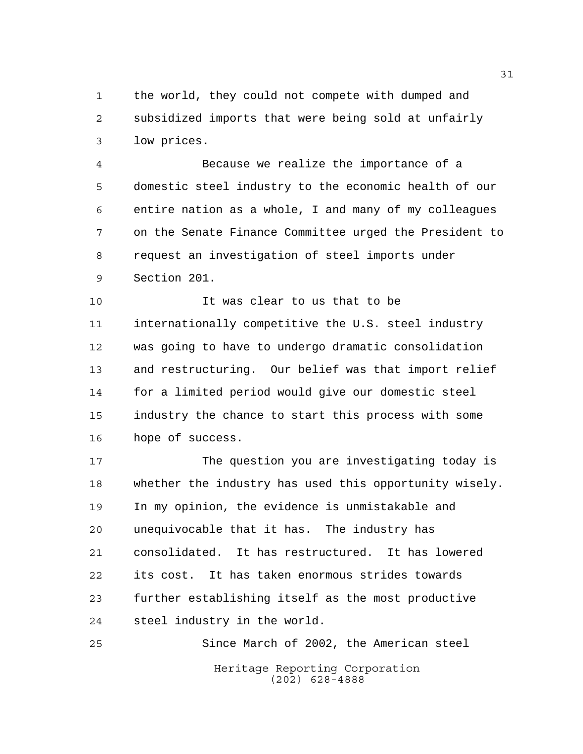the world, they could not compete with dumped and subsidized imports that were being sold at unfairly low prices.

 Because we realize the importance of a domestic steel industry to the economic health of our entire nation as a whole, I and many of my colleagues on the Senate Finance Committee urged the President to request an investigation of steel imports under Section 201.

 It was clear to us that to be internationally competitive the U.S. steel industry was going to have to undergo dramatic consolidation and restructuring. Our belief was that import relief for a limited period would give our domestic steel industry the chance to start this process with some hope of success.

 The question you are investigating today is whether the industry has used this opportunity wisely. In my opinion, the evidence is unmistakable and unequivocable that it has. The industry has consolidated. It has restructured. It has lowered its cost. It has taken enormous strides towards further establishing itself as the most productive steel industry in the world.

Heritage Reporting Corporation (202) 628-4888 Since March of 2002, the American steel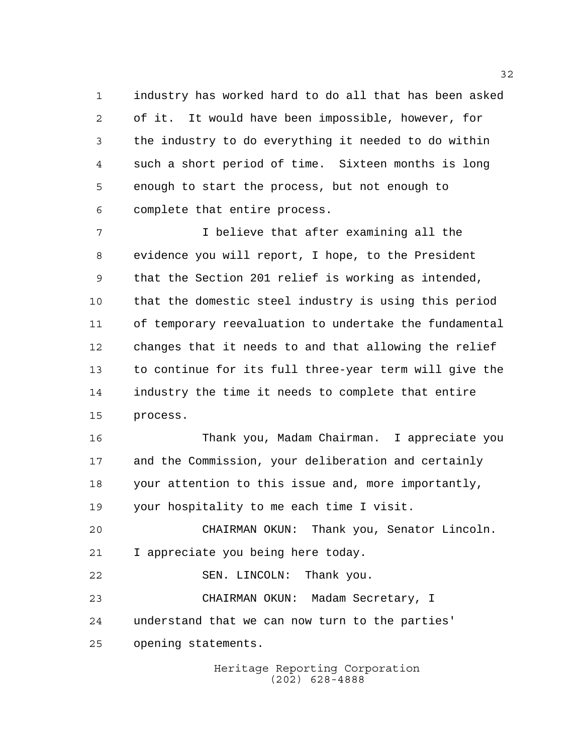industry has worked hard to do all that has been asked of it. It would have been impossible, however, for the industry to do everything it needed to do within such a short period of time. Sixteen months is long enough to start the process, but not enough to complete that entire process.

 I believe that after examining all the evidence you will report, I hope, to the President that the Section 201 relief is working as intended, that the domestic steel industry is using this period of temporary reevaluation to undertake the fundamental changes that it needs to and that allowing the relief to continue for its full three-year term will give the industry the time it needs to complete that entire process.

 Thank you, Madam Chairman. I appreciate you and the Commission, your deliberation and certainly your attention to this issue and, more importantly, your hospitality to me each time I visit.

 CHAIRMAN OKUN: Thank you, Senator Lincoln. I appreciate you being here today.

22 SEN. LINCOLN: Thank you. CHAIRMAN OKUN: Madam Secretary, I understand that we can now turn to the parties' opening statements.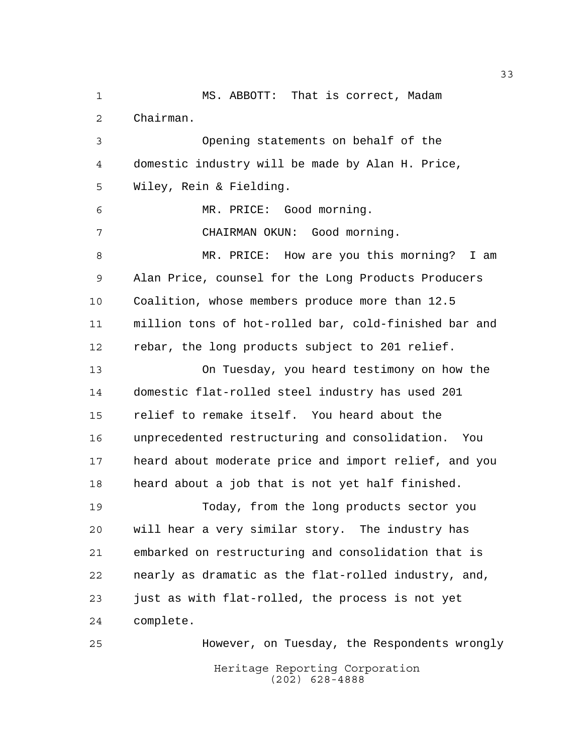MS. ABBOTT: That is correct, Madam Chairman. Opening statements on behalf of the domestic industry will be made by Alan H. Price, Wiley, Rein & Fielding. MR. PRICE: Good morning. CHAIRMAN OKUN: Good morning. MR. PRICE: How are you this morning? I am Alan Price, counsel for the Long Products Producers Coalition, whose members produce more than 12.5 million tons of hot-rolled bar, cold-finished bar and rebar, the long products subject to 201 relief. On Tuesday, you heard testimony on how the domestic flat-rolled steel industry has used 201 relief to remake itself. You heard about the unprecedented restructuring and consolidation. You heard about moderate price and import relief, and you heard about a job that is not yet half finished. Today, from the long products sector you will hear a very similar story. The industry has embarked on restructuring and consolidation that is nearly as dramatic as the flat-rolled industry, and, just as with flat-rolled, the process is not yet complete. However, on Tuesday, the Respondents wrongly

Heritage Reporting Corporation (202) 628-4888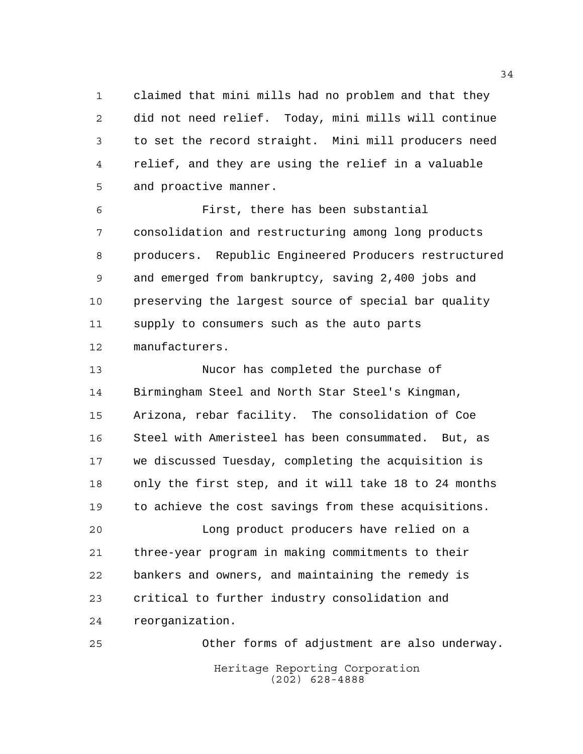claimed that mini mills had no problem and that they did not need relief. Today, mini mills will continue to set the record straight. Mini mill producers need relief, and they are using the relief in a valuable and proactive manner.

 First, there has been substantial consolidation and restructuring among long products producers. Republic Engineered Producers restructured and emerged from bankruptcy, saving 2,400 jobs and preserving the largest source of special bar quality supply to consumers such as the auto parts manufacturers.

 Nucor has completed the purchase of Birmingham Steel and North Star Steel's Kingman, Arizona, rebar facility. The consolidation of Coe Steel with Ameristeel has been consummated. But, as we discussed Tuesday, completing the acquisition is only the first step, and it will take 18 to 24 months to achieve the cost savings from these acquisitions.

 Long product producers have relied on a three-year program in making commitments to their bankers and owners, and maintaining the remedy is critical to further industry consolidation and reorganization.

Heritage Reporting Corporation (202) 628-4888 Other forms of adjustment are also underway.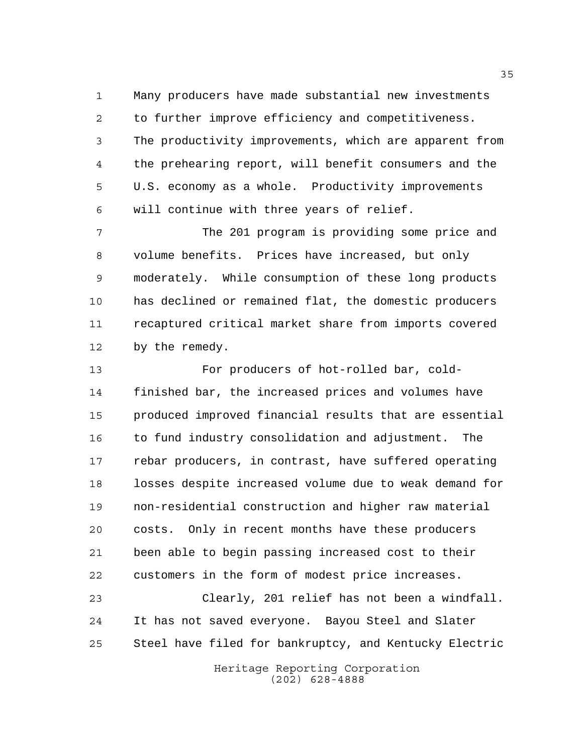Many producers have made substantial new investments to further improve efficiency and competitiveness. The productivity improvements, which are apparent from the prehearing report, will benefit consumers and the U.S. economy as a whole. Productivity improvements will continue with three years of relief.

 The 201 program is providing some price and volume benefits. Prices have increased, but only moderately. While consumption of these long products has declined or remained flat, the domestic producers recaptured critical market share from imports covered by the remedy.

 For producers of hot-rolled bar, cold- finished bar, the increased prices and volumes have produced improved financial results that are essential 16 to fund industry consolidation and adjustment. The rebar producers, in contrast, have suffered operating losses despite increased volume due to weak demand for non-residential construction and higher raw material costs. Only in recent months have these producers been able to begin passing increased cost to their customers in the form of modest price increases.

 Clearly, 201 relief has not been a windfall. It has not saved everyone. Bayou Steel and Slater Steel have filed for bankruptcy, and Kentucky Electric

> Heritage Reporting Corporation (202) 628-4888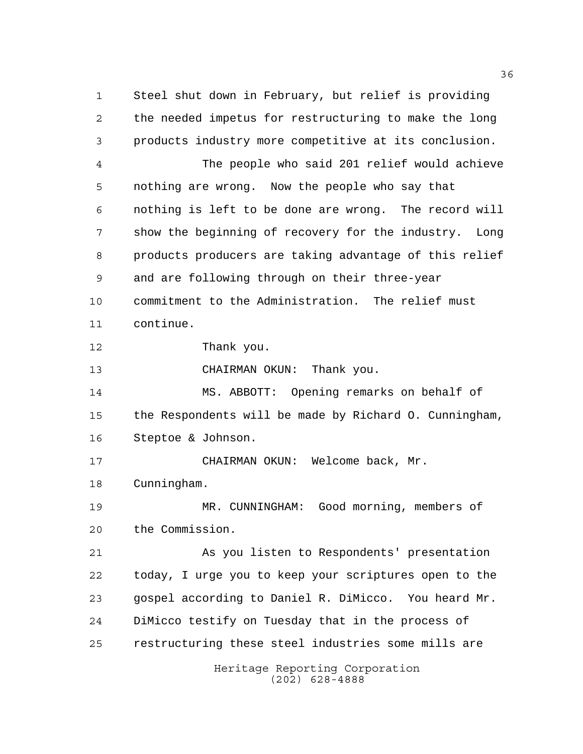Heritage Reporting Corporation Steel shut down in February, but relief is providing the needed impetus for restructuring to make the long products industry more competitive at its conclusion. The people who said 201 relief would achieve nothing are wrong. Now the people who say that nothing is left to be done are wrong. The record will show the beginning of recovery for the industry. Long products producers are taking advantage of this relief and are following through on their three-year commitment to the Administration. The relief must continue. Thank you. CHAIRMAN OKUN: Thank you. MS. ABBOTT: Opening remarks on behalf of the Respondents will be made by Richard O. Cunningham, Steptoe & Johnson. CHAIRMAN OKUN: Welcome back, Mr. Cunningham. MR. CUNNINGHAM: Good morning, members of the Commission. As you listen to Respondents' presentation today, I urge you to keep your scriptures open to the gospel according to Daniel R. DiMicco. You heard Mr. DiMicco testify on Tuesday that in the process of restructuring these steel industries some mills are

(202) 628-4888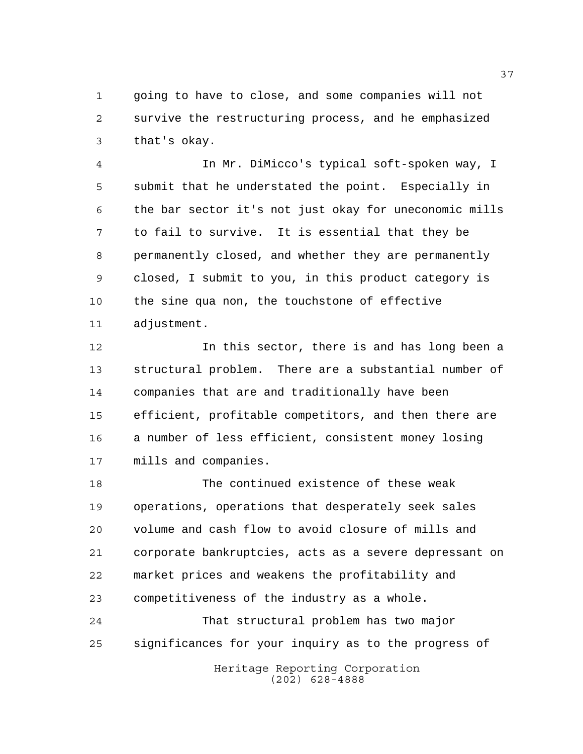going to have to close, and some companies will not survive the restructuring process, and he emphasized that's okay.

 In Mr. DiMicco's typical soft-spoken way, I submit that he understated the point. Especially in the bar sector it's not just okay for uneconomic mills to fail to survive. It is essential that they be permanently closed, and whether they are permanently closed, I submit to you, in this product category is the sine qua non, the touchstone of effective adjustment.

 In this sector, there is and has long been a structural problem. There are a substantial number of companies that are and traditionally have been efficient, profitable competitors, and then there are a number of less efficient, consistent money losing mills and companies.

 The continued existence of these weak operations, operations that desperately seek sales volume and cash flow to avoid closure of mills and corporate bankruptcies, acts as a severe depressant on market prices and weakens the profitability and competitiveness of the industry as a whole.

 That structural problem has two major significances for your inquiry as to the progress of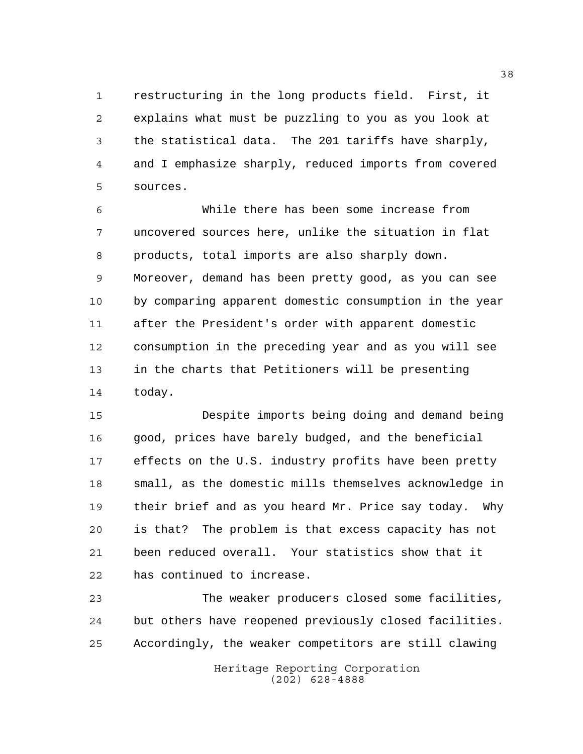restructuring in the long products field. First, it explains what must be puzzling to you as you look at the statistical data. The 201 tariffs have sharply, and I emphasize sharply, reduced imports from covered sources.

 While there has been some increase from uncovered sources here, unlike the situation in flat products, total imports are also sharply down. Moreover, demand has been pretty good, as you can see by comparing apparent domestic consumption in the year after the President's order with apparent domestic consumption in the preceding year and as you will see in the charts that Petitioners will be presenting today.

 Despite imports being doing and demand being good, prices have barely budged, and the beneficial effects on the U.S. industry profits have been pretty small, as the domestic mills themselves acknowledge in their brief and as you heard Mr. Price say today. Why is that? The problem is that excess capacity has not been reduced overall. Your statistics show that it has continued to increase.

 The weaker producers closed some facilities, but others have reopened previously closed facilities. Accordingly, the weaker competitors are still clawing

> Heritage Reporting Corporation (202) 628-4888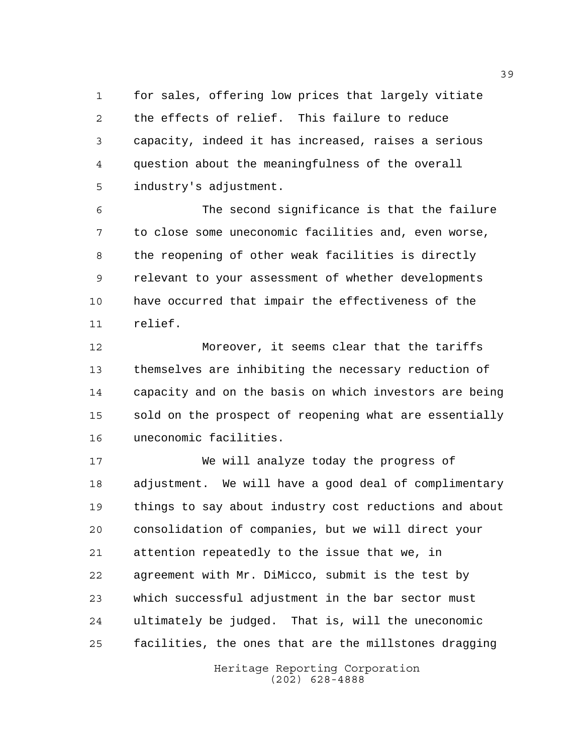for sales, offering low prices that largely vitiate the effects of relief. This failure to reduce capacity, indeed it has increased, raises a serious question about the meaningfulness of the overall industry's adjustment.

 The second significance is that the failure to close some uneconomic facilities and, even worse, the reopening of other weak facilities is directly relevant to your assessment of whether developments have occurred that impair the effectiveness of the relief.

 Moreover, it seems clear that the tariffs themselves are inhibiting the necessary reduction of capacity and on the basis on which investors are being sold on the prospect of reopening what are essentially uneconomic facilities.

 We will analyze today the progress of adjustment. We will have a good deal of complimentary things to say about industry cost reductions and about consolidation of companies, but we will direct your attention repeatedly to the issue that we, in agreement with Mr. DiMicco, submit is the test by which successful adjustment in the bar sector must ultimately be judged. That is, will the uneconomic facilities, the ones that are the millstones dragging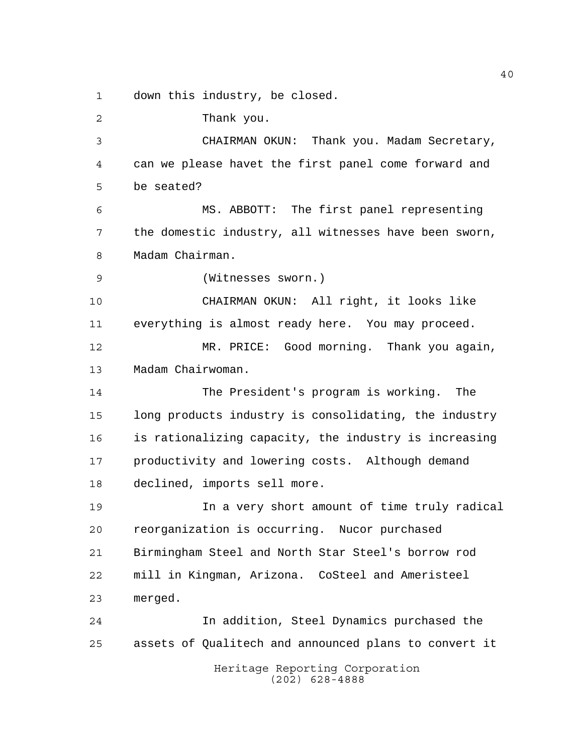down this industry, be closed.

Thank you.

 CHAIRMAN OKUN: Thank you. Madam Secretary, can we please havet the first panel come forward and be seated?

 MS. ABBOTT: The first panel representing the domestic industry, all witnesses have been sworn, Madam Chairman.

(Witnesses sworn.)

 CHAIRMAN OKUN: All right, it looks like everything is almost ready here. You may proceed.

 MR. PRICE: Good morning. Thank you again, Madam Chairwoman.

 The President's program is working. The long products industry is consolidating, the industry is rationalizing capacity, the industry is increasing productivity and lowering costs. Although demand declined, imports sell more.

 In a very short amount of time truly radical reorganization is occurring. Nucor purchased Birmingham Steel and North Star Steel's borrow rod mill in Kingman, Arizona. CoSteel and Ameristeel merged.

 In addition, Steel Dynamics purchased the assets of Qualitech and announced plans to convert it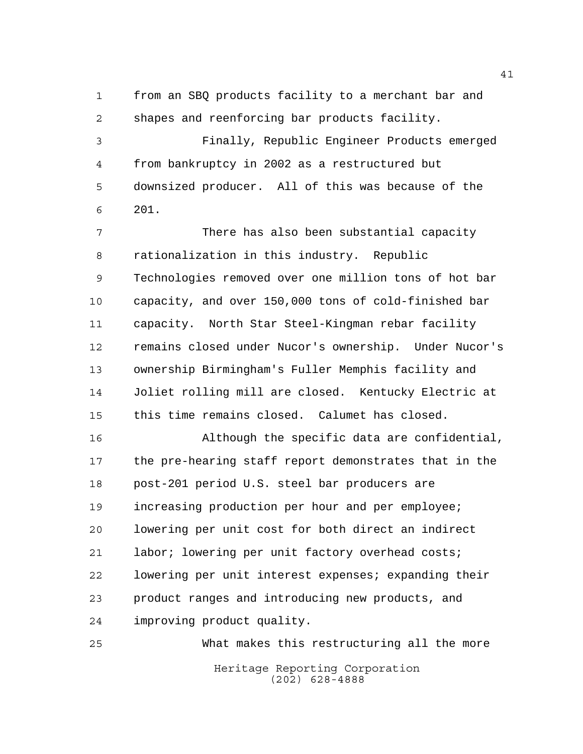from an SBQ products facility to a merchant bar and shapes and reenforcing bar products facility.

 Finally, Republic Engineer Products emerged from bankruptcy in 2002 as a restructured but downsized producer. All of this was because of the 201.

 There has also been substantial capacity rationalization in this industry. Republic Technologies removed over one million tons of hot bar capacity, and over 150,000 tons of cold-finished bar capacity. North Star Steel-Kingman rebar facility remains closed under Nucor's ownership. Under Nucor's ownership Birmingham's Fuller Memphis facility and Joliet rolling mill are closed. Kentucky Electric at this time remains closed. Calumet has closed.

 Although the specific data are confidential, the pre-hearing staff report demonstrates that in the post-201 period U.S. steel bar producers are increasing production per hour and per employee; lowering per unit cost for both direct an indirect labor; lowering per unit factory overhead costs; lowering per unit interest expenses; expanding their product ranges and introducing new products, and improving product quality.

Heritage Reporting Corporation (202) 628-4888 What makes this restructuring all the more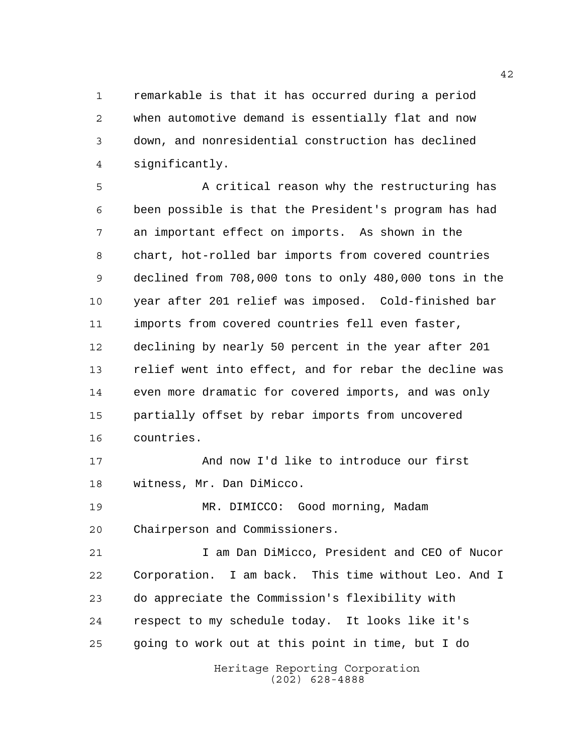remarkable is that it has occurred during a period when automotive demand is essentially flat and now down, and nonresidential construction has declined significantly.

 A critical reason why the restructuring has been possible is that the President's program has had an important effect on imports. As shown in the chart, hot-rolled bar imports from covered countries declined from 708,000 tons to only 480,000 tons in the year after 201 relief was imposed. Cold-finished bar imports from covered countries fell even faster, declining by nearly 50 percent in the year after 201 relief went into effect, and for rebar the decline was even more dramatic for covered imports, and was only partially offset by rebar imports from uncovered countries.

 And now I'd like to introduce our first witness, Mr. Dan DiMicco.

 MR. DIMICCO: Good morning, Madam Chairperson and Commissioners.

 I am Dan DiMicco, President and CEO of Nucor Corporation. I am back. This time without Leo. And I do appreciate the Commission's flexibility with respect to my schedule today. It looks like it's going to work out at this point in time, but I do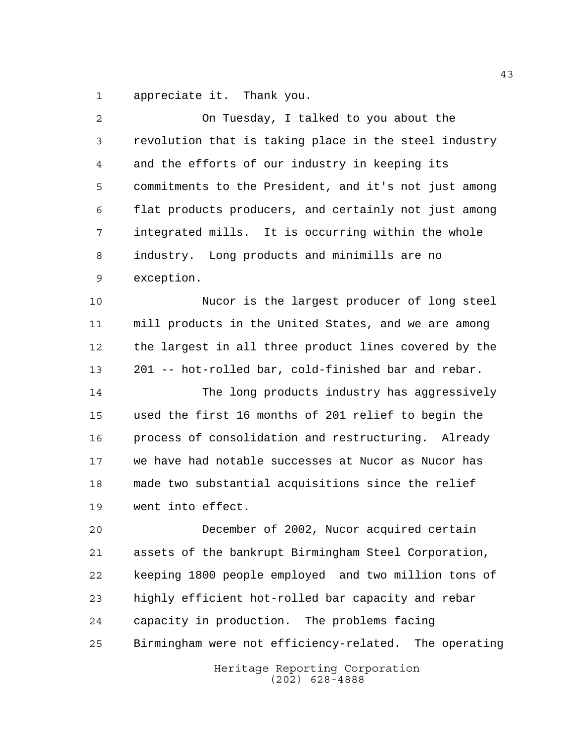appreciate it. Thank you.

| 2  | On Tuesday, I talked to you about the                 |
|----|-------------------------------------------------------|
| 3  | revolution that is taking place in the steel industry |
| 4  | and the efforts of our industry in keeping its        |
| 5  | commitments to the President, and it's not just among |
| 6  | flat products producers, and certainly not just among |
| 7  | integrated mills. It is occurring within the whole    |
| 8  | industry. Long products and minimills are no          |
| 9  | exception.                                            |
| 10 | Nucor is the largest producer of long steel           |
| 11 | mill products in the United States, and we are among  |
| 12 | the largest in all three product lines covered by the |
| 13 | 201 -- hot-rolled bar, cold-finished bar and rebar.   |
| 14 | The long products industry has aggressively           |
| 15 | used the first 16 months of 201 relief to begin the   |
| 16 | process of consolidation and restructuring. Already   |
| 17 | we have had notable successes at Nucor as Nucor has   |
| 18 | made two substantial acquisitions since the relief    |
| 19 | went into effect.                                     |
| 20 | December of 2002, Nucor acquired certain              |
| 21 | assets of the bankrupt Birmingham Steel Corporation,  |
| 22 | keeping 1800 people employed and two million tons of  |
| 23 | highly efficient hot-rolled bar capacity and rebar    |
| 24 | capacity in production. The problems facing           |
| 25 | Birmingham were not efficiency-related. The operating |
|    | Heritage Reporting Corporation                        |

(202) 628-4888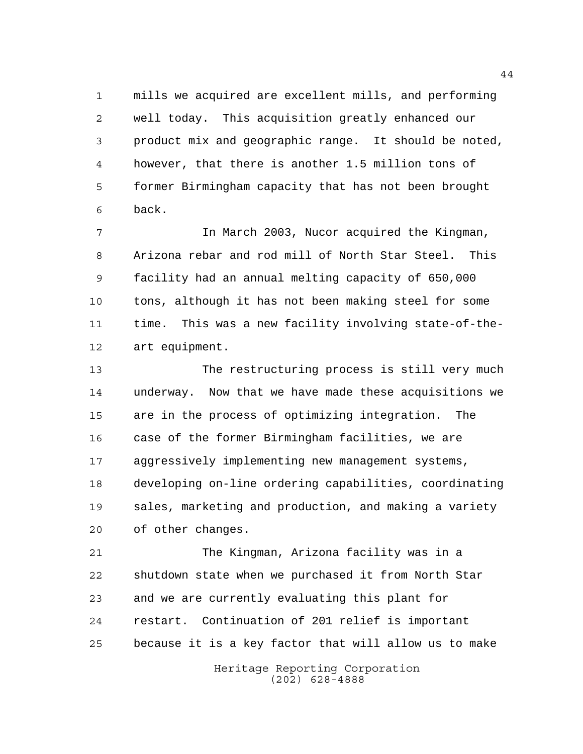mills we acquired are excellent mills, and performing well today. This acquisition greatly enhanced our product mix and geographic range. It should be noted, however, that there is another 1.5 million tons of former Birmingham capacity that has not been brought back.

 In March 2003, Nucor acquired the Kingman, Arizona rebar and rod mill of North Star Steel. This facility had an annual melting capacity of 650,000 tons, although it has not been making steel for some time. This was a new facility involving state-of-the-art equipment.

 The restructuring process is still very much underway. Now that we have made these acquisitions we are in the process of optimizing integration. The case of the former Birmingham facilities, we are aggressively implementing new management systems, developing on-line ordering capabilities, coordinating sales, marketing and production, and making a variety of other changes.

 The Kingman, Arizona facility was in a shutdown state when we purchased it from North Star and we are currently evaluating this plant for restart. Continuation of 201 relief is important because it is a key factor that will allow us to make

> Heritage Reporting Corporation (202) 628-4888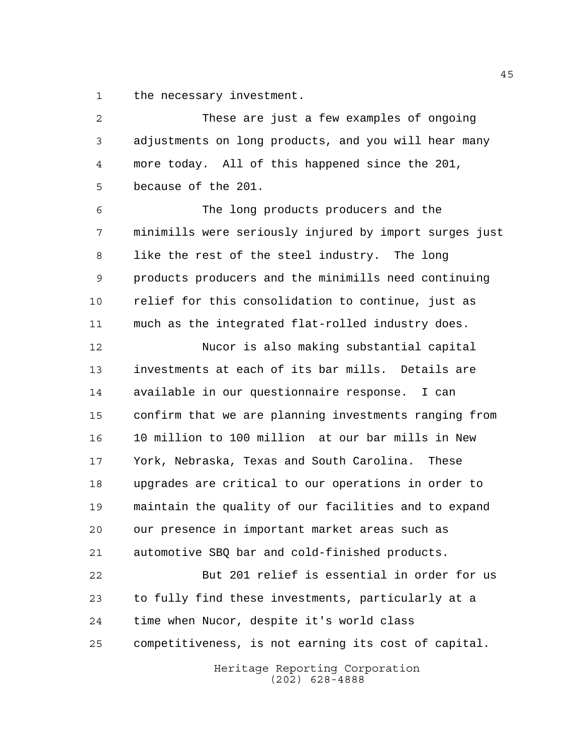the necessary investment.

Heritage Reporting Corporation These are just a few examples of ongoing adjustments on long products, and you will hear many more today. All of this happened since the 201, because of the 201. The long products producers and the minimills were seriously injured by import surges just like the rest of the steel industry. The long products producers and the minimills need continuing relief for this consolidation to continue, just as much as the integrated flat-rolled industry does. Nucor is also making substantial capital investments at each of its bar mills. Details are available in our questionnaire response. I can confirm that we are planning investments ranging from 10 million to 100 million at our bar mills in New York, Nebraska, Texas and South Carolina. These upgrades are critical to our operations in order to maintain the quality of our facilities and to expand our presence in important market areas such as automotive SBQ bar and cold-finished products. But 201 relief is essential in order for us to fully find these investments, particularly at a time when Nucor, despite it's world class competitiveness, is not earning its cost of capital.

(202) 628-4888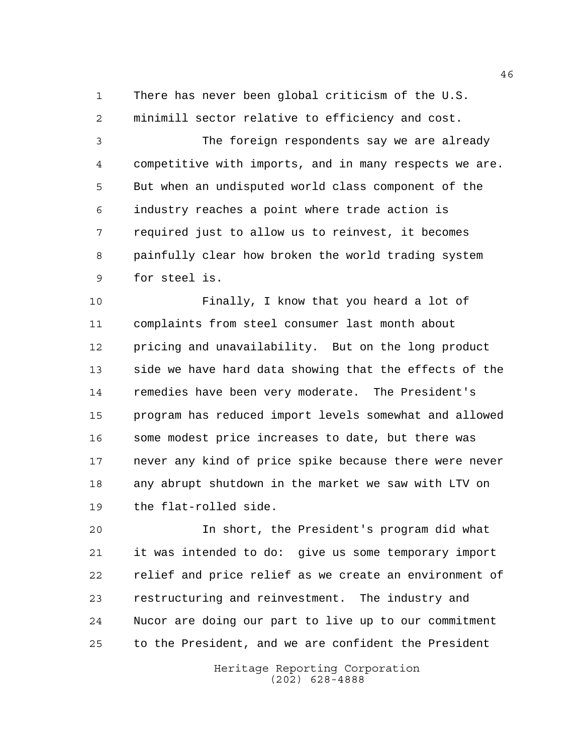There has never been global criticism of the U.S. minimill sector relative to efficiency and cost.

 The foreign respondents say we are already competitive with imports, and in many respects we are. But when an undisputed world class component of the industry reaches a point where trade action is required just to allow us to reinvest, it becomes painfully clear how broken the world trading system for steel is.

 Finally, I know that you heard a lot of complaints from steel consumer last month about pricing and unavailability. But on the long product side we have hard data showing that the effects of the remedies have been very moderate. The President's program has reduced import levels somewhat and allowed some modest price increases to date, but there was never any kind of price spike because there were never any abrupt shutdown in the market we saw with LTV on the flat-rolled side.

 In short, the President's program did what it was intended to do: give us some temporary import relief and price relief as we create an environment of restructuring and reinvestment. The industry and Nucor are doing our part to live up to our commitment to the President, and we are confident the President

> Heritage Reporting Corporation (202) 628-4888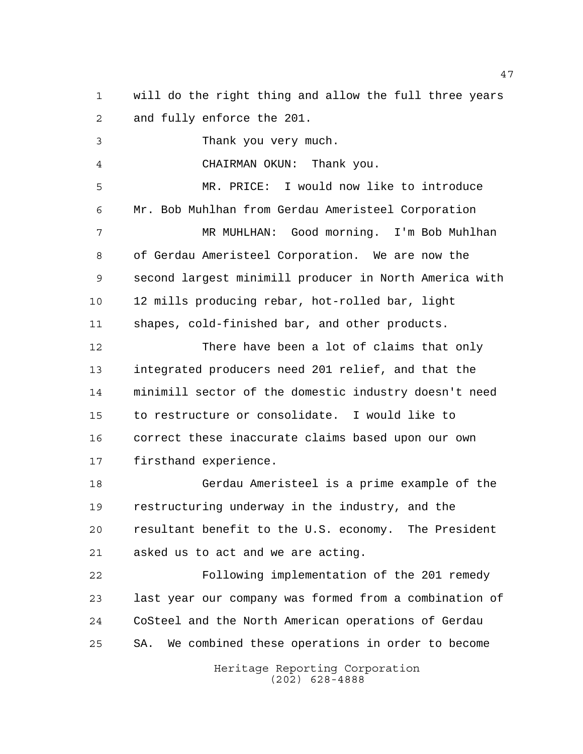will do the right thing and allow the full three years and fully enforce the 201.

 Thank you very much. CHAIRMAN OKUN: Thank you. MR. PRICE: I would now like to introduce Mr. Bob Muhlhan from Gerdau Ameristeel Corporation MR MUHLHAN: Good morning. I'm Bob Muhlhan of Gerdau Ameristeel Corporation. We are now the second largest minimill producer in North America with 12 mills producing rebar, hot-rolled bar, light shapes, cold-finished bar, and other products. There have been a lot of claims that only integrated producers need 201 relief, and that the minimill sector of the domestic industry doesn't need to restructure or consolidate. I would like to correct these inaccurate claims based upon our own

firsthand experience.

 Gerdau Ameristeel is a prime example of the restructuring underway in the industry, and the resultant benefit to the U.S. economy. The President asked us to act and we are acting.

 Following implementation of the 201 remedy last year our company was formed from a combination of CoSteel and the North American operations of Gerdau SA. We combined these operations in order to become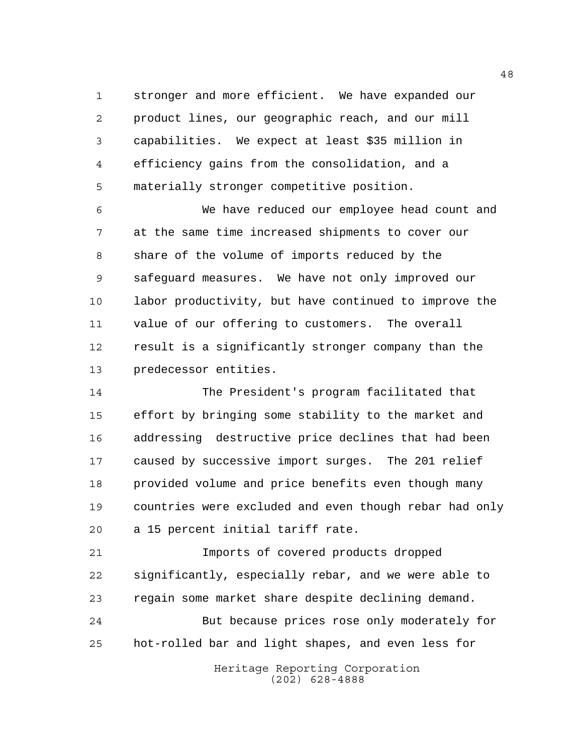stronger and more efficient. We have expanded our product lines, our geographic reach, and our mill capabilities. We expect at least \$35 million in efficiency gains from the consolidation, and a materially stronger competitive position.

 We have reduced our employee head count and at the same time increased shipments to cover our share of the volume of imports reduced by the safeguard measures. We have not only improved our labor productivity, but have continued to improve the value of our offering to customers. The overall result is a significantly stronger company than the predecessor entities.

 The President's program facilitated that effort by bringing some stability to the market and addressing destructive price declines that had been caused by successive import surges. The 201 relief provided volume and price benefits even though many countries were excluded and even though rebar had only a 15 percent initial tariff rate.

 Imports of covered products dropped significantly, especially rebar, and we were able to regain some market share despite declining demand. But because prices rose only moderately for hot-rolled bar and light shapes, and even less for

> Heritage Reporting Corporation (202) 628-4888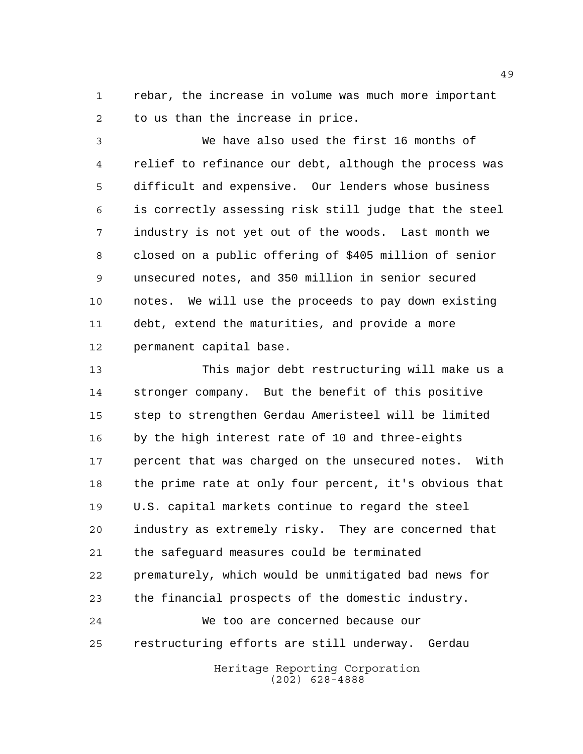rebar, the increase in volume was much more important to us than the increase in price.

 We have also used the first 16 months of relief to refinance our debt, although the process was difficult and expensive. Our lenders whose business is correctly assessing risk still judge that the steel industry is not yet out of the woods. Last month we closed on a public offering of \$405 million of senior unsecured notes, and 350 million in senior secured notes. We will use the proceeds to pay down existing debt, extend the maturities, and provide a more permanent capital base.

 This major debt restructuring will make us a stronger company. But the benefit of this positive step to strengthen Gerdau Ameristeel will be limited by the high interest rate of 10 and three-eights percent that was charged on the unsecured notes. With the prime rate at only four percent, it's obvious that U.S. capital markets continue to regard the steel industry as extremely risky. They are concerned that the safeguard measures could be terminated prematurely, which would be unmitigated bad news for the financial prospects of the domestic industry. We too are concerned because our restructuring efforts are still underway. Gerdau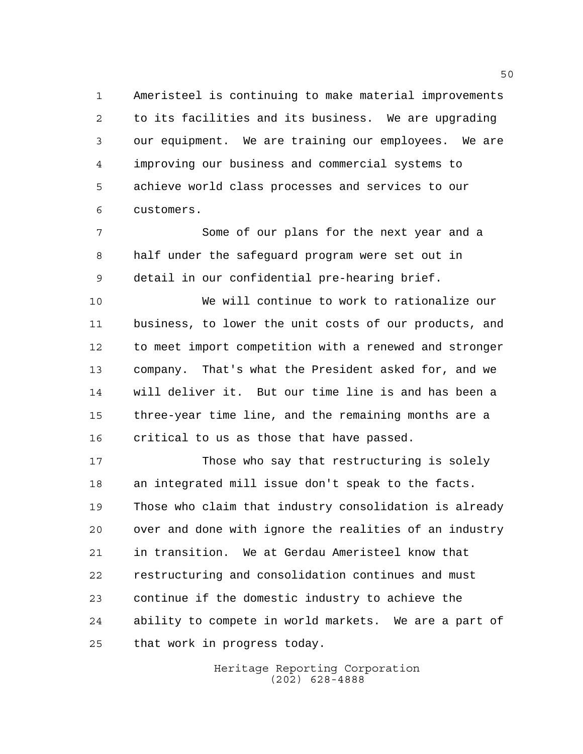Ameristeel is continuing to make material improvements to its facilities and its business. We are upgrading our equipment. We are training our employees. We are improving our business and commercial systems to achieve world class processes and services to our customers.

 Some of our plans for the next year and a half under the safeguard program were set out in detail in our confidential pre-hearing brief.

 We will continue to work to rationalize our business, to lower the unit costs of our products, and to meet import competition with a renewed and stronger company. That's what the President asked for, and we will deliver it. But our time line is and has been a three-year time line, and the remaining months are a critical to us as those that have passed.

 Those who say that restructuring is solely an integrated mill issue don't speak to the facts. Those who claim that industry consolidation is already over and done with ignore the realities of an industry in transition. We at Gerdau Ameristeel know that restructuring and consolidation continues and must continue if the domestic industry to achieve the ability to compete in world markets. We are a part of that work in progress today.

> Heritage Reporting Corporation (202) 628-4888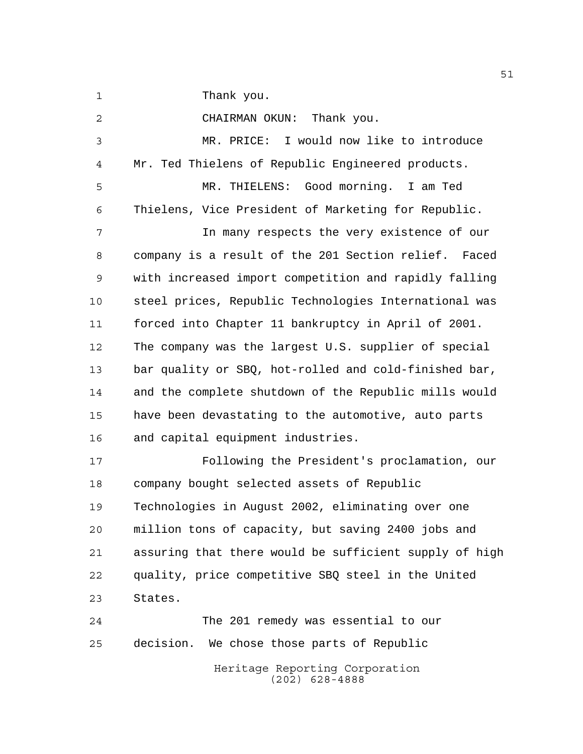1 Thank you.

Heritage Reporting Corporation CHAIRMAN OKUN: Thank you. MR. PRICE: I would now like to introduce Mr. Ted Thielens of Republic Engineered products. MR. THIELENS: Good morning. I am Ted Thielens, Vice President of Marketing for Republic. In many respects the very existence of our company is a result of the 201 Section relief. Faced with increased import competition and rapidly falling steel prices, Republic Technologies International was forced into Chapter 11 bankruptcy in April of 2001. The company was the largest U.S. supplier of special bar quality or SBQ, hot-rolled and cold-finished bar, and the complete shutdown of the Republic mills would have been devastating to the automotive, auto parts and capital equipment industries. Following the President's proclamation, our company bought selected assets of Republic Technologies in August 2002, eliminating over one million tons of capacity, but saving 2400 jobs and assuring that there would be sufficient supply of high quality, price competitive SBQ steel in the United States. The 201 remedy was essential to our decision. We chose those parts of Republic

(202) 628-4888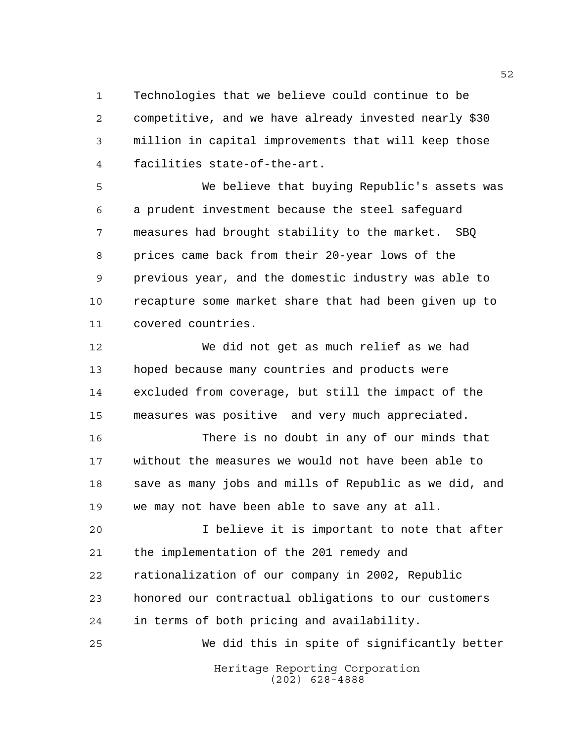Technologies that we believe could continue to be competitive, and we have already invested nearly \$30 million in capital improvements that will keep those facilities state-of-the-art.

 We believe that buying Republic's assets was a prudent investment because the steel safeguard measures had brought stability to the market. SBQ prices came back from their 20-year lows of the previous year, and the domestic industry was able to recapture some market share that had been given up to covered countries.

 We did not get as much relief as we had hoped because many countries and products were excluded from coverage, but still the impact of the measures was positive and very much appreciated.

 There is no doubt in any of our minds that without the measures we would not have been able to save as many jobs and mills of Republic as we did, and we may not have been able to save any at all.

 I believe it is important to note that after the implementation of the 201 remedy and rationalization of our company in 2002, Republic honored our contractual obligations to our customers in terms of both pricing and availability. We did this in spite of significantly better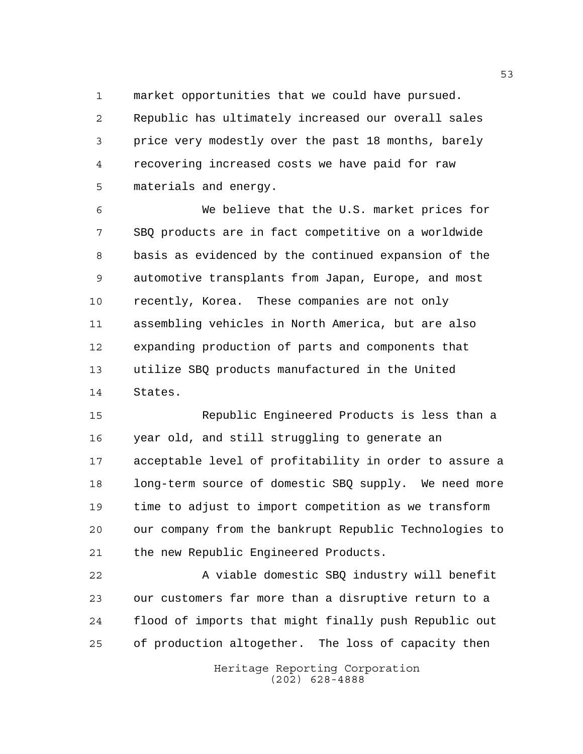market opportunities that we could have pursued.

 Republic has ultimately increased our overall sales price very modestly over the past 18 months, barely recovering increased costs we have paid for raw materials and energy.

 We believe that the U.S. market prices for SBQ products are in fact competitive on a worldwide basis as evidenced by the continued expansion of the automotive transplants from Japan, Europe, and most recently, Korea. These companies are not only assembling vehicles in North America, but are also expanding production of parts and components that utilize SBQ products manufactured in the United States.

 Republic Engineered Products is less than a year old, and still struggling to generate an acceptable level of profitability in order to assure a long-term source of domestic SBQ supply. We need more time to adjust to import competition as we transform our company from the bankrupt Republic Technologies to the new Republic Engineered Products.

 A viable domestic SBQ industry will benefit our customers far more than a disruptive return to a flood of imports that might finally push Republic out of production altogether. The loss of capacity then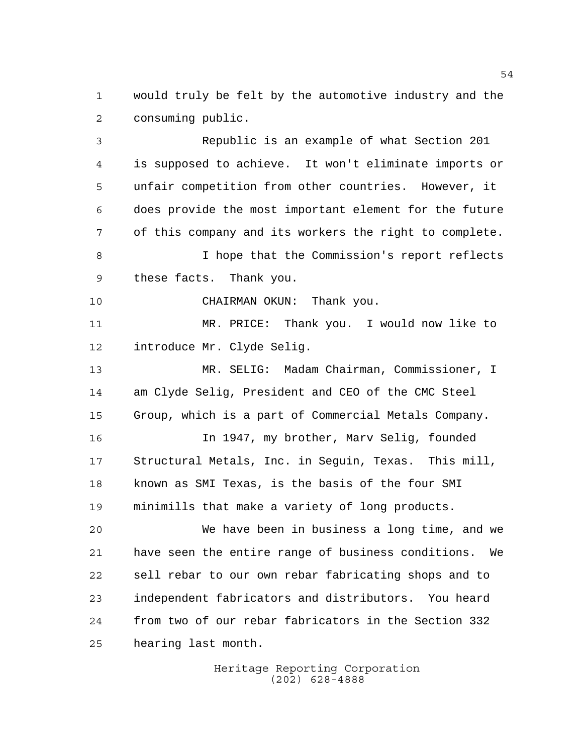would truly be felt by the automotive industry and the consuming public.

 Republic is an example of what Section 201 is supposed to achieve. It won't eliminate imports or unfair competition from other countries. However, it does provide the most important element for the future of this company and its workers the right to complete. I hope that the Commission's report reflects these facts. Thank you. CHAIRMAN OKUN: Thank you. MR. PRICE: Thank you. I would now like to introduce Mr. Clyde Selig. MR. SELIG: Madam Chairman, Commissioner, I am Clyde Selig, President and CEO of the CMC Steel Group, which is a part of Commercial Metals Company. In 1947, my brother, Marv Selig, founded Structural Metals, Inc. in Seguin, Texas. This mill, known as SMI Texas, is the basis of the four SMI minimills that make a variety of long products. We have been in business a long time, and we have seen the entire range of business conditions. We sell rebar to our own rebar fabricating shops and to independent fabricators and distributors. You heard from two of our rebar fabricators in the Section 332 hearing last month.

> Heritage Reporting Corporation (202) 628-4888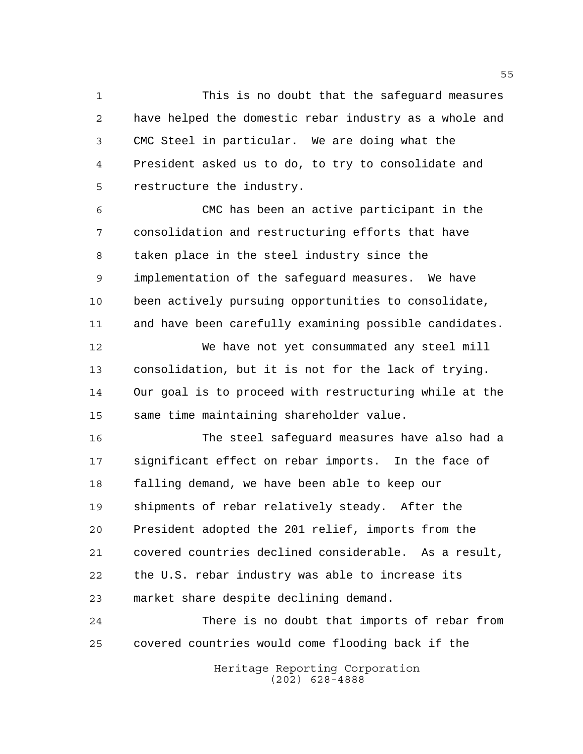This is no doubt that the safeguard measures have helped the domestic rebar industry as a whole and CMC Steel in particular. We are doing what the President asked us to do, to try to consolidate and restructure the industry.

 CMC has been an active participant in the consolidation and restructuring efforts that have taken place in the steel industry since the implementation of the safeguard measures. We have been actively pursuing opportunities to consolidate, and have been carefully examining possible candidates.

 We have not yet consummated any steel mill consolidation, but it is not for the lack of trying. Our goal is to proceed with restructuring while at the same time maintaining shareholder value.

 The steel safeguard measures have also had a significant effect on rebar imports. In the face of falling demand, we have been able to keep our shipments of rebar relatively steady. After the President adopted the 201 relief, imports from the covered countries declined considerable. As a result, the U.S. rebar industry was able to increase its market share despite declining demand.

 There is no doubt that imports of rebar from covered countries would come flooding back if the

> Heritage Reporting Corporation (202) 628-4888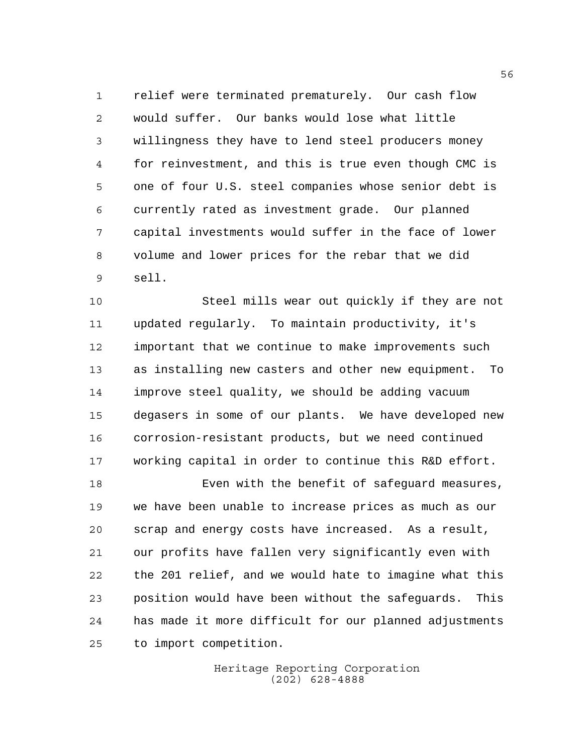relief were terminated prematurely. Our cash flow would suffer. Our banks would lose what little willingness they have to lend steel producers money for reinvestment, and this is true even though CMC is one of four U.S. steel companies whose senior debt is currently rated as investment grade. Our planned capital investments would suffer in the face of lower volume and lower prices for the rebar that we did sell.

 Steel mills wear out quickly if they are not updated regularly. To maintain productivity, it's important that we continue to make improvements such as installing new casters and other new equipment. To improve steel quality, we should be adding vacuum degasers in some of our plants. We have developed new corrosion-resistant products, but we need continued working capital in order to continue this R&D effort.

 Even with the benefit of safeguard measures, we have been unable to increase prices as much as our scrap and energy costs have increased. As a result, our profits have fallen very significantly even with the 201 relief, and we would hate to imagine what this position would have been without the safeguards. This has made it more difficult for our planned adjustments to import competition.

> Heritage Reporting Corporation (202) 628-4888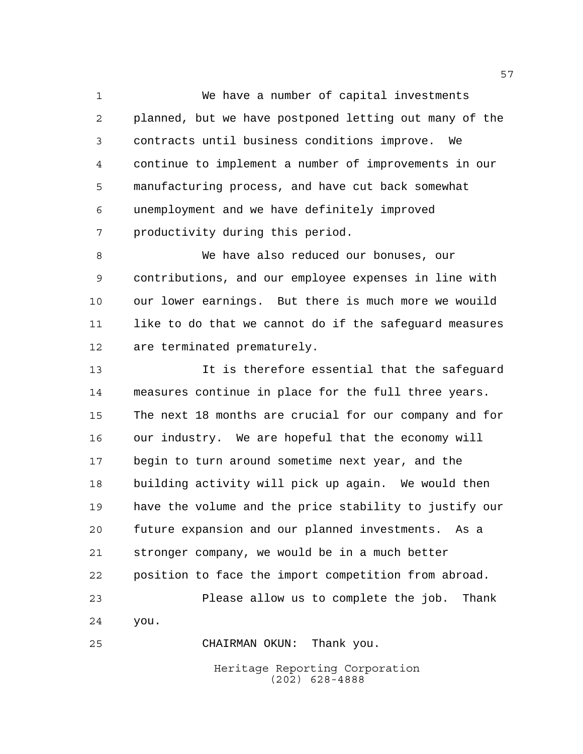We have a number of capital investments planned, but we have postponed letting out many of the contracts until business conditions improve. We continue to implement a number of improvements in our manufacturing process, and have cut back somewhat unemployment and we have definitely improved productivity during this period.

 We have also reduced our bonuses, our contributions, and our employee expenses in line with our lower earnings. But there is much more we wouild like to do that we cannot do if the safeguard measures are terminated prematurely.

 It is therefore essential that the safeguard measures continue in place for the full three years. The next 18 months are crucial for our company and for our industry. We are hopeful that the economy will begin to turn around sometime next year, and the building activity will pick up again. We would then have the volume and the price stability to justify our future expansion and our planned investments. As a stronger company, we would be in a much better position to face the import competition from abroad. Please allow us to complete the job. Thank you.

CHAIRMAN OKUN: Thank you.

Heritage Reporting Corporation (202) 628-4888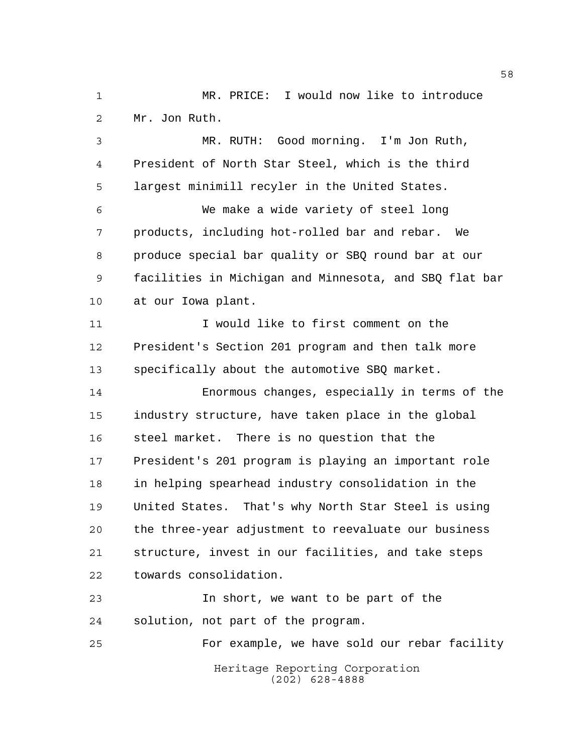MR. PRICE: I would now like to introduce Mr. Jon Ruth.

 MR. RUTH: Good morning. I'm Jon Ruth, President of North Star Steel, which is the third largest minimill recyler in the United States.

 We make a wide variety of steel long products, including hot-rolled bar and rebar. We produce special bar quality or SBQ round bar at our facilities in Michigan and Minnesota, and SBQ flat bar at our Iowa plant.

 I would like to first comment on the President's Section 201 program and then talk more specifically about the automotive SBQ market.

 Enormous changes, especially in terms of the industry structure, have taken place in the global steel market. There is no question that the President's 201 program is playing an important role in helping spearhead industry consolidation in the United States. That's why North Star Steel is using the three-year adjustment to reevaluate our business structure, invest in our facilities, and take steps towards consolidation.

 In short, we want to be part of the solution, not part of the program. For example, we have sold our rebar facility

> Heritage Reporting Corporation (202) 628-4888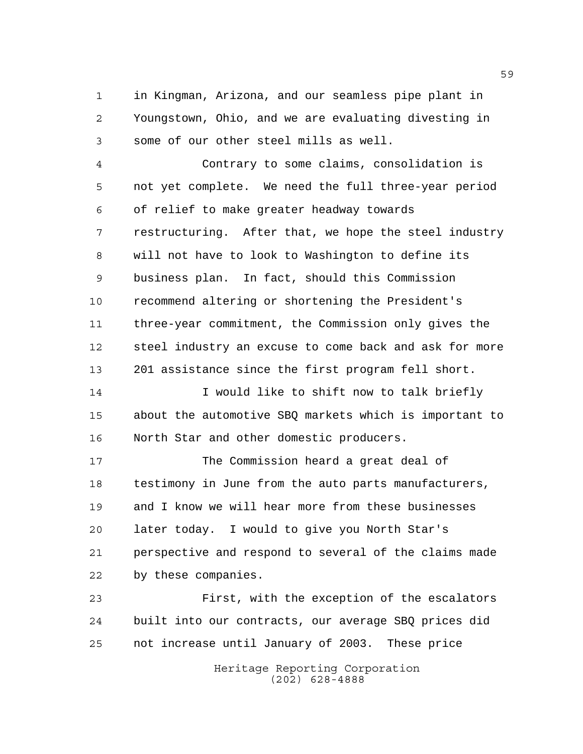in Kingman, Arizona, and our seamless pipe plant in Youngstown, Ohio, and we are evaluating divesting in some of our other steel mills as well.

 Contrary to some claims, consolidation is not yet complete. We need the full three-year period of relief to make greater headway towards restructuring. After that, we hope the steel industry will not have to look to Washington to define its business plan. In fact, should this Commission recommend altering or shortening the President's three-year commitment, the Commission only gives the steel industry an excuse to come back and ask for more 201 assistance since the first program fell short.

14 I would like to shift now to talk briefly about the automotive SBQ markets which is important to North Star and other domestic producers.

 The Commission heard a great deal of testimony in June from the auto parts manufacturers, and I know we will hear more from these businesses later today. I would to give you North Star's perspective and respond to several of the claims made by these companies.

 First, with the exception of the escalators built into our contracts, our average SBQ prices did not increase until January of 2003. These price

> Heritage Reporting Corporation (202) 628-4888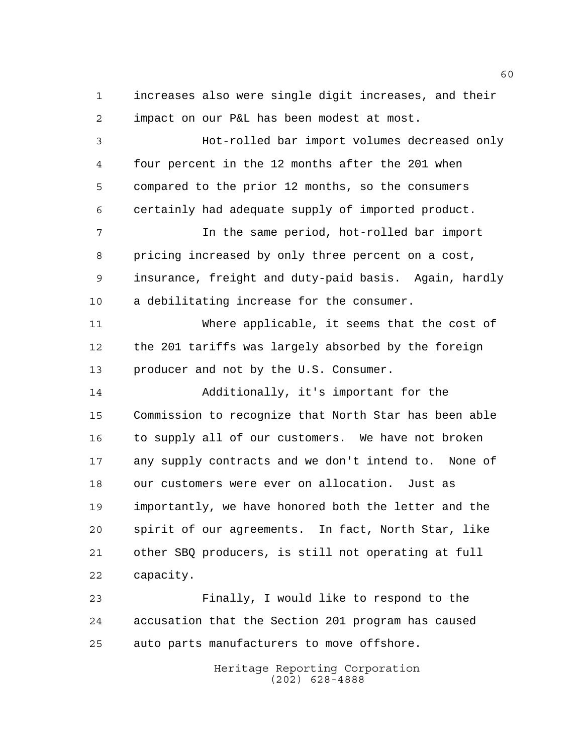increases also were single digit increases, and their impact on our P&L has been modest at most.

 Hot-rolled bar import volumes decreased only four percent in the 12 months after the 201 when compared to the prior 12 months, so the consumers certainly had adequate supply of imported product.

 In the same period, hot-rolled bar import pricing increased by only three percent on a cost, insurance, freight and duty-paid basis. Again, hardly a debilitating increase for the consumer.

 Where applicable, it seems that the cost of the 201 tariffs was largely absorbed by the foreign producer and not by the U.S. Consumer.

 Additionally, it's important for the Commission to recognize that North Star has been able to supply all of our customers. We have not broken any supply contracts and we don't intend to. None of our customers were ever on allocation. Just as importantly, we have honored both the letter and the spirit of our agreements. In fact, North Star, like other SBQ producers, is still not operating at full capacity.

 Finally, I would like to respond to the accusation that the Section 201 program has caused auto parts manufacturers to move offshore.

> Heritage Reporting Corporation (202) 628-4888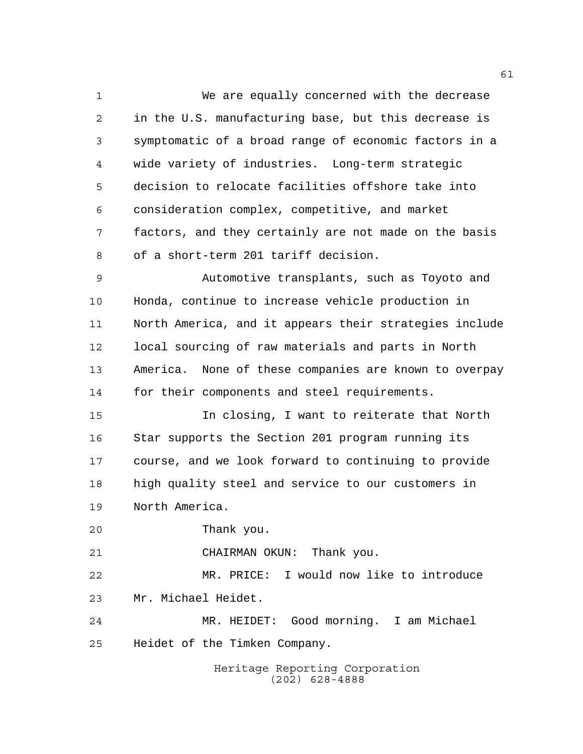We are equally concerned with the decrease in the U.S. manufacturing base, but this decrease is symptomatic of a broad range of economic factors in a wide variety of industries. Long-term strategic decision to relocate facilities offshore take into consideration complex, competitive, and market factors, and they certainly are not made on the basis of a short-term 201 tariff decision.

 Automotive transplants, such as Toyoto and Honda, continue to increase vehicle production in North America, and it appears their strategies include local sourcing of raw materials and parts in North America. None of these companies are known to overpay for their components and steel requirements.

 In closing, I want to reiterate that North Star supports the Section 201 program running its course, and we look forward to continuing to provide high quality steel and service to our customers in North America.

Thank you.

CHAIRMAN OKUN: Thank you.

 MR. PRICE: I would now like to introduce Mr. Michael Heidet.

 MR. HEIDET: Good morning. I am Michael Heidet of the Timken Company.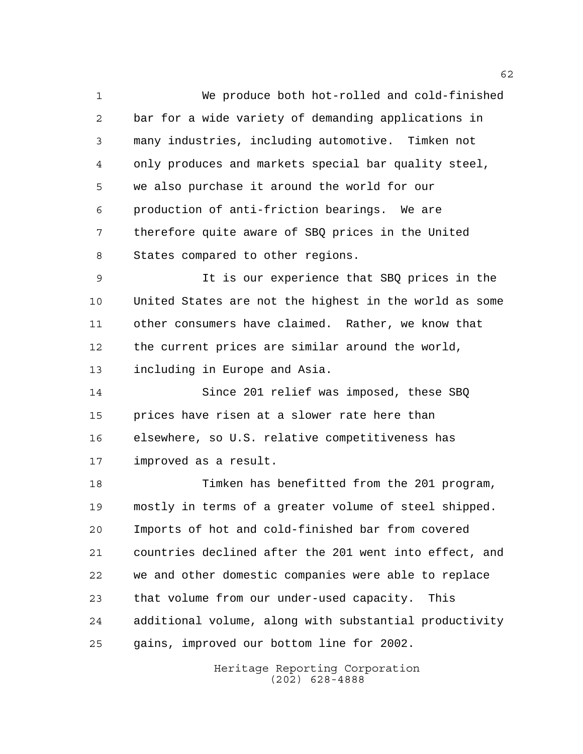We produce both hot-rolled and cold-finished bar for a wide variety of demanding applications in many industries, including automotive. Timken not only produces and markets special bar quality steel, we also purchase it around the world for our production of anti-friction bearings. We are therefore quite aware of SBQ prices in the United States compared to other regions.

 It is our experience that SBQ prices in the United States are not the highest in the world as some other consumers have claimed. Rather, we know that the current prices are similar around the world, including in Europe and Asia.

 Since 201 relief was imposed, these SBQ prices have risen at a slower rate here than elsewhere, so U.S. relative competitiveness has improved as a result.

 Timken has benefitted from the 201 program, mostly in terms of a greater volume of steel shipped. Imports of hot and cold-finished bar from covered countries declined after the 201 went into effect, and we and other domestic companies were able to replace that volume from our under-used capacity. This additional volume, along with substantial productivity gains, improved our bottom line for 2002.

> Heritage Reporting Corporation (202) 628-4888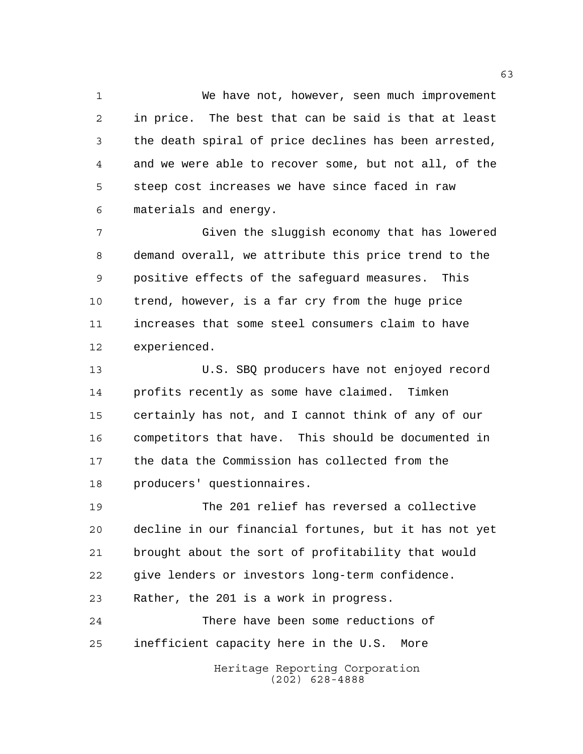We have not, however, seen much improvement in price. The best that can be said is that at least the death spiral of price declines has been arrested, and we were able to recover some, but not all, of the steep cost increases we have since faced in raw materials and energy.

 Given the sluggish economy that has lowered demand overall, we attribute this price trend to the positive effects of the safeguard measures. This trend, however, is a far cry from the huge price increases that some steel consumers claim to have experienced.

 U.S. SBQ producers have not enjoyed record profits recently as some have claimed. Timken certainly has not, and I cannot think of any of our competitors that have. This should be documented in the data the Commission has collected from the producers' questionnaires.

 The 201 relief has reversed a collective decline in our financial fortunes, but it has not yet brought about the sort of profitability that would give lenders or investors long-term confidence. Rather, the 201 is a work in progress. There have been some reductions of

inefficient capacity here in the U.S. More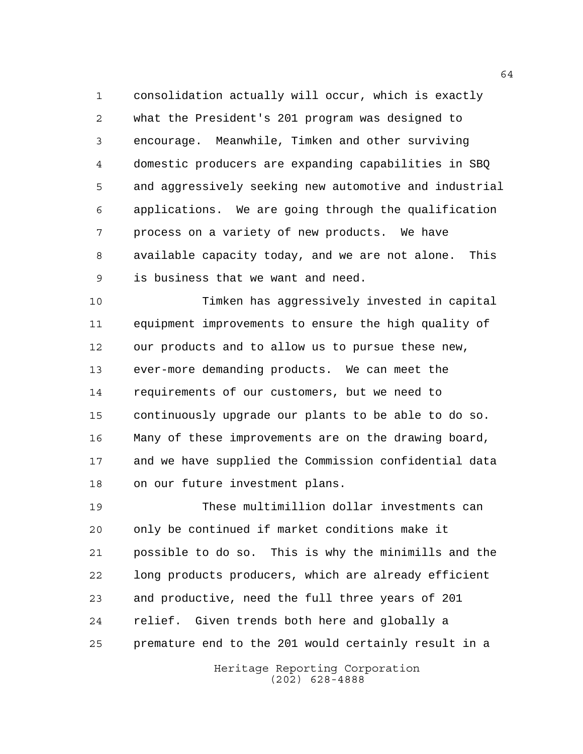consolidation actually will occur, which is exactly what the President's 201 program was designed to encourage. Meanwhile, Timken and other surviving domestic producers are expanding capabilities in SBQ and aggressively seeking new automotive and industrial applications. We are going through the qualification process on a variety of new products. We have available capacity today, and we are not alone. This is business that we want and need.

 Timken has aggressively invested in capital equipment improvements to ensure the high quality of our products and to allow us to pursue these new, ever-more demanding products. We can meet the requirements of our customers, but we need to continuously upgrade our plants to be able to do so. Many of these improvements are on the drawing board, and we have supplied the Commission confidential data on our future investment plans.

 These multimillion dollar investments can only be continued if market conditions make it possible to do so. This is why the minimills and the long products producers, which are already efficient and productive, need the full three years of 201 relief. Given trends both here and globally a premature end to the 201 would certainly result in a

> Heritage Reporting Corporation (202) 628-4888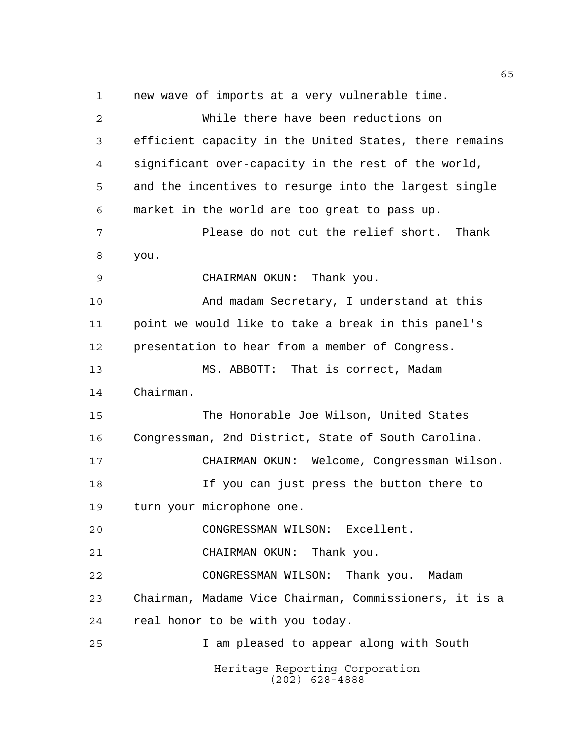Heritage Reporting Corporation (202) 628-4888 new wave of imports at a very vulnerable time. While there have been reductions on efficient capacity in the United States, there remains significant over-capacity in the rest of the world, and the incentives to resurge into the largest single market in the world are too great to pass up. Please do not cut the relief short. Thank you. CHAIRMAN OKUN: Thank you. And madam Secretary, I understand at this point we would like to take a break in this panel's presentation to hear from a member of Congress. MS. ABBOTT: That is correct, Madam Chairman. The Honorable Joe Wilson, United States Congressman, 2nd District, State of South Carolina. CHAIRMAN OKUN: Welcome, Congressman Wilson. If you can just press the button there to turn your microphone one. CONGRESSMAN WILSON: Excellent. CHAIRMAN OKUN: Thank you. CONGRESSMAN WILSON: Thank you. Madam Chairman, Madame Vice Chairman, Commissioners, it is a real honor to be with you today. I am pleased to appear along with South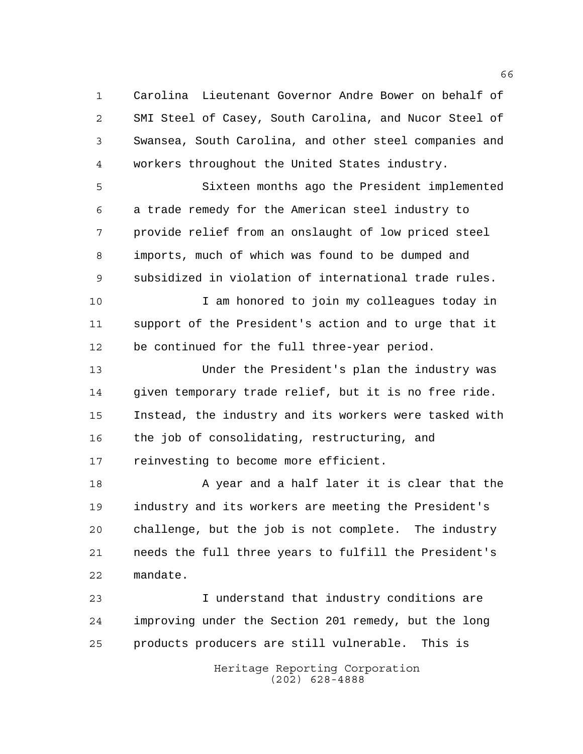Carolina Lieutenant Governor Andre Bower on behalf of SMI Steel of Casey, South Carolina, and Nucor Steel of Swansea, South Carolina, and other steel companies and workers throughout the United States industry.

 Sixteen months ago the President implemented a trade remedy for the American steel industry to provide relief from an onslaught of low priced steel imports, much of which was found to be dumped and subsidized in violation of international trade rules.

 I am honored to join my colleagues today in support of the President's action and to urge that it be continued for the full three-year period.

 Under the President's plan the industry was given temporary trade relief, but it is no free ride. Instead, the industry and its workers were tasked with the job of consolidating, restructuring, and reinvesting to become more efficient.

18 A year and a half later it is clear that the industry and its workers are meeting the President's challenge, but the job is not complete. The industry needs the full three years to fulfill the President's mandate.

 I understand that industry conditions are improving under the Section 201 remedy, but the long products producers are still vulnerable. This is

> Heritage Reporting Corporation (202) 628-4888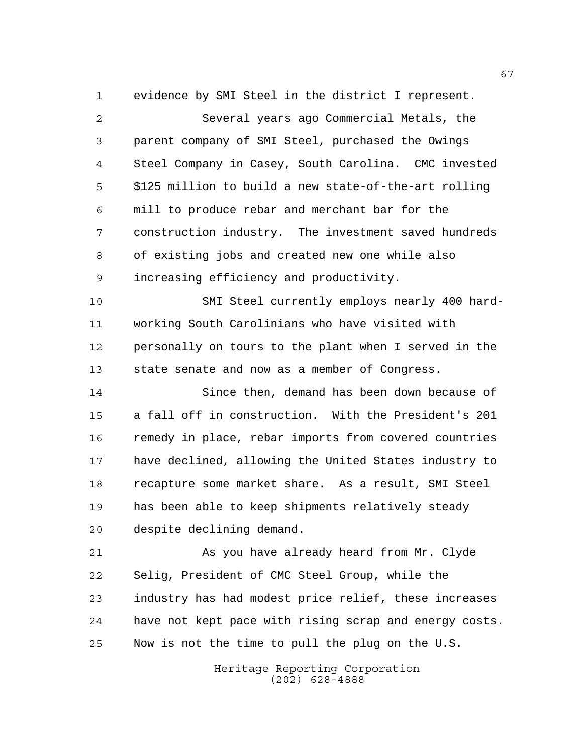evidence by SMI Steel in the district I represent. Several years ago Commercial Metals, the parent company of SMI Steel, purchased the Owings Steel Company in Casey, South Carolina. CMC invested \$125 million to build a new state-of-the-art rolling mill to produce rebar and merchant bar for the construction industry. The investment saved hundreds of existing jobs and created new one while also increasing efficiency and productivity. SMI Steel currently employs nearly 400 hard-

 working South Carolinians who have visited with personally on tours to the plant when I served in the state senate and now as a member of Congress.

 Since then, demand has been down because of a fall off in construction. With the President's 201 remedy in place, rebar imports from covered countries have declined, allowing the United States industry to recapture some market share. As a result, SMI Steel has been able to keep shipments relatively steady despite declining demand.

 As you have already heard from Mr. Clyde Selig, President of CMC Steel Group, while the industry has had modest price relief, these increases have not kept pace with rising scrap and energy costs. Now is not the time to pull the plug on the U.S.

> Heritage Reporting Corporation (202) 628-4888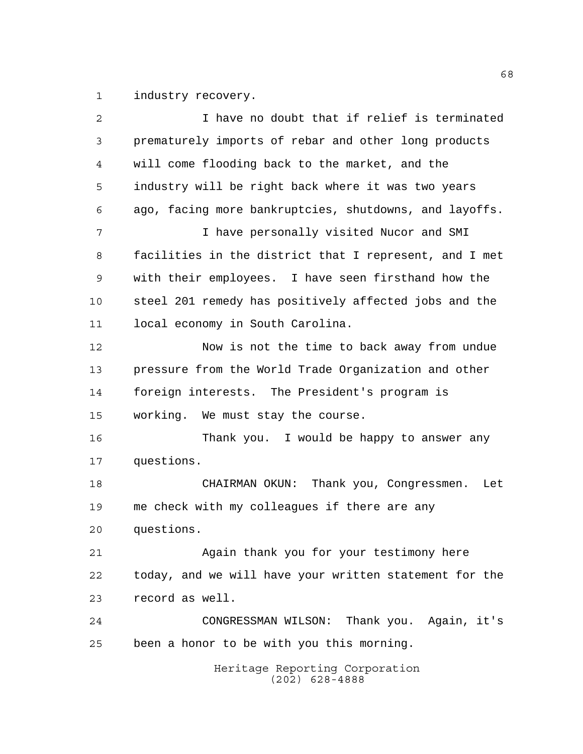1 industry recovery.

| 2  | I have no doubt that if relief is terminated           |
|----|--------------------------------------------------------|
| 3  | prematurely imports of rebar and other long products   |
| 4  | will come flooding back to the market, and the         |
| 5  | industry will be right back where it was two years     |
| 6  | ago, facing more bankruptcies, shutdowns, and layoffs. |
| 7  | I have personally visited Nucor and SMI                |
| 8  | facilities in the district that I represent, and I met |
| 9  | with their employees. I have seen firsthand how the    |
| 10 | steel 201 remedy has positively affected jobs and the  |
| 11 | local economy in South Carolina.                       |
| 12 | Now is not the time to back away from undue            |
| 13 | pressure from the World Trade Organization and other   |
| 14 | foreign interests. The President's program is          |
| 15 | working. We must stay the course.                      |
| 16 | Thank you. I would be happy to answer any              |
| 17 | questions.                                             |
| 18 | Thank you, Congressmen.<br>CHAIRMAN OKUN:<br>Let       |
| 19 | me check with my colleagues if there are any           |
| 20 | questions.                                             |
| 21 | Again thank you for your testimony here                |
| 22 | today, and we will have your written statement for the |
| 23 | record as well.                                        |
| 24 | CONGRESSMAN WILSON: Thank you. Again, it's             |
| 25 | been a honor to be with you this morning.              |
|    | Heritage Reporting Corporation<br>$(202)$ 628-4888     |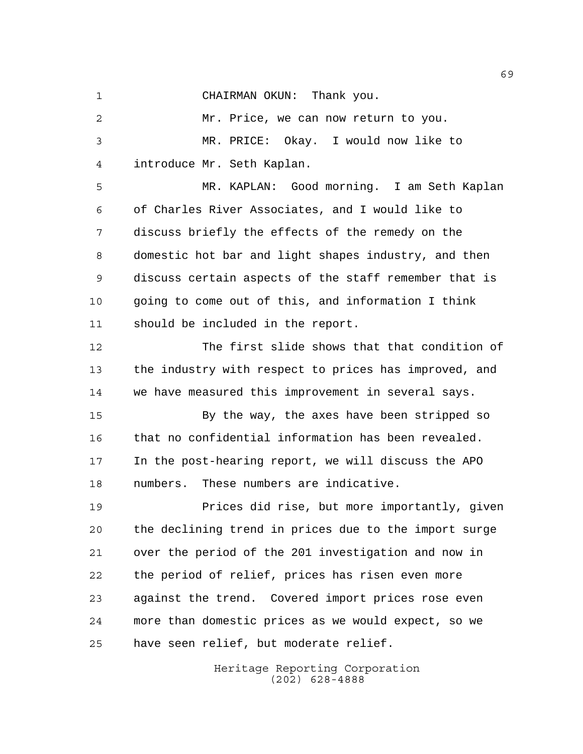CHAIRMAN OKUN: Thank you.

 Mr. Price, we can now return to you. MR. PRICE: Okay. I would now like to introduce Mr. Seth Kaplan.

 MR. KAPLAN: Good morning. I am Seth Kaplan of Charles River Associates, and I would like to discuss briefly the effects of the remedy on the domestic hot bar and light shapes industry, and then discuss certain aspects of the staff remember that is going to come out of this, and information I think should be included in the report.

 The first slide shows that that condition of the industry with respect to prices has improved, and we have measured this improvement in several says.

 By the way, the axes have been stripped so that no confidential information has been revealed. In the post-hearing report, we will discuss the APO numbers. These numbers are indicative.

 Prices did rise, but more importantly, given the declining trend in prices due to the import surge over the period of the 201 investigation and now in the period of relief, prices has risen even more against the trend. Covered import prices rose even more than domestic prices as we would expect, so we have seen relief, but moderate relief.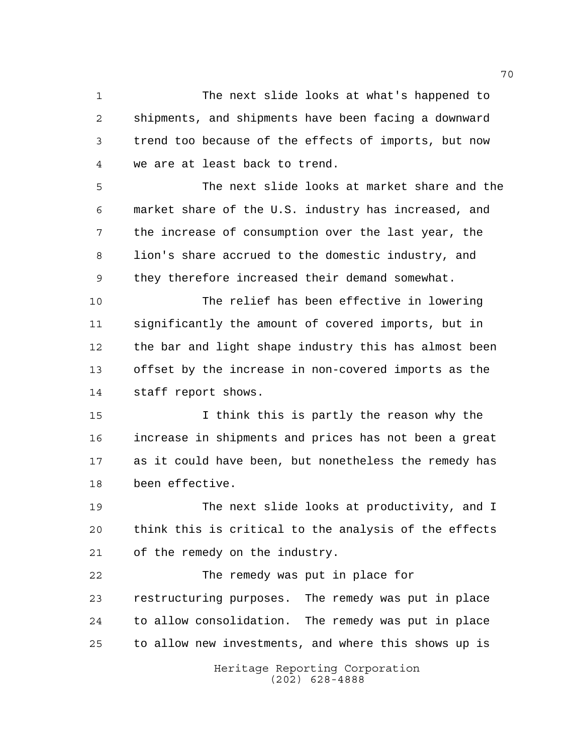The next slide looks at what's happened to shipments, and shipments have been facing a downward trend too because of the effects of imports, but now we are at least back to trend.

 The next slide looks at market share and the market share of the U.S. industry has increased, and the increase of consumption over the last year, the lion's share accrued to the domestic industry, and they therefore increased their demand somewhat.

 The relief has been effective in lowering significantly the amount of covered imports, but in the bar and light shape industry this has almost been offset by the increase in non-covered imports as the staff report shows.

 I think this is partly the reason why the increase in shipments and prices has not been a great as it could have been, but nonetheless the remedy has been effective.

 The next slide looks at productivity, and I think this is critical to the analysis of the effects of the remedy on the industry.

 The remedy was put in place for restructuring purposes. The remedy was put in place to allow consolidation. The remedy was put in place to allow new investments, and where this shows up is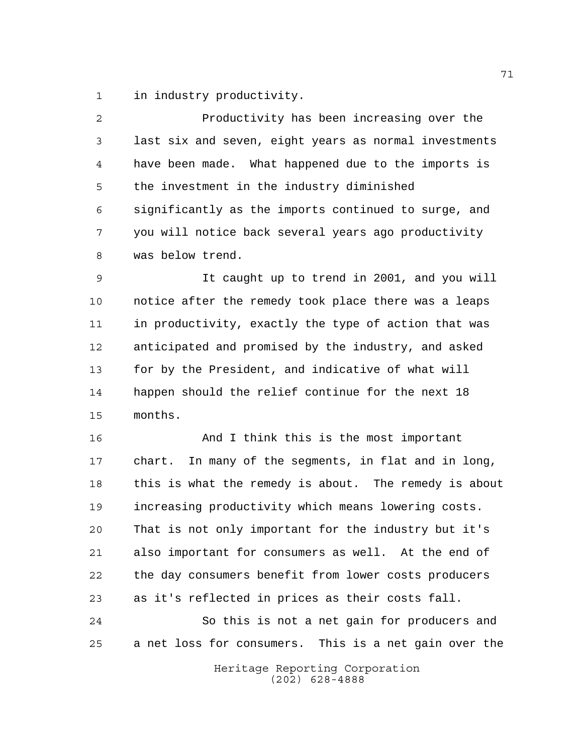in industry productivity.

| 2              | Productivity has been increasing over the               |
|----------------|---------------------------------------------------------|
| 3              | last six and seven, eight years as normal investments   |
| $\overline{4}$ | have been made. What happened due to the imports is     |
| 5              | the investment in the industry diminished               |
| 6              | significantly as the imports continued to surge, and    |
| 7              | you will notice back several years ago productivity     |
| 8              | was below trend.                                        |
| 9              | It caught up to trend in 2001, and you will             |
| 10             | notice after the remedy took place there was a leaps    |
| 11             | in productivity, exactly the type of action that was    |
| 12             | anticipated and promised by the industry, and asked     |
| 13             | for by the President, and indicative of what will       |
| 14             | happen should the relief continue for the next 18       |
| 15             | months.                                                 |
| 16             | And I think this is the most important                  |
| 17             | In many of the segments, in flat and in long,<br>chart. |
| 18             | this is what the remedy is about. The remedy is about   |
| 19             | increasing productivity which means lowering costs.     |
| 20             | That is not only important for the industry but it's    |
| 21             | also important for consumers as well. At the end of     |
| 22             | the day consumers benefit from lower costs producers    |
| 23             | as it's reflected in prices as their costs fall.        |
| 24             | So this is not a net gain for producers and             |
| 25             | a net loss for consumers. This is a net gain over the   |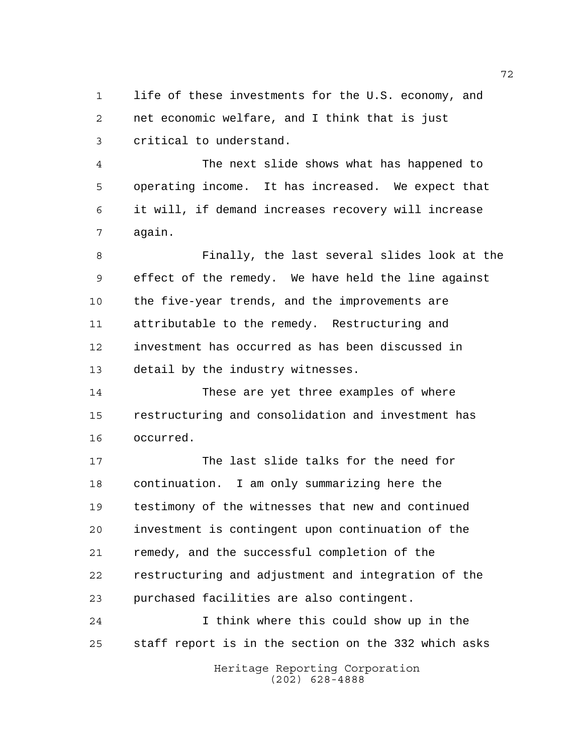life of these investments for the U.S. economy, and net economic welfare, and I think that is just critical to understand.

 The next slide shows what has happened to operating income. It has increased. We expect that it will, if demand increases recovery will increase again.

 Finally, the last several slides look at the effect of the remedy. We have held the line against the five-year trends, and the improvements are attributable to the remedy. Restructuring and investment has occurred as has been discussed in detail by the industry witnesses.

 These are yet three examples of where restructuring and consolidation and investment has occurred.

 The last slide talks for the need for continuation. I am only summarizing here the testimony of the witnesses that new and continued investment is contingent upon continuation of the remedy, and the successful completion of the restructuring and adjustment and integration of the purchased facilities are also contingent.

 I think where this could show up in the staff report is in the section on the 332 which asks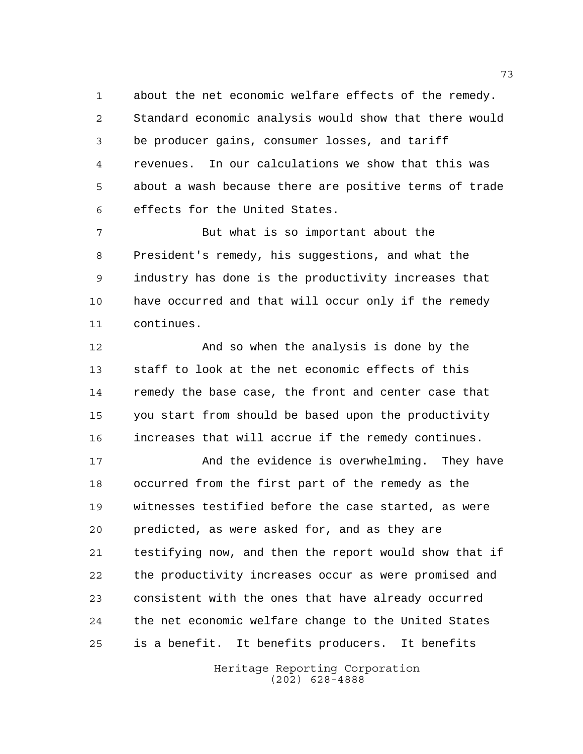about the net economic welfare effects of the remedy. Standard economic analysis would show that there would be producer gains, consumer losses, and tariff revenues. In our calculations we show that this was about a wash because there are positive terms of trade effects for the United States.

 But what is so important about the President's remedy, his suggestions, and what the industry has done is the productivity increases that have occurred and that will occur only if the remedy continues.

 And so when the analysis is done by the staff to look at the net economic effects of this remedy the base case, the front and center case that you start from should be based upon the productivity increases that will accrue if the remedy continues.

 And the evidence is overwhelming. They have occurred from the first part of the remedy as the witnesses testified before the case started, as were predicted, as were asked for, and as they are testifying now, and then the report would show that if the productivity increases occur as were promised and consistent with the ones that have already occurred the net economic welfare change to the United States is a benefit. It benefits producers. It benefits

> Heritage Reporting Corporation (202) 628-4888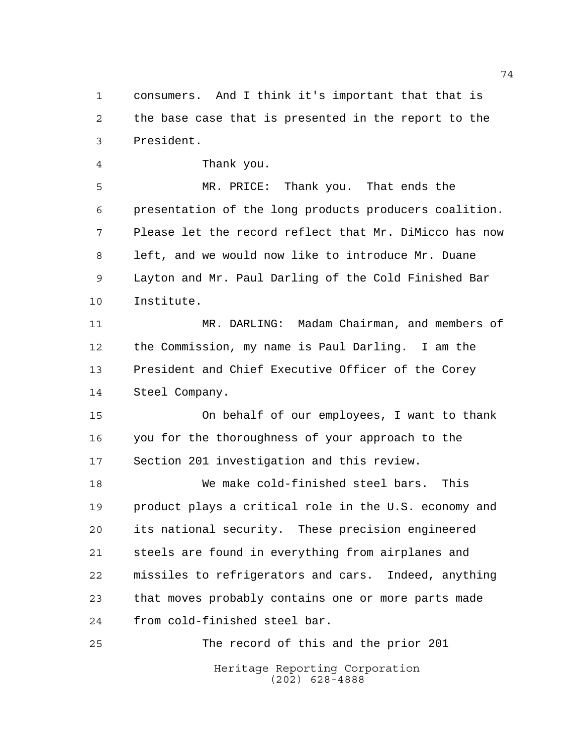consumers. And I think it's important that that is the base case that is presented in the report to the President.

Thank you.

 MR. PRICE: Thank you. That ends the presentation of the long products producers coalition. Please let the record reflect that Mr. DiMicco has now left, and we would now like to introduce Mr. Duane Layton and Mr. Paul Darling of the Cold Finished Bar Institute.

 MR. DARLING: Madam Chairman, and members of the Commission, my name is Paul Darling. I am the President and Chief Executive Officer of the Corey Steel Company.

 On behalf of our employees, I want to thank you for the thoroughness of your approach to the Section 201 investigation and this review.

 We make cold-finished steel bars. This product plays a critical role in the U.S. economy and its national security. These precision engineered steels are found in everything from airplanes and missiles to refrigerators and cars. Indeed, anything that moves probably contains one or more parts made from cold-finished steel bar.

Heritage Reporting Corporation (202) 628-4888 The record of this and the prior 201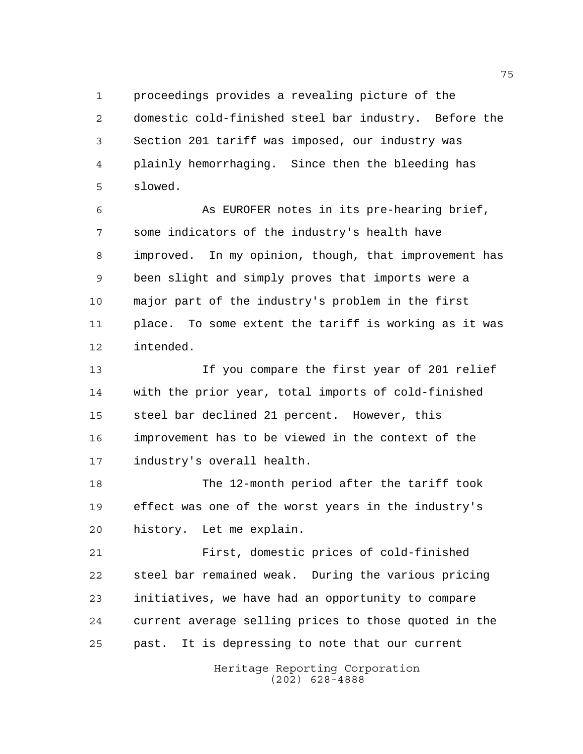proceedings provides a revealing picture of the domestic cold-finished steel bar industry. Before the Section 201 tariff was imposed, our industry was plainly hemorrhaging. Since then the bleeding has slowed.

 As EUROFER notes in its pre-hearing brief, some indicators of the industry's health have improved. In my opinion, though, that improvement has been slight and simply proves that imports were a major part of the industry's problem in the first place. To some extent the tariff is working as it was intended.

 If you compare the first year of 201 relief with the prior year, total imports of cold-finished steel bar declined 21 percent. However, this improvement has to be viewed in the context of the industry's overall health.

 The 12-month period after the tariff took effect was one of the worst years in the industry's history. Let me explain.

 First, domestic prices of cold-finished steel bar remained weak. During the various pricing initiatives, we have had an opportunity to compare current average selling prices to those quoted in the past. It is depressing to note that our current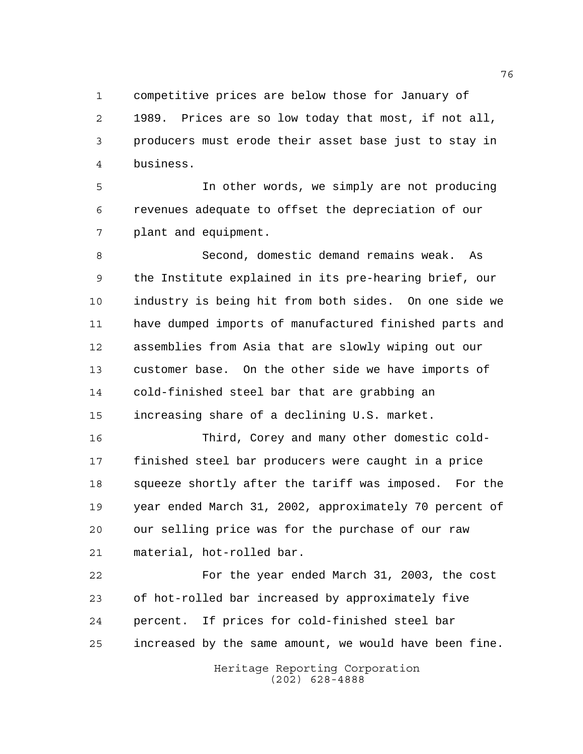competitive prices are below those for January of

 1989. Prices are so low today that most, if not all, producers must erode their asset base just to stay in business.

 In other words, we simply are not producing revenues adequate to offset the depreciation of our plant and equipment.

 Second, domestic demand remains weak. As the Institute explained in its pre-hearing brief, our industry is being hit from both sides. On one side we have dumped imports of manufactured finished parts and assemblies from Asia that are slowly wiping out our customer base. On the other side we have imports of cold-finished steel bar that are grabbing an increasing share of a declining U.S. market.

 Third, Corey and many other domestic cold- finished steel bar producers were caught in a price squeeze shortly after the tariff was imposed. For the year ended March 31, 2002, approximately 70 percent of our selling price was for the purchase of our raw material, hot-rolled bar.

 For the year ended March 31, 2003, the cost of hot-rolled bar increased by approximately five percent. If prices for cold-finished steel bar increased by the same amount, we would have been fine.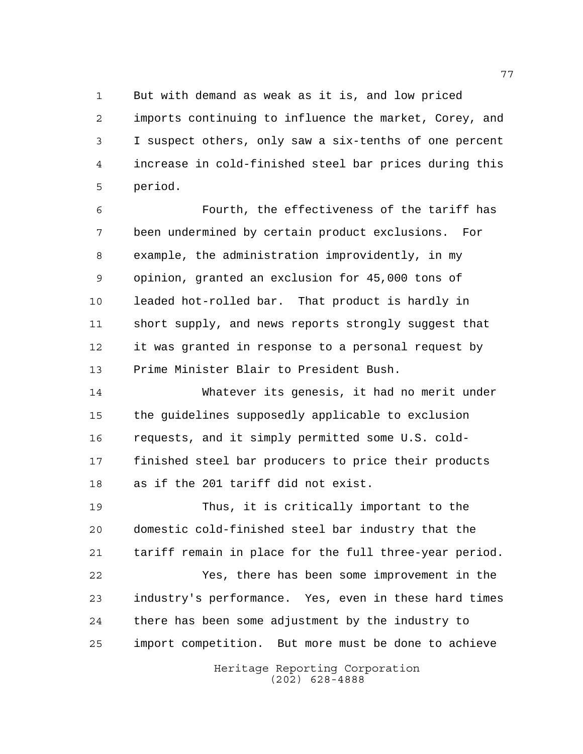But with demand as weak as it is, and low priced imports continuing to influence the market, Corey, and I suspect others, only saw a six-tenths of one percent increase in cold-finished steel bar prices during this period.

 Fourth, the effectiveness of the tariff has been undermined by certain product exclusions. For example, the administration improvidently, in my opinion, granted an exclusion for 45,000 tons of leaded hot-rolled bar. That product is hardly in short supply, and news reports strongly suggest that it was granted in response to a personal request by Prime Minister Blair to President Bush.

 Whatever its genesis, it had no merit under the guidelines supposedly applicable to exclusion requests, and it simply permitted some U.S. cold- finished steel bar producers to price their products as if the 201 tariff did not exist.

 Thus, it is critically important to the domestic cold-finished steel bar industry that the tariff remain in place for the full three-year period.

 Yes, there has been some improvement in the industry's performance. Yes, even in these hard times there has been some adjustment by the industry to import competition. But more must be done to achieve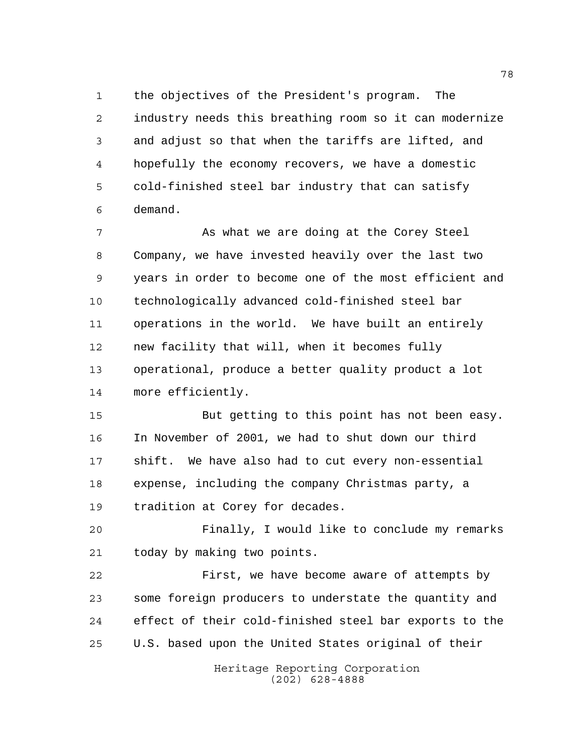the objectives of the President's program. The industry needs this breathing room so it can modernize and adjust so that when the tariffs are lifted, and hopefully the economy recovers, we have a domestic cold-finished steel bar industry that can satisfy demand.

7 As what we are doing at the Corey Steel Company, we have invested heavily over the last two years in order to become one of the most efficient and technologically advanced cold-finished steel bar operations in the world. We have built an entirely new facility that will, when it becomes fully operational, produce a better quality product a lot more efficiently.

 But getting to this point has not been easy. In November of 2001, we had to shut down our third shift. We have also had to cut every non-essential expense, including the company Christmas party, a tradition at Corey for decades.

 Finally, I would like to conclude my remarks today by making two points.

 First, we have become aware of attempts by some foreign producers to understate the quantity and effect of their cold-finished steel bar exports to the U.S. based upon the United States original of their

> Heritage Reporting Corporation (202) 628-4888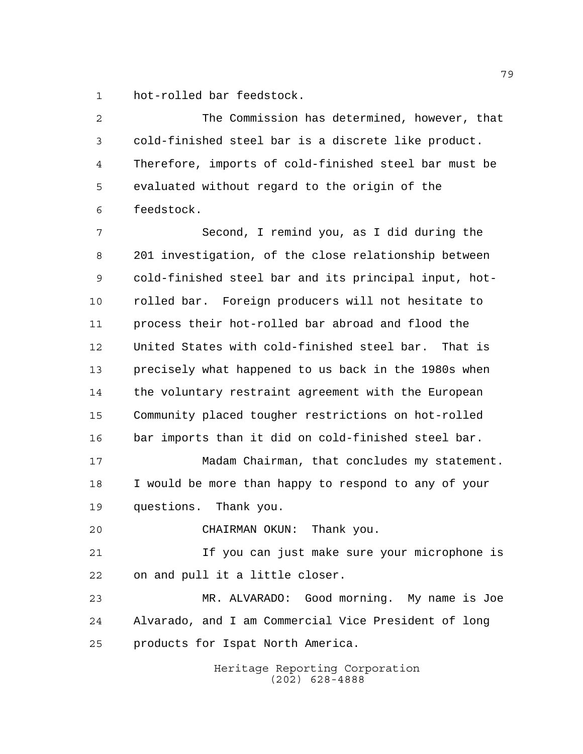hot-rolled bar feedstock.

| 2  | The Commission has determined, however, that          |
|----|-------------------------------------------------------|
| 3  | cold-finished steel bar is a discrete like product.   |
| 4  | Therefore, imports of cold-finished steel bar must be |
| 5  | evaluated without regard to the origin of the         |
| 6  | feedstock.                                            |
| 7  | Second, I remind you, as I did during the             |
| 8  | 201 investigation, of the close relationship between  |
| 9  | cold-finished steel bar and its principal input, hot- |
| 10 | rolled bar. Foreign producers will not hesitate to    |
| 11 | process their hot-rolled bar abroad and flood the     |
| 12 | United States with cold-finished steel bar. That is   |
| 13 | precisely what happened to us back in the 1980s when  |
| 14 | the voluntary restraint agreement with the European   |
| 15 | Community placed tougher restrictions on hot-rolled   |
| 16 | bar imports than it did on cold-finished steel bar.   |
| 17 | Madam Chairman, that concludes my statement.          |
| 18 | I would be more than happy to respond to any of your  |
| 19 | questions. Thank you.                                 |
| 20 | Thank you.<br>CHAIRMAN OKUN:                          |
| 21 | If you can just make sure your microphone is          |
| 22 | on and pull it a little closer.                       |
| 23 | MR. ALVARADO: Good morning. My name is Joe            |
| 24 | Alvarado, and I am Commercial Vice President of long  |
| 25 | products for Ispat North America.                     |
|    | Heritage Reporting Corporation                        |

(202) 628-4888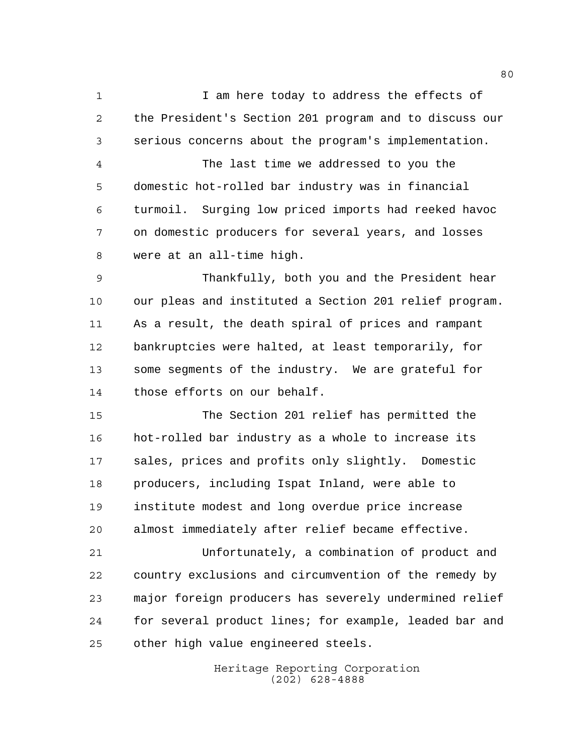1 1 I am here today to address the effects of the President's Section 201 program and to discuss our serious concerns about the program's implementation.

 The last time we addressed to you the domestic hot-rolled bar industry was in financial turmoil. Surging low priced imports had reeked havoc on domestic producers for several years, and losses were at an all-time high.

 Thankfully, both you and the President hear our pleas and instituted a Section 201 relief program. As a result, the death spiral of prices and rampant bankruptcies were halted, at least temporarily, for some segments of the industry. We are grateful for those efforts on our behalf.

 The Section 201 relief has permitted the hot-rolled bar industry as a whole to increase its sales, prices and profits only slightly. Domestic producers, including Ispat Inland, were able to institute modest and long overdue price increase almost immediately after relief became effective.

 Unfortunately, a combination of product and country exclusions and circumvention of the remedy by major foreign producers has severely undermined relief for several product lines; for example, leaded bar and other high value engineered steels.

> Heritage Reporting Corporation (202) 628-4888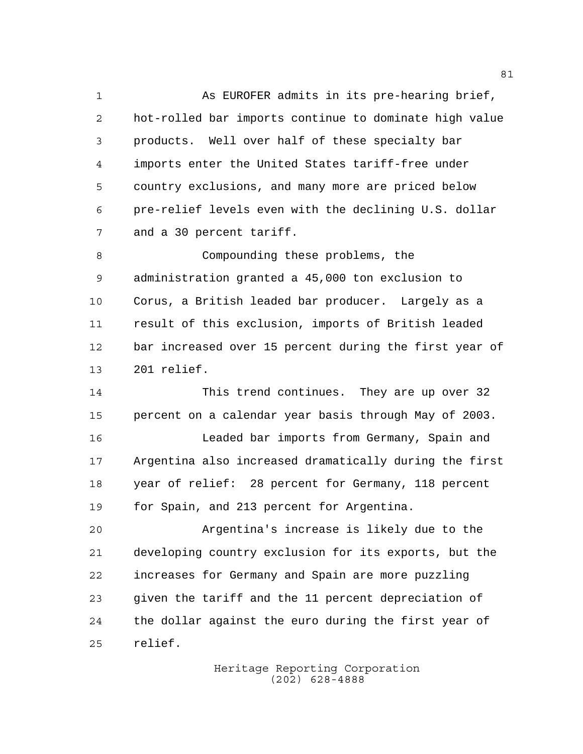As EUROFER admits in its pre-hearing brief, hot-rolled bar imports continue to dominate high value products. Well over half of these specialty bar imports enter the United States tariff-free under country exclusions, and many more are priced below pre-relief levels even with the declining U.S. dollar and a 30 percent tariff.

 Compounding these problems, the administration granted a 45,000 ton exclusion to Corus, a British leaded bar producer. Largely as a result of this exclusion, imports of British leaded bar increased over 15 percent during the first year of 201 relief.

 This trend continues. They are up over 32 percent on a calendar year basis through May of 2003. Leaded bar imports from Germany, Spain and Argentina also increased dramatically during the first year of relief: 28 percent for Germany, 118 percent for Spain, and 213 percent for Argentina.

 Argentina's increase is likely due to the developing country exclusion for its exports, but the increases for Germany and Spain are more puzzling given the tariff and the 11 percent depreciation of the dollar against the euro during the first year of relief.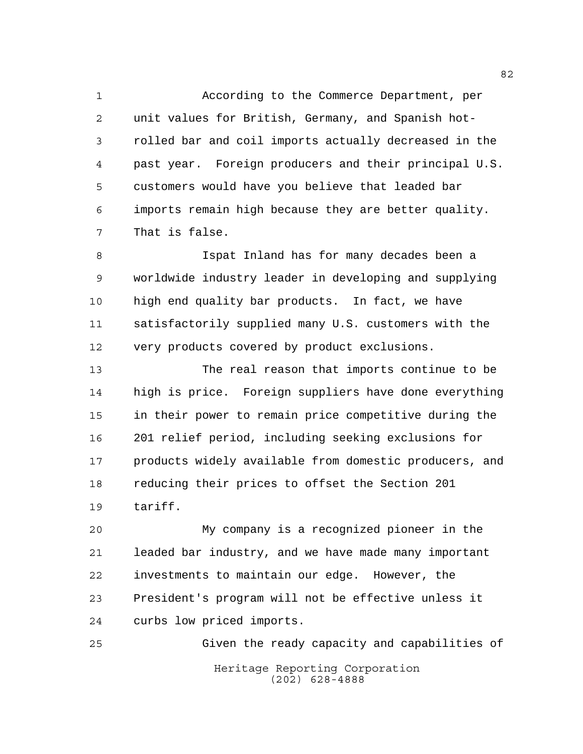According to the Commerce Department, per unit values for British, Germany, and Spanish hot- rolled bar and coil imports actually decreased in the past year. Foreign producers and their principal U.S. customers would have you believe that leaded bar imports remain high because they are better quality. That is false.

 Ispat Inland has for many decades been a worldwide industry leader in developing and supplying high end quality bar products. In fact, we have satisfactorily supplied many U.S. customers with the very products covered by product exclusions.

 The real reason that imports continue to be high is price. Foreign suppliers have done everything in their power to remain price competitive during the 201 relief period, including seeking exclusions for products widely available from domestic producers, and reducing their prices to offset the Section 201 tariff.

 My company is a recognized pioneer in the leaded bar industry, and we have made many important investments to maintain our edge. However, the President's program will not be effective unless it curbs low priced imports.

Heritage Reporting Corporation (202) 628-4888 Given the ready capacity and capabilities of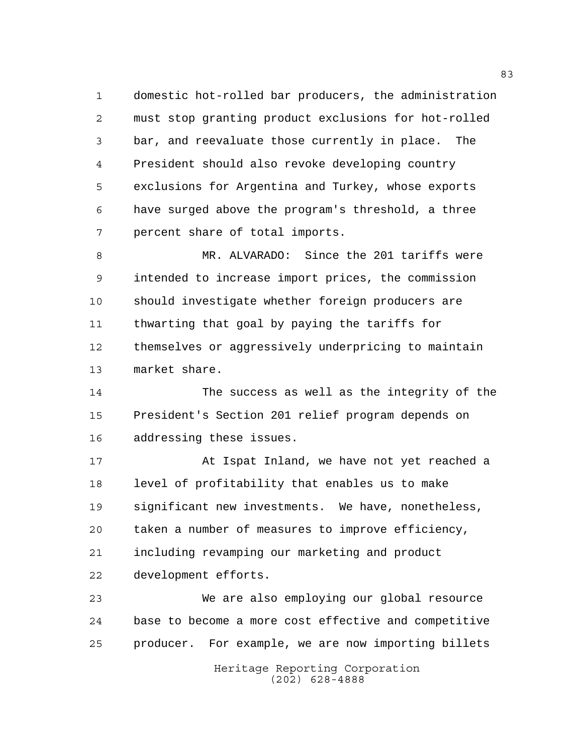domestic hot-rolled bar producers, the administration must stop granting product exclusions for hot-rolled bar, and reevaluate those currently in place. The President should also revoke developing country exclusions for Argentina and Turkey, whose exports have surged above the program's threshold, a three percent share of total imports.

 MR. ALVARADO: Since the 201 tariffs were intended to increase import prices, the commission should investigate whether foreign producers are thwarting that goal by paying the tariffs for themselves or aggressively underpricing to maintain market share.

 The success as well as the integrity of the President's Section 201 relief program depends on addressing these issues.

 At Ispat Inland, we have not yet reached a level of profitability that enables us to make significant new investments. We have, nonetheless, taken a number of measures to improve efficiency, including revamping our marketing and product development efforts.

 We are also employing our global resource base to become a more cost effective and competitive producer. For example, we are now importing billets

> Heritage Reporting Corporation (202) 628-4888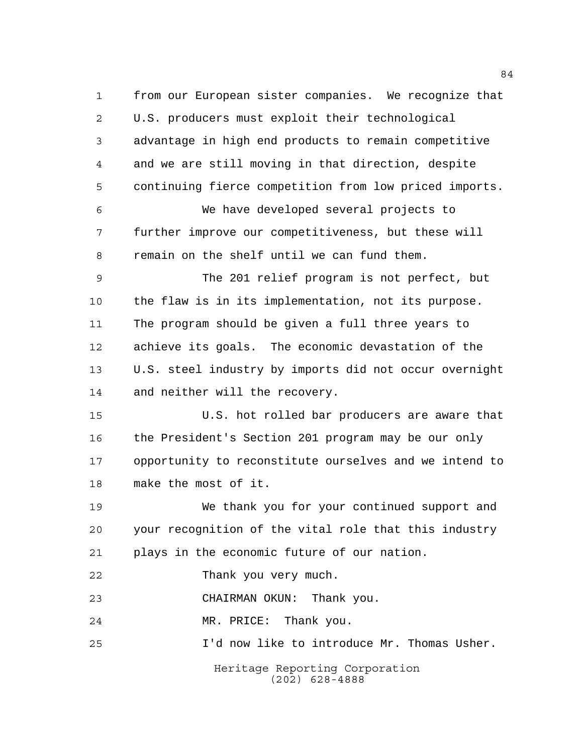Heritage Reporting Corporation (202) 628-4888 from our European sister companies. We recognize that U.S. producers must exploit their technological advantage in high end products to remain competitive and we are still moving in that direction, despite continuing fierce competition from low priced imports. We have developed several projects to further improve our competitiveness, but these will remain on the shelf until we can fund them. The 201 relief program is not perfect, but the flaw is in its implementation, not its purpose. The program should be given a full three years to achieve its goals. The economic devastation of the U.S. steel industry by imports did not occur overnight and neither will the recovery. U.S. hot rolled bar producers are aware that the President's Section 201 program may be our only opportunity to reconstitute ourselves and we intend to make the most of it. We thank you for your continued support and your recognition of the vital role that this industry plays in the economic future of our nation. Thank you very much. CHAIRMAN OKUN: Thank you. MR. PRICE: Thank you. I'd now like to introduce Mr. Thomas Usher.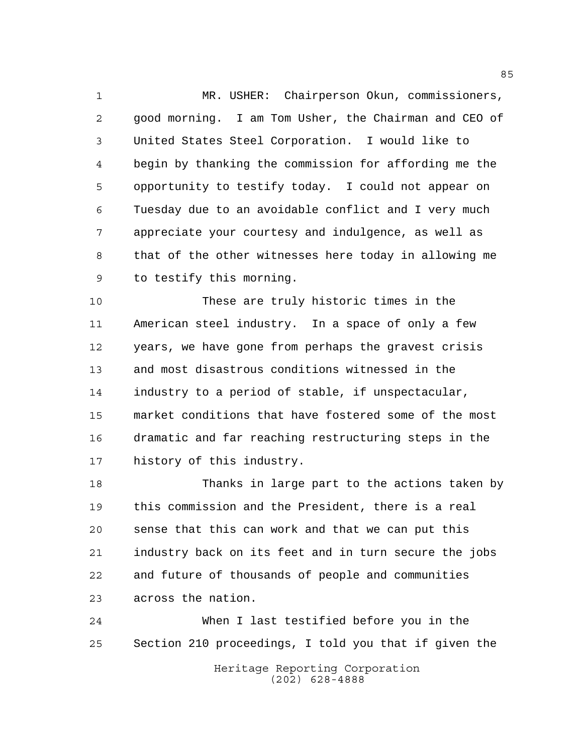MR. USHER: Chairperson Okun, commissioners, good morning. I am Tom Usher, the Chairman and CEO of United States Steel Corporation. I would like to begin by thanking the commission for affording me the opportunity to testify today. I could not appear on Tuesday due to an avoidable conflict and I very much appreciate your courtesy and indulgence, as well as that of the other witnesses here today in allowing me to testify this morning.

 These are truly historic times in the American steel industry. In a space of only a few years, we have gone from perhaps the gravest crisis and most disastrous conditions witnessed in the industry to a period of stable, if unspectacular, market conditions that have fostered some of the most dramatic and far reaching restructuring steps in the history of this industry.

 Thanks in large part to the actions taken by this commission and the President, there is a real sense that this can work and that we can put this industry back on its feet and in turn secure the jobs and future of thousands of people and communities across the nation.

Heritage Reporting Corporation (202) 628-4888 When I last testified before you in the Section 210 proceedings, I told you that if given the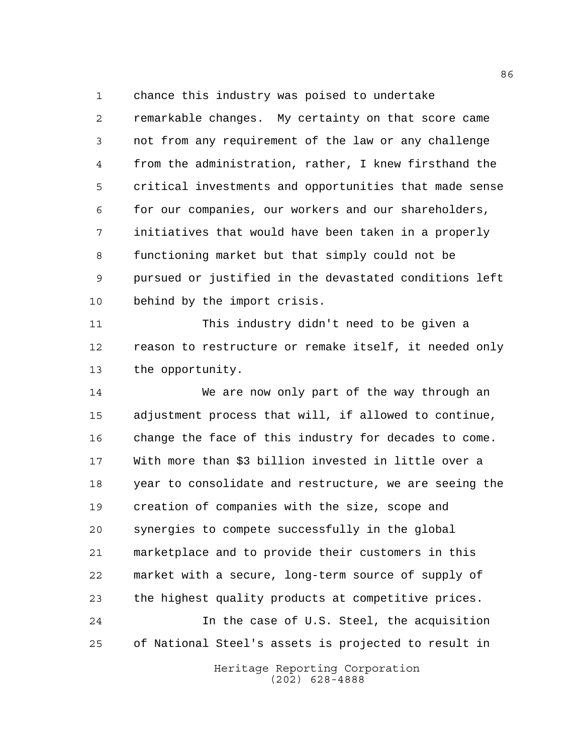chance this industry was poised to undertake

 remarkable changes. My certainty on that score came not from any requirement of the law or any challenge from the administration, rather, I knew firsthand the critical investments and opportunities that made sense for our companies, our workers and our shareholders, initiatives that would have been taken in a properly functioning market but that simply could not be pursued or justified in the devastated conditions left behind by the import crisis.

 This industry didn't need to be given a reason to restructure or remake itself, it needed only the opportunity.

 We are now only part of the way through an adjustment process that will, if allowed to continue, change the face of this industry for decades to come. With more than \$3 billion invested in little over a year to consolidate and restructure, we are seeing the creation of companies with the size, scope and synergies to compete successfully in the global marketplace and to provide their customers in this market with a secure, long-term source of supply of the highest quality products at competitive prices. In the case of U.S. Steel, the acquisition of National Steel's assets is projected to result in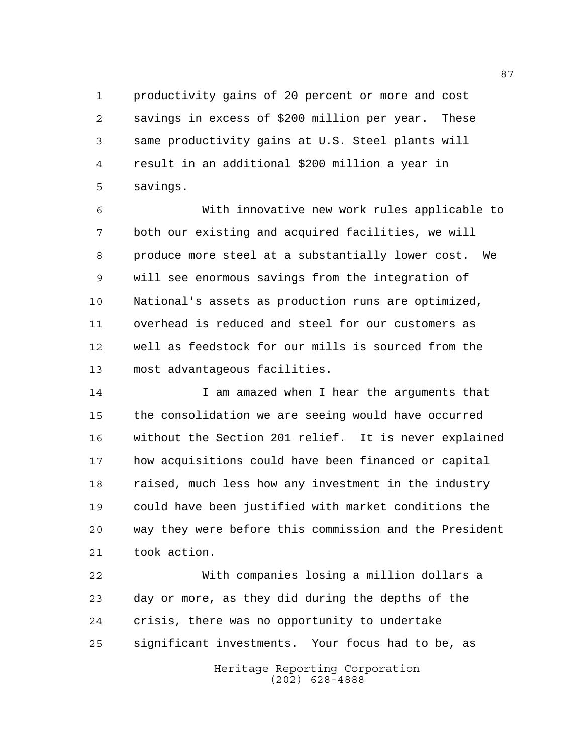productivity gains of 20 percent or more and cost savings in excess of \$200 million per year. These same productivity gains at U.S. Steel plants will result in an additional \$200 million a year in savings.

 With innovative new work rules applicable to both our existing and acquired facilities, we will produce more steel at a substantially lower cost. We will see enormous savings from the integration of National's assets as production runs are optimized, overhead is reduced and steel for our customers as well as feedstock for our mills is sourced from the most advantageous facilities.

14 14 I am amazed when I hear the arguments that the consolidation we are seeing would have occurred without the Section 201 relief. It is never explained how acquisitions could have been financed or capital 18 raised, much less how any investment in the industry could have been justified with market conditions the way they were before this commission and the President took action.

 With companies losing a million dollars a day or more, as they did during the depths of the crisis, there was no opportunity to undertake significant investments. Your focus had to be, as

Heritage Reporting Corporation (202) 628-4888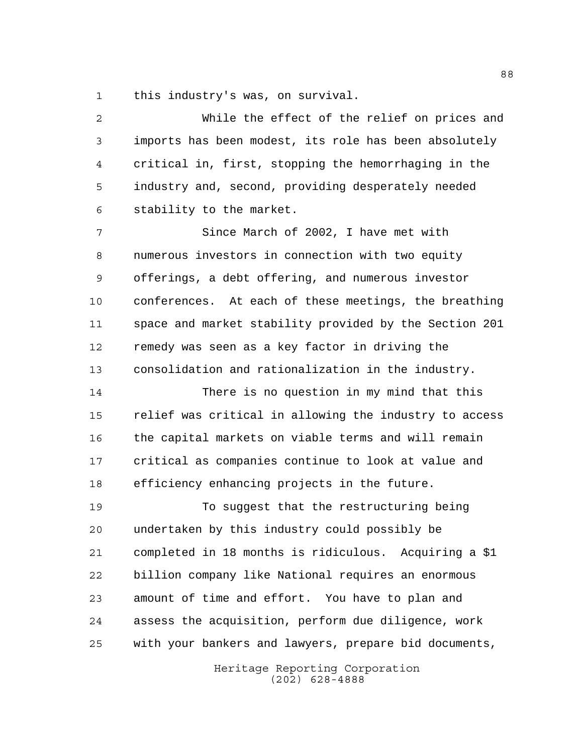this industry's was, on survival.

 While the effect of the relief on prices and imports has been modest, its role has been absolutely critical in, first, stopping the hemorrhaging in the industry and, second, providing desperately needed stability to the market.

 Since March of 2002, I have met with numerous investors in connection with two equity offerings, a debt offering, and numerous investor conferences. At each of these meetings, the breathing space and market stability provided by the Section 201 remedy was seen as a key factor in driving the consolidation and rationalization in the industry.

 There is no question in my mind that this relief was critical in allowing the industry to access the capital markets on viable terms and will remain critical as companies continue to look at value and efficiency enhancing projects in the future.

 To suggest that the restructuring being undertaken by this industry could possibly be completed in 18 months is ridiculous. Acquiring a \$1 billion company like National requires an enormous amount of time and effort. You have to plan and assess the acquisition, perform due diligence, work with your bankers and lawyers, prepare bid documents,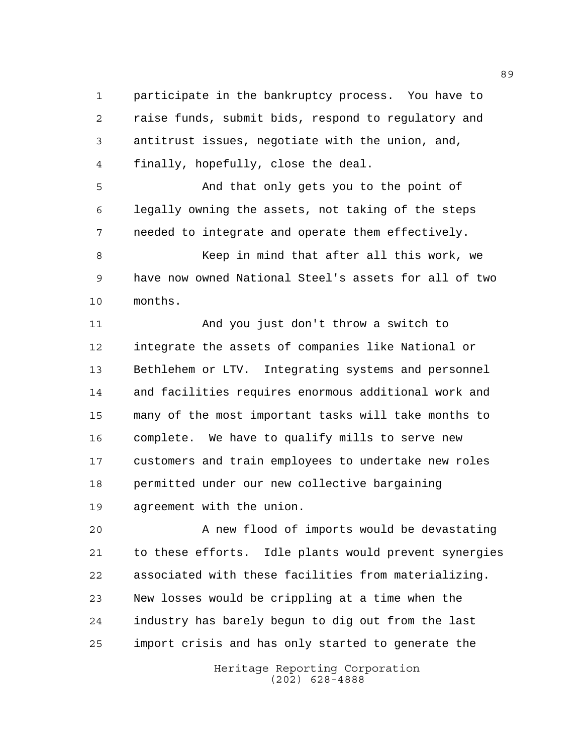participate in the bankruptcy process. You have to raise funds, submit bids, respond to regulatory and antitrust issues, negotiate with the union, and, finally, hopefully, close the deal.

 And that only gets you to the point of legally owning the assets, not taking of the steps needed to integrate and operate them effectively.

8 Keep in mind that after all this work, we have now owned National Steel's assets for all of two months.

 And you just don't throw a switch to integrate the assets of companies like National or Bethlehem or LTV. Integrating systems and personnel and facilities requires enormous additional work and many of the most important tasks will take months to complete. We have to qualify mills to serve new customers and train employees to undertake new roles permitted under our new collective bargaining agreement with the union.

 A new flood of imports would be devastating to these efforts. Idle plants would prevent synergies associated with these facilities from materializing. New losses would be crippling at a time when the industry has barely begun to dig out from the last import crisis and has only started to generate the

> Heritage Reporting Corporation (202) 628-4888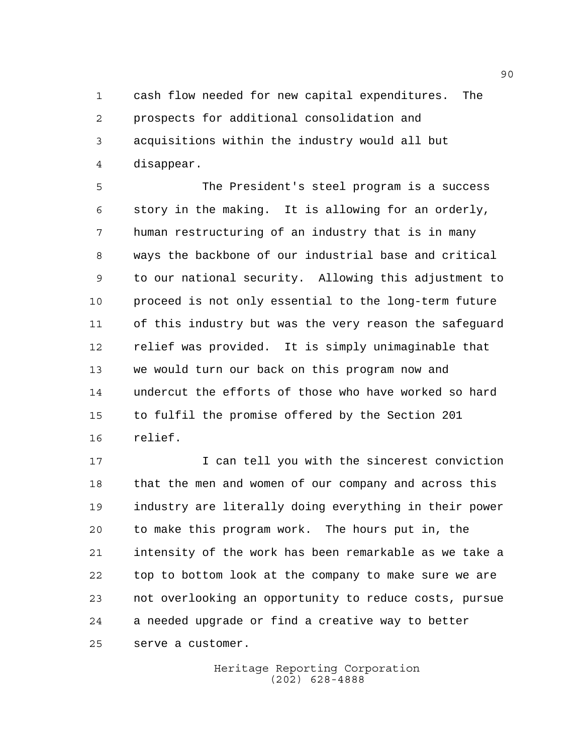cash flow needed for new capital expenditures. The prospects for additional consolidation and acquisitions within the industry would all but disappear.

 The President's steel program is a success story in the making. It is allowing for an orderly, human restructuring of an industry that is in many ways the backbone of our industrial base and critical to our national security. Allowing this adjustment to proceed is not only essential to the long-term future of this industry but was the very reason the safeguard relief was provided. It is simply unimaginable that we would turn our back on this program now and undercut the efforts of those who have worked so hard to fulfil the promise offered by the Section 201 relief.

 I can tell you with the sincerest conviction that the men and women of our company and across this industry are literally doing everything in their power to make this program work. The hours put in, the intensity of the work has been remarkable as we take a top to bottom look at the company to make sure we are not overlooking an opportunity to reduce costs, pursue a needed upgrade or find a creative way to better serve a customer.

> Heritage Reporting Corporation (202) 628-4888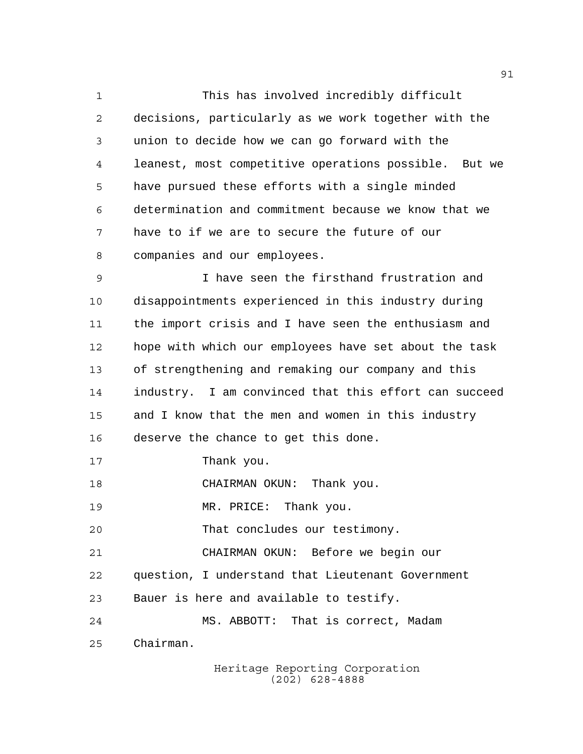This has involved incredibly difficult decisions, particularly as we work together with the union to decide how we can go forward with the leanest, most competitive operations possible. But we have pursued these efforts with a single minded determination and commitment because we know that we have to if we are to secure the future of our companies and our employees.

 I have seen the firsthand frustration and disappointments experienced in this industry during the import crisis and I have seen the enthusiasm and hope with which our employees have set about the task of strengthening and remaking our company and this industry. I am convinced that this effort can succeed and I know that the men and women in this industry deserve the chance to get this done.

17 Thank you.

18 CHAIRMAN OKUN: Thank you.

19 MR. PRICE: Thank you.

That concludes our testimony.

CHAIRMAN OKUN: Before we begin our

question, I understand that Lieutenant Government

Bauer is here and available to testify.

 MS. ABBOTT: That is correct, Madam Chairman.

> Heritage Reporting Corporation (202) 628-4888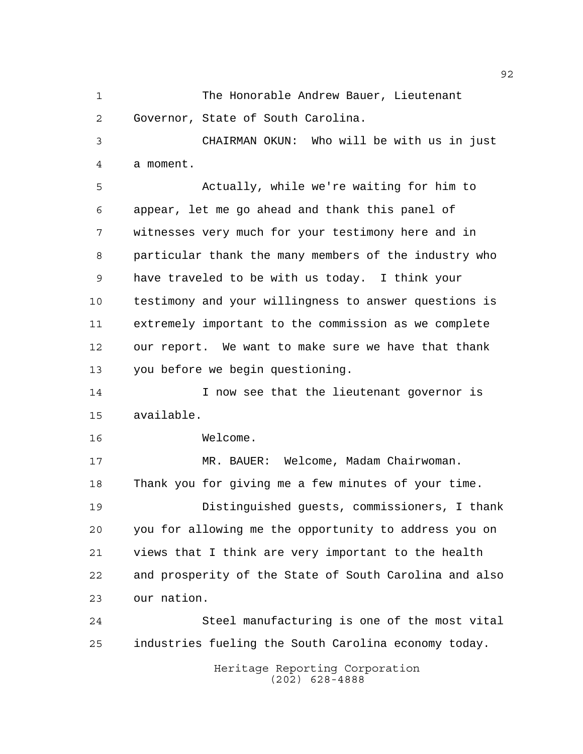The Honorable Andrew Bauer, Lieutenant Governor, State of South Carolina.

 CHAIRMAN OKUN: Who will be with us in just a moment.

 Actually, while we're waiting for him to appear, let me go ahead and thank this panel of witnesses very much for your testimony here and in particular thank the many members of the industry who have traveled to be with us today. I think your testimony and your willingness to answer questions is extremely important to the commission as we complete our report. We want to make sure we have that thank you before we begin questioning.

14 I now see that the lieutenant governor is available.

Welcome.

 MR. BAUER: Welcome, Madam Chairwoman. Thank you for giving me a few minutes of your time. Distinguished guests, commissioners, I thank you for allowing me the opportunity to address you on views that I think are very important to the health and prosperity of the State of South Carolina and also our nation.

 Steel manufacturing is one of the most vital industries fueling the South Carolina economy today.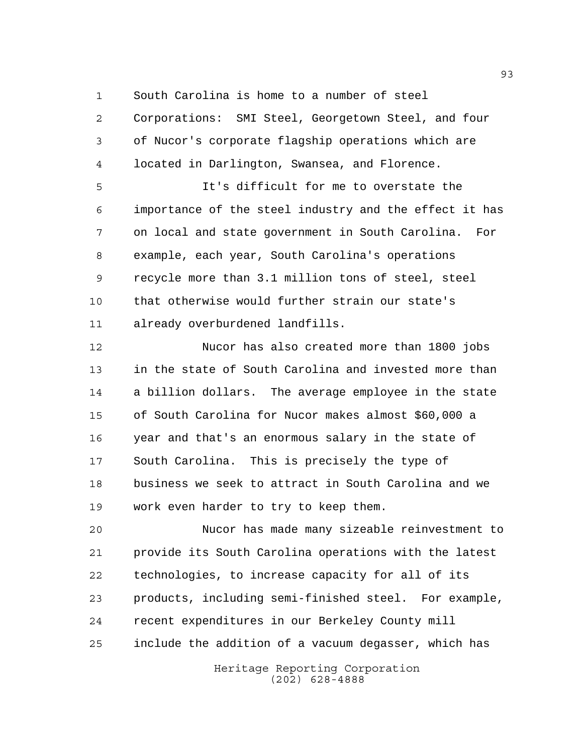South Carolina is home to a number of steel

 Corporations: SMI Steel, Georgetown Steel, and four of Nucor's corporate flagship operations which are located in Darlington, Swansea, and Florence.

 It's difficult for me to overstate the importance of the steel industry and the effect it has on local and state government in South Carolina. For example, each year, South Carolina's operations recycle more than 3.1 million tons of steel, steel that otherwise would further strain our state's already overburdened landfills.

 Nucor has also created more than 1800 jobs in the state of South Carolina and invested more than a billion dollars. The average employee in the state of South Carolina for Nucor makes almost \$60,000 a year and that's an enormous salary in the state of South Carolina. This is precisely the type of business we seek to attract in South Carolina and we work even harder to try to keep them.

 Nucor has made many sizeable reinvestment to provide its South Carolina operations with the latest technologies, to increase capacity for all of its products, including semi-finished steel. For example, recent expenditures in our Berkeley County mill include the addition of a vacuum degasser, which has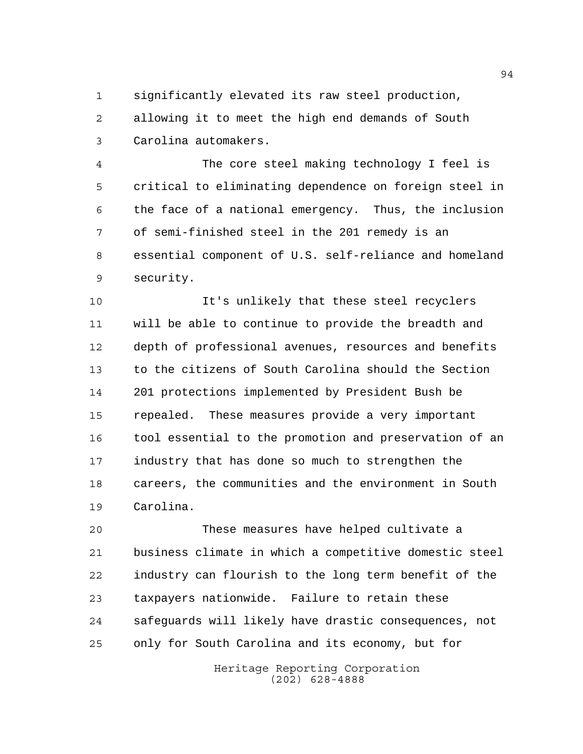significantly elevated its raw steel production,

 allowing it to meet the high end demands of South Carolina automakers.

 The core steel making technology I feel is critical to eliminating dependence on foreign steel in the face of a national emergency. Thus, the inclusion of semi-finished steel in the 201 remedy is an essential component of U.S. self-reliance and homeland security.

 It's unlikely that these steel recyclers will be able to continue to provide the breadth and depth of professional avenues, resources and benefits to the citizens of South Carolina should the Section 201 protections implemented by President Bush be repealed. These measures provide a very important tool essential to the promotion and preservation of an industry that has done so much to strengthen the careers, the communities and the environment in South Carolina.

 These measures have helped cultivate a business climate in which a competitive domestic steel industry can flourish to the long term benefit of the taxpayers nationwide. Failure to retain these safeguards will likely have drastic consequences, not only for South Carolina and its economy, but for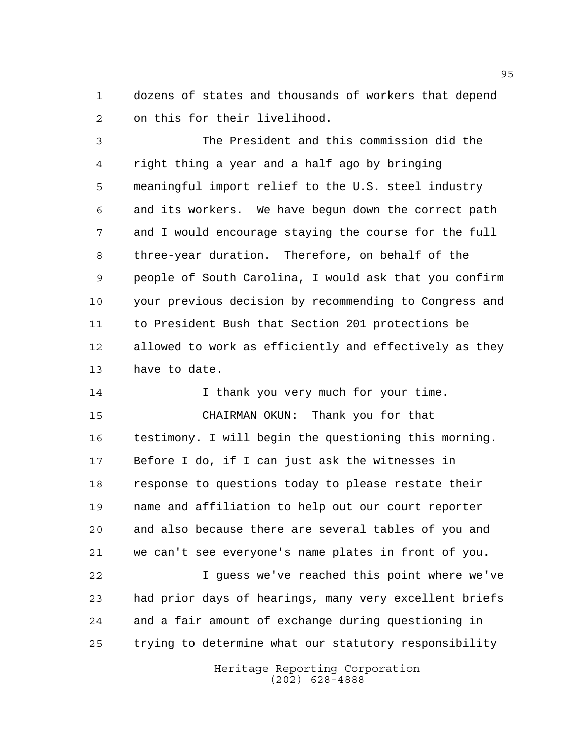dozens of states and thousands of workers that depend on this for their livelihood.

 The President and this commission did the right thing a year and a half ago by bringing meaningful import relief to the U.S. steel industry and its workers. We have begun down the correct path and I would encourage staying the course for the full three-year duration. Therefore, on behalf of the people of South Carolina, I would ask that you confirm your previous decision by recommending to Congress and to President Bush that Section 201 protections be allowed to work as efficiently and effectively as they have to date.

14 14 I thank you very much for your time. CHAIRMAN OKUN: Thank you for that testimony. I will begin the questioning this morning. Before I do, if I can just ask the witnesses in response to questions today to please restate their name and affiliation to help out our court reporter and also because there are several tables of you and we can't see everyone's name plates in front of you. I guess we've reached this point where we've had prior days of hearings, many very excellent briefs and a fair amount of exchange during questioning in trying to determine what our statutory responsibility

> Heritage Reporting Corporation (202) 628-4888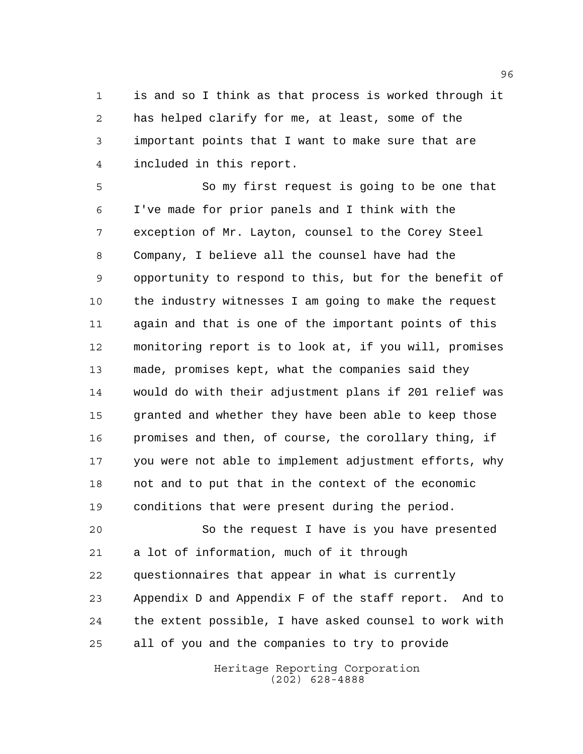is and so I think as that process is worked through it has helped clarify for me, at least, some of the important points that I want to make sure that are included in this report.

 So my first request is going to be one that I've made for prior panels and I think with the exception of Mr. Layton, counsel to the Corey Steel Company, I believe all the counsel have had the opportunity to respond to this, but for the benefit of the industry witnesses I am going to make the request again and that is one of the important points of this monitoring report is to look at, if you will, promises made, promises kept, what the companies said they would do with their adjustment plans if 201 relief was granted and whether they have been able to keep those promises and then, of course, the corollary thing, if you were not able to implement adjustment efforts, why not and to put that in the context of the economic conditions that were present during the period.

 So the request I have is you have presented a lot of information, much of it through questionnaires that appear in what is currently Appendix D and Appendix F of the staff report. And to the extent possible, I have asked counsel to work with all of you and the companies to try to provide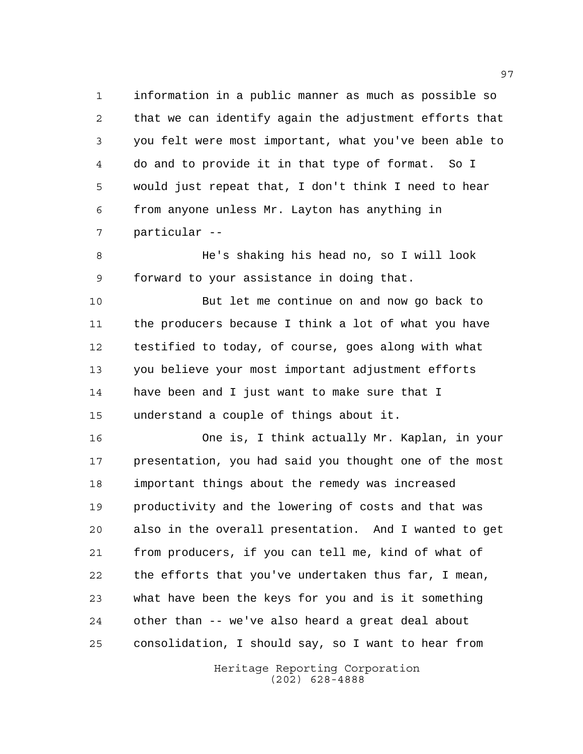information in a public manner as much as possible so that we can identify again the adjustment efforts that you felt were most important, what you've been able to do and to provide it in that type of format. So I would just repeat that, I don't think I need to hear from anyone unless Mr. Layton has anything in particular --

 He's shaking his head no, so I will look forward to your assistance in doing that.

 But let me continue on and now go back to the producers because I think a lot of what you have testified to today, of course, goes along with what you believe your most important adjustment efforts have been and I just want to make sure that I understand a couple of things about it.

 One is, I think actually Mr. Kaplan, in your presentation, you had said you thought one of the most important things about the remedy was increased productivity and the lowering of costs and that was also in the overall presentation. And I wanted to get from producers, if you can tell me, kind of what of the efforts that you've undertaken thus far, I mean, what have been the keys for you and is it something other than -- we've also heard a great deal about consolidation, I should say, so I want to hear from

> Heritage Reporting Corporation (202) 628-4888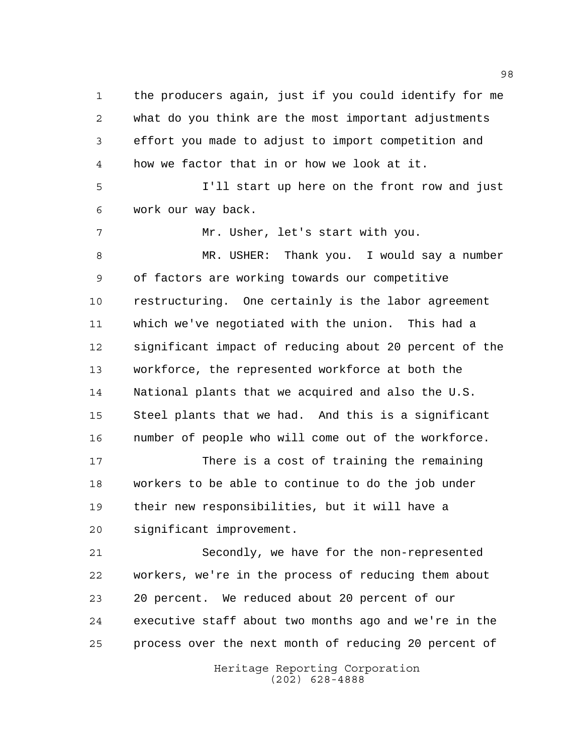the producers again, just if you could identify for me what do you think are the most important adjustments effort you made to adjust to import competition and how we factor that in or how we look at it.

 I'll start up here on the front row and just work our way back.

Mr. Usher, let's start with you.

 MR. USHER: Thank you. I would say a number of factors are working towards our competitive restructuring. One certainly is the labor agreement which we've negotiated with the union. This had a significant impact of reducing about 20 percent of the workforce, the represented workforce at both the National plants that we acquired and also the U.S. Steel plants that we had. And this is a significant number of people who will come out of the workforce.

 There is a cost of training the remaining workers to be able to continue to do the job under their new responsibilities, but it will have a significant improvement.

 Secondly, we have for the non-represented workers, we're in the process of reducing them about 20 percent. We reduced about 20 percent of our executive staff about two months ago and we're in the process over the next month of reducing 20 percent of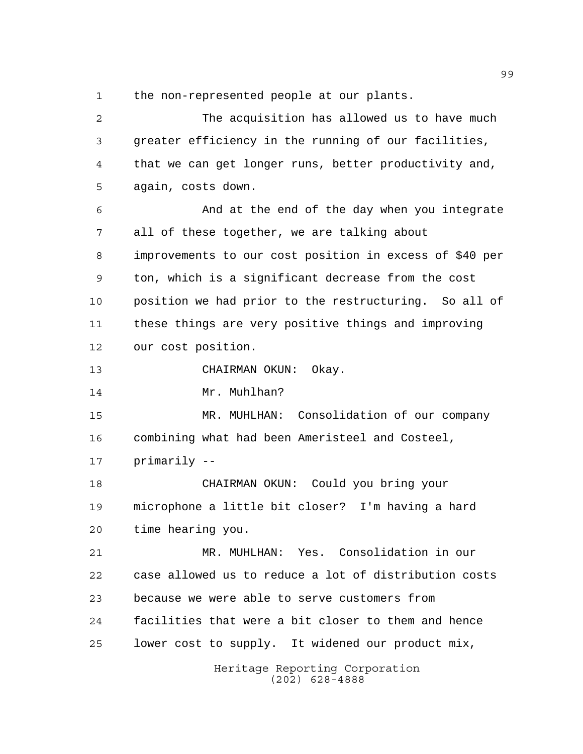the non-represented people at our plants.

Heritage Reporting Corporation (202) 628-4888 The acquisition has allowed us to have much greater efficiency in the running of our facilities, that we can get longer runs, better productivity and, again, costs down. And at the end of the day when you integrate all of these together, we are talking about improvements to our cost position in excess of \$40 per ton, which is a significant decrease from the cost position we had prior to the restructuring. So all of these things are very positive things and improving our cost position. CHAIRMAN OKUN: Okay. 14 Mr. Muhlhan? MR. MUHLHAN: Consolidation of our company combining what had been Ameristeel and Costeel, primarily -- CHAIRMAN OKUN: Could you bring your microphone a little bit closer? I'm having a hard time hearing you. MR. MUHLHAN: Yes. Consolidation in our case allowed us to reduce a lot of distribution costs because we were able to serve customers from facilities that were a bit closer to them and hence lower cost to supply. It widened our product mix,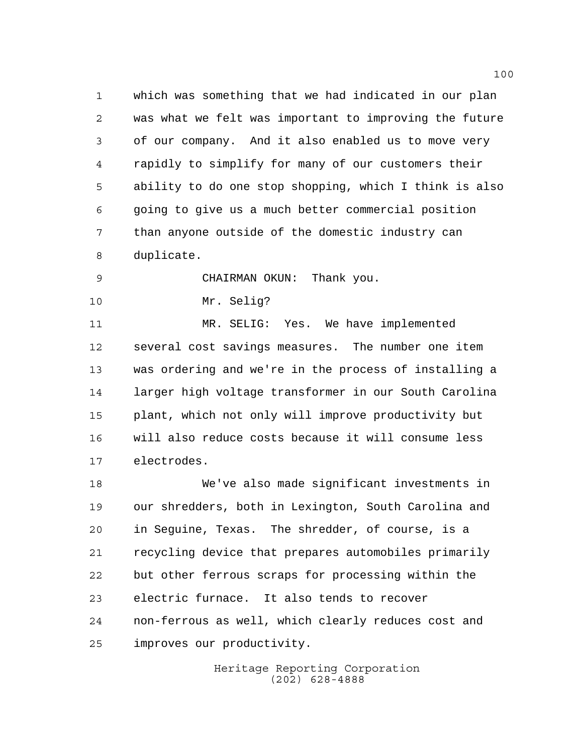which was something that we had indicated in our plan was what we felt was important to improving the future of our company. And it also enabled us to move very rapidly to simplify for many of our customers their ability to do one stop shopping, which I think is also going to give us a much better commercial position than anyone outside of the domestic industry can duplicate.

CHAIRMAN OKUN: Thank you.

Mr. Selig?

 MR. SELIG: Yes. We have implemented several cost savings measures. The number one item was ordering and we're in the process of installing a larger high voltage transformer in our South Carolina plant, which not only will improve productivity but will also reduce costs because it will consume less electrodes.

 We've also made significant investments in our shredders, both in Lexington, South Carolina and in Seguine, Texas. The shredder, of course, is a recycling device that prepares automobiles primarily but other ferrous scraps for processing within the electric furnace. It also tends to recover non-ferrous as well, which clearly reduces cost and improves our productivity.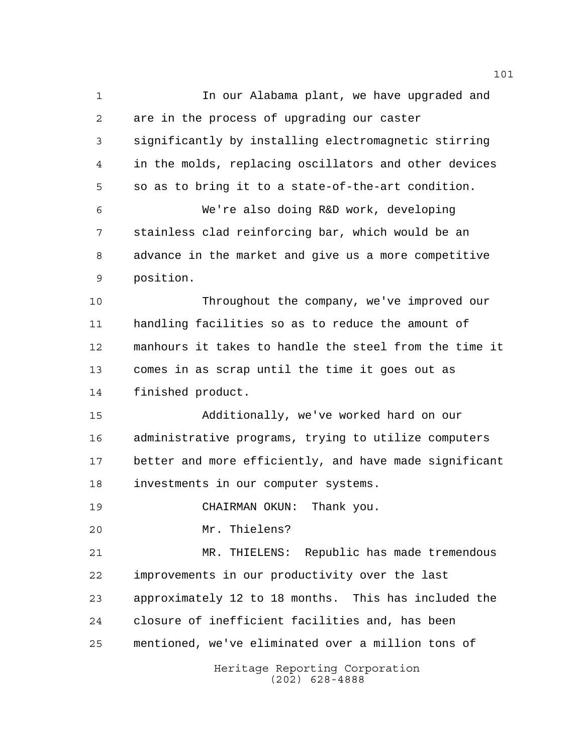Heritage Reporting Corporation (202) 628-4888 In our Alabama plant, we have upgraded and are in the process of upgrading our caster significantly by installing electromagnetic stirring in the molds, replacing oscillators and other devices so as to bring it to a state-of-the-art condition. We're also doing R&D work, developing stainless clad reinforcing bar, which would be an advance in the market and give us a more competitive position. Throughout the company, we've improved our handling facilities so as to reduce the amount of manhours it takes to handle the steel from the time it comes in as scrap until the time it goes out as finished product. Additionally, we've worked hard on our administrative programs, trying to utilize computers better and more efficiently, and have made significant investments in our computer systems. CHAIRMAN OKUN: Thank you. Mr. Thielens? MR. THIELENS: Republic has made tremendous improvements in our productivity over the last approximately 12 to 18 months. This has included the closure of inefficient facilities and, has been mentioned, we've eliminated over a million tons of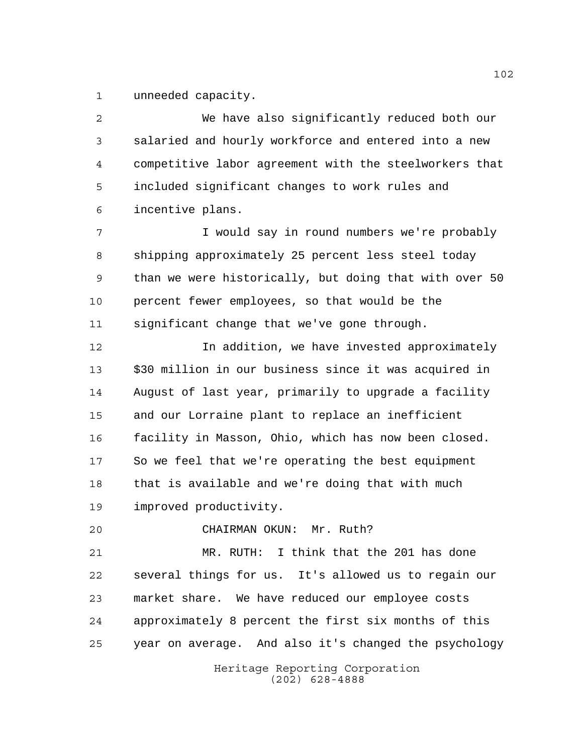unneeded capacity.

 We have also significantly reduced both our salaried and hourly workforce and entered into a new competitive labor agreement with the steelworkers that included significant changes to work rules and incentive plans. I would say in round numbers we're probably shipping approximately 25 percent less steel today than we were historically, but doing that with over 50 percent fewer employees, so that would be the significant change that we've gone through. **In addition, we have invested approximately**  \$30 million in our business since it was acquired in August of last year, primarily to upgrade a facility and our Lorraine plant to replace an inefficient facility in Masson, Ohio, which has now been closed. So we feel that we're operating the best equipment that is available and we're doing that with much improved productivity. CHAIRMAN OKUN: Mr. Ruth? MR. RUTH: I think that the 201 has done several things for us. It's allowed us to regain our market share. We have reduced our employee costs approximately 8 percent the first six months of this

year on average. And also it's changed the psychology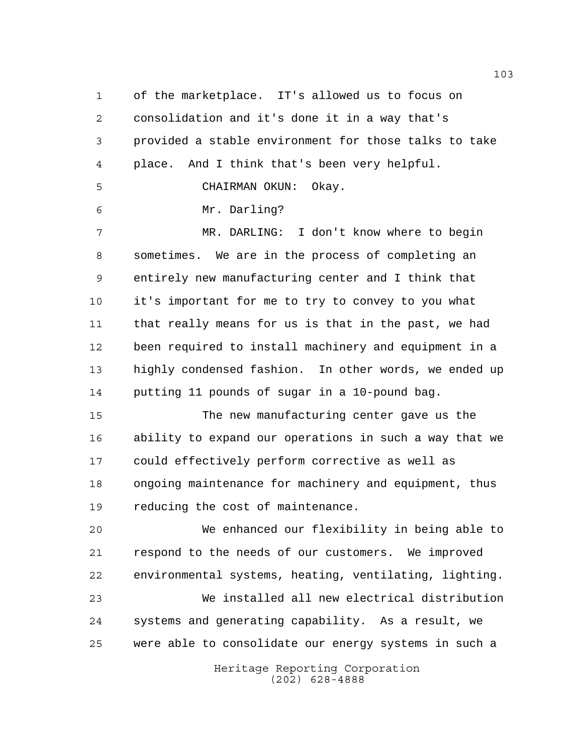of the marketplace. IT's allowed us to focus on consolidation and it's done it in a way that's provided a stable environment for those talks to take place. And I think that's been very helpful. CHAIRMAN OKUN: Okay. Mr. Darling? MR. DARLING: I don't know where to begin sometimes. We are in the process of completing an entirely new manufacturing center and I think that it's important for me to try to convey to you what that really means for us is that in the past, we had been required to install machinery and equipment in a highly condensed fashion. In other words, we ended up putting 11 pounds of sugar in a 10-pound bag. The new manufacturing center gave us the ability to expand our operations in such a way that we could effectively perform corrective as well as ongoing maintenance for machinery and equipment, thus

reducing the cost of maintenance.

 We enhanced our flexibility in being able to respond to the needs of our customers. We improved environmental systems, heating, ventilating, lighting. We installed all new electrical distribution

 systems and generating capability. As a result, we were able to consolidate our energy systems in such a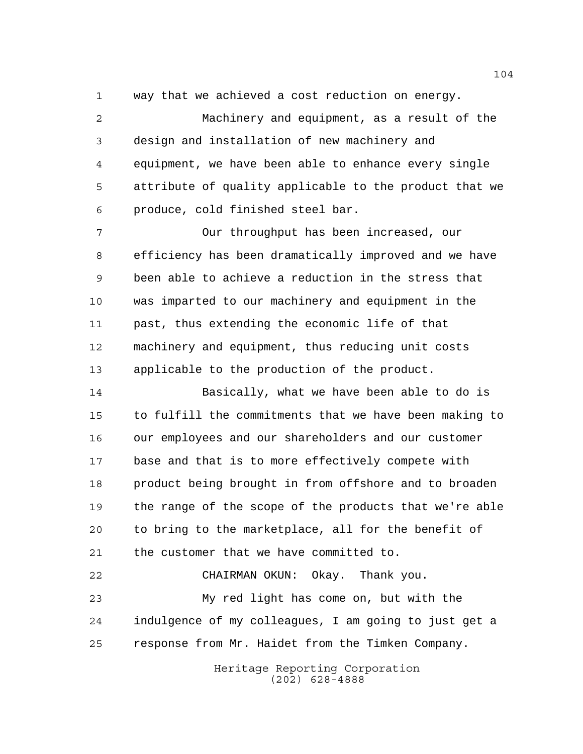way that we achieved a cost reduction on energy.

 Machinery and equipment, as a result of the design and installation of new machinery and equipment, we have been able to enhance every single attribute of quality applicable to the product that we produce, cold finished steel bar.

 Our throughput has been increased, our efficiency has been dramatically improved and we have been able to achieve a reduction in the stress that was imparted to our machinery and equipment in the past, thus extending the economic life of that machinery and equipment, thus reducing unit costs applicable to the production of the product.

 Basically, what we have been able to do is to fulfill the commitments that we have been making to our employees and our shareholders and our customer base and that is to more effectively compete with product being brought in from offshore and to broaden the range of the scope of the products that we're able to bring to the marketplace, all for the benefit of the customer that we have committed to.

 CHAIRMAN OKUN: Okay. Thank you. My red light has come on, but with the indulgence of my colleagues, I am going to just get a response from Mr. Haidet from the Timken Company.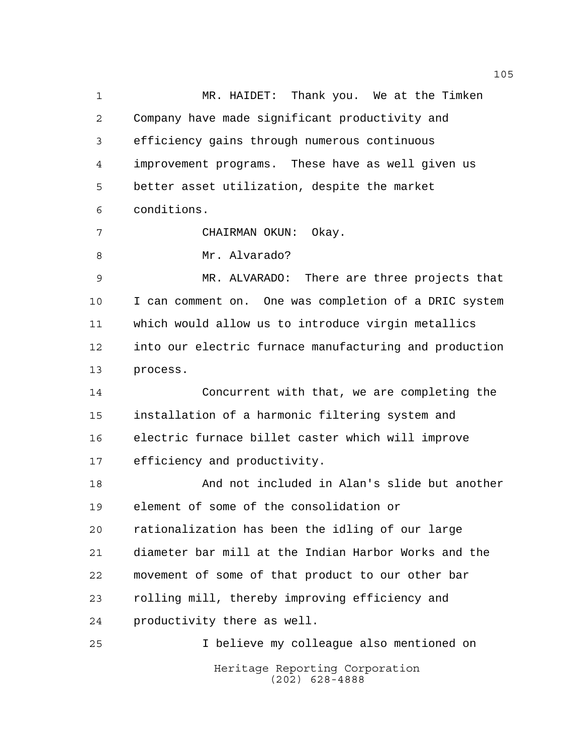Heritage Reporting Corporation (202) 628-4888 MR. HAIDET: Thank you. We at the Timken Company have made significant productivity and efficiency gains through numerous continuous improvement programs. These have as well given us better asset utilization, despite the market conditions. CHAIRMAN OKUN: Okay. 8 Mr. Alvarado? MR. ALVARADO: There are three projects that I can comment on. One was completion of a DRIC system which would allow us to introduce virgin metallics into our electric furnace manufacturing and production process. Concurrent with that, we are completing the installation of a harmonic filtering system and electric furnace billet caster which will improve efficiency and productivity. And not included in Alan's slide but another element of some of the consolidation or rationalization has been the idling of our large diameter bar mill at the Indian Harbor Works and the movement of some of that product to our other bar rolling mill, thereby improving efficiency and productivity there as well. I believe my colleague also mentioned on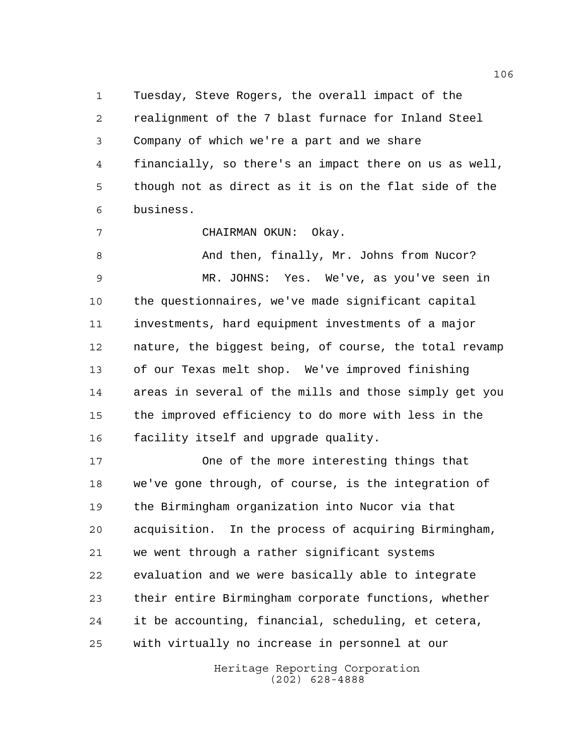Tuesday, Steve Rogers, the overall impact of the realignment of the 7 blast furnace for Inland Steel Company of which we're a part and we share financially, so there's an impact there on us as well, though not as direct as it is on the flat side of the business.

CHAIRMAN OKUN: Okay.

8 And then, finally, Mr. Johns from Nucor? MR. JOHNS: Yes. We've, as you've seen in the questionnaires, we've made significant capital investments, hard equipment investments of a major nature, the biggest being, of course, the total revamp of our Texas melt shop. We've improved finishing areas in several of the mills and those simply get you the improved efficiency to do more with less in the facility itself and upgrade quality.

 One of the more interesting things that we've gone through, of course, is the integration of the Birmingham organization into Nucor via that acquisition. In the process of acquiring Birmingham, we went through a rather significant systems evaluation and we were basically able to integrate their entire Birmingham corporate functions, whether it be accounting, financial, scheduling, et cetera, with virtually no increase in personnel at our

> Heritage Reporting Corporation (202) 628-4888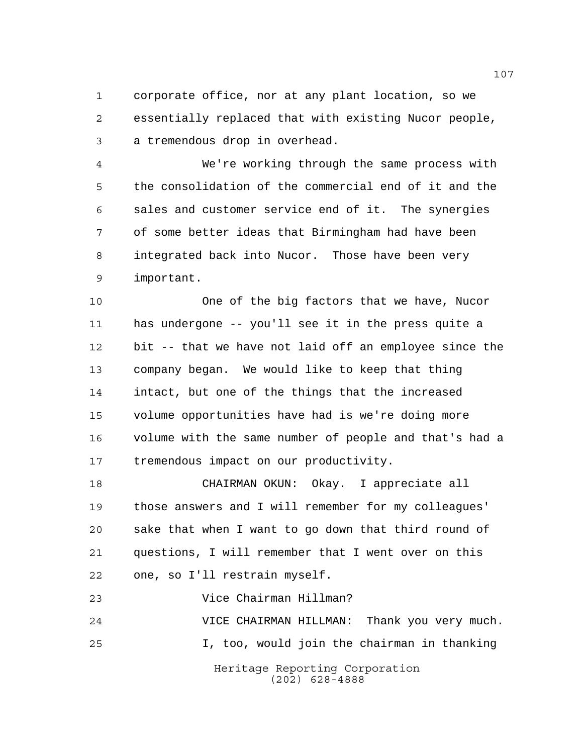corporate office, nor at any plant location, so we essentially replaced that with existing Nucor people, a tremendous drop in overhead.

 We're working through the same process with the consolidation of the commercial end of it and the sales and customer service end of it. The synergies of some better ideas that Birmingham had have been integrated back into Nucor. Those have been very important.

 One of the big factors that we have, Nucor has undergone -- you'll see it in the press quite a bit -- that we have not laid off an employee since the company began. We would like to keep that thing intact, but one of the things that the increased volume opportunities have had is we're doing more volume with the same number of people and that's had a tremendous impact on our productivity.

 CHAIRMAN OKUN: Okay. I appreciate all those answers and I will remember for my colleagues' sake that when I want to go down that third round of questions, I will remember that I went over on this one, so I'll restrain myself.

Vice Chairman Hillman?

Heritage Reporting Corporation (202) 628-4888 VICE CHAIRMAN HILLMAN: Thank you very much. I, too, would join the chairman in thanking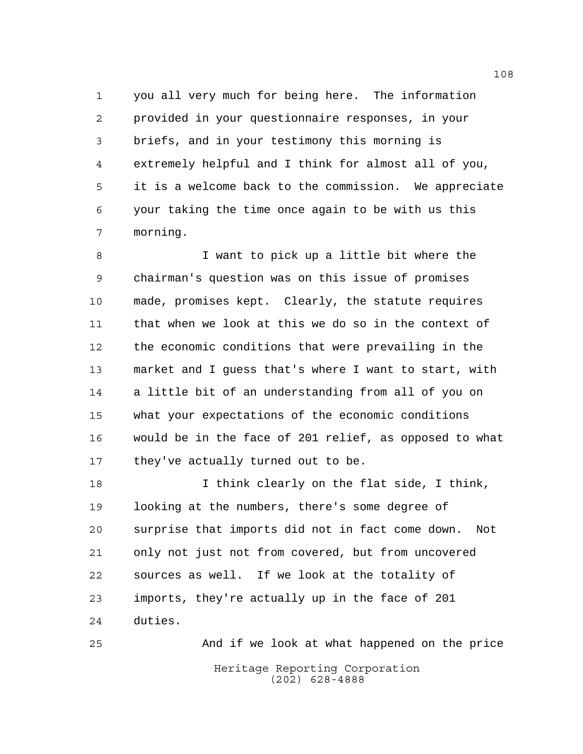you all very much for being here. The information provided in your questionnaire responses, in your briefs, and in your testimony this morning is extremely helpful and I think for almost all of you, it is a welcome back to the commission. We appreciate your taking the time once again to be with us this morning.

 I want to pick up a little bit where the chairman's question was on this issue of promises made, promises kept. Clearly, the statute requires that when we look at this we do so in the context of the economic conditions that were prevailing in the market and I guess that's where I want to start, with a little bit of an understanding from all of you on what your expectations of the economic conditions would be in the face of 201 relief, as opposed to what 17 they've actually turned out to be.

 I think clearly on the flat side, I think, looking at the numbers, there's some degree of surprise that imports did not in fact come down. Not only not just not from covered, but from uncovered sources as well. If we look at the totality of imports, they're actually up in the face of 201 duties.

Heritage Reporting Corporation (202) 628-4888 And if we look at what happened on the price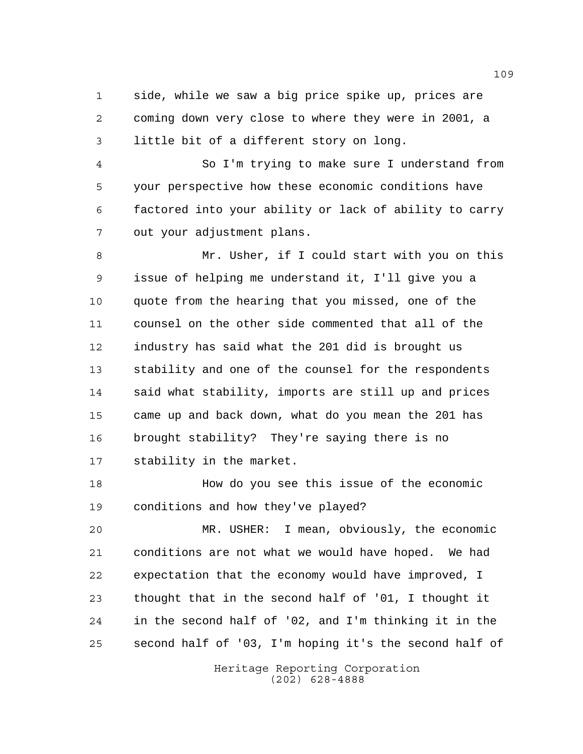side, while we saw a big price spike up, prices are coming down very close to where they were in 2001, a little bit of a different story on long.

 So I'm trying to make sure I understand from your perspective how these economic conditions have factored into your ability or lack of ability to carry out your adjustment plans.

 Mr. Usher, if I could start with you on this issue of helping me understand it, I'll give you a quote from the hearing that you missed, one of the counsel on the other side commented that all of the industry has said what the 201 did is brought us stability and one of the counsel for the respondents said what stability, imports are still up and prices came up and back down, what do you mean the 201 has brought stability? They're saying there is no stability in the market.

 How do you see this issue of the economic conditions and how they've played?

 MR. USHER: I mean, obviously, the economic conditions are not what we would have hoped. We had expectation that the economy would have improved, I thought that in the second half of '01, I thought it in the second half of '02, and I'm thinking it in the second half of '03, I'm hoping it's the second half of

> Heritage Reporting Corporation (202) 628-4888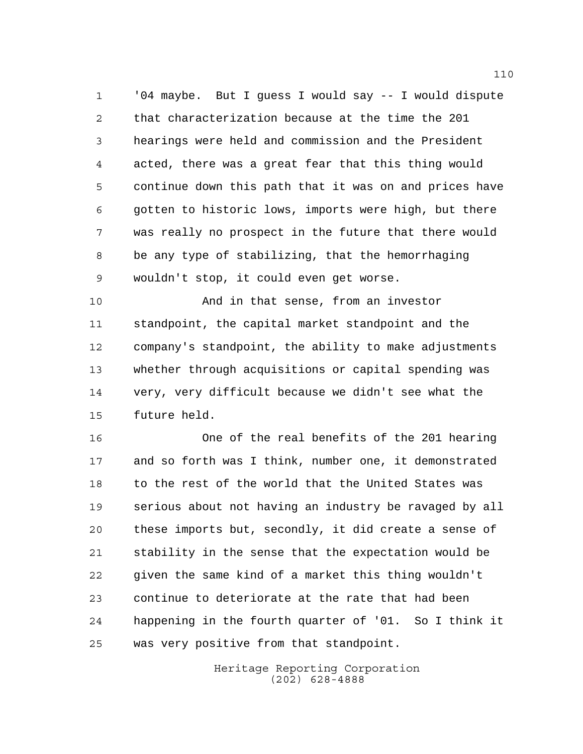'04 maybe. But I guess I would say -- I would dispute that characterization because at the time the 201 hearings were held and commission and the President acted, there was a great fear that this thing would continue down this path that it was on and prices have gotten to historic lows, imports were high, but there was really no prospect in the future that there would be any type of stabilizing, that the hemorrhaging wouldn't stop, it could even get worse.

 And in that sense, from an investor standpoint, the capital market standpoint and the company's standpoint, the ability to make adjustments whether through acquisitions or capital spending was very, very difficult because we didn't see what the future held.

 One of the real benefits of the 201 hearing and so forth was I think, number one, it demonstrated to the rest of the world that the United States was serious about not having an industry be ravaged by all these imports but, secondly, it did create a sense of stability in the sense that the expectation would be given the same kind of a market this thing wouldn't continue to deteriorate at the rate that had been happening in the fourth quarter of '01. So I think it was very positive from that standpoint.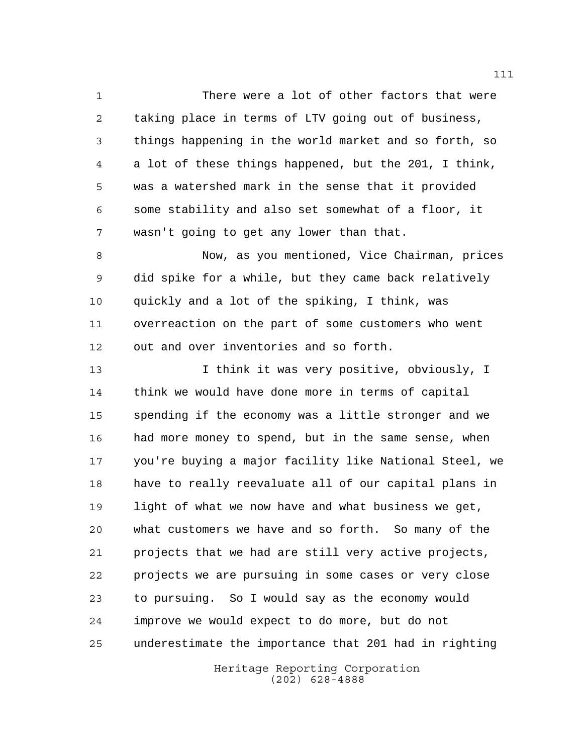There were a lot of other factors that were taking place in terms of LTV going out of business, things happening in the world market and so forth, so a lot of these things happened, but the 201, I think, was a watershed mark in the sense that it provided some stability and also set somewhat of a floor, it wasn't going to get any lower than that.

 Now, as you mentioned, Vice Chairman, prices did spike for a while, but they came back relatively quickly and a lot of the spiking, I think, was overreaction on the part of some customers who went out and over inventories and so forth.

 I think it was very positive, obviously, I think we would have done more in terms of capital spending if the economy was a little stronger and we had more money to spend, but in the same sense, when you're buying a major facility like National Steel, we have to really reevaluate all of our capital plans in light of what we now have and what business we get, what customers we have and so forth. So many of the projects that we had are still very active projects, projects we are pursuing in some cases or very close to pursuing. So I would say as the economy would improve we would expect to do more, but do not underestimate the importance that 201 had in righting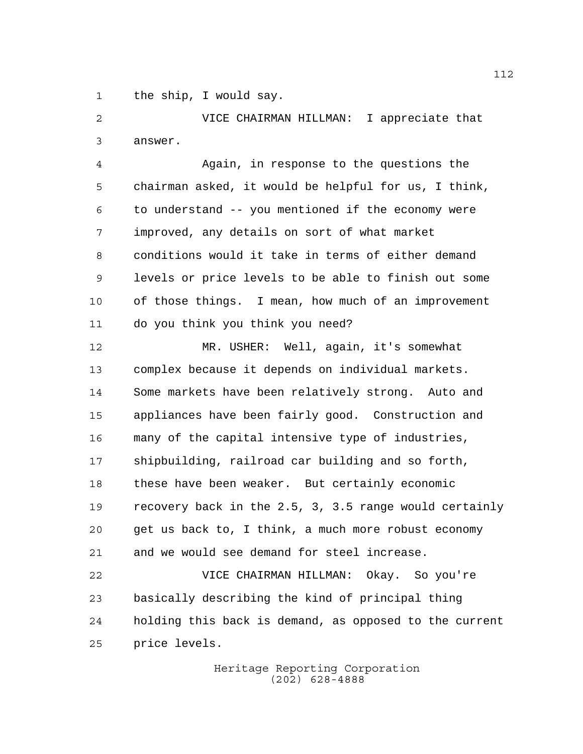the ship, I would say.

 VICE CHAIRMAN HILLMAN: I appreciate that answer.

 Again, in response to the questions the chairman asked, it would be helpful for us, I think, to understand -- you mentioned if the economy were improved, any details on sort of what market conditions would it take in terms of either demand levels or price levels to be able to finish out some of those things. I mean, how much of an improvement do you think you think you need?

 MR. USHER: Well, again, it's somewhat complex because it depends on individual markets. Some markets have been relatively strong. Auto and appliances have been fairly good. Construction and many of the capital intensive type of industries, shipbuilding, railroad car building and so forth, these have been weaker. But certainly economic recovery back in the 2.5, 3, 3.5 range would certainly get us back to, I think, a much more robust economy and we would see demand for steel increase.

 VICE CHAIRMAN HILLMAN: Okay. So you're basically describing the kind of principal thing holding this back is demand, as opposed to the current price levels.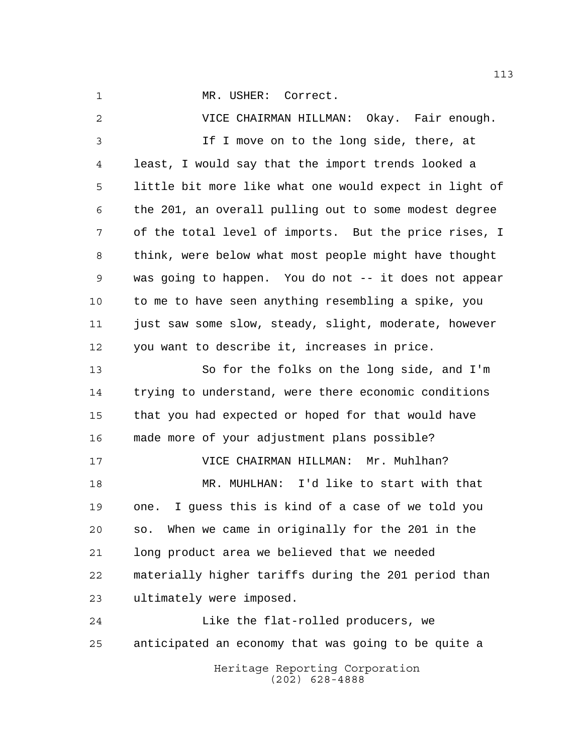1 MR. USHER: Correct.

 VICE CHAIRMAN HILLMAN: Okay. Fair enough. If I move on to the long side, there, at least, I would say that the import trends looked a little bit more like what one would expect in light of the 201, an overall pulling out to some modest degree of the total level of imports. But the price rises, I think, were below what most people might have thought was going to happen. You do not -- it does not appear to me to have seen anything resembling a spike, you 11 just saw some slow, steady, slight, moderate, however you want to describe it, increases in price. So for the folks on the long side, and I'm trying to understand, were there economic conditions that you had expected or hoped for that would have made more of your adjustment plans possible? VICE CHAIRMAN HILLMAN: Mr. Muhlhan? MR. MUHLHAN: I'd like to start with that one. I guess this is kind of a case of we told you so. When we came in originally for the 201 in the long product area we believed that we needed materially higher tariffs during the 201 period than ultimately were imposed. Like the flat-rolled producers, we anticipated an economy that was going to be quite a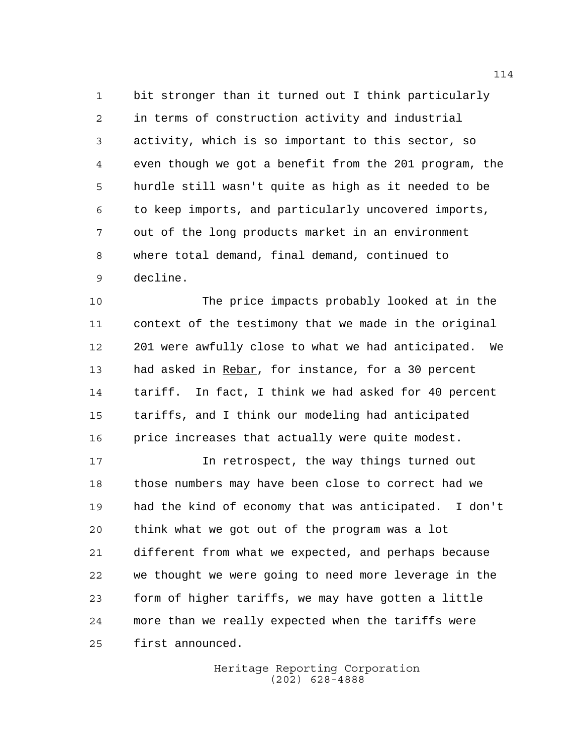bit stronger than it turned out I think particularly in terms of construction activity and industrial activity, which is so important to this sector, so even though we got a benefit from the 201 program, the hurdle still wasn't quite as high as it needed to be to keep imports, and particularly uncovered imports, out of the long products market in an environment where total demand, final demand, continued to decline.

 The price impacts probably looked at in the context of the testimony that we made in the original 201 were awfully close to what we had anticipated. We had asked in Rebar, for instance, for a 30 percent tariff. In fact, I think we had asked for 40 percent tariffs, and I think our modeling had anticipated price increases that actually were quite modest.

 In retrospect, the way things turned out those numbers may have been close to correct had we had the kind of economy that was anticipated. I don't think what we got out of the program was a lot different from what we expected, and perhaps because we thought we were going to need more leverage in the form of higher tariffs, we may have gotten a little more than we really expected when the tariffs were first announced.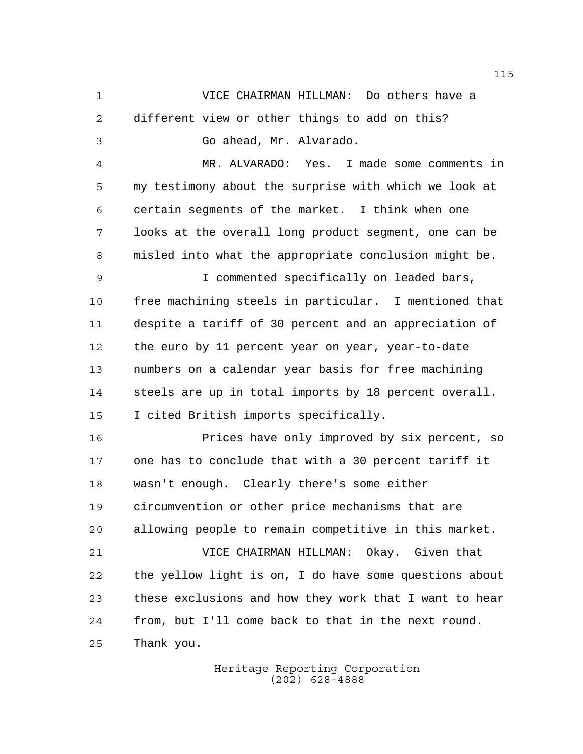VICE CHAIRMAN HILLMAN: Do others have a different view or other things to add on this? Go ahead, Mr. Alvarado. MR. ALVARADO: Yes. I made some comments in my testimony about the surprise with which we look at certain segments of the market. I think when one looks at the overall long product segment, one can be misled into what the appropriate conclusion might be. I commented specifically on leaded bars, free machining steels in particular. I mentioned that despite a tariff of 30 percent and an appreciation of the euro by 11 percent year on year, year-to-date numbers on a calendar year basis for free machining steels are up in total imports by 18 percent overall. I cited British imports specifically. Prices have only improved by six percent, so one has to conclude that with a 30 percent tariff it wasn't enough. Clearly there's some either circumvention or other price mechanisms that are allowing people to remain competitive in this market. VICE CHAIRMAN HILLMAN: Okay. Given that

 the yellow light is on, I do have some questions about these exclusions and how they work that I want to hear from, but I'll come back to that in the next round. Thank you.

> Heritage Reporting Corporation (202) 628-4888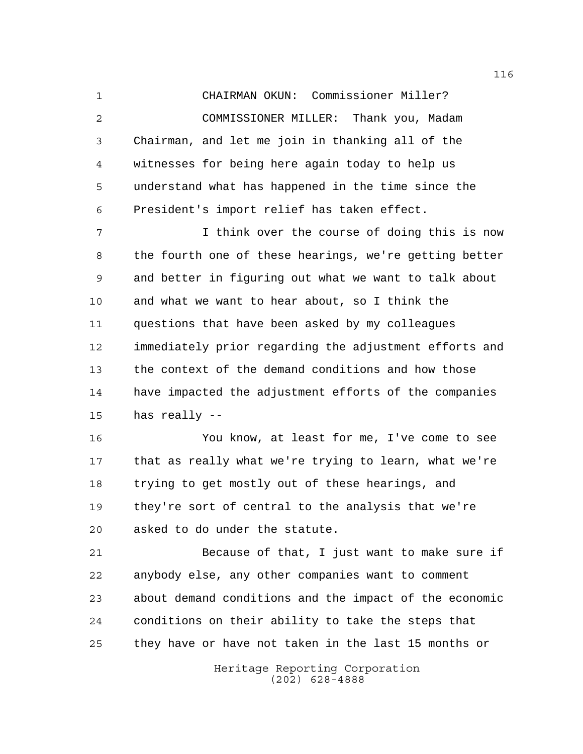CHAIRMAN OKUN: Commissioner Miller? COMMISSIONER MILLER: Thank you, Madam Chairman, and let me join in thanking all of the witnesses for being here again today to help us understand what has happened in the time since the President's import relief has taken effect.

 I think over the course of doing this is now the fourth one of these hearings, we're getting better and better in figuring out what we want to talk about and what we want to hear about, so I think the questions that have been asked by my colleagues immediately prior regarding the adjustment efforts and the context of the demand conditions and how those have impacted the adjustment efforts of the companies has really --

 You know, at least for me, I've come to see that as really what we're trying to learn, what we're trying to get mostly out of these hearings, and they're sort of central to the analysis that we're asked to do under the statute.

 Because of that, I just want to make sure if anybody else, any other companies want to comment about demand conditions and the impact of the economic conditions on their ability to take the steps that they have or have not taken in the last 15 months or

> Heritage Reporting Corporation (202) 628-4888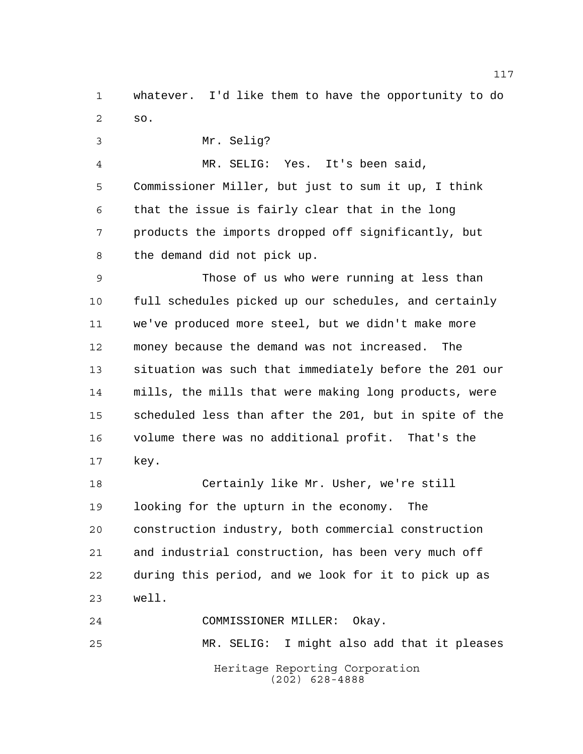whatever. I'd like them to have the opportunity to do so.

Mr. Selig?

 MR. SELIG: Yes. It's been said, Commissioner Miller, but just to sum it up, I think that the issue is fairly clear that in the long products the imports dropped off significantly, but

the demand did not pick up.

 Those of us who were running at less than full schedules picked up our schedules, and certainly we've produced more steel, but we didn't make more money because the demand was not increased. The situation was such that immediately before the 201 our mills, the mills that were making long products, were scheduled less than after the 201, but in spite of the volume there was no additional profit. That's the key.

 Certainly like Mr. Usher, we're still looking for the upturn in the economy. The construction industry, both commercial construction and industrial construction, has been very much off during this period, and we look for it to pick up as well.

Heritage Reporting Corporation (202) 628-4888 COMMISSIONER MILLER: Okay. MR. SELIG: I might also add that it pleases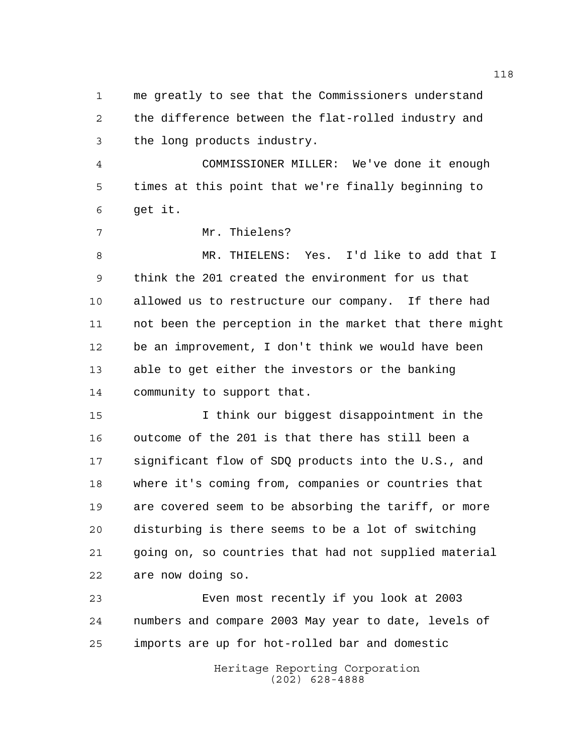me greatly to see that the Commissioners understand the difference between the flat-rolled industry and the long products industry.

 COMMISSIONER MILLER: We've done it enough times at this point that we're finally beginning to get it.

Mr. Thielens?

 MR. THIELENS: Yes. I'd like to add that I think the 201 created the environment for us that allowed us to restructure our company. If there had not been the perception in the market that there might be an improvement, I don't think we would have been able to get either the investors or the banking community to support that.

 I think our biggest disappointment in the outcome of the 201 is that there has still been a significant flow of SDQ products into the U.S., and where it's coming from, companies or countries that are covered seem to be absorbing the tariff, or more disturbing is there seems to be a lot of switching going on, so countries that had not supplied material are now doing so.

 Even most recently if you look at 2003 numbers and compare 2003 May year to date, levels of imports are up for hot-rolled bar and domestic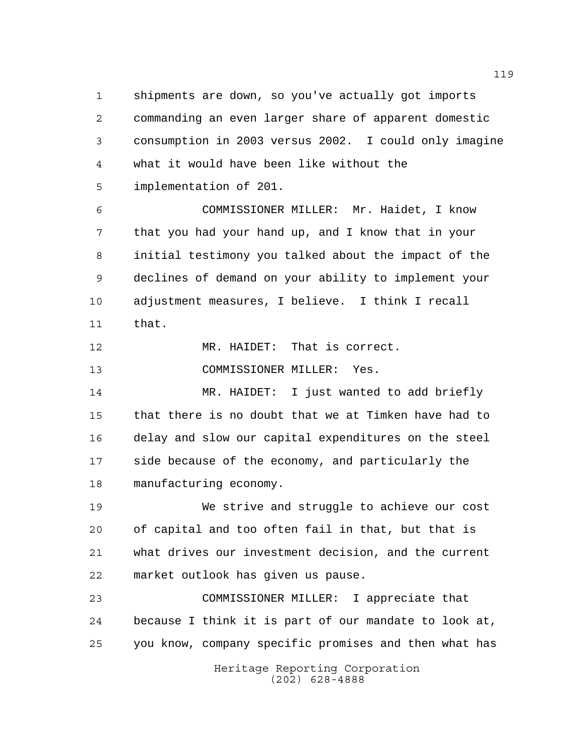shipments are down, so you've actually got imports commanding an even larger share of apparent domestic consumption in 2003 versus 2002. I could only imagine what it would have been like without the implementation of 201.

 COMMISSIONER MILLER: Mr. Haidet, I know that you had your hand up, and I know that in your initial testimony you talked about the impact of the declines of demand on your ability to implement your adjustment measures, I believe. I think I recall that.

 MR. HAIDET: That is correct. COMMISSIONER MILLER: Yes.

 MR. HAIDET: I just wanted to add briefly that there is no doubt that we at Timken have had to delay and slow our capital expenditures on the steel side because of the economy, and particularly the manufacturing economy.

 We strive and struggle to achieve our cost of capital and too often fail in that, but that is what drives our investment decision, and the current market outlook has given us pause.

 COMMISSIONER MILLER: I appreciate that because I think it is part of our mandate to look at, you know, company specific promises and then what has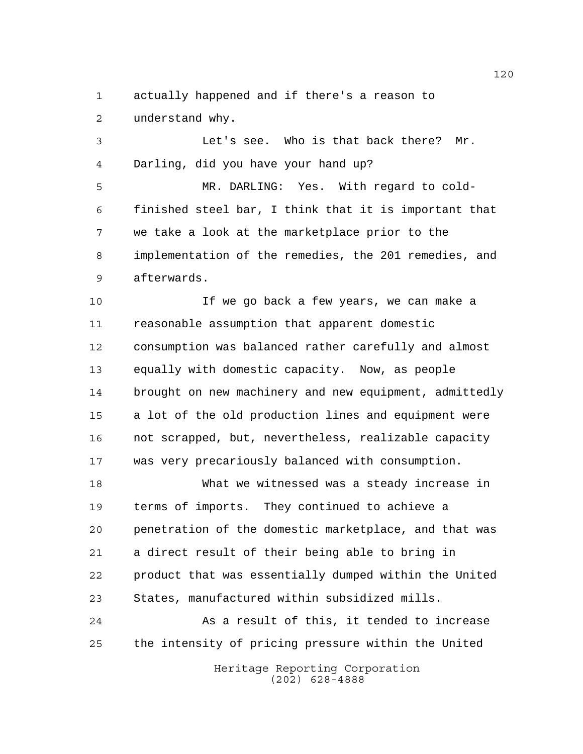actually happened and if there's a reason to understand why.

 Let's see. Who is that back there? Mr. Darling, did you have your hand up?

 MR. DARLING: Yes. With regard to cold- finished steel bar, I think that it is important that we take a look at the marketplace prior to the implementation of the remedies, the 201 remedies, and afterwards.

 If we go back a few years, we can make a reasonable assumption that apparent domestic consumption was balanced rather carefully and almost equally with domestic capacity. Now, as people brought on new machinery and new equipment, admittedly a lot of the old production lines and equipment were not scrapped, but, nevertheless, realizable capacity was very precariously balanced with consumption.

 What we witnessed was a steady increase in terms of imports. They continued to achieve a penetration of the domestic marketplace, and that was a direct result of their being able to bring in product that was essentially dumped within the United States, manufactured within subsidized mills.

24 As a result of this, it tended to increase the intensity of pricing pressure within the United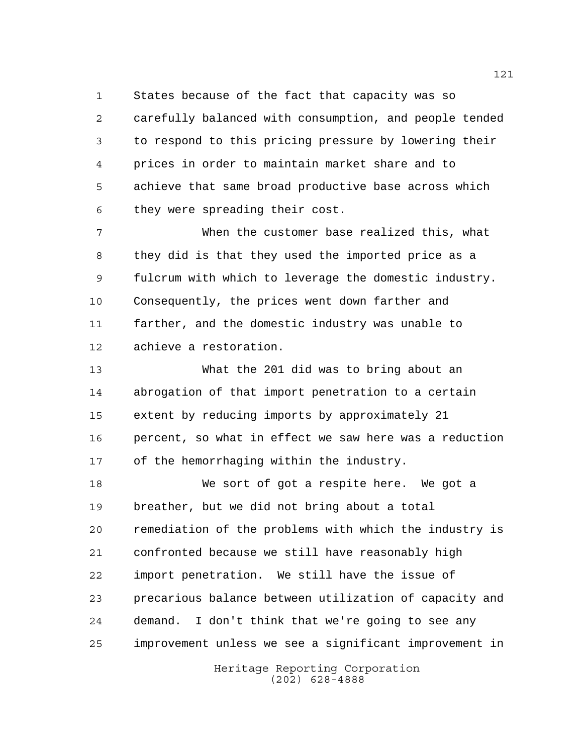States because of the fact that capacity was so carefully balanced with consumption, and people tended to respond to this pricing pressure by lowering their prices in order to maintain market share and to achieve that same broad productive base across which they were spreading their cost.

 When the customer base realized this, what they did is that they used the imported price as a fulcrum with which to leverage the domestic industry. Consequently, the prices went down farther and farther, and the domestic industry was unable to achieve a restoration.

 What the 201 did was to bring about an abrogation of that import penetration to a certain extent by reducing imports by approximately 21 percent, so what in effect we saw here was a reduction of the hemorrhaging within the industry.

 We sort of got a respite here. We got a breather, but we did not bring about a total remediation of the problems with which the industry is confronted because we still have reasonably high import penetration. We still have the issue of precarious balance between utilization of capacity and demand. I don't think that we're going to see any improvement unless we see a significant improvement in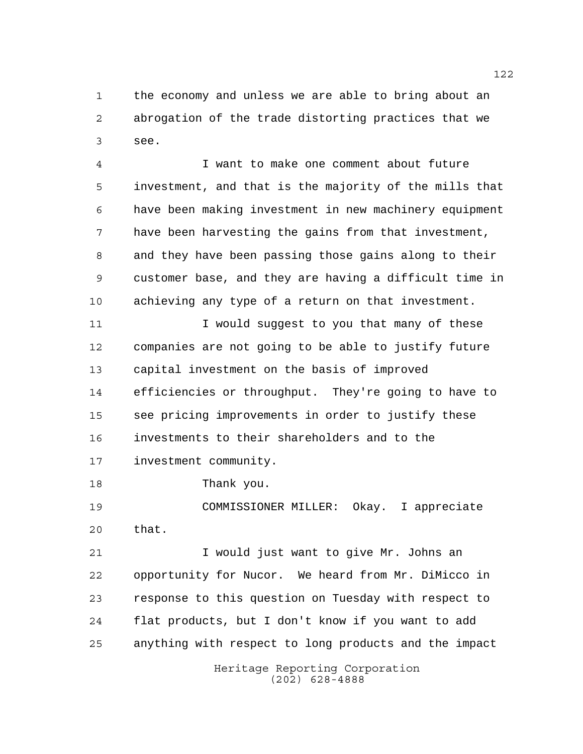the economy and unless we are able to bring about an abrogation of the trade distorting practices that we see.

 I want to make one comment about future investment, and that is the majority of the mills that have been making investment in new machinery equipment have been harvesting the gains from that investment, and they have been passing those gains along to their customer base, and they are having a difficult time in achieving any type of a return on that investment.

11 I would suggest to you that many of these companies are not going to be able to justify future capital investment on the basis of improved efficiencies or throughput. They're going to have to see pricing improvements in order to justify these investments to their shareholders and to the investment community.

Thank you.

 COMMISSIONER MILLER: Okay. I appreciate that.

 I would just want to give Mr. Johns an opportunity for Nucor. We heard from Mr. DiMicco in response to this question on Tuesday with respect to flat products, but I don't know if you want to add anything with respect to long products and the impact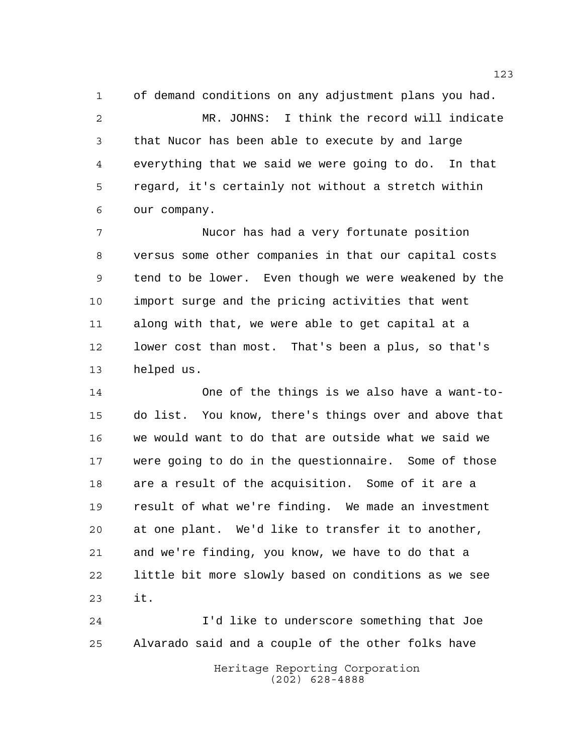of demand conditions on any adjustment plans you had. MR. JOHNS: I think the record will indicate that Nucor has been able to execute by and large everything that we said we were going to do. In that regard, it's certainly not without a stretch within our company.

 Nucor has had a very fortunate position versus some other companies in that our capital costs tend to be lower. Even though we were weakened by the import surge and the pricing activities that went along with that, we were able to get capital at a lower cost than most. That's been a plus, so that's helped us.

 One of the things is we also have a want-to- do list. You know, there's things over and above that we would want to do that are outside what we said we were going to do in the questionnaire. Some of those are a result of the acquisition. Some of it are a result of what we're finding. We made an investment at one plant. We'd like to transfer it to another, and we're finding, you know, we have to do that a little bit more slowly based on conditions as we see it.

Heritage Reporting Corporation I'd like to underscore something that Joe Alvarado said and a couple of the other folks have

(202) 628-4888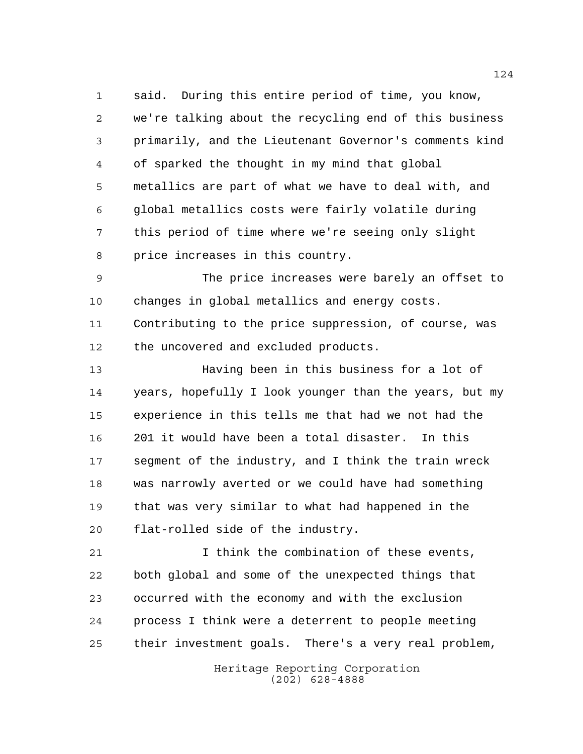said. During this entire period of time, you know, we're talking about the recycling end of this business primarily, and the Lieutenant Governor's comments kind of sparked the thought in my mind that global metallics are part of what we have to deal with, and global metallics costs were fairly volatile during this period of time where we're seeing only slight price increases in this country.

 The price increases were barely an offset to changes in global metallics and energy costs. Contributing to the price suppression, of course, was the uncovered and excluded products.

 Having been in this business for a lot of years, hopefully I look younger than the years, but my experience in this tells me that had we not had the 201 it would have been a total disaster. In this segment of the industry, and I think the train wreck was narrowly averted or we could have had something that was very similar to what had happened in the flat-rolled side of the industry.

 I think the combination of these events, both global and some of the unexpected things that occurred with the economy and with the exclusion process I think were a deterrent to people meeting their investment goals. There's a very real problem,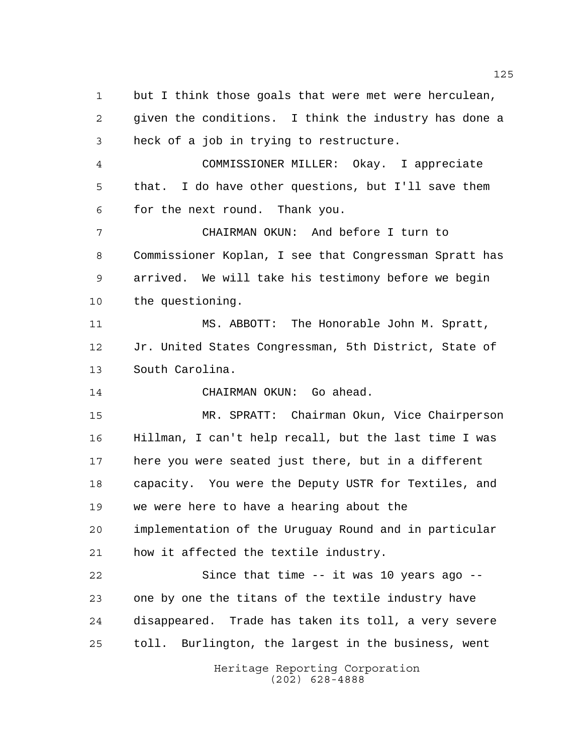Heritage Reporting Corporation (202) 628-4888 but I think those goals that were met were herculean, given the conditions. I think the industry has done a heck of a job in trying to restructure. COMMISSIONER MILLER: Okay. I appreciate that. I do have other questions, but I'll save them for the next round. Thank you. CHAIRMAN OKUN: And before I turn to Commissioner Koplan, I see that Congressman Spratt has arrived. We will take his testimony before we begin the questioning. MS. ABBOTT: The Honorable John M. Spratt, Jr. United States Congressman, 5th District, State of South Carolina. CHAIRMAN OKUN: Go ahead. MR. SPRATT: Chairman Okun, Vice Chairperson Hillman, I can't help recall, but the last time I was here you were seated just there, but in a different capacity. You were the Deputy USTR for Textiles, and we were here to have a hearing about the implementation of the Uruguay Round and in particular how it affected the textile industry. Since that time -- it was 10 years ago -- one by one the titans of the textile industry have disappeared. Trade has taken its toll, a very severe toll. Burlington, the largest in the business, went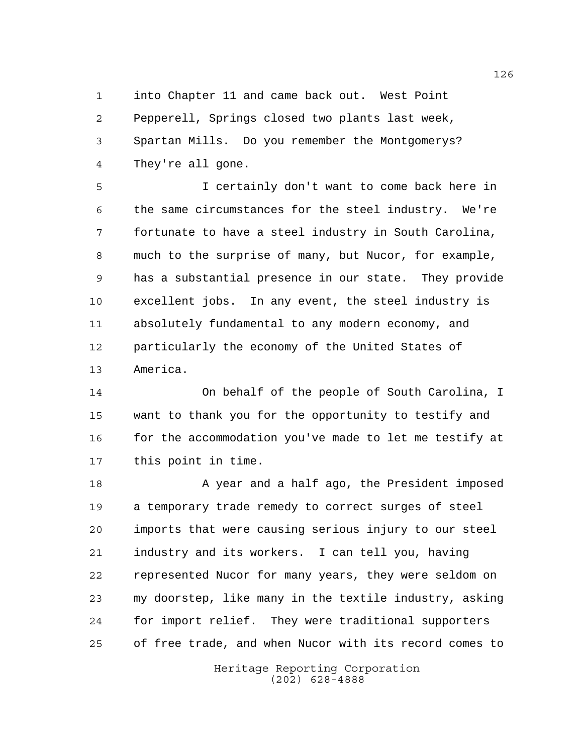into Chapter 11 and came back out. West Point Pepperell, Springs closed two plants last week, Spartan Mills. Do you remember the Montgomerys? They're all gone.

 I certainly don't want to come back here in the same circumstances for the steel industry. We're fortunate to have a steel industry in South Carolina, much to the surprise of many, but Nucor, for example, has a substantial presence in our state. They provide excellent jobs. In any event, the steel industry is absolutely fundamental to any modern economy, and particularly the economy of the United States of America.

 On behalf of the people of South Carolina, I want to thank you for the opportunity to testify and 16 for the accommodation you've made to let me testify at this point in time.

18 A year and a half ago, the President imposed a temporary trade remedy to correct surges of steel imports that were causing serious injury to our steel industry and its workers. I can tell you, having represented Nucor for many years, they were seldom on my doorstep, like many in the textile industry, asking for import relief. They were traditional supporters of free trade, and when Nucor with its record comes to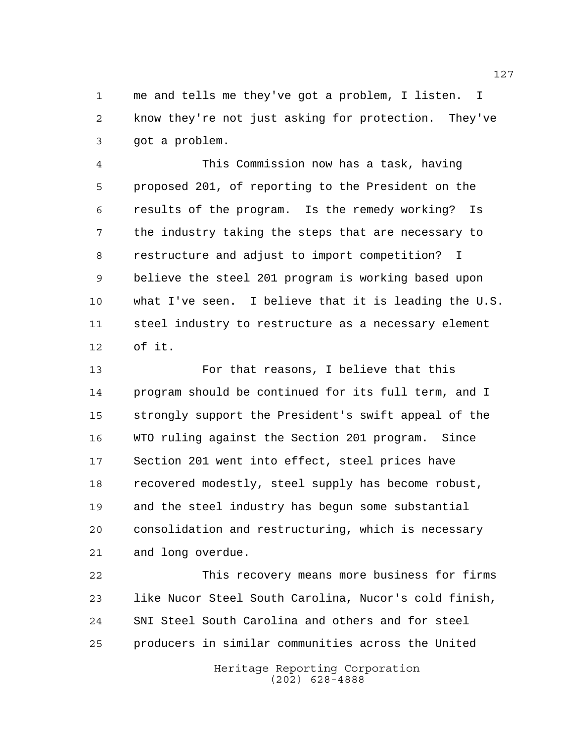me and tells me they've got a problem, I listen. I know they're not just asking for protection. They've got a problem.

 This Commission now has a task, having proposed 201, of reporting to the President on the results of the program. Is the remedy working? Is the industry taking the steps that are necessary to restructure and adjust to import competition? I believe the steel 201 program is working based upon what I've seen. I believe that it is leading the U.S. steel industry to restructure as a necessary element of it.

 For that reasons, I believe that this program should be continued for its full term, and I strongly support the President's swift appeal of the WTO ruling against the Section 201 program. Since Section 201 went into effect, steel prices have recovered modestly, steel supply has become robust, and the steel industry has begun some substantial consolidation and restructuring, which is necessary and long overdue.

 This recovery means more business for firms like Nucor Steel South Carolina, Nucor's cold finish, SNI Steel South Carolina and others and for steel producers in similar communities across the United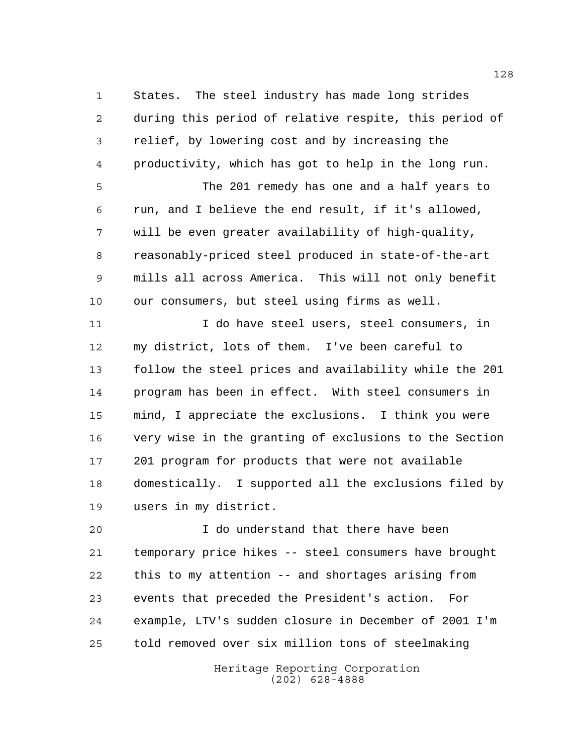States. The steel industry has made long strides during this period of relative respite, this period of relief, by lowering cost and by increasing the productivity, which has got to help in the long run. The 201 remedy has one and a half years to run, and I believe the end result, if it's allowed, will be even greater availability of high-quality, reasonably-priced steel produced in state-of-the-art mills all across America. This will not only benefit our consumers, but steel using firms as well. 11 12 I do have steel users, steel consumers, in my district, lots of them. I've been careful to follow the steel prices and availability while the 201 program has been in effect. With steel consumers in mind, I appreciate the exclusions. I think you were very wise in the granting of exclusions to the Section 201 program for products that were not available domestically. I supported all the exclusions filed by users in my district.

 I do understand that there have been temporary price hikes -- steel consumers have brought this to my attention -- and shortages arising from events that preceded the President's action. For example, LTV's sudden closure in December of 2001 I'm told removed over six million tons of steelmaking

> Heritage Reporting Corporation (202) 628-4888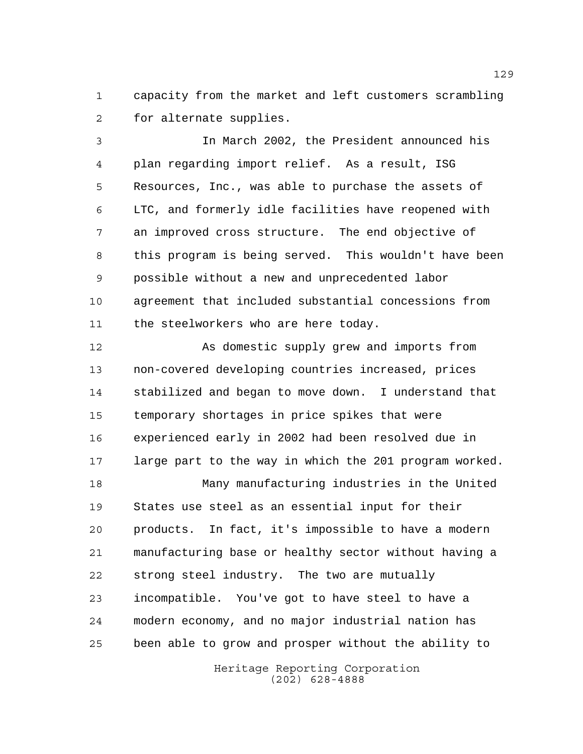capacity from the market and left customers scrambling for alternate supplies.

 In March 2002, the President announced his plan regarding import relief. As a result, ISG Resources, Inc., was able to purchase the assets of LTC, and formerly idle facilities have reopened with an improved cross structure. The end objective of this program is being served. This wouldn't have been possible without a new and unprecedented labor agreement that included substantial concessions from 11 the steelworkers who are here today.

12 As domestic supply grew and imports from non-covered developing countries increased, prices stabilized and began to move down. I understand that temporary shortages in price spikes that were experienced early in 2002 had been resolved due in large part to the way in which the 201 program worked.

 Many manufacturing industries in the United States use steel as an essential input for their products. In fact, it's impossible to have a modern manufacturing base or healthy sector without having a strong steel industry. The two are mutually incompatible. You've got to have steel to have a modern economy, and no major industrial nation has been able to grow and prosper without the ability to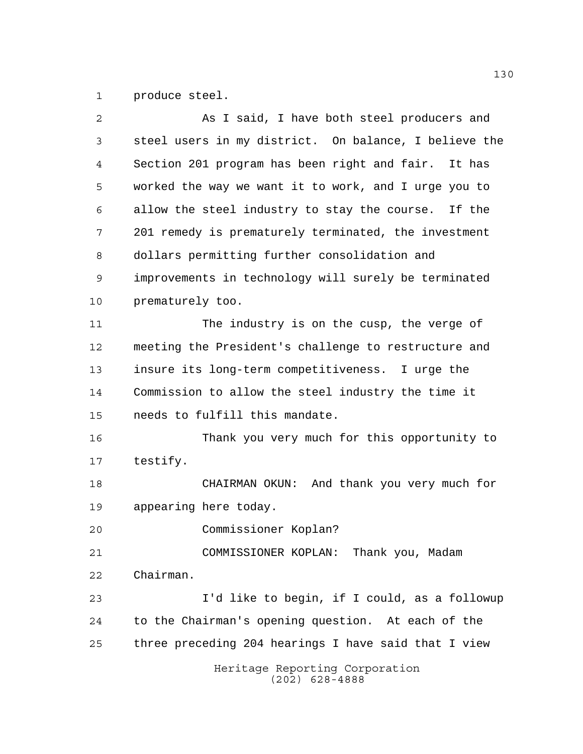produce steel.

| $\overline{2}$ | As I said, I have both steel producers and            |
|----------------|-------------------------------------------------------|
| 3              | steel users in my district. On balance, I believe the |
| 4              | Section 201 program has been right and fair. It has   |
| 5              | worked the way we want it to work, and I urge you to  |
| 6              | allow the steel industry to stay the course. If the   |
| 7              | 201 remedy is prematurely terminated, the investment  |
| 8              | dollars permitting further consolidation and          |
| 9              | improvements in technology will surely be terminated  |
| 10             | prematurely too.                                      |
| 11             | The industry is on the cusp, the verge of             |
| 12             | meeting the President's challenge to restructure and  |
| 13             | insure its long-term competitiveness. I urge the      |
| 14             | Commission to allow the steel industry the time it    |
| 15             | needs to fulfill this mandate.                        |
| 16             | Thank you very much for this opportunity to           |
| 17             | testify.                                              |
| 18             | CHAIRMAN OKUN: And thank you very much for            |
| 19             | appearing here today.                                 |
| 20             | Commissioner Koplan?                                  |
| 21             | COMMISSIONER KOPLAN: Thank you, Madam                 |
| 22             | Chairman.                                             |
| 23             | I'd like to begin, if I could, as a followup          |
| 24             | to the Chairman's opening question. At each of the    |
| 25             | three preceding 204 hearings I have said that I view  |
|                | Heritage Reporting Corporation<br>$(202)$ 628-4888    |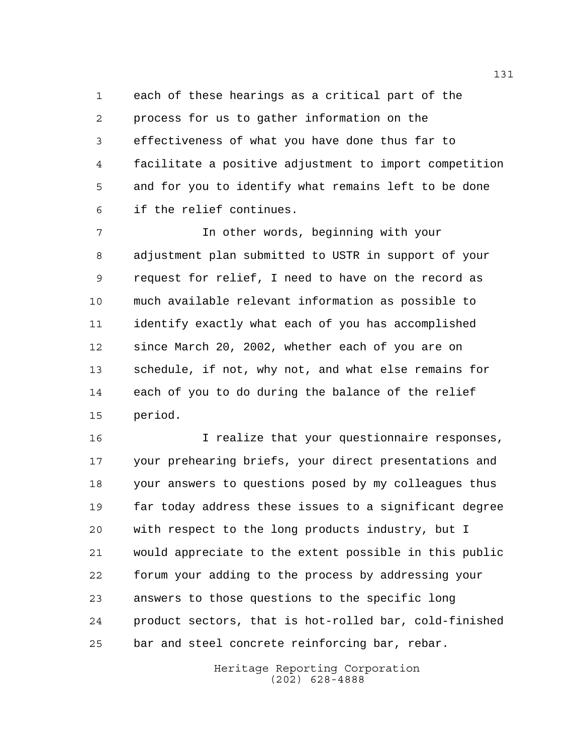each of these hearings as a critical part of the process for us to gather information on the effectiveness of what you have done thus far to facilitate a positive adjustment to import competition and for you to identify what remains left to be done if the relief continues.

 In other words, beginning with your adjustment plan submitted to USTR in support of your request for relief, I need to have on the record as much available relevant information as possible to identify exactly what each of you has accomplished since March 20, 2002, whether each of you are on schedule, if not, why not, and what else remains for each of you to do during the balance of the relief period.

 I realize that your questionnaire responses, your prehearing briefs, your direct presentations and your answers to questions posed by my colleagues thus far today address these issues to a significant degree with respect to the long products industry, but I would appreciate to the extent possible in this public forum your adding to the process by addressing your answers to those questions to the specific long product sectors, that is hot-rolled bar, cold-finished bar and steel concrete reinforcing bar, rebar.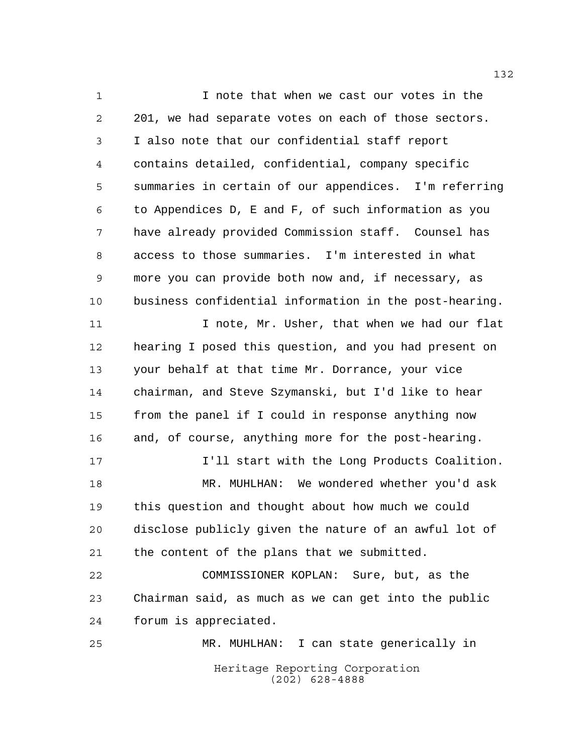Heritage Reporting Corporation 1 1 I note that when we cast our votes in the 201, we had separate votes on each of those sectors. I also note that our confidential staff report contains detailed, confidential, company specific summaries in certain of our appendices. I'm referring to Appendices D, E and F, of such information as you have already provided Commission staff. Counsel has access to those summaries. I'm interested in what more you can provide both now and, if necessary, as business confidential information in the post-hearing. 11 11 I note, Mr. Usher, that when we had our flat hearing I posed this question, and you had present on your behalf at that time Mr. Dorrance, your vice chairman, and Steve Szymanski, but I'd like to hear from the panel if I could in response anything now and, of course, anything more for the post-hearing. I'll start with the Long Products Coalition. MR. MUHLHAN: We wondered whether you'd ask this question and thought about how much we could disclose publicly given the nature of an awful lot of the content of the plans that we submitted. COMMISSIONER KOPLAN: Sure, but, as the Chairman said, as much as we can get into the public forum is appreciated. MR. MUHLHAN: I can state generically in

(202) 628-4888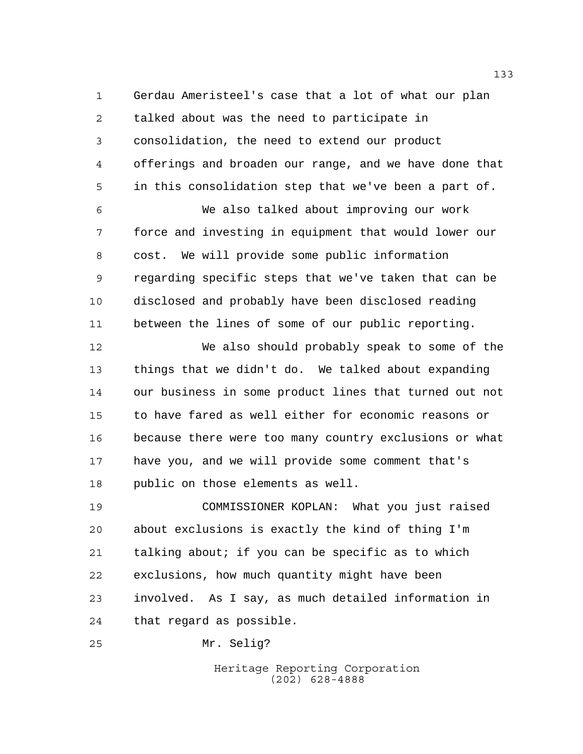Gerdau Ameristeel's case that a lot of what our plan talked about was the need to participate in consolidation, the need to extend our product offerings and broaden our range, and we have done that in this consolidation step that we've been a part of.

 We also talked about improving our work force and investing in equipment that would lower our cost. We will provide some public information regarding specific steps that we've taken that can be disclosed and probably have been disclosed reading between the lines of some of our public reporting.

 We also should probably speak to some of the things that we didn't do. We talked about expanding our business in some product lines that turned out not to have fared as well either for economic reasons or because there were too many country exclusions or what have you, and we will provide some comment that's public on those elements as well.

 COMMISSIONER KOPLAN: What you just raised about exclusions is exactly the kind of thing I'm talking about; if you can be specific as to which exclusions, how much quantity might have been involved. As I say, as much detailed information in that regard as possible.

Mr. Selig?

Heritage Reporting Corporation (202) 628-4888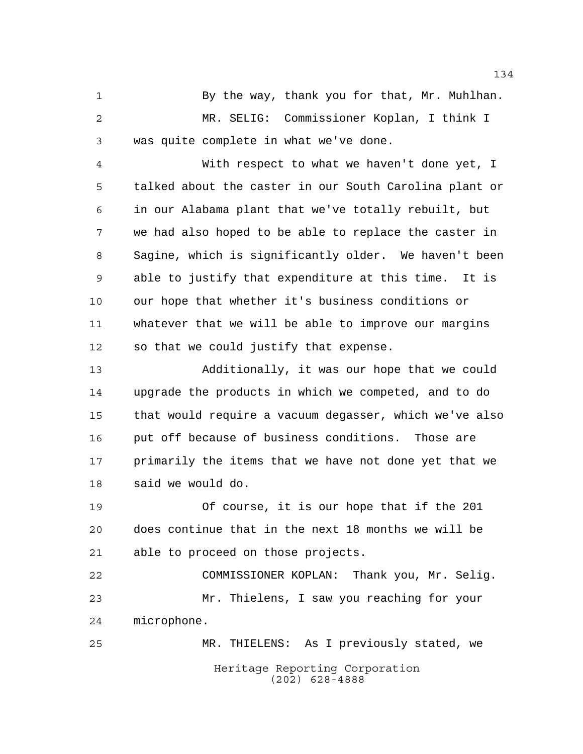1 By the way, thank you for that, Mr. Muhlhan. MR. SELIG: Commissioner Koplan, I think I was quite complete in what we've done.

 With respect to what we haven't done yet, I talked about the caster in our South Carolina plant or in our Alabama plant that we've totally rebuilt, but we had also hoped to be able to replace the caster in Sagine, which is significantly older. We haven't been able to justify that expenditure at this time. It is our hope that whether it's business conditions or whatever that we will be able to improve our margins so that we could justify that expense.

 Additionally, it was our hope that we could upgrade the products in which we competed, and to do that would require a vacuum degasser, which we've also put off because of business conditions. Those are primarily the items that we have not done yet that we said we would do.

 Of course, it is our hope that if the 201 does continue that in the next 18 months we will be able to proceed on those projects.

 COMMISSIONER KOPLAN: Thank you, Mr. Selig. Mr. Thielens, I saw you reaching for your microphone.

Heritage Reporting Corporation (202) 628-4888 MR. THIELENS: As I previously stated, we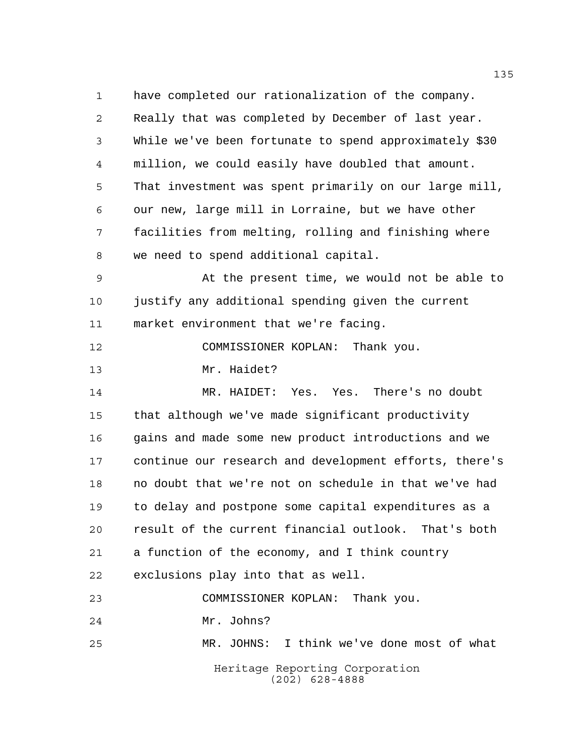have completed our rationalization of the company. Really that was completed by December of last year. While we've been fortunate to spend approximately \$30 million, we could easily have doubled that amount. That investment was spent primarily on our large mill, our new, large mill in Lorraine, but we have other facilities from melting, rolling and finishing where we need to spend additional capital.

 At the present time, we would not be able to justify any additional spending given the current market environment that we're facing.

COMMISSIONER KOPLAN: Thank you.

Mr. Haidet?

 MR. HAIDET: Yes. Yes. There's no doubt that although we've made significant productivity gains and made some new product introductions and we continue our research and development efforts, there's no doubt that we're not on schedule in that we've had to delay and postpone some capital expenditures as a result of the current financial outlook. That's both a function of the economy, and I think country exclusions play into that as well. COMMISSIONER KOPLAN: Thank you.

Mr. Johns?

Heritage Reporting Corporation (202) 628-4888 MR. JOHNS: I think we've done most of what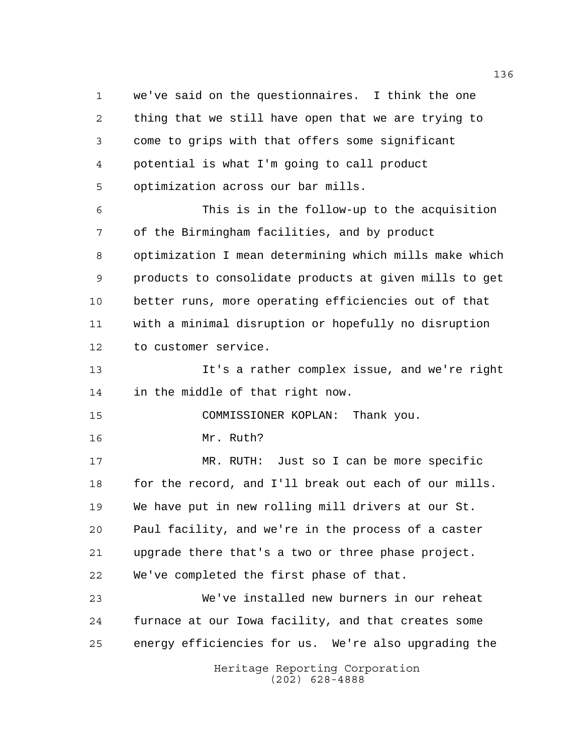we've said on the questionnaires. I think the one thing that we still have open that we are trying to come to grips with that offers some significant potential is what I'm going to call product optimization across our bar mills. This is in the follow-up to the acquisition of the Birmingham facilities, and by product optimization I mean determining which mills make which products to consolidate products at given mills to get better runs, more operating efficiencies out of that with a minimal disruption or hopefully no disruption to customer service. It's a rather complex issue, and we're right in the middle of that right now. COMMISSIONER KOPLAN: Thank you. Mr. Ruth? MR. RUTH: Just so I can be more specific 18 for the record, and I'll break out each of our mills. We have put in new rolling mill drivers at our St. Paul facility, and we're in the process of a caster upgrade there that's a two or three phase project. We've completed the first phase of that.

 We've installed new burners in our reheat furnace at our Iowa facility, and that creates some energy efficiencies for us. We're also upgrading the

> Heritage Reporting Corporation (202) 628-4888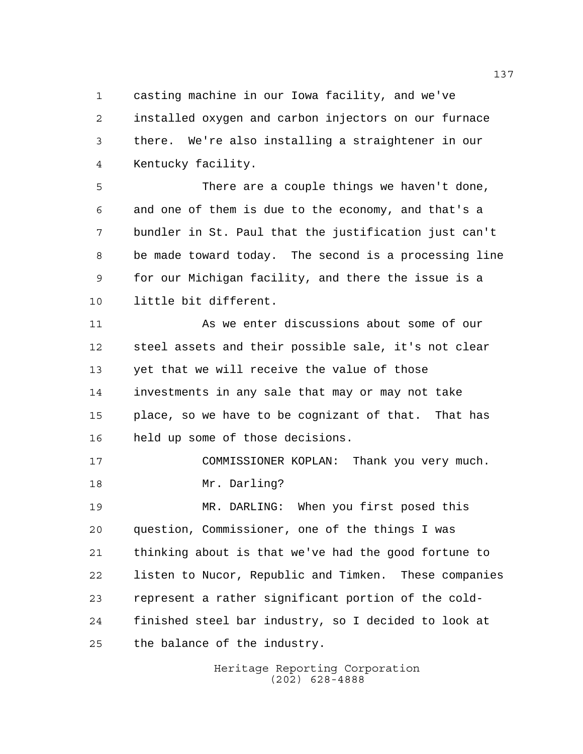casting machine in our Iowa facility, and we've installed oxygen and carbon injectors on our furnace there. We're also installing a straightener in our Kentucky facility.

 There are a couple things we haven't done, and one of them is due to the economy, and that's a bundler in St. Paul that the justification just can't be made toward today. The second is a processing line for our Michigan facility, and there the issue is a little bit different.

 As we enter discussions about some of our steel assets and their possible sale, it's not clear yet that we will receive the value of those investments in any sale that may or may not take place, so we have to be cognizant of that. That has held up some of those decisions.

 COMMISSIONER KOPLAN: Thank you very much. Mr. Darling?

 MR. DARLING: When you first posed this question, Commissioner, one of the things I was thinking about is that we've had the good fortune to listen to Nucor, Republic and Timken. These companies represent a rather significant portion of the cold- finished steel bar industry, so I decided to look at the balance of the industry.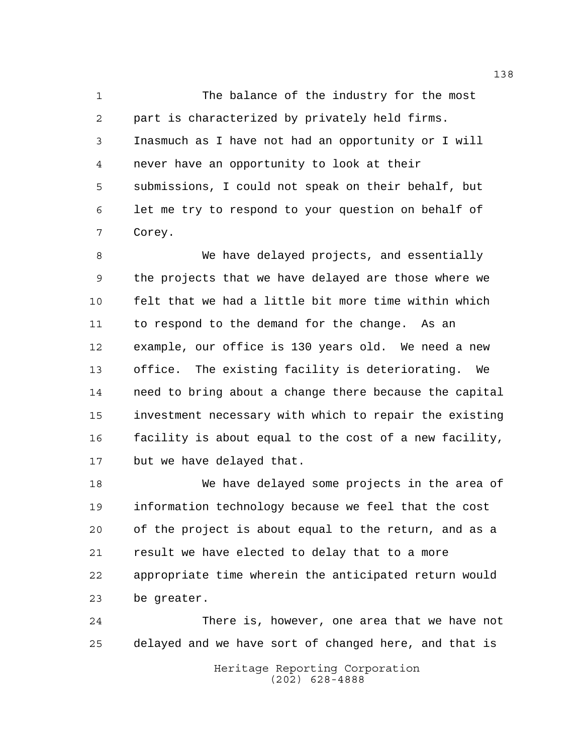The balance of the industry for the most part is characterized by privately held firms. Inasmuch as I have not had an opportunity or I will never have an opportunity to look at their submissions, I could not speak on their behalf, but let me try to respond to your question on behalf of Corey.

 We have delayed projects, and essentially the projects that we have delayed are those where we felt that we had a little bit more time within which to respond to the demand for the change. As an example, our office is 130 years old. We need a new office. The existing facility is deteriorating. We need to bring about a change there because the capital investment necessary with which to repair the existing facility is about equal to the cost of a new facility, but we have delayed that.

 We have delayed some projects in the area of information technology because we feel that the cost of the project is about equal to the return, and as a result we have elected to delay that to a more appropriate time wherein the anticipated return would be greater.

 There is, however, one area that we have not delayed and we have sort of changed here, and that is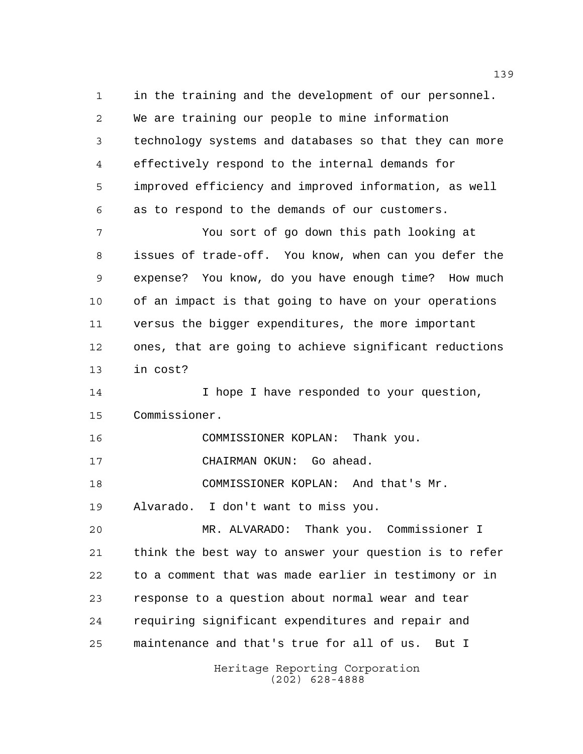in the training and the development of our personnel. We are training our people to mine information technology systems and databases so that they can more effectively respond to the internal demands for improved efficiency and improved information, as well as to respond to the demands of our customers. You sort of go down this path looking at issues of trade-off. You know, when can you defer the expense? You know, do you have enough time? How much of an impact is that going to have on your operations versus the bigger expenditures, the more important ones, that are going to achieve significant reductions in cost? 14 14 I hope I have responded to your question, Commissioner. COMMISSIONER KOPLAN: Thank you. CHAIRMAN OKUN: Go ahead. COMMISSIONER KOPLAN: And that's Mr. Alvarado. I don't want to miss you. MR. ALVARADO: Thank you. Commissioner I think the best way to answer your question is to refer to a comment that was made earlier in testimony or in response to a question about normal wear and tear requiring significant expenditures and repair and maintenance and that's true for all of us. But I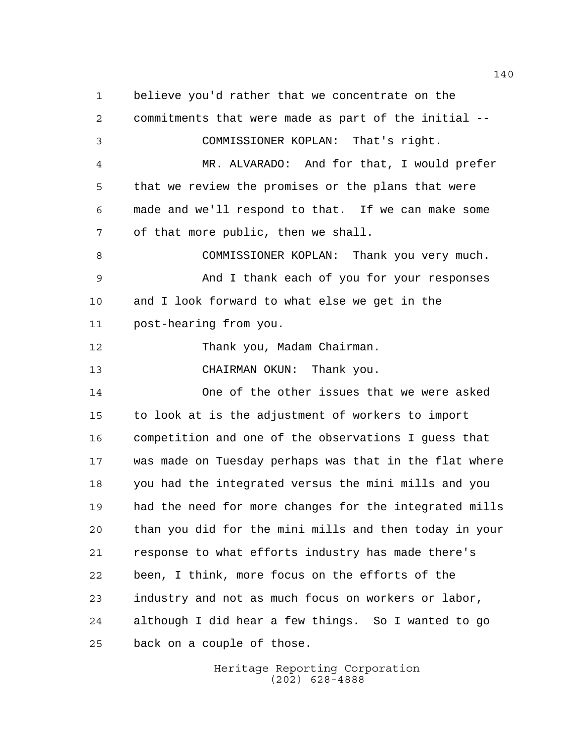believe you'd rather that we concentrate on the commitments that were made as part of the initial -- COMMISSIONER KOPLAN: That's right. MR. ALVARADO: And for that, I would prefer that we review the promises or the plans that were made and we'll respond to that. If we can make some of that more public, then we shall. COMMISSIONER KOPLAN: Thank you very much. And I thank each of you for your responses and I look forward to what else we get in the post-hearing from you. Thank you, Madam Chairman. CHAIRMAN OKUN: Thank you. One of the other issues that we were asked to look at is the adjustment of workers to import competition and one of the observations I guess that was made on Tuesday perhaps was that in the flat where you had the integrated versus the mini mills and you had the need for more changes for the integrated mills than you did for the mini mills and then today in your response to what efforts industry has made there's been, I think, more focus on the efforts of the industry and not as much focus on workers or labor, although I did hear a few things. So I wanted to go back on a couple of those.

> Heritage Reporting Corporation (202) 628-4888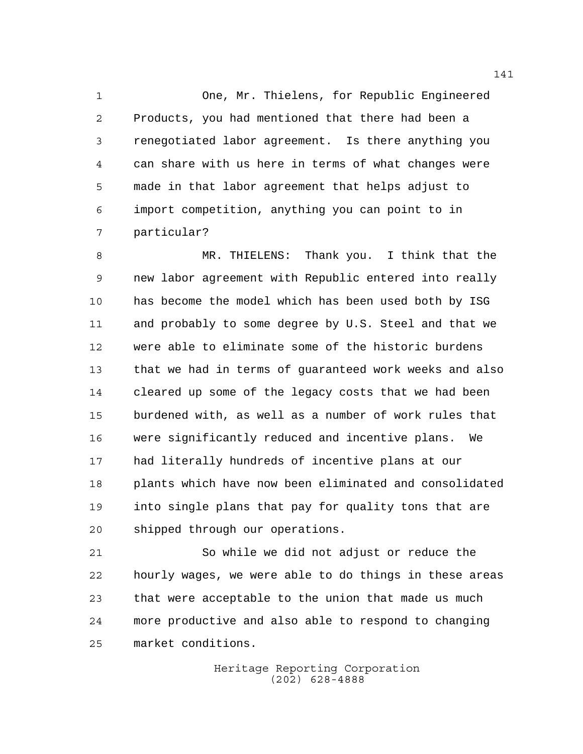One, Mr. Thielens, for Republic Engineered Products, you had mentioned that there had been a renegotiated labor agreement. Is there anything you can share with us here in terms of what changes were made in that labor agreement that helps adjust to import competition, anything you can point to in particular?

 MR. THIELENS: Thank you. I think that the new labor agreement with Republic entered into really has become the model which has been used both by ISG and probably to some degree by U.S. Steel and that we were able to eliminate some of the historic burdens that we had in terms of guaranteed work weeks and also cleared up some of the legacy costs that we had been burdened with, as well as a number of work rules that were significantly reduced and incentive plans. We had literally hundreds of incentive plans at our plants which have now been eliminated and consolidated into single plans that pay for quality tons that are shipped through our operations.

 So while we did not adjust or reduce the hourly wages, we were able to do things in these areas that were acceptable to the union that made us much more productive and also able to respond to changing market conditions.

> Heritage Reporting Corporation (202) 628-4888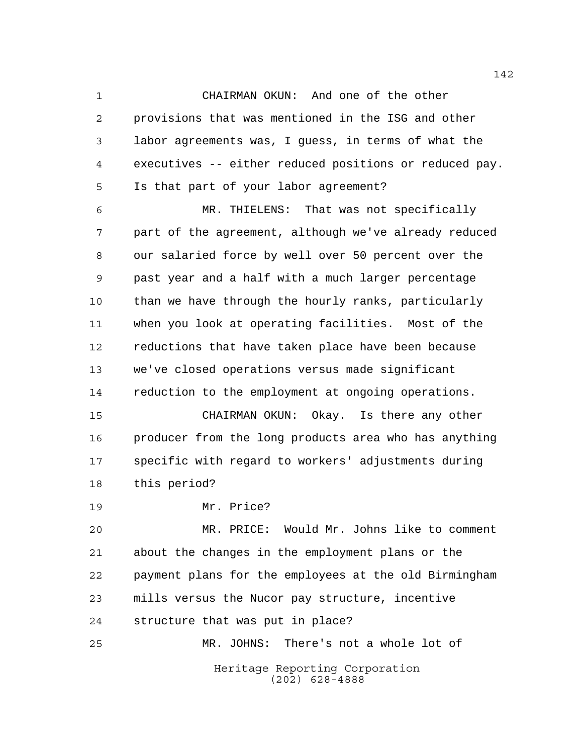CHAIRMAN OKUN: And one of the other provisions that was mentioned in the ISG and other labor agreements was, I guess, in terms of what the executives -- either reduced positions or reduced pay. Is that part of your labor agreement?

 MR. THIELENS: That was not specifically part of the agreement, although we've already reduced our salaried force by well over 50 percent over the past year and a half with a much larger percentage than we have through the hourly ranks, particularly when you look at operating facilities. Most of the reductions that have taken place have been because we've closed operations versus made significant reduction to the employment at ongoing operations.

 CHAIRMAN OKUN: Okay. Is there any other producer from the long products area who has anything specific with regard to workers' adjustments during this period?

Mr. Price?

 MR. PRICE: Would Mr. Johns like to comment about the changes in the employment plans or the payment plans for the employees at the old Birmingham mills versus the Nucor pay structure, incentive structure that was put in place?

Heritage Reporting Corporation (202) 628-4888 MR. JOHNS: There's not a whole lot of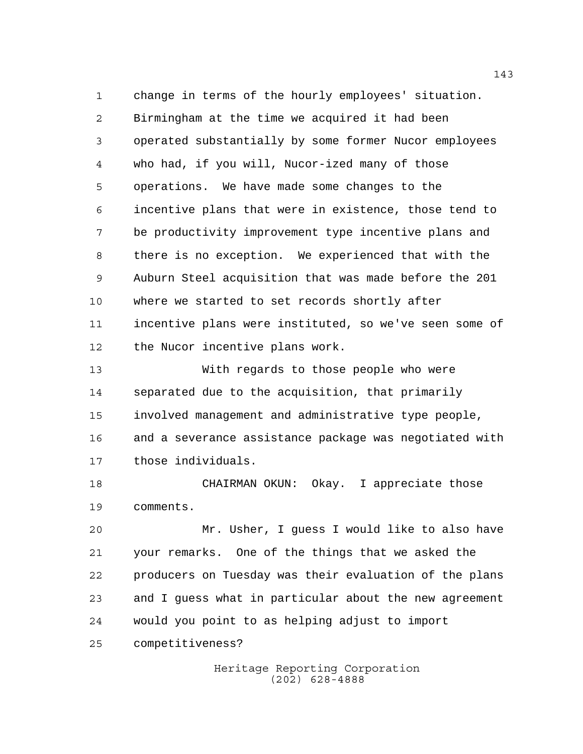change in terms of the hourly employees' situation. Birmingham at the time we acquired it had been operated substantially by some former Nucor employees who had, if you will, Nucor-ized many of those operations. We have made some changes to the incentive plans that were in existence, those tend to be productivity improvement type incentive plans and there is no exception. We experienced that with the Auburn Steel acquisition that was made before the 201 where we started to set records shortly after incentive plans were instituted, so we've seen some of the Nucor incentive plans work.

 With regards to those people who were separated due to the acquisition, that primarily involved management and administrative type people, and a severance assistance package was negotiated with those individuals.

 CHAIRMAN OKUN: Okay. I appreciate those comments.

 Mr. Usher, I guess I would like to also have your remarks. One of the things that we asked the producers on Tuesday was their evaluation of the plans and I guess what in particular about the new agreement would you point to as helping adjust to import

competitiveness?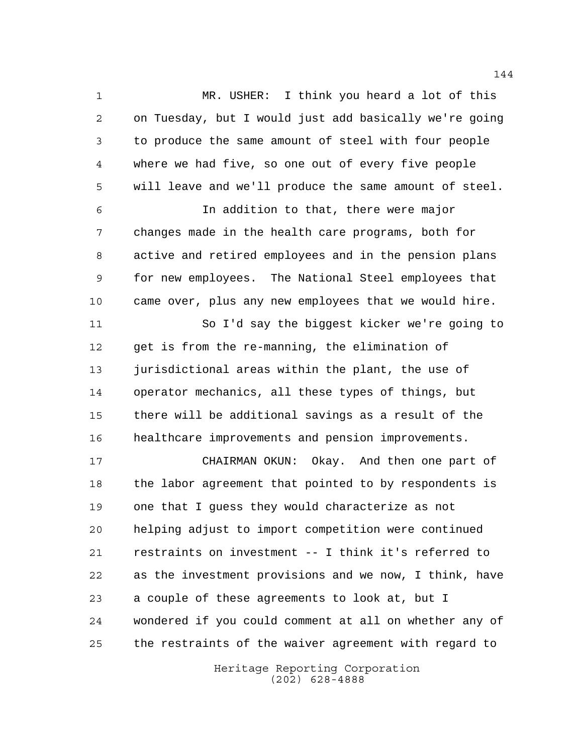MR. USHER: I think you heard a lot of this on Tuesday, but I would just add basically we're going to produce the same amount of steel with four people where we had five, so one out of every five people will leave and we'll produce the same amount of steel. In addition to that, there were major changes made in the health care programs, both for active and retired employees and in the pension plans for new employees. The National Steel employees that came over, plus any new employees that we would hire. So I'd say the biggest kicker we're going to get is from the re-manning, the elimination of jurisdictional areas within the plant, the use of operator mechanics, all these types of things, but

 there will be additional savings as a result of the healthcare improvements and pension improvements.

 CHAIRMAN OKUN: Okay. And then one part of the labor agreement that pointed to by respondents is one that I guess they would characterize as not helping adjust to import competition were continued restraints on investment -- I think it's referred to as the investment provisions and we now, I think, have a couple of these agreements to look at, but I wondered if you could comment at all on whether any of the restraints of the waiver agreement with regard to

> Heritage Reporting Corporation (202) 628-4888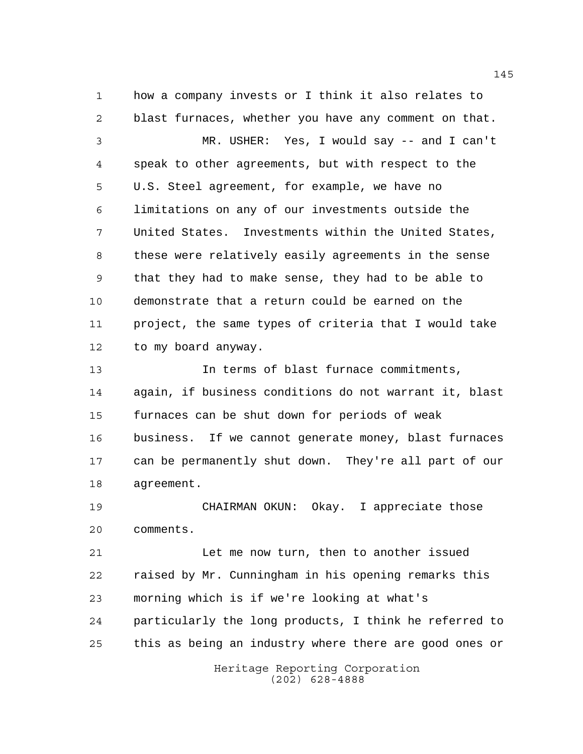how a company invests or I think it also relates to blast furnaces, whether you have any comment on that.

 MR. USHER: Yes, I would say -- and I can't speak to other agreements, but with respect to the U.S. Steel agreement, for example, we have no limitations on any of our investments outside the United States. Investments within the United States, these were relatively easily agreements in the sense that they had to make sense, they had to be able to demonstrate that a return could be earned on the project, the same types of criteria that I would take to my board anyway.

 In terms of blast furnace commitments, again, if business conditions do not warrant it, blast furnaces can be shut down for periods of weak business. If we cannot generate money, blast furnaces can be permanently shut down. They're all part of our agreement.

 CHAIRMAN OKUN: Okay. I appreciate those comments.

 Let me now turn, then to another issued raised by Mr. Cunningham in his opening remarks this morning which is if we're looking at what's particularly the long products, I think he referred to this as being an industry where there are good ones or

> Heritage Reporting Corporation (202) 628-4888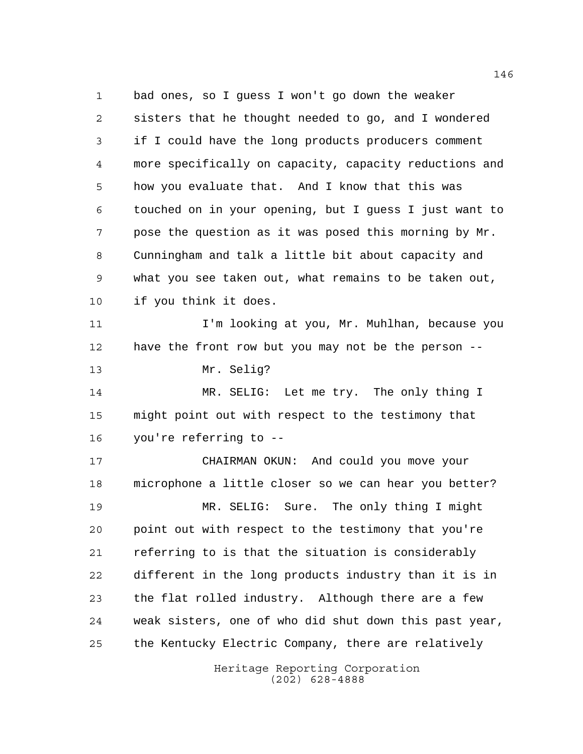Heritage Reporting Corporation bad ones, so I guess I won't go down the weaker sisters that he thought needed to go, and I wondered if I could have the long products producers comment more specifically on capacity, capacity reductions and how you evaluate that. And I know that this was touched on in your opening, but I guess I just want to pose the question as it was posed this morning by Mr. Cunningham and talk a little bit about capacity and what you see taken out, what remains to be taken out, if you think it does. I'm looking at you, Mr. Muhlhan, because you have the front row but you may not be the person -- Mr. Selig? 14 MR. SELIG: Let me try. The only thing I might point out with respect to the testimony that you're referring to -- CHAIRMAN OKUN: And could you move your microphone a little closer so we can hear you better? MR. SELIG: Sure. The only thing I might point out with respect to the testimony that you're referring to is that the situation is considerably different in the long products industry than it is in the flat rolled industry. Although there are a few weak sisters, one of who did shut down this past year, the Kentucky Electric Company, there are relatively

(202) 628-4888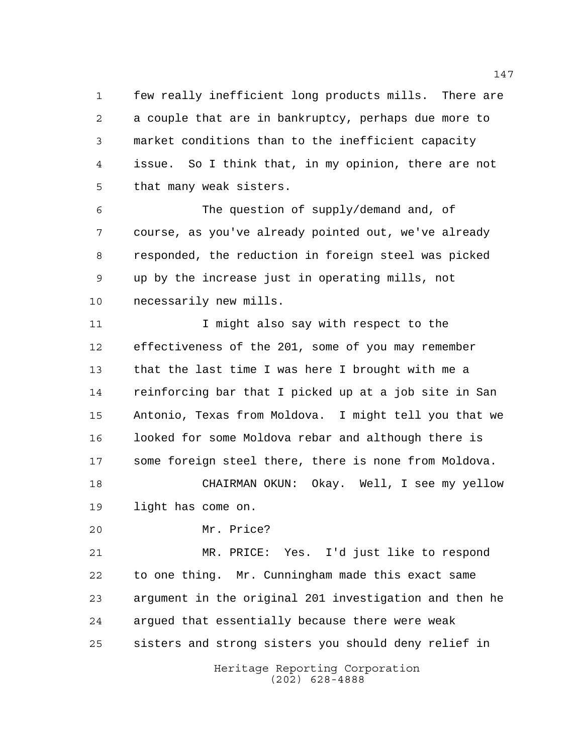few really inefficient long products mills. There are a couple that are in bankruptcy, perhaps due more to market conditions than to the inefficient capacity issue. So I think that, in my opinion, there are not that many weak sisters.

 The question of supply/demand and, of course, as you've already pointed out, we've already responded, the reduction in foreign steel was picked up by the increase just in operating mills, not necessarily new mills.

11 11 I might also say with respect to the effectiveness of the 201, some of you may remember that the last time I was here I brought with me a reinforcing bar that I picked up at a job site in San Antonio, Texas from Moldova. I might tell you that we looked for some Moldova rebar and although there is some foreign steel there, there is none from Moldova. CHAIRMAN OKUN: Okay. Well, I see my yellow

light has come on.

Mr. Price?

 MR. PRICE: Yes. I'd just like to respond to one thing. Mr. Cunningham made this exact same argument in the original 201 investigation and then he argued that essentially because there were weak sisters and strong sisters you should deny relief in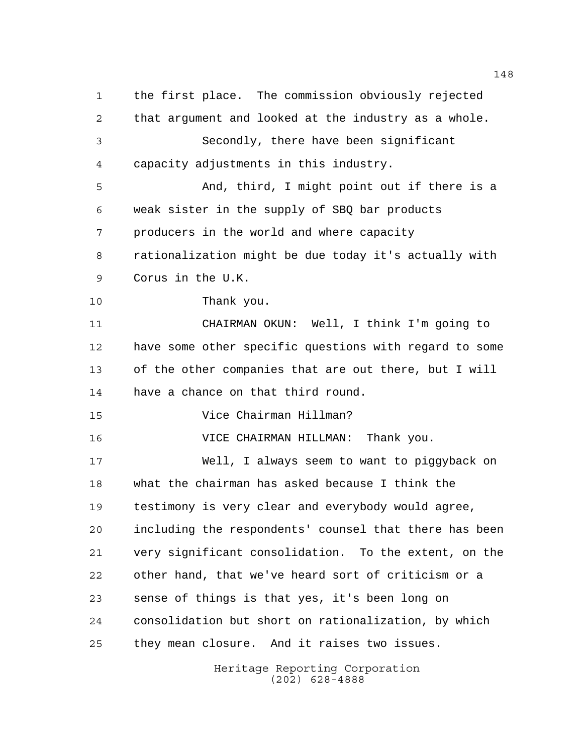the first place. The commission obviously rejected that argument and looked at the industry as a whole. Secondly, there have been significant capacity adjustments in this industry. And, third, I might point out if there is a weak sister in the supply of SBQ bar products producers in the world and where capacity rationalization might be due today it's actually with Corus in the U.K. Thank you. CHAIRMAN OKUN: Well, I think I'm going to have some other specific questions with regard to some of the other companies that are out there, but I will have a chance on that third round. Vice Chairman Hillman? VICE CHAIRMAN HILLMAN: Thank you. Well, I always seem to want to piggyback on what the chairman has asked because I think the testimony is very clear and everybody would agree, including the respondents' counsel that there has been very significant consolidation. To the extent, on the other hand, that we've heard sort of criticism or a sense of things is that yes, it's been long on consolidation but short on rationalization, by which they mean closure. And it raises two issues.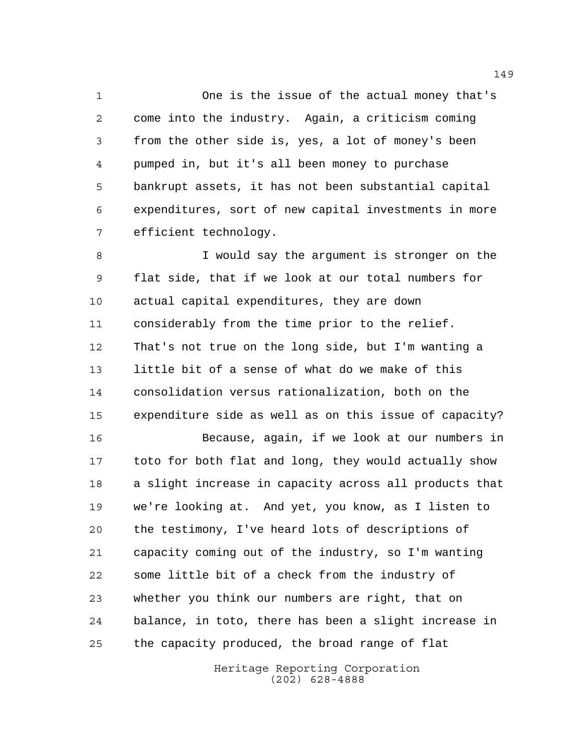One is the issue of the actual money that's come into the industry. Again, a criticism coming from the other side is, yes, a lot of money's been pumped in, but it's all been money to purchase bankrupt assets, it has not been substantial capital expenditures, sort of new capital investments in more efficient technology.

 I would say the argument is stronger on the flat side, that if we look at our total numbers for actual capital expenditures, they are down considerably from the time prior to the relief. That's not true on the long side, but I'm wanting a little bit of a sense of what do we make of this consolidation versus rationalization, both on the expenditure side as well as on this issue of capacity? Because, again, if we look at our numbers in toto for both flat and long, they would actually show

 a slight increase in capacity across all products that we're looking at. And yet, you know, as I listen to the testimony, I've heard lots of descriptions of capacity coming out of the industry, so I'm wanting some little bit of a check from the industry of whether you think our numbers are right, that on balance, in toto, there has been a slight increase in the capacity produced, the broad range of flat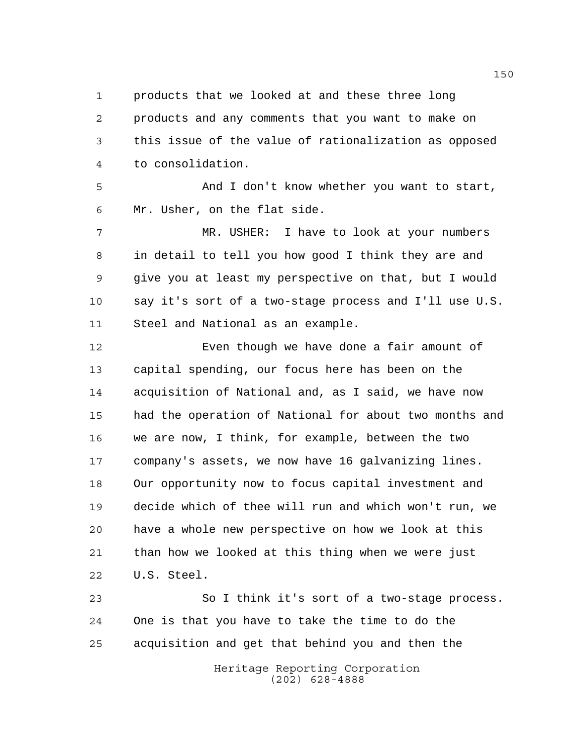products that we looked at and these three long products and any comments that you want to make on this issue of the value of rationalization as opposed to consolidation.

 And I don't know whether you want to start, Mr. Usher, on the flat side.

 MR. USHER: I have to look at your numbers in detail to tell you how good I think they are and give you at least my perspective on that, but I would say it's sort of a two-stage process and I'll use U.S. Steel and National as an example.

 Even though we have done a fair amount of capital spending, our focus here has been on the acquisition of National and, as I said, we have now had the operation of National for about two months and we are now, I think, for example, between the two company's assets, we now have 16 galvanizing lines. Our opportunity now to focus capital investment and decide which of thee will run and which won't run, we have a whole new perspective on how we look at this than how we looked at this thing when we were just U.S. Steel.

 So I think it's sort of a two-stage process. One is that you have to take the time to do the acquisition and get that behind you and then the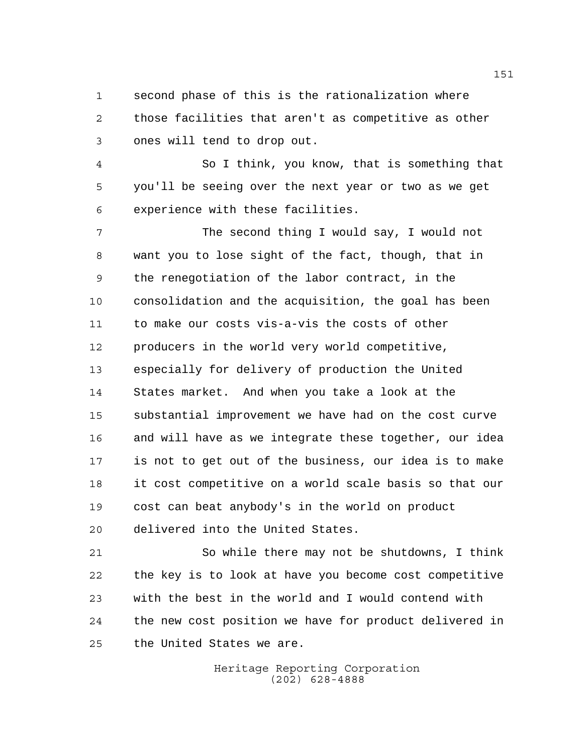second phase of this is the rationalization where those facilities that aren't as competitive as other ones will tend to drop out.

 So I think, you know, that is something that you'll be seeing over the next year or two as we get experience with these facilities.

 The second thing I would say, I would not want you to lose sight of the fact, though, that in the renegotiation of the labor contract, in the consolidation and the acquisition, the goal has been to make our costs vis-a-vis the costs of other producers in the world very world competitive, especially for delivery of production the United States market. And when you take a look at the substantial improvement we have had on the cost curve and will have as we integrate these together, our idea is not to get out of the business, our idea is to make it cost competitive on a world scale basis so that our cost can beat anybody's in the world on product delivered into the United States.

 So while there may not be shutdowns, I think the key is to look at have you become cost competitive with the best in the world and I would contend with the new cost position we have for product delivered in the United States we are.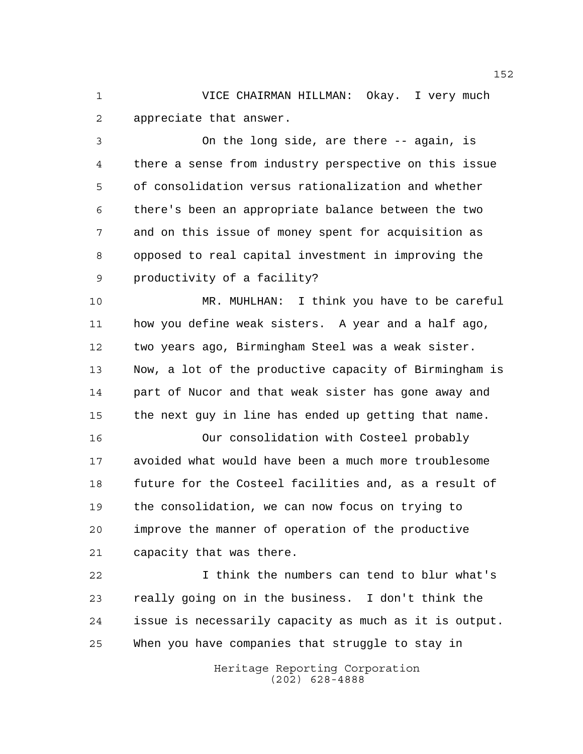VICE CHAIRMAN HILLMAN: Okay. I very much appreciate that answer.

 On the long side, are there -- again, is there a sense from industry perspective on this issue of consolidation versus rationalization and whether there's been an appropriate balance between the two and on this issue of money spent for acquisition as opposed to real capital investment in improving the productivity of a facility?

 MR. MUHLHAN: I think you have to be careful how you define weak sisters. A year and a half ago, two years ago, Birmingham Steel was a weak sister. Now, a lot of the productive capacity of Birmingham is part of Nucor and that weak sister has gone away and the next guy in line has ended up getting that name.

 Our consolidation with Costeel probably avoided what would have been a much more troublesome future for the Costeel facilities and, as a result of the consolidation, we can now focus on trying to improve the manner of operation of the productive capacity that was there.

 I think the numbers can tend to blur what's really going on in the business. I don't think the issue is necessarily capacity as much as it is output. When you have companies that struggle to stay in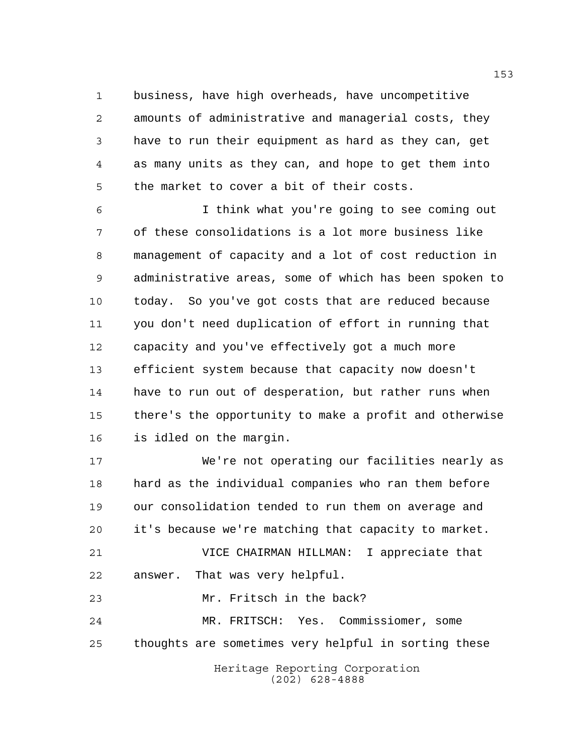business, have high overheads, have uncompetitive amounts of administrative and managerial costs, they have to run their equipment as hard as they can, get as many units as they can, and hope to get them into the market to cover a bit of their costs.

 I think what you're going to see coming out of these consolidations is a lot more business like management of capacity and a lot of cost reduction in administrative areas, some of which has been spoken to today. So you've got costs that are reduced because you don't need duplication of effort in running that capacity and you've effectively got a much more efficient system because that capacity now doesn't have to run out of desperation, but rather runs when there's the opportunity to make a profit and otherwise is idled on the margin.

 We're not operating our facilities nearly as hard as the individual companies who ran them before our consolidation tended to run them on average and it's because we're matching that capacity to market.

 VICE CHAIRMAN HILLMAN: I appreciate that answer. That was very helpful.

Mr. Fritsch in the back?

 MR. FRITSCH: Yes. Commissiomer, some thoughts are sometimes very helpful in sorting these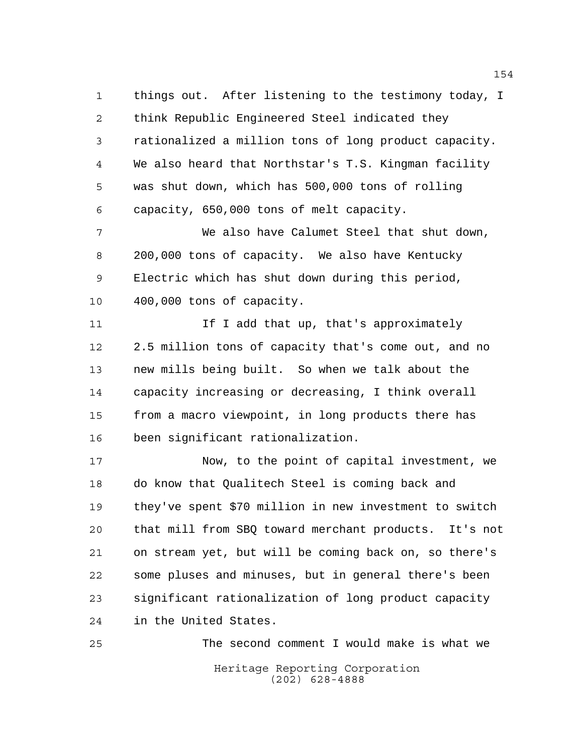things out. After listening to the testimony today, I think Republic Engineered Steel indicated they rationalized a million tons of long product capacity. We also heard that Northstar's T.S. Kingman facility was shut down, which has 500,000 tons of rolling capacity, 650,000 tons of melt capacity.

 We also have Calumet Steel that shut down, 200,000 tons of capacity. We also have Kentucky Electric which has shut down during this period, 400,000 tons of capacity.

11 11 If I add that up, that's approximately 2.5 million tons of capacity that's come out, and no new mills being built. So when we talk about the capacity increasing or decreasing, I think overall from a macro viewpoint, in long products there has been significant rationalization.

 Now, to the point of capital investment, we do know that Qualitech Steel is coming back and they've spent \$70 million in new investment to switch that mill from SBQ toward merchant products. It's not on stream yet, but will be coming back on, so there's some pluses and minuses, but in general there's been significant rationalization of long product capacity in the United States.

Heritage Reporting Corporation (202) 628-4888 The second comment I would make is what we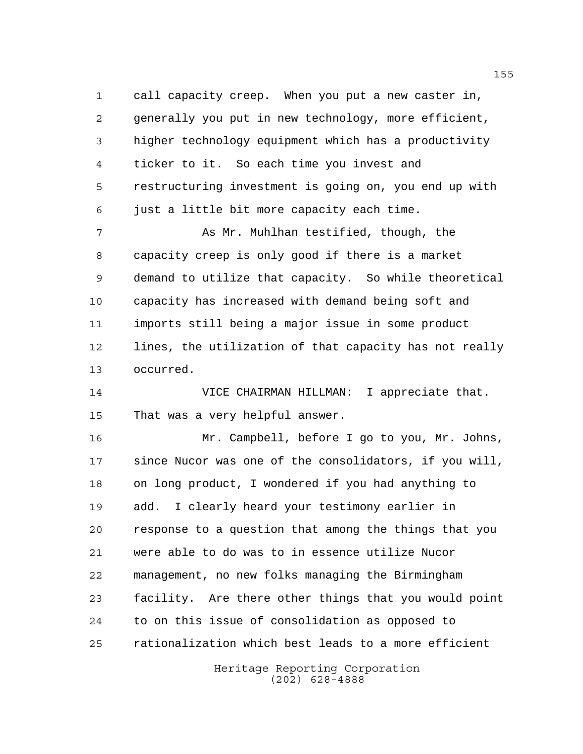call capacity creep. When you put a new caster in, generally you put in new technology, more efficient, higher technology equipment which has a productivity ticker to it. So each time you invest and restructuring investment is going on, you end up with just a little bit more capacity each time.

 As Mr. Muhlhan testified, though, the capacity creep is only good if there is a market demand to utilize that capacity. So while theoretical capacity has increased with demand being soft and imports still being a major issue in some product lines, the utilization of that capacity has not really occurred.

 VICE CHAIRMAN HILLMAN: I appreciate that. That was a very helpful answer.

 Mr. Campbell, before I go to you, Mr. Johns, since Nucor was one of the consolidators, if you will, on long product, I wondered if you had anything to add. I clearly heard your testimony earlier in response to a question that among the things that you were able to do was to in essence utilize Nucor management, no new folks managing the Birmingham facility. Are there other things that you would point to on this issue of consolidation as opposed to rationalization which best leads to a more efficient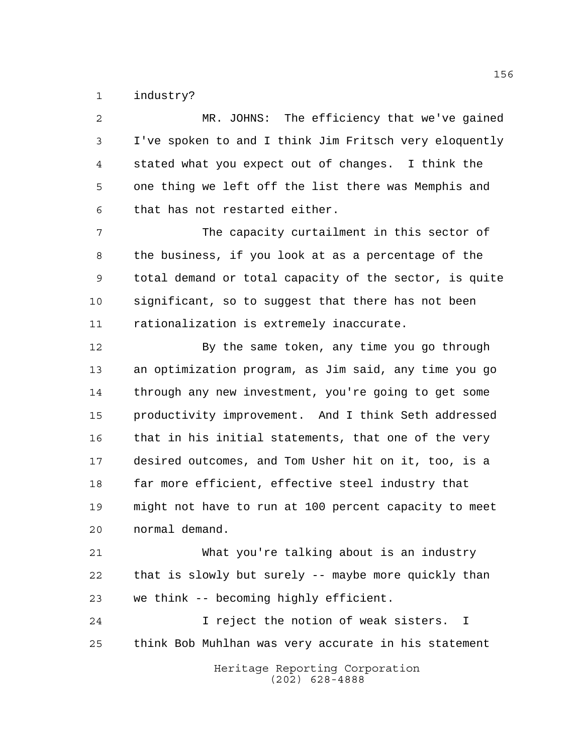industry?

 MR. JOHNS: The efficiency that we've gained I've spoken to and I think Jim Fritsch very eloquently stated what you expect out of changes. I think the one thing we left off the list there was Memphis and that has not restarted either.

 The capacity curtailment in this sector of the business, if you look at as a percentage of the total demand or total capacity of the sector, is quite significant, so to suggest that there has not been rationalization is extremely inaccurate.

12 By the same token, any time you go through an optimization program, as Jim said, any time you go through any new investment, you're going to get some productivity improvement. And I think Seth addressed that in his initial statements, that one of the very desired outcomes, and Tom Usher hit on it, too, is a far more efficient, effective steel industry that might not have to run at 100 percent capacity to meet normal demand.

 What you're talking about is an industry that is slowly but surely -- maybe more quickly than we think -- becoming highly efficient.

 I reject the notion of weak sisters. I think Bob Muhlhan was very accurate in his statement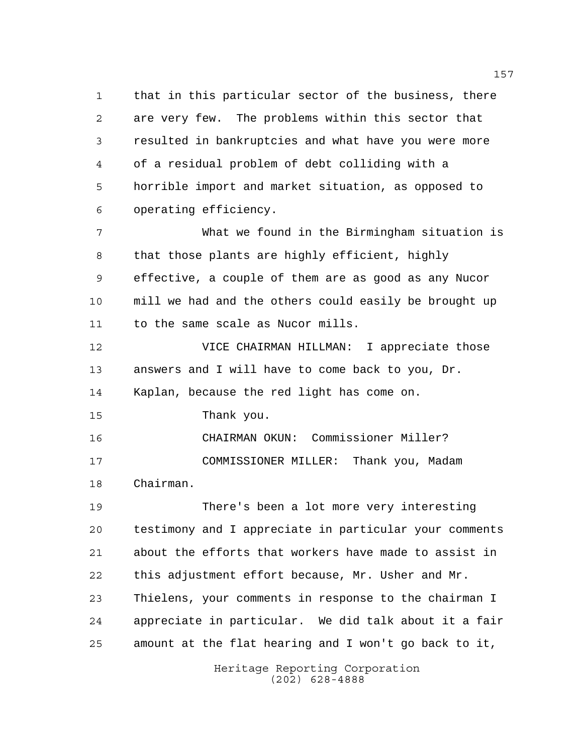that in this particular sector of the business, there are very few. The problems within this sector that resulted in bankruptcies and what have you were more of a residual problem of debt colliding with a horrible import and market situation, as opposed to operating efficiency.

 What we found in the Birmingham situation is that those plants are highly efficient, highly effective, a couple of them are as good as any Nucor mill we had and the others could easily be brought up to the same scale as Nucor mills.

 VICE CHAIRMAN HILLMAN: I appreciate those answers and I will have to come back to you, Dr. Kaplan, because the red light has come on.

Thank you.

 CHAIRMAN OKUN: Commissioner Miller? COMMISSIONER MILLER: Thank you, Madam Chairman.

 There's been a lot more very interesting testimony and I appreciate in particular your comments about the efforts that workers have made to assist in this adjustment effort because, Mr. Usher and Mr. Thielens, your comments in response to the chairman I appreciate in particular. We did talk about it a fair amount at the flat hearing and I won't go back to it,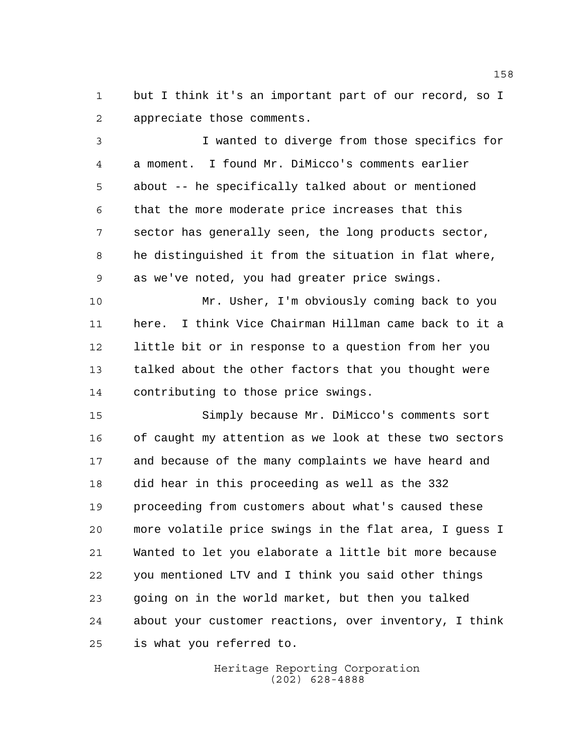but I think it's an important part of our record, so I appreciate those comments.

 I wanted to diverge from those specifics for a moment. I found Mr. DiMicco's comments earlier about -- he specifically talked about or mentioned that the more moderate price increases that this sector has generally seen, the long products sector, he distinguished it from the situation in flat where, as we've noted, you had greater price swings.

 Mr. Usher, I'm obviously coming back to you here. I think Vice Chairman Hillman came back to it a little bit or in response to a question from her you talked about the other factors that you thought were contributing to those price swings.

 Simply because Mr. DiMicco's comments sort of caught my attention as we look at these two sectors and because of the many complaints we have heard and did hear in this proceeding as well as the 332 proceeding from customers about what's caused these more volatile price swings in the flat area, I guess I Wanted to let you elaborate a little bit more because you mentioned LTV and I think you said other things going on in the world market, but then you talked about your customer reactions, over inventory, I think is what you referred to.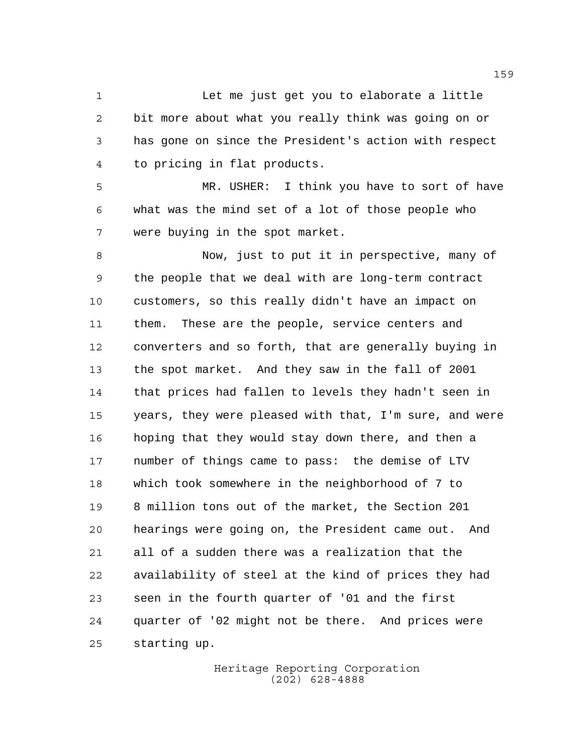1 Let me just get you to elaborate a little bit more about what you really think was going on or has gone on since the President's action with respect to pricing in flat products.

 MR. USHER: I think you have to sort of have what was the mind set of a lot of those people who were buying in the spot market.

 Now, just to put it in perspective, many of the people that we deal with are long-term contract customers, so this really didn't have an impact on them. These are the people, service centers and converters and so forth, that are generally buying in the spot market. And they saw in the fall of 2001 that prices had fallen to levels they hadn't seen in years, they were pleased with that, I'm sure, and were hoping that they would stay down there, and then a number of things came to pass: the demise of LTV which took somewhere in the neighborhood of 7 to 8 million tons out of the market, the Section 201 hearings were going on, the President came out. And all of a sudden there was a realization that the availability of steel at the kind of prices they had seen in the fourth quarter of '01 and the first quarter of '02 might not be there. And prices were starting up.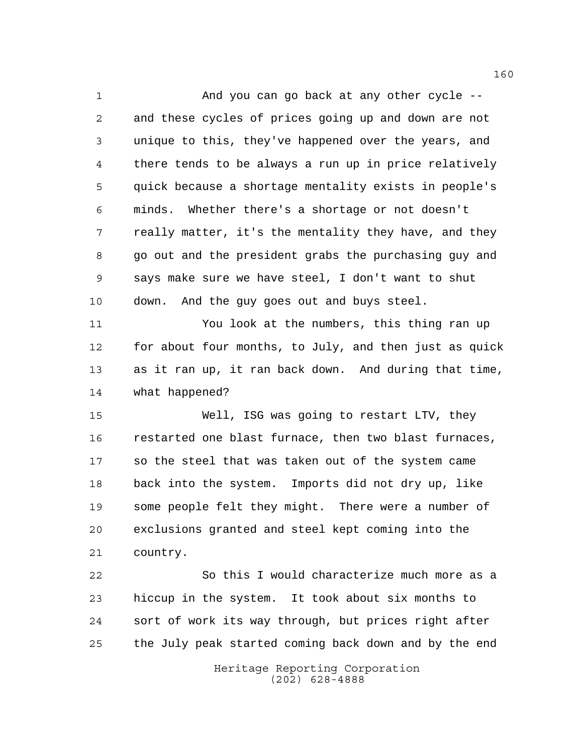And you can go back at any other cycle -- and these cycles of prices going up and down are not unique to this, they've happened over the years, and there tends to be always a run up in price relatively quick because a shortage mentality exists in people's minds. Whether there's a shortage or not doesn't really matter, it's the mentality they have, and they go out and the president grabs the purchasing guy and says make sure we have steel, I don't want to shut down. And the guy goes out and buys steel. You look at the numbers, this thing ran up for about four months, to July, and then just as quick as it ran up, it ran back down. And during that time, what happened? Well, ISG was going to restart LTV, they restarted one blast furnace, then two blast furnaces, so the steel that was taken out of the system came

 back into the system. Imports did not dry up, like some people felt they might. There were a number of exclusions granted and steel kept coming into the country.

 So this I would characterize much more as a hiccup in the system. It took about six months to sort of work its way through, but prices right after the July peak started coming back down and by the end

> Heritage Reporting Corporation (202) 628-4888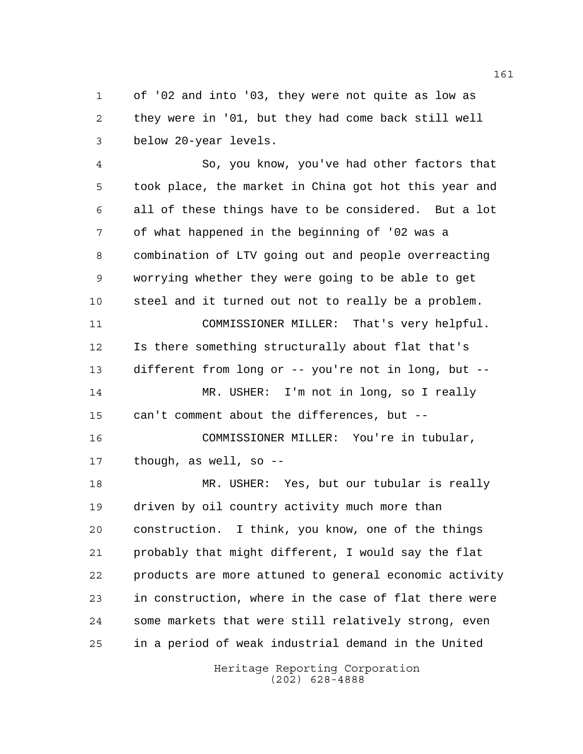of '02 and into '03, they were not quite as low as they were in '01, but they had come back still well below 20-year levels.

 So, you know, you've had other factors that took place, the market in China got hot this year and all of these things have to be considered. But a lot of what happened in the beginning of '02 was a combination of LTV going out and people overreacting worrying whether they were going to be able to get steel and it turned out not to really be a problem. COMMISSIONER MILLER: That's very helpful. Is there something structurally about flat that's different from long or -- you're not in long, but -- MR. USHER: I'm not in long, so I really can't comment about the differences, but -- COMMISSIONER MILLER: You're in tubular, though, as well, so -- MR. USHER: Yes, but our tubular is really driven by oil country activity much more than construction. I think, you know, one of the things probably that might different, I would say the flat products are more attuned to general economic activity in construction, where in the case of flat there were some markets that were still relatively strong, even

> Heritage Reporting Corporation (202) 628-4888

in a period of weak industrial demand in the United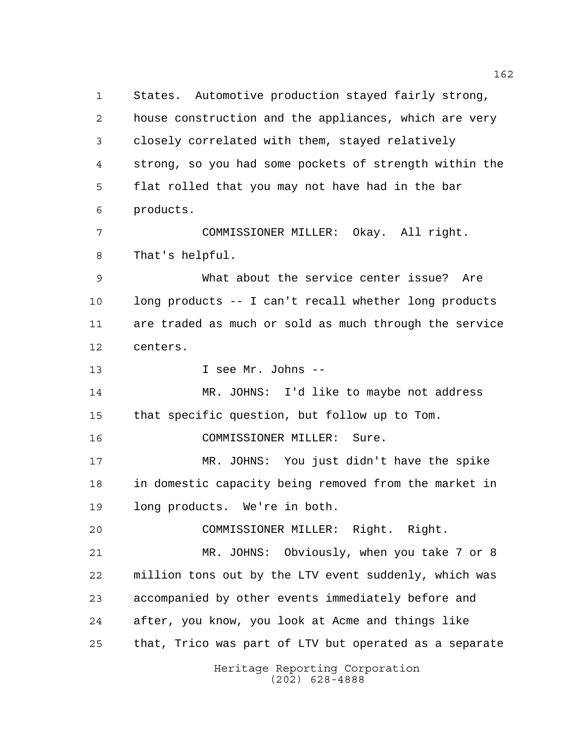Heritage Reporting Corporation States. Automotive production stayed fairly strong, house construction and the appliances, which are very closely correlated with them, stayed relatively strong, so you had some pockets of strength within the flat rolled that you may not have had in the bar products. COMMISSIONER MILLER: Okay. All right. That's helpful. What about the service center issue? Are long products -- I can't recall whether long products are traded as much or sold as much through the service centers. I see Mr. Johns -- MR. JOHNS: I'd like to maybe not address that specific question, but follow up to Tom. COMMISSIONER MILLER: Sure. MR. JOHNS: You just didn't have the spike in domestic capacity being removed from the market in long products. We're in both. COMMISSIONER MILLER: Right. Right. MR. JOHNS: Obviously, when you take 7 or 8 million tons out by the LTV event suddenly, which was accompanied by other events immediately before and after, you know, you look at Acme and things like that, Trico was part of LTV but operated as a separate

(202) 628-4888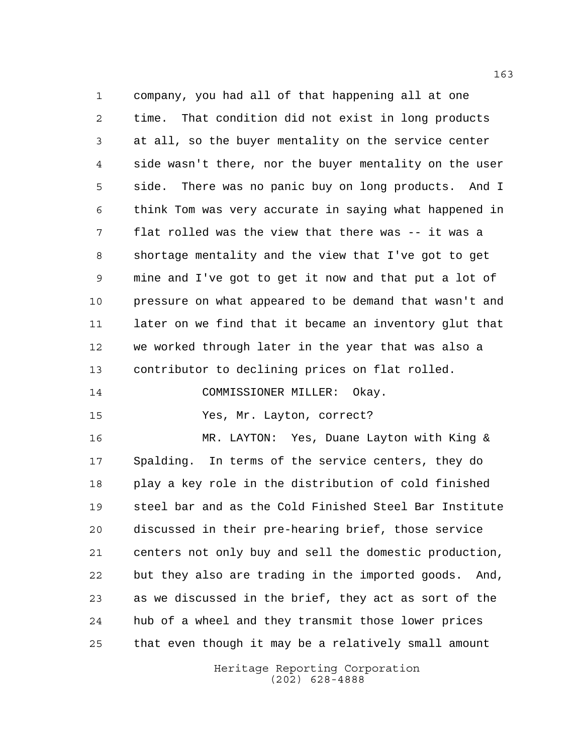company, you had all of that happening all at one time. That condition did not exist in long products at all, so the buyer mentality on the service center side wasn't there, nor the buyer mentality on the user side. There was no panic buy on long products. And I think Tom was very accurate in saying what happened in flat rolled was the view that there was -- it was a shortage mentality and the view that I've got to get mine and I've got to get it now and that put a lot of pressure on what appeared to be demand that wasn't and later on we find that it became an inventory glut that we worked through later in the year that was also a contributor to declining prices on flat rolled.

COMMISSIONER MILLER: Okay.

Yes, Mr. Layton, correct?

 MR. LAYTON: Yes, Duane Layton with King & Spalding. In terms of the service centers, they do play a key role in the distribution of cold finished steel bar and as the Cold Finished Steel Bar Institute discussed in their pre-hearing brief, those service centers not only buy and sell the domestic production, but they also are trading in the imported goods. And, as we discussed in the brief, they act as sort of the hub of a wheel and they transmit those lower prices that even though it may be a relatively small amount

> Heritage Reporting Corporation (202) 628-4888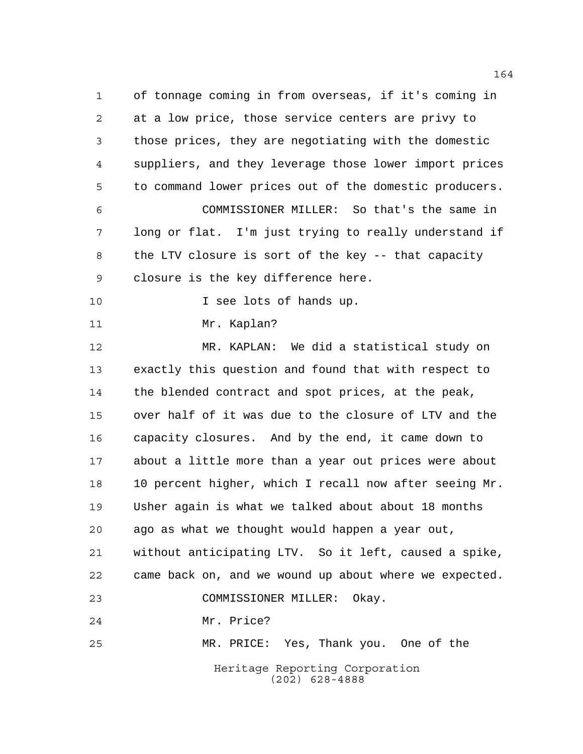Heritage Reporting Corporation (202) 628-4888 of tonnage coming in from overseas, if it's coming in at a low price, those service centers are privy to those prices, they are negotiating with the domestic suppliers, and they leverage those lower import prices to command lower prices out of the domestic producers. COMMISSIONER MILLER: So that's the same in long or flat. I'm just trying to really understand if the LTV closure is sort of the key -- that capacity closure is the key difference here. 10 I see lots of hands up. Mr. Kaplan? MR. KAPLAN: We did a statistical study on exactly this question and found that with respect to the blended contract and spot prices, at the peak, over half of it was due to the closure of LTV and the capacity closures. And by the end, it came down to about a little more than a year out prices were about 10 percent higher, which I recall now after seeing Mr. Usher again is what we talked about about 18 months ago as what we thought would happen a year out, without anticipating LTV. So it left, caused a spike, came back on, and we wound up about where we expected. COMMISSIONER MILLER: Okay. Mr. Price? MR. PRICE: Yes, Thank you. One of the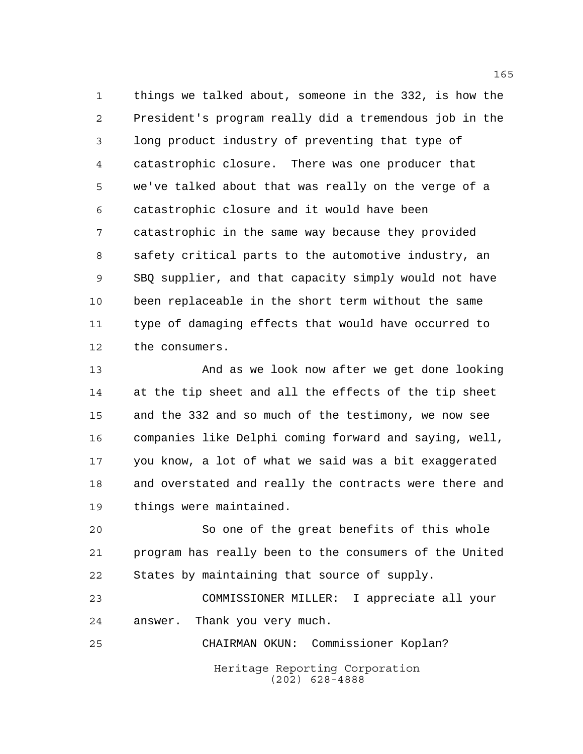things we talked about, someone in the 332, is how the President's program really did a tremendous job in the long product industry of preventing that type of catastrophic closure. There was one producer that we've talked about that was really on the verge of a catastrophic closure and it would have been catastrophic in the same way because they provided safety critical parts to the automotive industry, an SBQ supplier, and that capacity simply would not have been replaceable in the short term without the same type of damaging effects that would have occurred to the consumers.

 And as we look now after we get done looking at the tip sheet and all the effects of the tip sheet and the 332 and so much of the testimony, we now see companies like Delphi coming forward and saying, well, you know, a lot of what we said was a bit exaggerated and overstated and really the contracts were there and things were maintained.

 So one of the great benefits of this whole program has really been to the consumers of the United States by maintaining that source of supply.

 COMMISSIONER MILLER: I appreciate all your answer. Thank you very much.

Heritage Reporting Corporation (202) 628-4888 CHAIRMAN OKUN: Commissioner Koplan?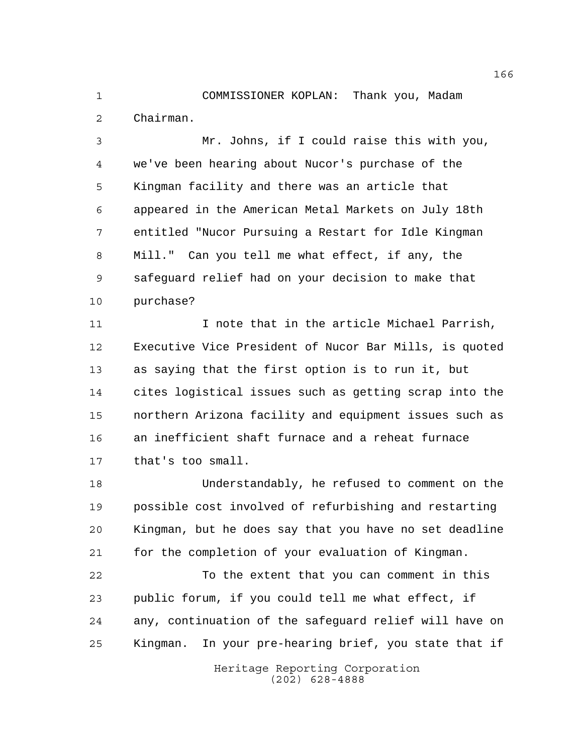COMMISSIONER KOPLAN: Thank you, Madam Chairman.

 Mr. Johns, if I could raise this with you, we've been hearing about Nucor's purchase of the Kingman facility and there was an article that appeared in the American Metal Markets on July 18th entitled "Nucor Pursuing a Restart for Idle Kingman Mill." Can you tell me what effect, if any, the safeguard relief had on your decision to make that purchase?

11 100 I note that in the article Michael Parrish, Executive Vice President of Nucor Bar Mills, is quoted as saying that the first option is to run it, but cites logistical issues such as getting scrap into the northern Arizona facility and equipment issues such as an inefficient shaft furnace and a reheat furnace that's too small.

 Understandably, he refused to comment on the possible cost involved of refurbishing and restarting Kingman, but he does say that you have no set deadline for the completion of your evaluation of Kingman.

 To the extent that you can comment in this public forum, if you could tell me what effect, if any, continuation of the safeguard relief will have on Kingman. In your pre-hearing brief, you state that if

> Heritage Reporting Corporation (202) 628-4888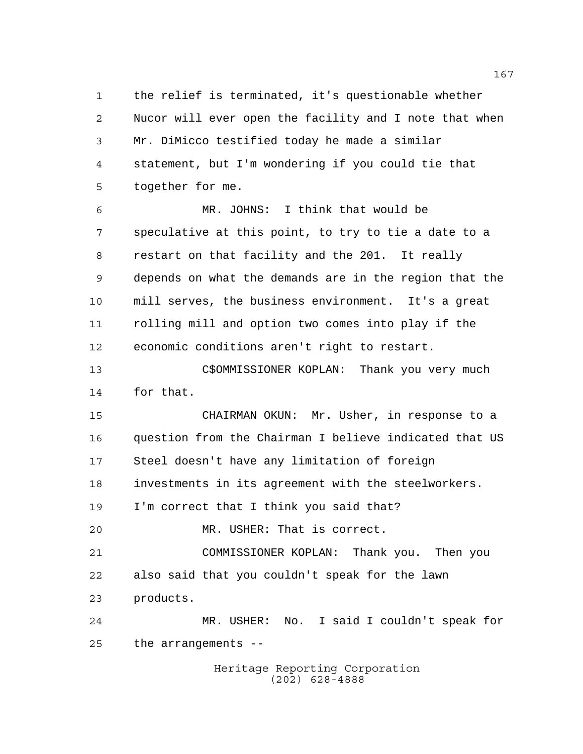the relief is terminated, it's questionable whether Nucor will ever open the facility and I note that when Mr. DiMicco testified today he made a similar statement, but I'm wondering if you could tie that together for me.

 MR. JOHNS: I think that would be speculative at this point, to try to tie a date to a restart on that facility and the 201. It really depends on what the demands are in the region that the mill serves, the business environment. It's a great rolling mill and option two comes into play if the economic conditions aren't right to restart.

 C\$OMMISSIONER KOPLAN: Thank you very much for that.

 CHAIRMAN OKUN: Mr. Usher, in response to a question from the Chairman I believe indicated that US Steel doesn't have any limitation of foreign investments in its agreement with the steelworkers. I'm correct that I think you said that?

MR. USHER: That is correct.

 COMMISSIONER KOPLAN: Thank you. Then you also said that you couldn't speak for the lawn products.

 MR. USHER: No. I said I couldn't speak for the arrangements --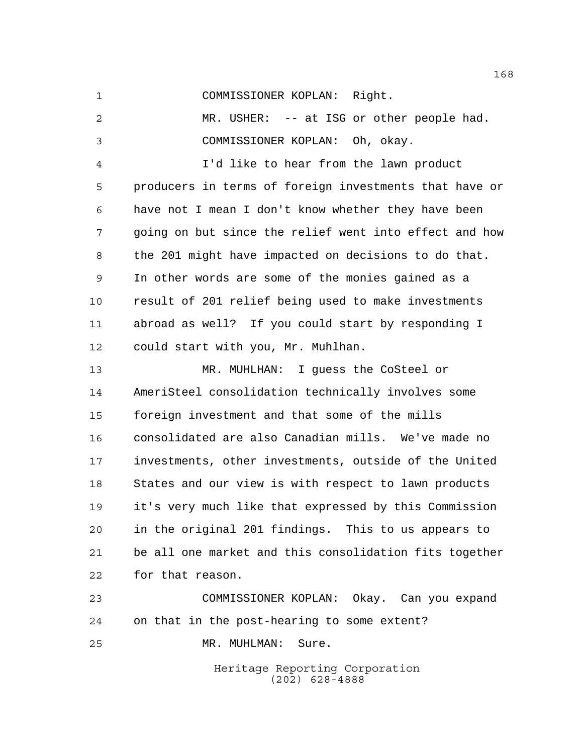COMMISSIONER KOPLAN: Right.

 MR. USHER: -- at ISG or other people had. COMMISSIONER KOPLAN: Oh, okay. I'd like to hear from the lawn product producers in terms of foreign investments that have or have not I mean I don't know whether they have been going on but since the relief went into effect and how the 201 might have impacted on decisions to do that.

 In other words are some of the monies gained as a result of 201 relief being used to make investments abroad as well? If you could start by responding I could start with you, Mr. Muhlhan.

 MR. MUHLHAN: I guess the CoSteel or AmeriSteel consolidation technically involves some foreign investment and that some of the mills consolidated are also Canadian mills. We've made no investments, other investments, outside of the United States and our view is with respect to lawn products it's very much like that expressed by this Commission in the original 201 findings. This to us appears to be all one market and this consolidation fits together for that reason.

 COMMISSIONER KOPLAN: Okay. Can you expand on that in the post-hearing to some extent? MR. MUHLMAN: Sure.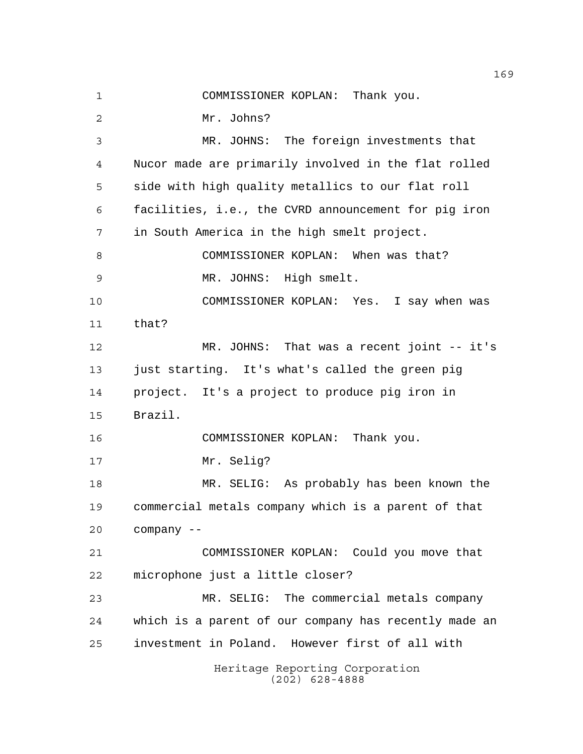COMMISSIONER KOPLAN: Thank you.

Mr. Johns?

Heritage Reporting Corporation (202) 628-4888 MR. JOHNS: The foreign investments that Nucor made are primarily involved in the flat rolled side with high quality metallics to our flat roll facilities, i.e., the CVRD announcement for pig iron in South America in the high smelt project. COMMISSIONER KOPLAN: When was that? MR. JOHNS: High smelt. COMMISSIONER KOPLAN: Yes. I say when was that? MR. JOHNS: That was a recent joint -- it's just starting. It's what's called the green pig project. It's a project to produce pig iron in Brazil. COMMISSIONER KOPLAN: Thank you. Mr. Selig? MR. SELIG: As probably has been known the commercial metals company which is a parent of that company -- COMMISSIONER KOPLAN: Could you move that microphone just a little closer? MR. SELIG: The commercial metals company which is a parent of our company has recently made an investment in Poland. However first of all with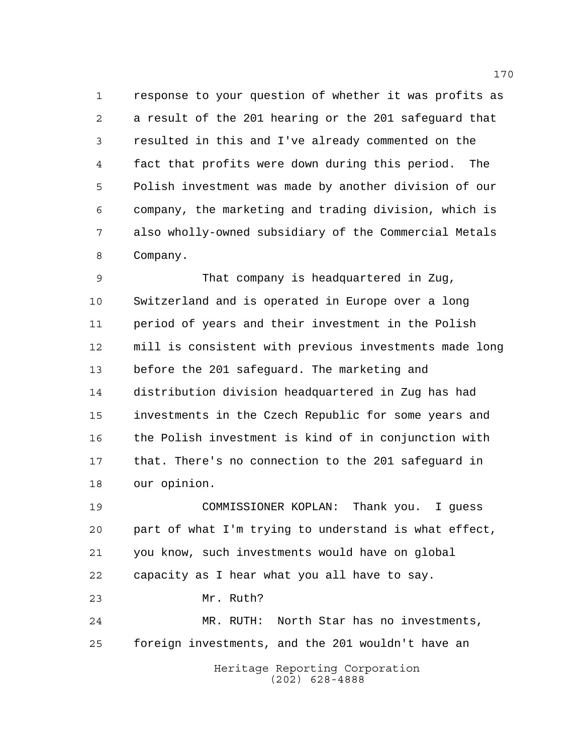response to your question of whether it was profits as a result of the 201 hearing or the 201 safeguard that resulted in this and I've already commented on the fact that profits were down during this period. The Polish investment was made by another division of our company, the marketing and trading division, which is also wholly-owned subsidiary of the Commercial Metals Company.

 That company is headquartered in Zug, Switzerland and is operated in Europe over a long period of years and their investment in the Polish mill is consistent with previous investments made long before the 201 safeguard. The marketing and distribution division headquartered in Zug has had investments in the Czech Republic for some years and the Polish investment is kind of in conjunction with that. There's no connection to the 201 safeguard in our opinion.

 COMMISSIONER KOPLAN: Thank you. I guess part of what I'm trying to understand is what effect, you know, such investments would have on global capacity as I hear what you all have to say. Mr. Ruth? MR. RUTH: North Star has no investments, foreign investments, and the 201 wouldn't have an

> Heritage Reporting Corporation (202) 628-4888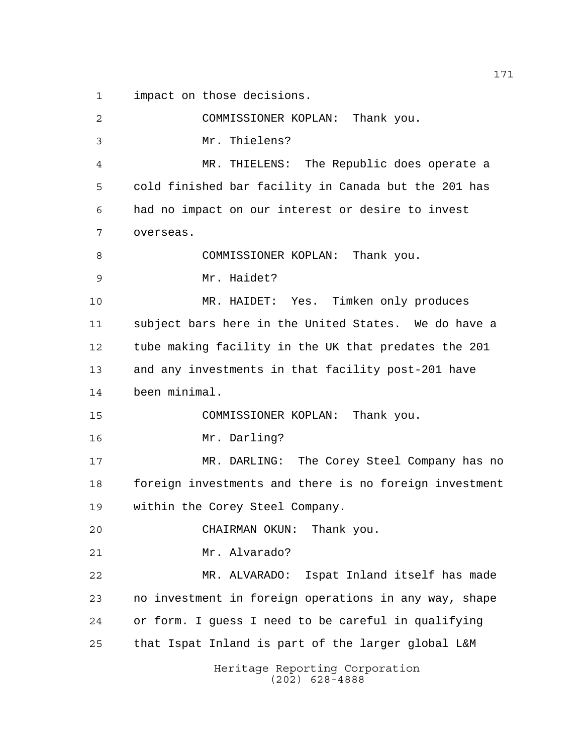impact on those decisions.

Heritage Reporting Corporation (202) 628-4888 COMMISSIONER KOPLAN: Thank you. Mr. Thielens? MR. THIELENS: The Republic does operate a cold finished bar facility in Canada but the 201 has had no impact on our interest or desire to invest overseas. COMMISSIONER KOPLAN: Thank you. Mr. Haidet? MR. HAIDET: Yes. Timken only produces subject bars here in the United States. We do have a tube making facility in the UK that predates the 201 and any investments in that facility post-201 have been minimal. COMMISSIONER KOPLAN: Thank you. Mr. Darling? MR. DARLING: The Corey Steel Company has no foreign investments and there is no foreign investment within the Corey Steel Company. CHAIRMAN OKUN: Thank you. Mr. Alvarado? MR. ALVARADO: Ispat Inland itself has made no investment in foreign operations in any way, shape or form. I guess I need to be careful in qualifying that Ispat Inland is part of the larger global L&M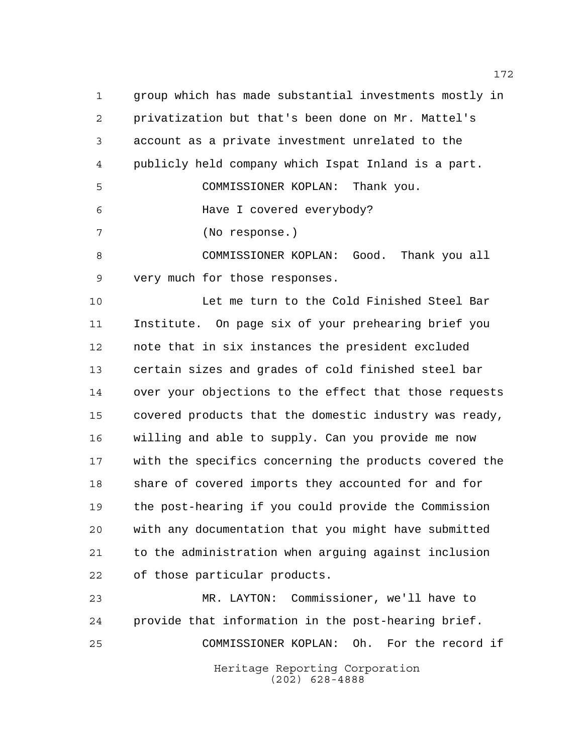group which has made substantial investments mostly in privatization but that's been done on Mr. Mattel's account as a private investment unrelated to the publicly held company which Ispat Inland is a part. COMMISSIONER KOPLAN: Thank you.

Have I covered everybody?

(No response.)

 COMMISSIONER KOPLAN: Good. Thank you all very much for those responses.

 Let me turn to the Cold Finished Steel Bar Institute. On page six of your prehearing brief you note that in six instances the president excluded certain sizes and grades of cold finished steel bar over your objections to the effect that those requests covered products that the domestic industry was ready, willing and able to supply. Can you provide me now with the specifics concerning the products covered the share of covered imports they accounted for and for the post-hearing if you could provide the Commission with any documentation that you might have submitted to the administration when arguing against inclusion of those particular products.

Heritage Reporting Corporation (202) 628-4888 MR. LAYTON: Commissioner, we'll have to provide that information in the post-hearing brief. COMMISSIONER KOPLAN: Oh. For the record if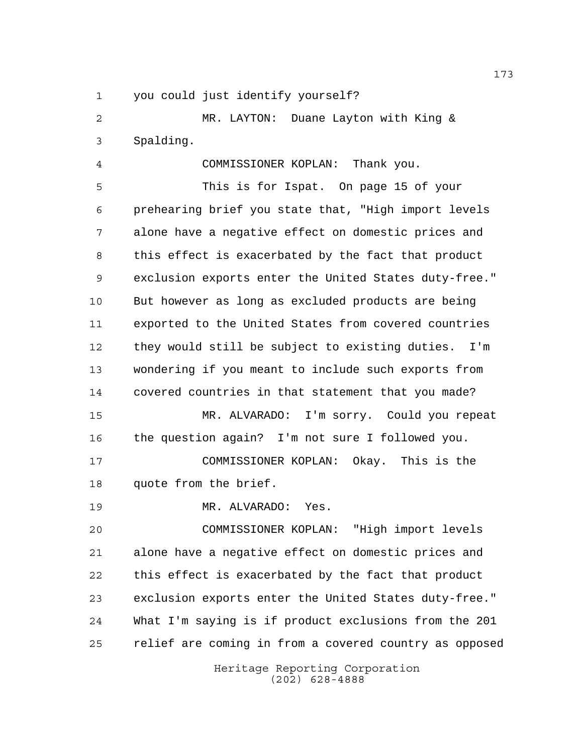you could just identify yourself?

 MR. LAYTON: Duane Layton with King & Spalding.

 COMMISSIONER KOPLAN: Thank you. This is for Ispat. On page 15 of your prehearing brief you state that, "High import levels alone have a negative effect on domestic prices and this effect is exacerbated by the fact that product exclusion exports enter the United States duty-free." But however as long as excluded products are being exported to the United States from covered countries they would still be subject to existing duties. I'm wondering if you meant to include such exports from covered countries in that statement that you made? MR. ALVARADO: I'm sorry. Could you repeat the question again? I'm not sure I followed you.

 COMMISSIONER KOPLAN: Okay. This is the quote from the brief.

MR. ALVARADO: Yes.

 COMMISSIONER KOPLAN: "High import levels alone have a negative effect on domestic prices and this effect is exacerbated by the fact that product exclusion exports enter the United States duty-free." What I'm saying is if product exclusions from the 201 relief are coming in from a covered country as opposed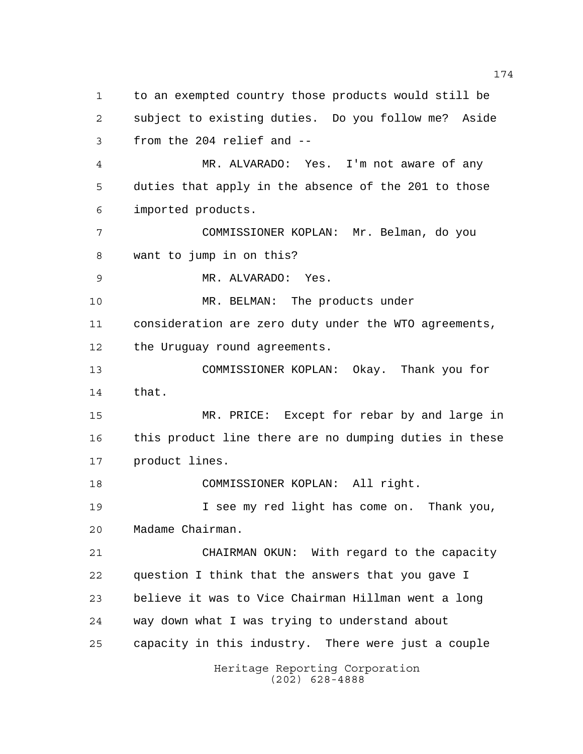Heritage Reporting Corporation (202) 628-4888 to an exempted country those products would still be subject to existing duties. Do you follow me? Aside from the 204 relief and -- MR. ALVARADO: Yes. I'm not aware of any duties that apply in the absence of the 201 to those imported products. COMMISSIONER KOPLAN: Mr. Belman, do you want to jump in on this? MR. ALVARADO: Yes. 10 MR. BELMAN: The products under consideration are zero duty under the WTO agreements, the Uruguay round agreements. COMMISSIONER KOPLAN: Okay. Thank you for that. MR. PRICE: Except for rebar by and large in this product line there are no dumping duties in these product lines. COMMISSIONER KOPLAN: All right. I see my red light has come on. Thank you, Madame Chairman. CHAIRMAN OKUN: With regard to the capacity question I think that the answers that you gave I believe it was to Vice Chairman Hillman went a long way down what I was trying to understand about capacity in this industry. There were just a couple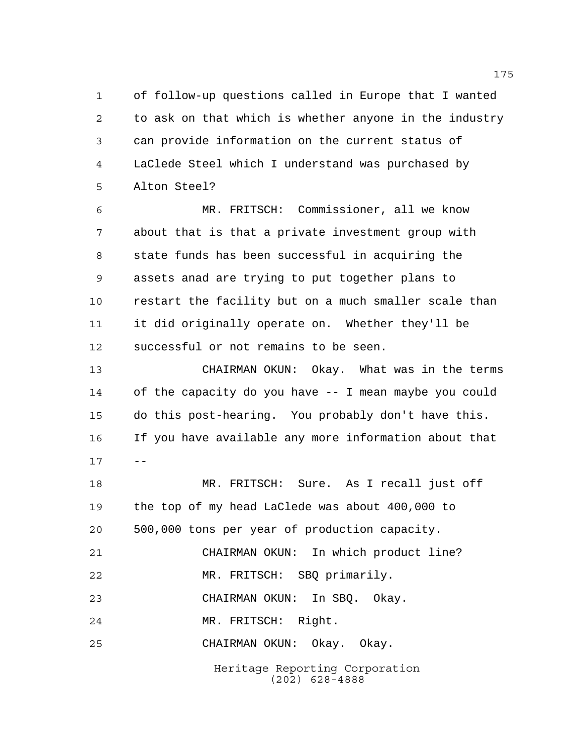of follow-up questions called in Europe that I wanted to ask on that which is whether anyone in the industry can provide information on the current status of LaClede Steel which I understand was purchased by Alton Steel?

 MR. FRITSCH: Commissioner, all we know about that is that a private investment group with state funds has been successful in acquiring the assets anad are trying to put together plans to restart the facility but on a much smaller scale than it did originally operate on. Whether they'll be successful or not remains to be seen.

 CHAIRMAN OKUN: Okay. What was in the terms of the capacity do you have -- I mean maybe you could do this post-hearing. You probably don't have this. If you have available any more information about that  $17 - -$ 

Heritage Reporting Corporation (202) 628-4888 MR. FRITSCH: Sure. As I recall just off the top of my head LaClede was about 400,000 to 500,000 tons per year of production capacity. CHAIRMAN OKUN: In which product line? MR. FRITSCH: SBQ primarily. CHAIRMAN OKUN: In SBQ. Okay. MR. FRITSCH: Right. CHAIRMAN OKUN: Okay. Okay.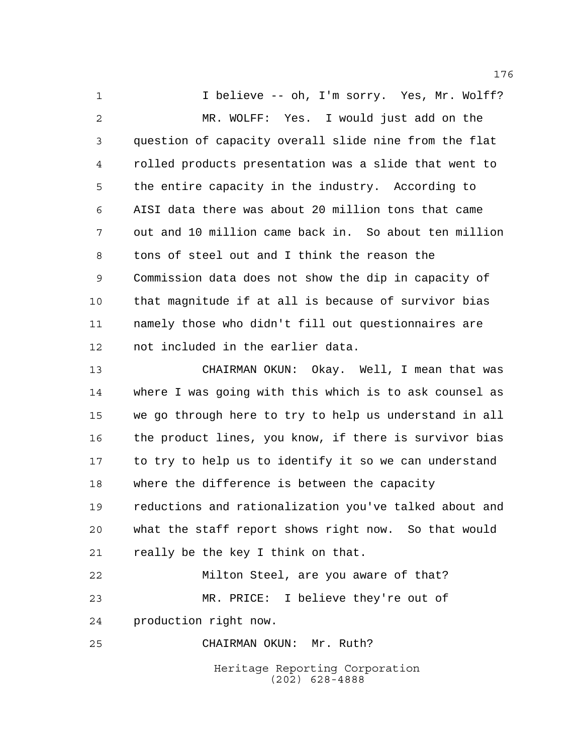1 1 I believe -- oh, I'm sorry. Yes, Mr. Wolff? MR. WOLFF: Yes. I would just add on the question of capacity overall slide nine from the flat rolled products presentation was a slide that went to the entire capacity in the industry. According to AISI data there was about 20 million tons that came out and 10 million came back in. So about ten million tons of steel out and I think the reason the Commission data does not show the dip in capacity of that magnitude if at all is because of survivor bias namely those who didn't fill out questionnaires are not included in the earlier data.

 CHAIRMAN OKUN: Okay. Well, I mean that was where I was going with this which is to ask counsel as we go through here to try to help us understand in all the product lines, you know, if there is survivor bias to try to help us to identify it so we can understand where the difference is between the capacity reductions and rationalization you've talked about and what the staff report shows right now. So that would really be the key I think on that.

 Milton Steel, are you aware of that? MR. PRICE: I believe they're out of production right now.

CHAIRMAN OKUN: Mr. Ruth?

Heritage Reporting Corporation (202) 628-4888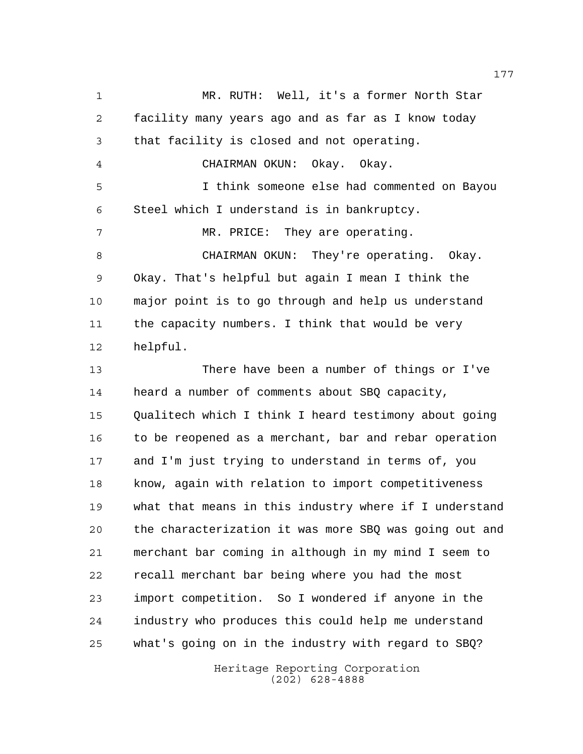MR. RUTH: Well, it's a former North Star facility many years ago and as far as I know today that facility is closed and not operating. CHAIRMAN OKUN: Okay. Okay. I think someone else had commented on Bayou Steel which I understand is in bankruptcy. 7 MR. PRICE: They are operating. CHAIRMAN OKUN: They're operating. Okay. Okay. That's helpful but again I mean I think the major point is to go through and help us understand the capacity numbers. I think that would be very helpful. There have been a number of things or I've heard a number of comments about SBQ capacity, Qualitech which I think I heard testimony about going 16 to be reopened as a merchant, bar and rebar operation and I'm just trying to understand in terms of, you know, again with relation to import competitiveness what that means in this industry where if I understand the characterization it was more SBQ was going out and merchant bar coming in although in my mind I seem to recall merchant bar being where you had the most import competition. So I wondered if anyone in the industry who produces this could help me understand what's going on in the industry with regard to SBQ?

> Heritage Reporting Corporation (202) 628-4888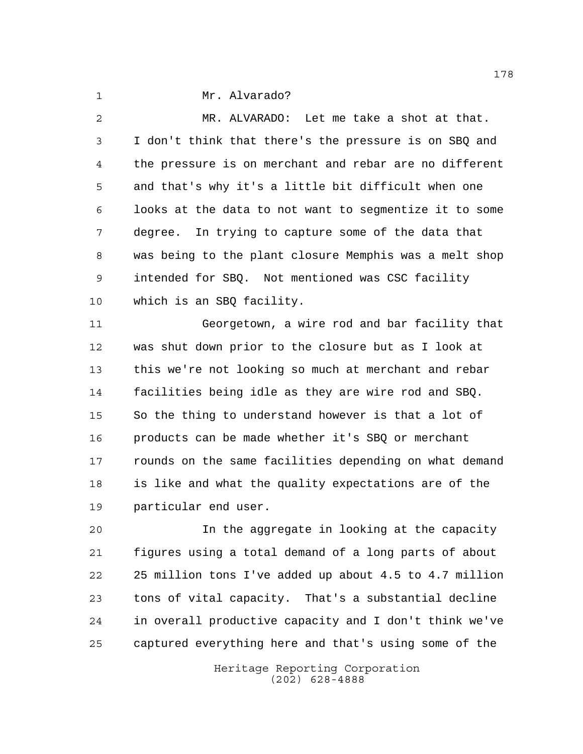Mr. Alvarado?

 MR. ALVARADO: Let me take a shot at that. I don't think that there's the pressure is on SBQ and the pressure is on merchant and rebar are no different and that's why it's a little bit difficult when one looks at the data to not want to segmentize it to some degree. In trying to capture some of the data that was being to the plant closure Memphis was a melt shop intended for SBQ. Not mentioned was CSC facility which is an SBQ facility.

 Georgetown, a wire rod and bar facility that was shut down prior to the closure but as I look at this we're not looking so much at merchant and rebar facilities being idle as they are wire rod and SBQ. So the thing to understand however is that a lot of products can be made whether it's SBQ or merchant rounds on the same facilities depending on what demand is like and what the quality expectations are of the particular end user.

 In the aggregate in looking at the capacity figures using a total demand of a long parts of about 25 million tons I've added up about 4.5 to 4.7 million tons of vital capacity. That's a substantial decline in overall productive capacity and I don't think we've captured everything here and that's using some of the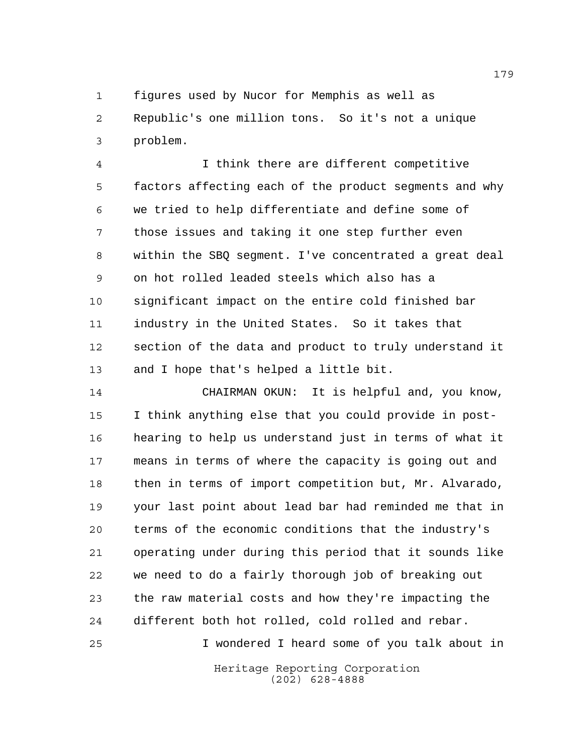figures used by Nucor for Memphis as well as Republic's one million tons. So it's not a unique problem.

 I think there are different competitive factors affecting each of the product segments and why we tried to help differentiate and define some of those issues and taking it one step further even within the SBQ segment. I've concentrated a great deal on hot rolled leaded steels which also has a significant impact on the entire cold finished bar industry in the United States. So it takes that section of the data and product to truly understand it and I hope that's helped a little bit.

 CHAIRMAN OKUN: It is helpful and, you know, I think anything else that you could provide in post- hearing to help us understand just in terms of what it means in terms of where the capacity is going out and then in terms of import competition but, Mr. Alvarado, your last point about lead bar had reminded me that in terms of the economic conditions that the industry's operating under during this period that it sounds like we need to do a fairly thorough job of breaking out the raw material costs and how they're impacting the different both hot rolled, cold rolled and rebar.

I wondered I heard some of you talk about in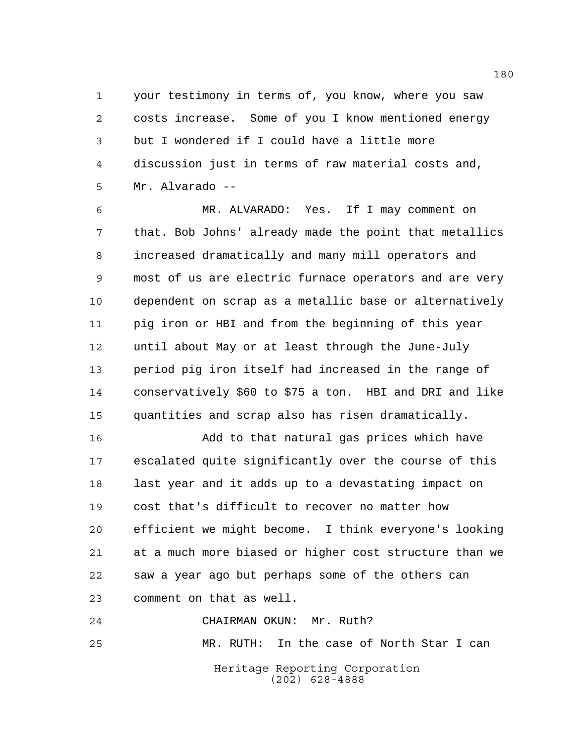your testimony in terms of, you know, where you saw costs increase. Some of you I know mentioned energy but I wondered if I could have a little more discussion just in terms of raw material costs and, Mr. Alvarado --

 MR. ALVARADO: Yes. If I may comment on that. Bob Johns' already made the point that metallics increased dramatically and many mill operators and most of us are electric furnace operators and are very dependent on scrap as a metallic base or alternatively pig iron or HBI and from the beginning of this year until about May or at least through the June-July period pig iron itself had increased in the range of conservatively \$60 to \$75 a ton. HBI and DRI and like quantities and scrap also has risen dramatically.

 Add to that natural gas prices which have escalated quite significantly over the course of this last year and it adds up to a devastating impact on cost that's difficult to recover no matter how efficient we might become. I think everyone's looking at a much more biased or higher cost structure than we saw a year ago but perhaps some of the others can comment on that as well.

Heritage Reporting Corporation (202) 628-4888 CHAIRMAN OKUN: Mr. Ruth? MR. RUTH: In the case of North Star I can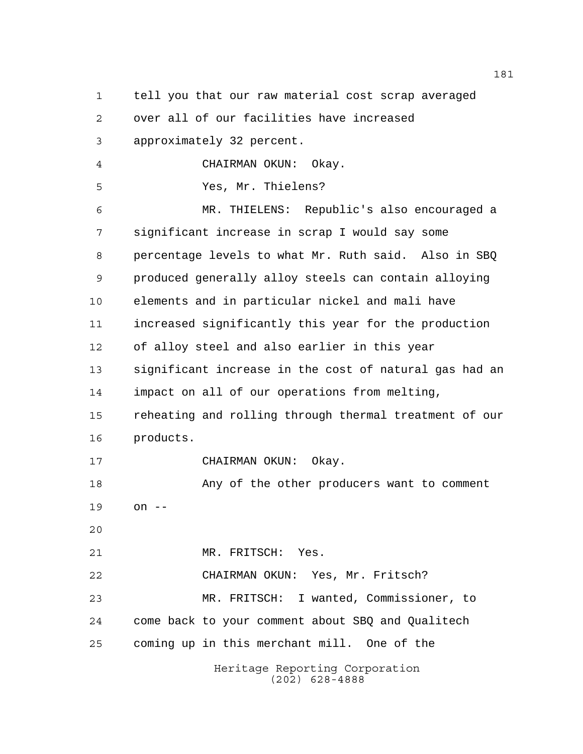tell you that our raw material cost scrap averaged

over all of our facilities have increased

approximately 32 percent.

CHAIRMAN OKUN: Okay.

Yes, Mr. Thielens?

 MR. THIELENS: Republic's also encouraged a significant increase in scrap I would say some percentage levels to what Mr. Ruth said. Also in SBQ produced generally alloy steels can contain alloying elements and in particular nickel and mali have increased significantly this year for the production of alloy steel and also earlier in this year significant increase in the cost of natural gas had an impact on all of our operations from melting, reheating and rolling through thermal treatment of our products. CHAIRMAN OKUN: Okay. Any of the other producers want to comment on -- MR. FRITSCH: Yes. CHAIRMAN OKUN: Yes, Mr. Fritsch? MR. FRITSCH: I wanted, Commissioner, to come back to your comment about SBQ and Qualitech coming up in this merchant mill. One of the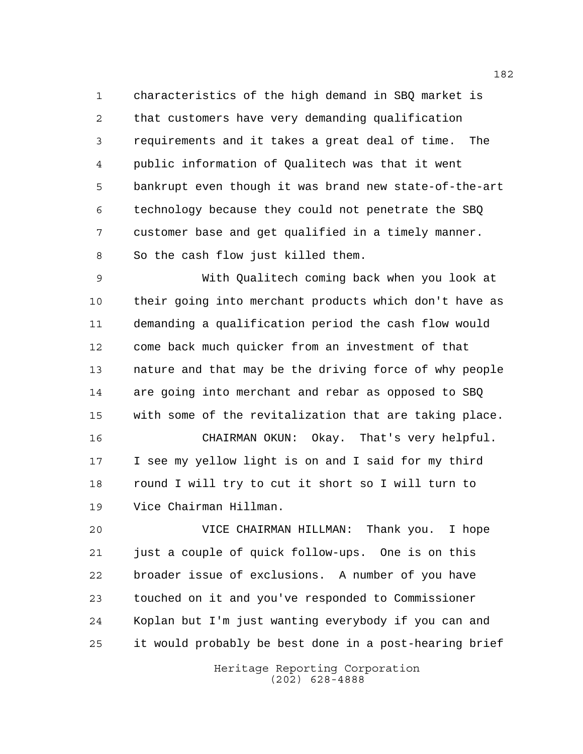characteristics of the high demand in SBQ market is that customers have very demanding qualification requirements and it takes a great deal of time. The public information of Qualitech was that it went bankrupt even though it was brand new state-of-the-art technology because they could not penetrate the SBQ customer base and get qualified in a timely manner. So the cash flow just killed them.

 With Qualitech coming back when you look at their going into merchant products which don't have as demanding a qualification period the cash flow would come back much quicker from an investment of that nature and that may be the driving force of why people are going into merchant and rebar as opposed to SBQ with some of the revitalization that are taking place.

 I see my yellow light is on and I said for my third round I will try to cut it short so I will turn to Vice Chairman Hillman.

CHAIRMAN OKUN: Okay. That's very helpful.

 VICE CHAIRMAN HILLMAN: Thank you. I hope just a couple of quick follow-ups. One is on this broader issue of exclusions. A number of you have touched on it and you've responded to Commissioner Koplan but I'm just wanting everybody if you can and it would probably be best done in a post-hearing brief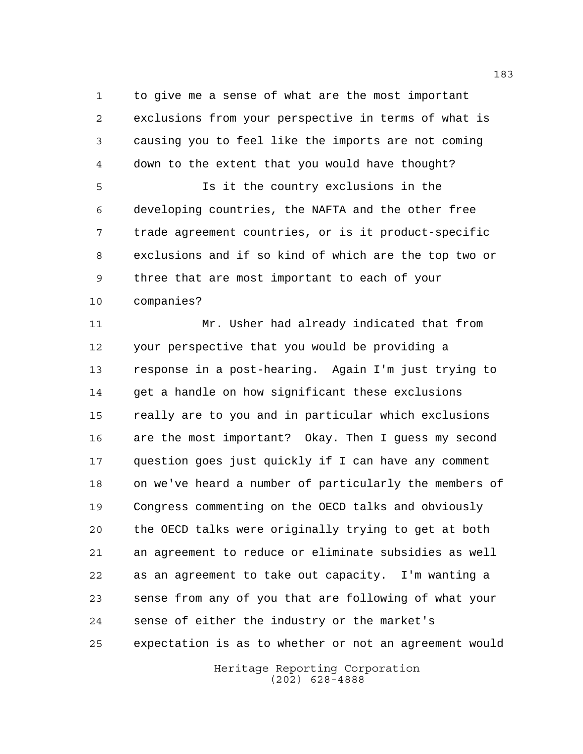to give me a sense of what are the most important exclusions from your perspective in terms of what is causing you to feel like the imports are not coming down to the extent that you would have thought? Is it the country exclusions in the

 developing countries, the NAFTA and the other free trade agreement countries, or is it product-specific exclusions and if so kind of which are the top two or three that are most important to each of your companies?

 Mr. Usher had already indicated that from your perspective that you would be providing a response in a post-hearing. Again I'm just trying to get a handle on how significant these exclusions really are to you and in particular which exclusions are the most important? Okay. Then I guess my second question goes just quickly if I can have any comment on we've heard a number of particularly the members of Congress commenting on the OECD talks and obviously the OECD talks were originally trying to get at both an agreement to reduce or eliminate subsidies as well as an agreement to take out capacity. I'm wanting a sense from any of you that are following of what your sense of either the industry or the market's expectation is as to whether or not an agreement would

> Heritage Reporting Corporation (202) 628-4888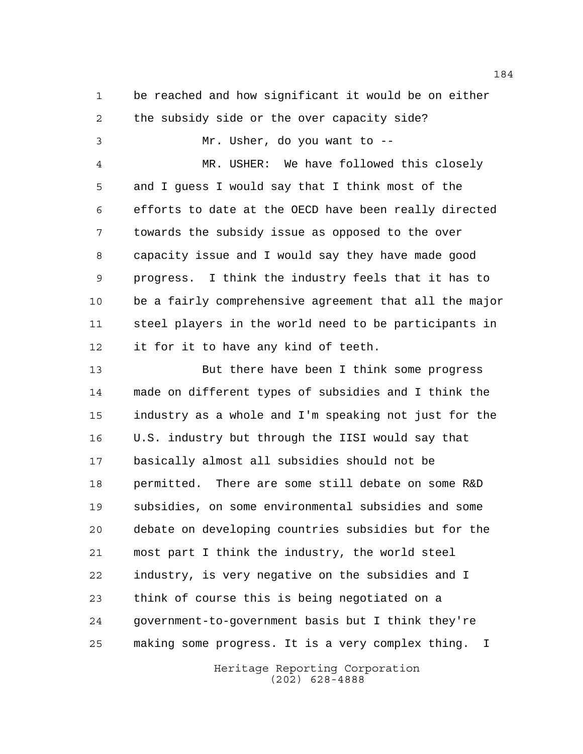be reached and how significant it would be on either the subsidy side or the over capacity side? Mr. Usher, do you want to -- MR. USHER: We have followed this closely and I guess I would say that I think most of the efforts to date at the OECD have been really directed towards the subsidy issue as opposed to the over

 capacity issue and I would say they have made good progress. I think the industry feels that it has to be a fairly comprehensive agreement that all the major steel players in the world need to be participants in it for it to have any kind of teeth.

 But there have been I think some progress made on different types of subsidies and I think the industry as a whole and I'm speaking not just for the U.S. industry but through the IISI would say that basically almost all subsidies should not be permitted. There are some still debate on some R&D subsidies, on some environmental subsidies and some debate on developing countries subsidies but for the most part I think the industry, the world steel industry, is very negative on the subsidies and I think of course this is being negotiated on a government-to-government basis but I think they're making some progress. It is a very complex thing. I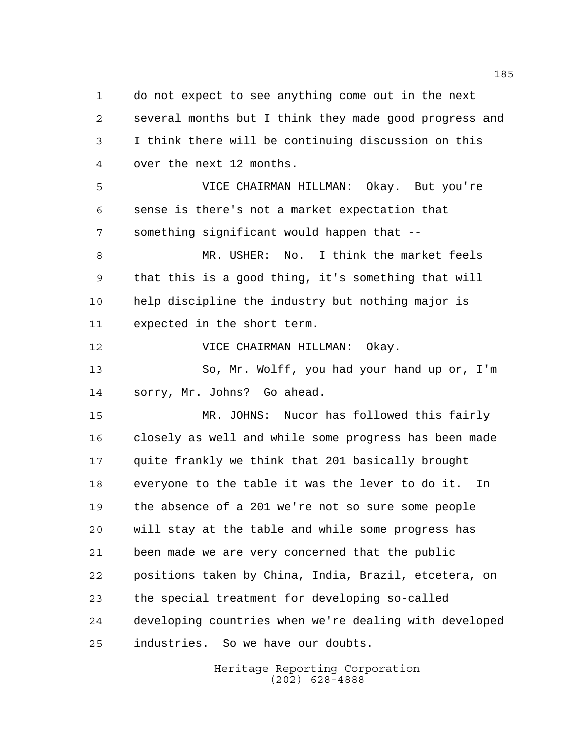do not expect to see anything come out in the next several months but I think they made good progress and I think there will be continuing discussion on this over the next 12 months.

 VICE CHAIRMAN HILLMAN: Okay. But you're sense is there's not a market expectation that something significant would happen that --

 MR. USHER: No. I think the market feels that this is a good thing, it's something that will help discipline the industry but nothing major is expected in the short term.

VICE CHAIRMAN HILLMAN: Okay.

 So, Mr. Wolff, you had your hand up or, I'm sorry, Mr. Johns? Go ahead.

 MR. JOHNS: Nucor has followed this fairly closely as well and while some progress has been made quite frankly we think that 201 basically brought everyone to the table it was the lever to do it. In the absence of a 201 we're not so sure some people will stay at the table and while some progress has been made we are very concerned that the public positions taken by China, India, Brazil, etcetera, on the special treatment for developing so-called developing countries when we're dealing with developed industries. So we have our doubts.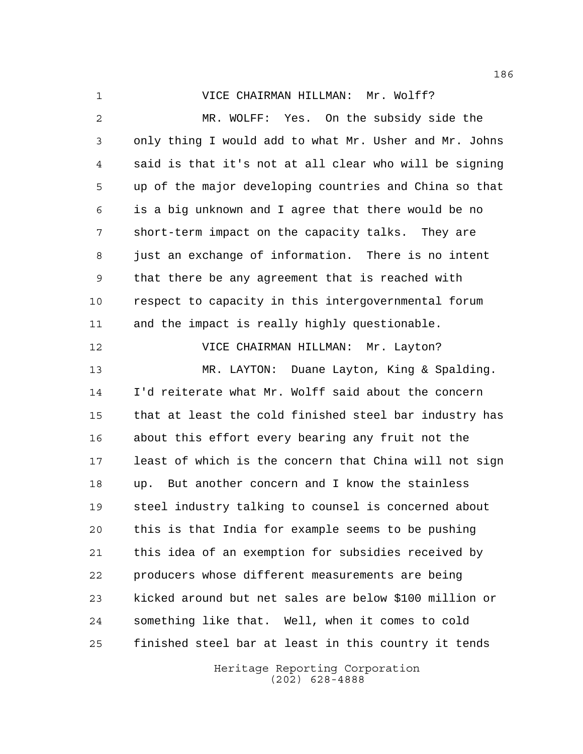VICE CHAIRMAN HILLMAN: Mr. Wolff?

 MR. WOLFF: Yes. On the subsidy side the only thing I would add to what Mr. Usher and Mr. Johns said is that it's not at all clear who will be signing up of the major developing countries and China so that is a big unknown and I agree that there would be no short-term impact on the capacity talks. They are just an exchange of information. There is no intent that there be any agreement that is reached with respect to capacity in this intergovernmental forum and the impact is really highly questionable. VICE CHAIRMAN HILLMAN: Mr. Layton? MR. LAYTON: Duane Layton, King & Spalding. I'd reiterate what Mr. Wolff said about the concern that at least the cold finished steel bar industry has about this effort every bearing any fruit not the least of which is the concern that China will not sign up. But another concern and I know the stainless steel industry talking to counsel is concerned about this is that India for example seems to be pushing this idea of an exemption for subsidies received by producers whose different measurements are being kicked around but net sales are below \$100 million or something like that. Well, when it comes to cold finished steel bar at least in this country it tends

> Heritage Reporting Corporation (202) 628-4888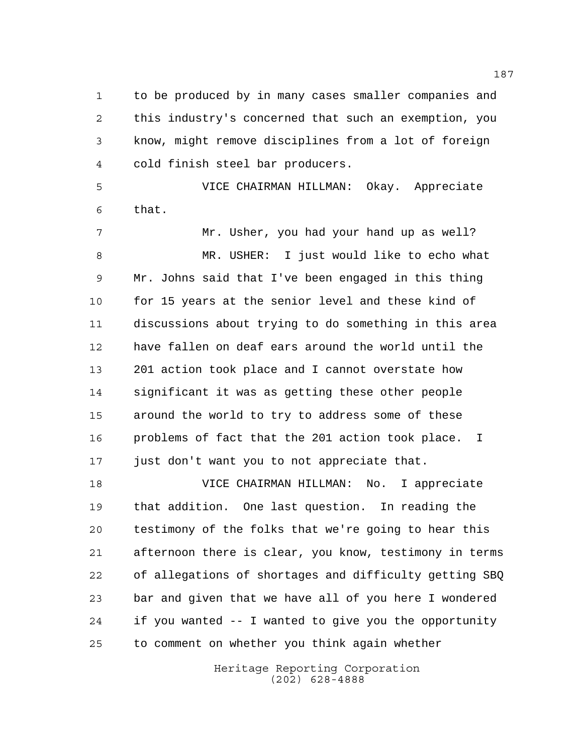to be produced by in many cases smaller companies and this industry's concerned that such an exemption, you know, might remove disciplines from a lot of foreign cold finish steel bar producers.

 VICE CHAIRMAN HILLMAN: Okay. Appreciate that.

 Mr. Usher, you had your hand up as well? MR. USHER: I just would like to echo what Mr. Johns said that I've been engaged in this thing 10 for 15 years at the senior level and these kind of discussions about trying to do something in this area have fallen on deaf ears around the world until the 201 action took place and I cannot overstate how significant it was as getting these other people around the world to try to address some of these problems of fact that the 201 action took place. I just don't want you to not appreciate that.

 VICE CHAIRMAN HILLMAN: No. I appreciate that addition. One last question. In reading the testimony of the folks that we're going to hear this afternoon there is clear, you know, testimony in terms of allegations of shortages and difficulty getting SBQ bar and given that we have all of you here I wondered if you wanted -- I wanted to give you the opportunity to comment on whether you think again whether

> Heritage Reporting Corporation (202) 628-4888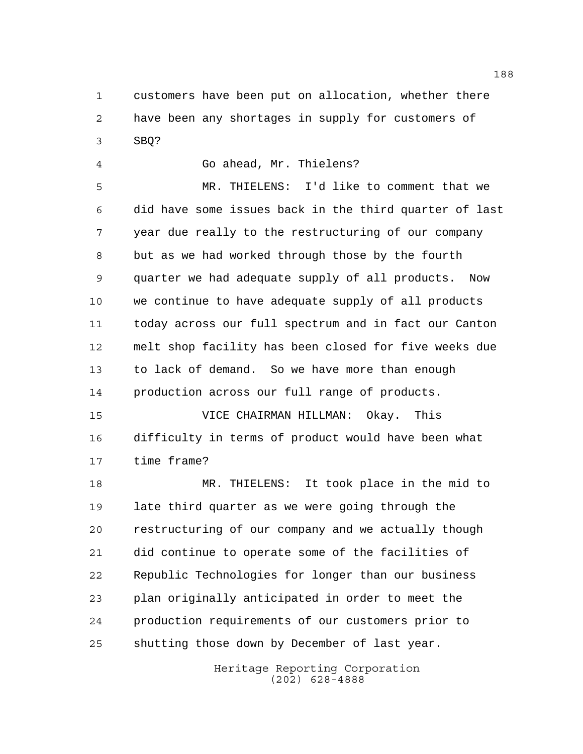customers have been put on allocation, whether there have been any shortages in supply for customers of SBQ?

Go ahead, Mr. Thielens?

 MR. THIELENS: I'd like to comment that we did have some issues back in the third quarter of last year due really to the restructuring of our company but as we had worked through those by the fourth quarter we had adequate supply of all products. Now we continue to have adequate supply of all products today across our full spectrum and in fact our Canton melt shop facility has been closed for five weeks due to lack of demand. So we have more than enough production across our full range of products.

 VICE CHAIRMAN HILLMAN: Okay. This difficulty in terms of product would have been what time frame?

 MR. THIELENS: It took place in the mid to late third quarter as we were going through the restructuring of our company and we actually though did continue to operate some of the facilities of Republic Technologies for longer than our business plan originally anticipated in order to meet the production requirements of our customers prior to shutting those down by December of last year.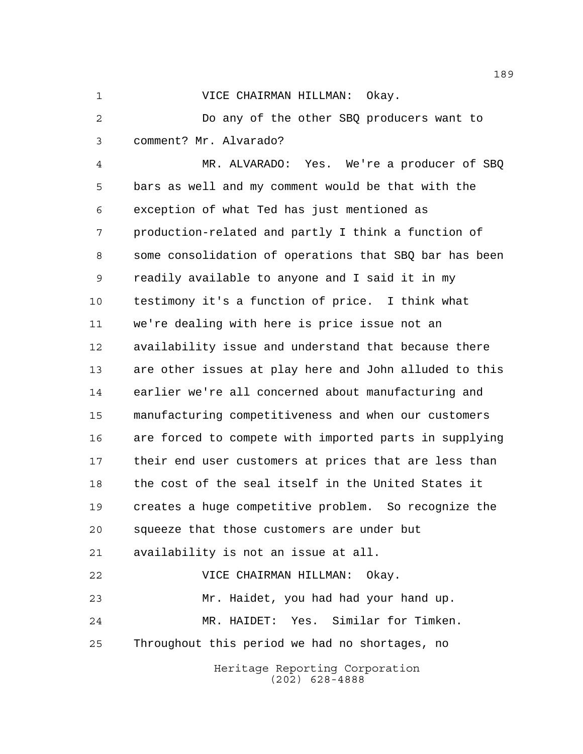VICE CHAIRMAN HILLMAN: Okay.

 Do any of the other SBQ producers want to comment? Mr. Alvarado?

Heritage Reporting Corporation MR. ALVARADO: Yes. We're a producer of SBQ bars as well and my comment would be that with the exception of what Ted has just mentioned as production-related and partly I think a function of some consolidation of operations that SBQ bar has been readily available to anyone and I said it in my testimony it's a function of price. I think what we're dealing with here is price issue not an availability issue and understand that because there are other issues at play here and John alluded to this earlier we're all concerned about manufacturing and manufacturing competitiveness and when our customers are forced to compete with imported parts in supplying their end user customers at prices that are less than the cost of the seal itself in the United States it creates a huge competitive problem. So recognize the squeeze that those customers are under but availability is not an issue at all. VICE CHAIRMAN HILLMAN: Okay. Mr. Haidet, you had had your hand up. MR. HAIDET: Yes. Similar for Timken. Throughout this period we had no shortages, no

(202) 628-4888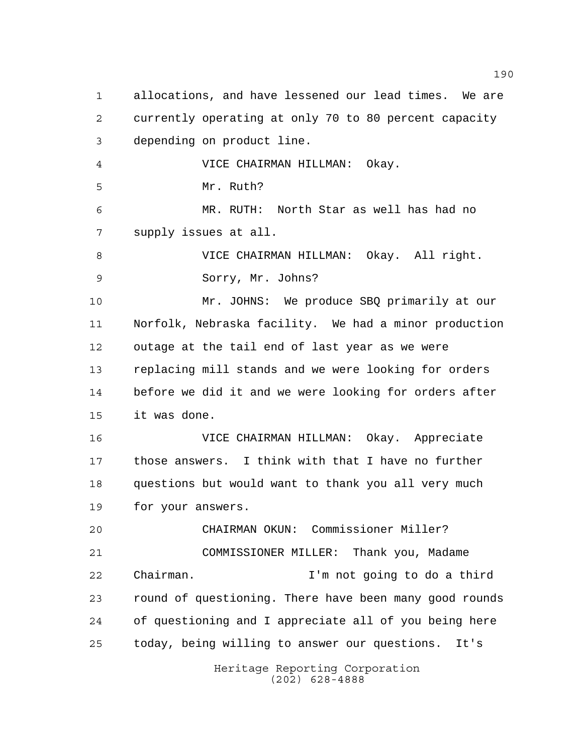Heritage Reporting Corporation (202) 628-4888 allocations, and have lessened our lead times. We are currently operating at only 70 to 80 percent capacity depending on product line. VICE CHAIRMAN HILLMAN: Okay. Mr. Ruth? MR. RUTH: North Star as well has had no supply issues at all. VICE CHAIRMAN HILLMAN: Okay. All right. Sorry, Mr. Johns? Mr. JOHNS: We produce SBQ primarily at our Norfolk, Nebraska facility. We had a minor production outage at the tail end of last year as we were replacing mill stands and we were looking for orders before we did it and we were looking for orders after it was done. VICE CHAIRMAN HILLMAN: Okay. Appreciate those answers. I think with that I have no further questions but would want to thank you all very much for your answers. CHAIRMAN OKUN: Commissioner Miller? COMMISSIONER MILLER: Thank you, Madame Chairman. I'm not going to do a third round of questioning. There have been many good rounds of questioning and I appreciate all of you being here today, being willing to answer our questions. It's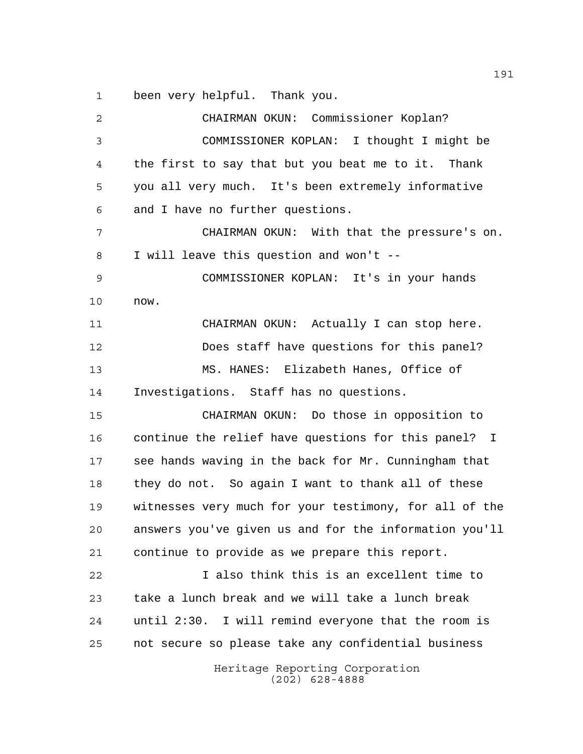been very helpful. Thank you.

Heritage Reporting Corporation (202) 628-4888 CHAIRMAN OKUN: Commissioner Koplan? COMMISSIONER KOPLAN: I thought I might be the first to say that but you beat me to it. Thank you all very much. It's been extremely informative and I have no further questions. CHAIRMAN OKUN: With that the pressure's on. I will leave this question and won't -- COMMISSIONER KOPLAN: It's in your hands now. CHAIRMAN OKUN: Actually I can stop here. Does staff have questions for this panel? MS. HANES: Elizabeth Hanes, Office of Investigations. Staff has no questions. CHAIRMAN OKUN: Do those in opposition to continue the relief have questions for this panel? I see hands waving in the back for Mr. Cunningham that they do not. So again I want to thank all of these witnesses very much for your testimony, for all of the answers you've given us and for the information you'll continue to provide as we prepare this report. I also think this is an excellent time to take a lunch break and we will take a lunch break until 2:30. I will remind everyone that the room is not secure so please take any confidential business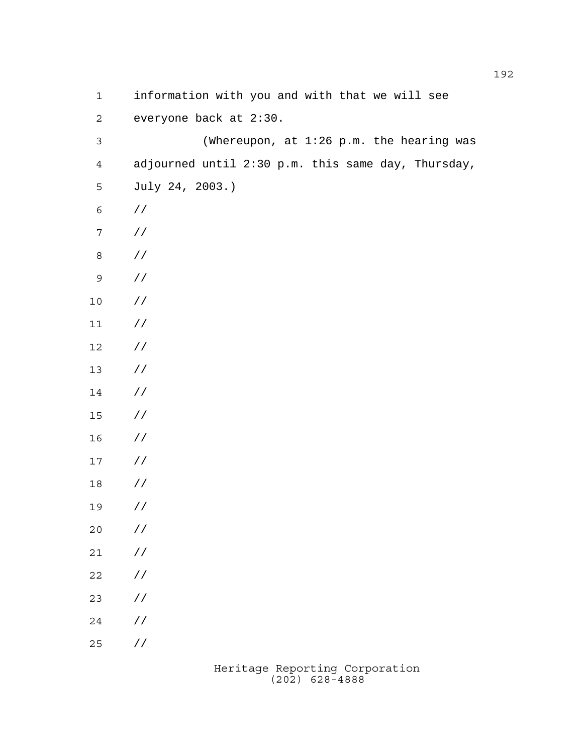| $\mathbf 1$      | information with you and with that we will see     |
|------------------|----------------------------------------------------|
| $\mathbf{2}$     | everyone back at 2:30.                             |
| $\mathfrak{Z}$   | (Whereupon, at 1:26 p.m. the hearing was           |
| $\overline{4}$   | adjourned until 2:30 p.m. this same day, Thursday, |
| 5                | July 24, 2003.)                                    |
| $\epsilon$       | $\frac{1}{2}$                                      |
| $\boldsymbol{7}$ | $\sqrt{}$                                          |
| $\,8\,$          | $\sqrt{}$                                          |
| $\mathsf 9$      | $\sqrt{}$                                          |
| $10$             | $\frac{1}{2}$                                      |
| $11$             | $\frac{1}{2}$                                      |
| $12$             | $\frac{1}{2}$                                      |
| $13$             | $\frac{1}{2}$                                      |
| 14               | $\frac{1}{2}$                                      |
| $15\,$           | $\frac{1}{2}$                                      |
| 16               | $\frac{1}{2}$                                      |
| $17\,$           | $\frac{1}{2}$                                      |
| 18               | $\frac{1}{2}$                                      |
| 19               | $\frac{1}{2}$                                      |
| $20$             | $\!/\!$                                            |
| $21$             | $\!/\!$                                            |
| 22               | $\!/\!$                                            |
| 23               | $\!/\!$                                            |
| 24               | $\!/\!$ /                                          |
| 25               | / $\mskip 1mu /$                                   |
|                  |                                                    |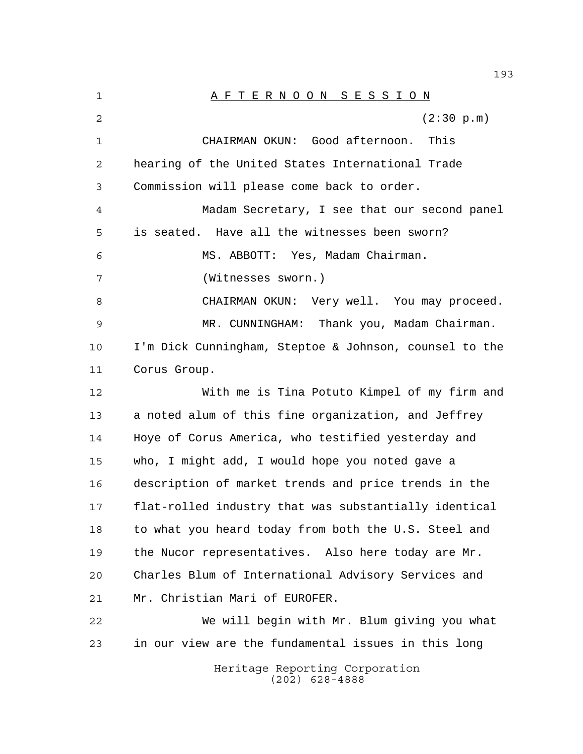Heritage Reporting Corporation (202) 628-4888 A F T E R N O O N S E S S I O N 2 (2:30 p.m) CHAIRMAN OKUN: Good afternoon. This hearing of the United States International Trade Commission will please come back to order. Madam Secretary, I see that our second panel is seated. Have all the witnesses been sworn? MS. ABBOTT: Yes, Madam Chairman. (Witnesses sworn.) 8 CHAIRMAN OKUN: Very well. You may proceed. MR. CUNNINGHAM: Thank you, Madam Chairman. I'm Dick Cunningham, Steptoe & Johnson, counsel to the Corus Group. With me is Tina Potuto Kimpel of my firm and a noted alum of this fine organization, and Jeffrey Hoye of Corus America, who testified yesterday and who, I might add, I would hope you noted gave a description of market trends and price trends in the flat-rolled industry that was substantially identical 18 to what you heard today from both the U.S. Steel and the Nucor representatives. Also here today are Mr. Charles Blum of International Advisory Services and Mr. Christian Mari of EUROFER. We will begin with Mr. Blum giving you what in our view are the fundamental issues in this long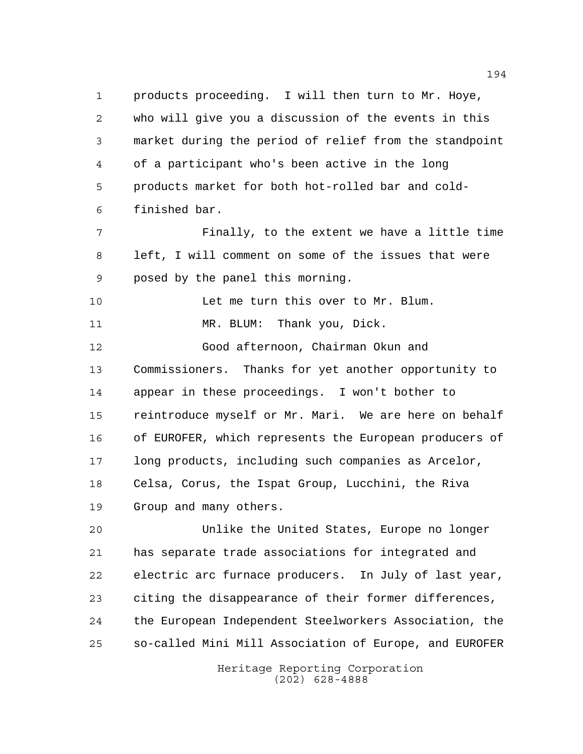products proceeding. I will then turn to Mr. Hoye, who will give you a discussion of the events in this market during the period of relief from the standpoint of a participant who's been active in the long products market for both hot-rolled bar and cold- finished bar. Finally, to the extent we have a little time left, I will comment on some of the issues that were posed by the panel this morning. Let me turn this over to Mr. Blum. 11 MR. BLUM: Thank you, Dick. Good afternoon, Chairman Okun and Commissioners. Thanks for yet another opportunity to appear in these proceedings. I won't bother to reintroduce myself or Mr. Mari. We are here on behalf of EUROFER, which represents the European producers of long products, including such companies as Arcelor, Celsa, Corus, the Ispat Group, Lucchini, the Riva Group and many others. Unlike the United States, Europe no longer

 has separate trade associations for integrated and electric arc furnace producers. In July of last year, citing the disappearance of their former differences, the European Independent Steelworkers Association, the so-called Mini Mill Association of Europe, and EUROFER

> Heritage Reporting Corporation (202) 628-4888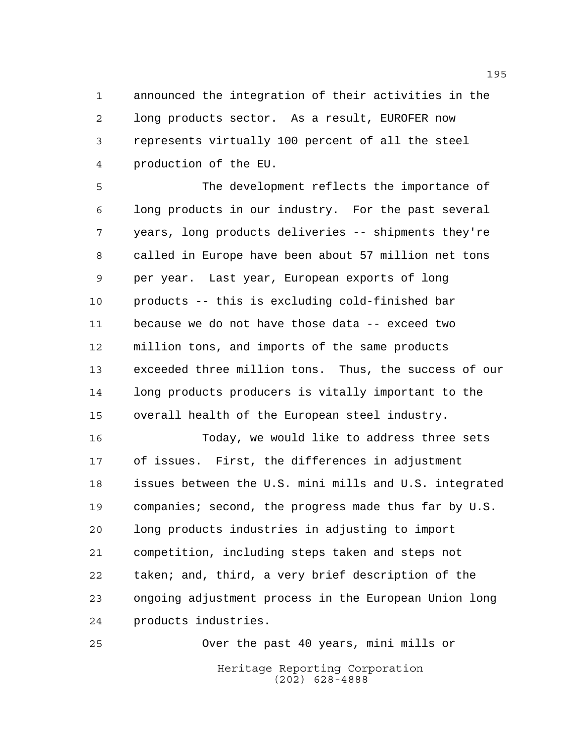announced the integration of their activities in the long products sector. As a result, EUROFER now represents virtually 100 percent of all the steel production of the EU.

 The development reflects the importance of long products in our industry. For the past several years, long products deliveries -- shipments they're called in Europe have been about 57 million net tons per year. Last year, European exports of long products -- this is excluding cold-finished bar because we do not have those data -- exceed two million tons, and imports of the same products exceeded three million tons. Thus, the success of our long products producers is vitally important to the overall health of the European steel industry.

 Today, we would like to address three sets of issues. First, the differences in adjustment issues between the U.S. mini mills and U.S. integrated 19 companies; second, the progress made thus far by U.S. long products industries in adjusting to import competition, including steps taken and steps not taken; and, third, a very brief description of the ongoing adjustment process in the European Union long products industries.

Heritage Reporting Corporation (202) 628-4888 Over the past 40 years, mini mills or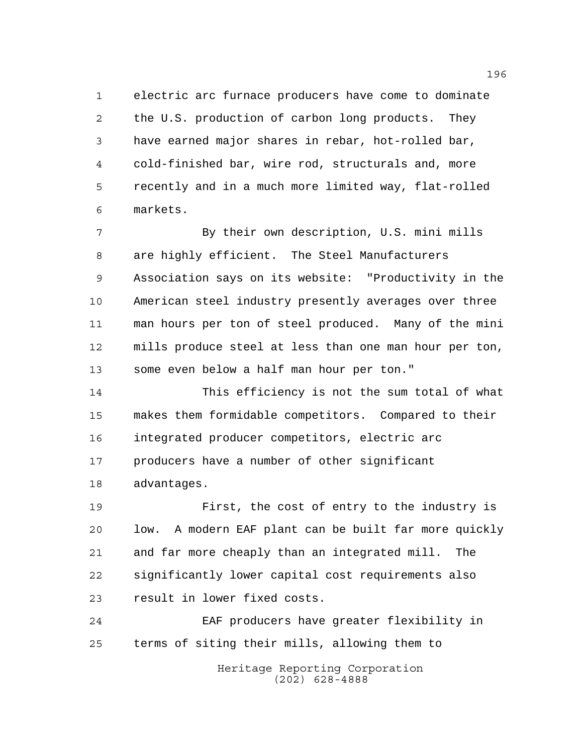electric arc furnace producers have come to dominate the U.S. production of carbon long products. They have earned major shares in rebar, hot-rolled bar, cold-finished bar, wire rod, structurals and, more recently and in a much more limited way, flat-rolled markets.

 By their own description, U.S. mini mills are highly efficient. The Steel Manufacturers Association says on its website: "Productivity in the American steel industry presently averages over three man hours per ton of steel produced. Many of the mini mills produce steel at less than one man hour per ton, some even below a half man hour per ton."

 This efficiency is not the sum total of what makes them formidable competitors. Compared to their integrated producer competitors, electric arc producers have a number of other significant advantages.

 First, the cost of entry to the industry is low. A modern EAF plant can be built far more quickly and far more cheaply than an integrated mill. The significantly lower capital cost requirements also result in lower fixed costs.

 EAF producers have greater flexibility in terms of siting their mills, allowing them to

> Heritage Reporting Corporation (202) 628-4888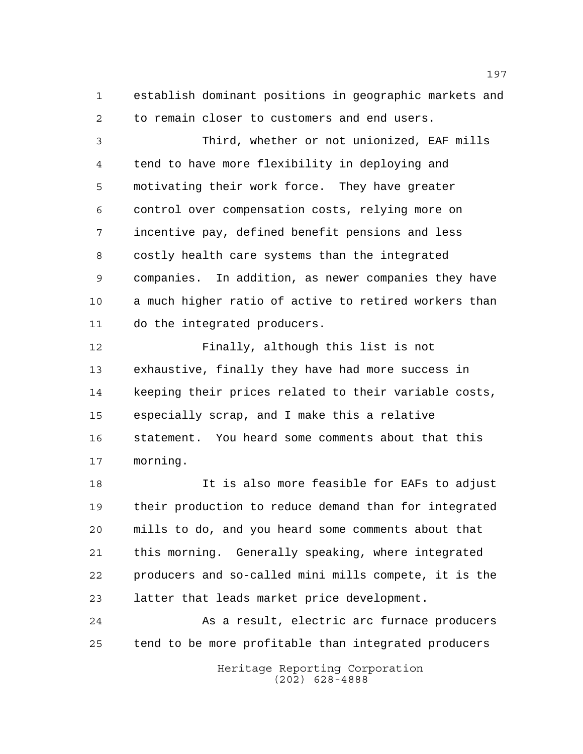establish dominant positions in geographic markets and to remain closer to customers and end users.

 Third, whether or not unionized, EAF mills tend to have more flexibility in deploying and motivating their work force. They have greater control over compensation costs, relying more on incentive pay, defined benefit pensions and less costly health care systems than the integrated companies. In addition, as newer companies they have a much higher ratio of active to retired workers than do the integrated producers.

 Finally, although this list is not exhaustive, finally they have had more success in keeping their prices related to their variable costs, especially scrap, and I make this a relative statement. You heard some comments about that this morning.

 It is also more feasible for EAFs to adjust their production to reduce demand than for integrated mills to do, and you heard some comments about that this morning. Generally speaking, where integrated producers and so-called mini mills compete, it is the latter that leads market price development.

24 As a result, electric arc furnace producers tend to be more profitable than integrated producers

> Heritage Reporting Corporation (202) 628-4888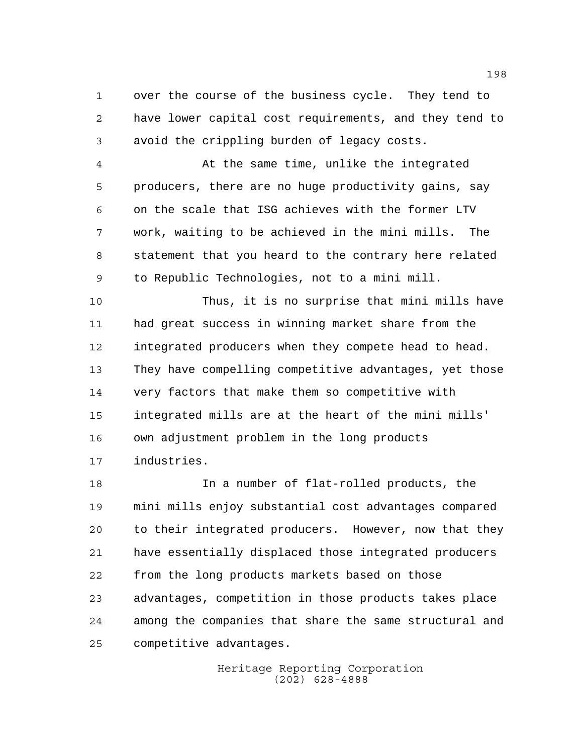over the course of the business cycle. They tend to have lower capital cost requirements, and they tend to avoid the crippling burden of legacy costs.

 At the same time, unlike the integrated producers, there are no huge productivity gains, say on the scale that ISG achieves with the former LTV work, waiting to be achieved in the mini mills. The statement that you heard to the contrary here related to Republic Technologies, not to a mini mill.

 Thus, it is no surprise that mini mills have had great success in winning market share from the integrated producers when they compete head to head. They have compelling competitive advantages, yet those very factors that make them so competitive with integrated mills are at the heart of the mini mills' own adjustment problem in the long products industries.

 In a number of flat-rolled products, the mini mills enjoy substantial cost advantages compared to their integrated producers. However, now that they have essentially displaced those integrated producers from the long products markets based on those advantages, competition in those products takes place among the companies that share the same structural and competitive advantages.

> Heritage Reporting Corporation (202) 628-4888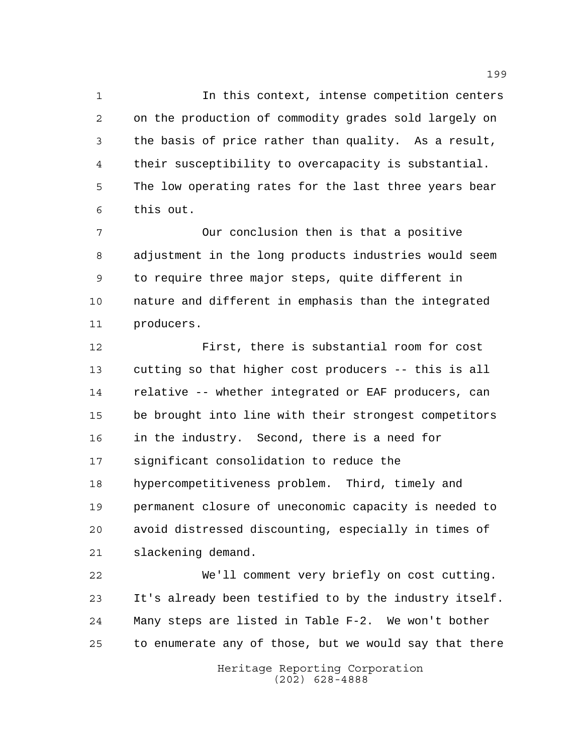In this context, intense competition centers on the production of commodity grades sold largely on the basis of price rather than quality. As a result, their susceptibility to overcapacity is substantial. The low operating rates for the last three years bear this out.

 Our conclusion then is that a positive adjustment in the long products industries would seem to require three major steps, quite different in nature and different in emphasis than the integrated producers.

 First, there is substantial room for cost cutting so that higher cost producers -- this is all relative -- whether integrated or EAF producers, can be brought into line with their strongest competitors in the industry. Second, there is a need for significant consolidation to reduce the hypercompetitiveness problem. Third, timely and permanent closure of uneconomic capacity is needed to avoid distressed discounting, especially in times of slackening demand.

 We'll comment very briefly on cost cutting. It's already been testified to by the industry itself. Many steps are listed in Table F-2. We won't bother to enumerate any of those, but we would say that there

Heritage Reporting Corporation (202) 628-4888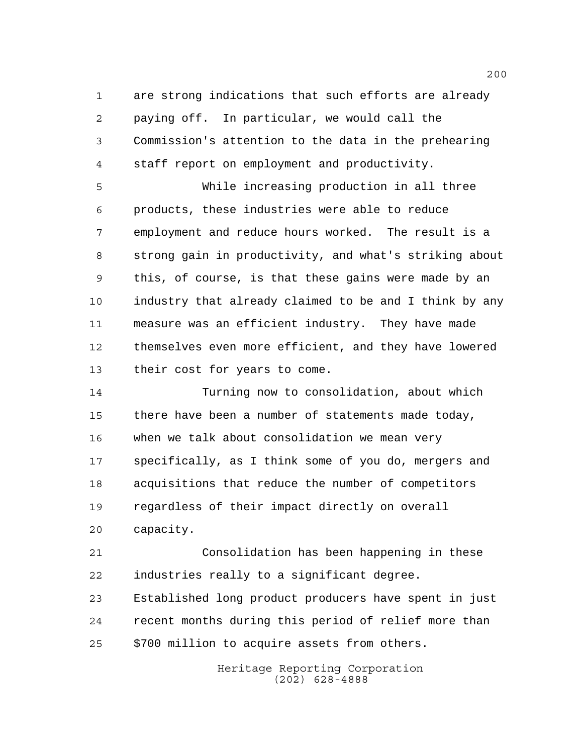are strong indications that such efforts are already paying off. In particular, we would call the Commission's attention to the data in the prehearing staff report on employment and productivity.

 While increasing production in all three products, these industries were able to reduce employment and reduce hours worked. The result is a strong gain in productivity, and what's striking about this, of course, is that these gains were made by an industry that already claimed to be and I think by any measure was an efficient industry. They have made themselves even more efficient, and they have lowered their cost for years to come.

 Turning now to consolidation, about which there have been a number of statements made today, when we talk about consolidation we mean very specifically, as I think some of you do, mergers and acquisitions that reduce the number of competitors regardless of their impact directly on overall capacity.

 Consolidation has been happening in these industries really to a significant degree.

 Established long product producers have spent in just recent months during this period of relief more than \$700 million to acquire assets from others.

> Heritage Reporting Corporation (202) 628-4888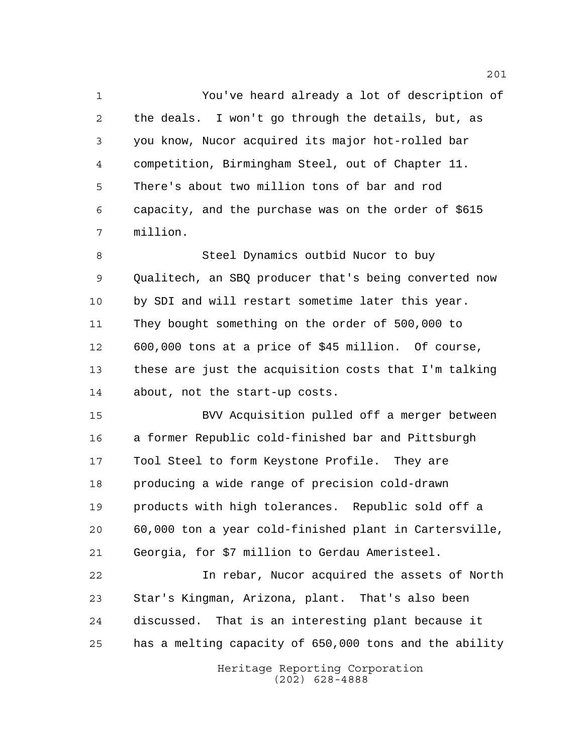You've heard already a lot of description of the deals. I won't go through the details, but, as you know, Nucor acquired its major hot-rolled bar competition, Birmingham Steel, out of Chapter 11. There's about two million tons of bar and rod capacity, and the purchase was on the order of \$615 million.

 Steel Dynamics outbid Nucor to buy Qualitech, an SBQ producer that's being converted now by SDI and will restart sometime later this year. They bought something on the order of 500,000 to 600,000 tons at a price of \$45 million. Of course, these are just the acquisition costs that I'm talking about, not the start-up costs.

 BVV Acquisition pulled off a merger between a former Republic cold-finished bar and Pittsburgh Tool Steel to form Keystone Profile. They are producing a wide range of precision cold-drawn products with high tolerances. Republic sold off a 60,000 ton a year cold-finished plant in Cartersville, Georgia, for \$7 million to Gerdau Ameristeel.

 In rebar, Nucor acquired the assets of North Star's Kingman, Arizona, plant. That's also been discussed. That is an interesting plant because it has a melting capacity of 650,000 tons and the ability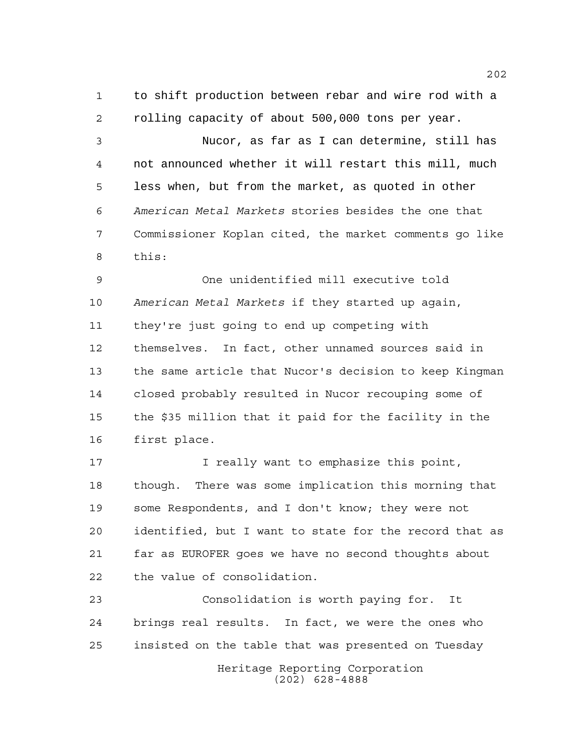to shift production between rebar and wire rod with a rolling capacity of about 500,000 tons per year.

 Nucor, as far as I can determine, still has not announced whether it will restart this mill, much less when, but from the market, as quoted in other *American Metal Markets* stories besides the one that Commissioner Koplan cited, the market comments go like this:

 One unidentified mill executive told *American Metal Markets* if they started up again, they're just going to end up competing with themselves. In fact, other unnamed sources said in the same article that Nucor's decision to keep Kingman closed probably resulted in Nucor recouping some of the \$35 million that it paid for the facility in the first place.

**I** really want to emphasize this point, though. There was some implication this morning that some Respondents, and I don't know; they were not identified, but I want to state for the record that as far as EUROFER goes we have no second thoughts about the value of consolidation.

Heritage Reporting Corporation (202) 628-4888 Consolidation is worth paying for. It brings real results. In fact, we were the ones who insisted on the table that was presented on Tuesday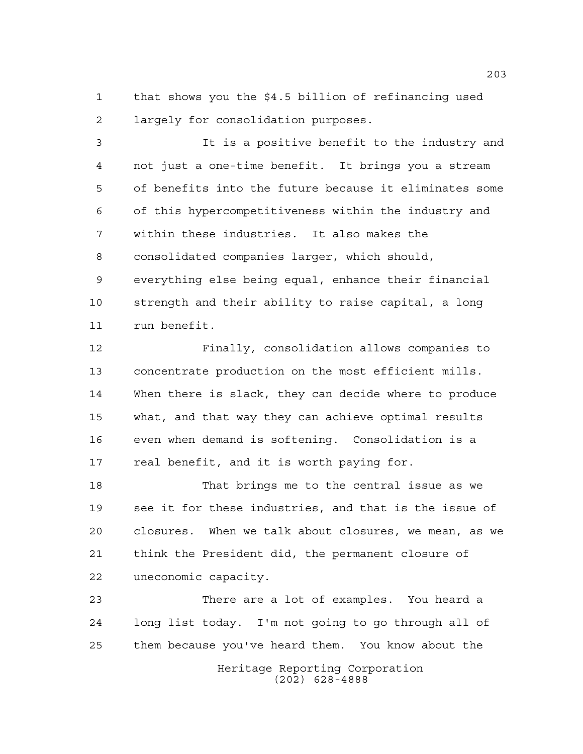that shows you the \$4.5 billion of refinancing used largely for consolidation purposes.

 It is a positive benefit to the industry and not just a one-time benefit. It brings you a stream of benefits into the future because it eliminates some of this hypercompetitiveness within the industry and within these industries. It also makes the consolidated companies larger, which should, everything else being equal, enhance their financial strength and their ability to raise capital, a long run benefit.

 Finally, consolidation allows companies to concentrate production on the most efficient mills. When there is slack, they can decide where to produce what, and that way they can achieve optimal results even when demand is softening. Consolidation is a 17 real benefit, and it is worth paying for.

 That brings me to the central issue as we see it for these industries, and that is the issue of closures. When we talk about closures, we mean, as we think the President did, the permanent closure of uneconomic capacity.

Heritage Reporting Corporation (202) 628-4888 There are a lot of examples. You heard a long list today. I'm not going to go through all of them because you've heard them. You know about the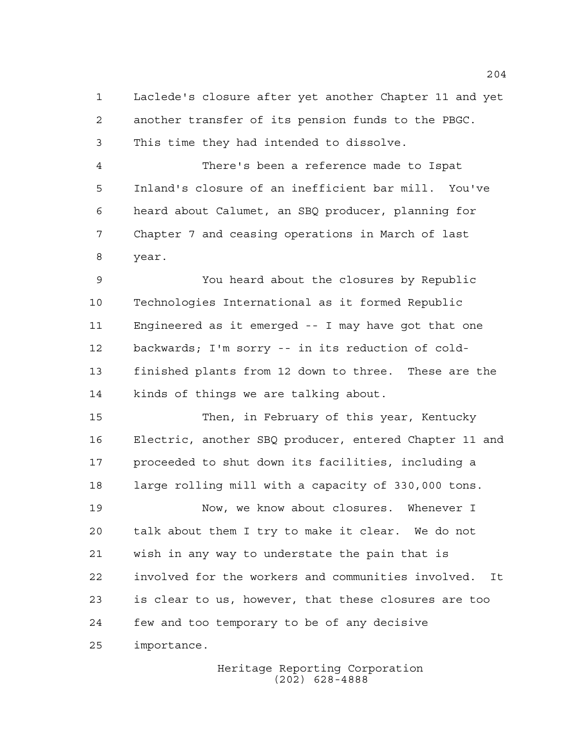Laclede's closure after yet another Chapter 11 and yet another transfer of its pension funds to the PBGC. This time they had intended to dissolve.

 There's been a reference made to Ispat Inland's closure of an inefficient bar mill. You've heard about Calumet, an SBQ producer, planning for Chapter 7 and ceasing operations in March of last year.

 You heard about the closures by Republic Technologies International as it formed Republic Engineered as it emerged -- I may have got that one backwards; I'm sorry -- in its reduction of cold- finished plants from 12 down to three. These are the kinds of things we are talking about.

 Then, in February of this year, Kentucky Electric, another SBQ producer, entered Chapter 11 and proceeded to shut down its facilities, including a large rolling mill with a capacity of 330,000 tons.

 Now, we know about closures. Whenever I talk about them I try to make it clear. We do not wish in any way to understate the pain that is involved for the workers and communities involved. It is clear to us, however, that these closures are too few and too temporary to be of any decisive importance.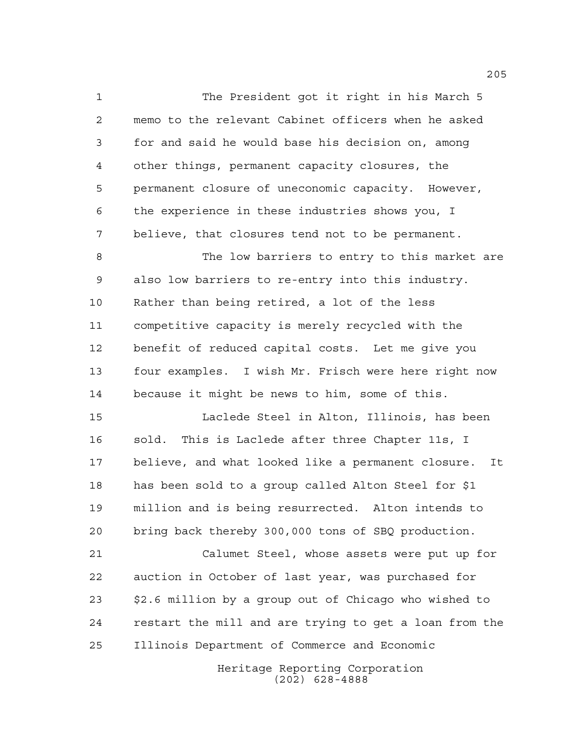The President got it right in his March 5 memo to the relevant Cabinet officers when he asked for and said he would base his decision on, among other things, permanent capacity closures, the permanent closure of uneconomic capacity. However, the experience in these industries shows you, I believe, that closures tend not to be permanent.

 The low barriers to entry to this market are also low barriers to re-entry into this industry. Rather than being retired, a lot of the less competitive capacity is merely recycled with the benefit of reduced capital costs. Let me give you four examples. I wish Mr. Frisch were here right now because it might be news to him, some of this.

 Laclede Steel in Alton, Illinois, has been sold. This is Laclede after three Chapter 11s, I believe, and what looked like a permanent closure. It has been sold to a group called Alton Steel for \$1 million and is being resurrected. Alton intends to bring back thereby 300,000 tons of SBQ production.

 Calumet Steel, whose assets were put up for auction in October of last year, was purchased for \$2.6 million by a group out of Chicago who wished to restart the mill and are trying to get a loan from the Illinois Department of Commerce and Economic

> Heritage Reporting Corporation (202) 628-4888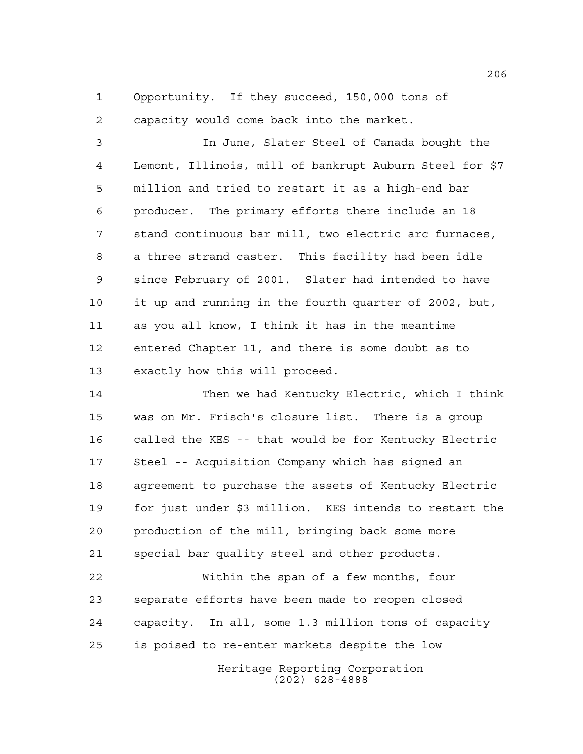Opportunity. If they succeed, 150,000 tons of capacity would come back into the market.

 In June, Slater Steel of Canada bought the Lemont, Illinois, mill of bankrupt Auburn Steel for \$7 million and tried to restart it as a high-end bar producer. The primary efforts there include an 18 stand continuous bar mill, two electric arc furnaces, a three strand caster. This facility had been idle since February of 2001. Slater had intended to have it up and running in the fourth quarter of 2002, but, as you all know, I think it has in the meantime entered Chapter 11, and there is some doubt as to exactly how this will proceed.

 Then we had Kentucky Electric, which I think was on Mr. Frisch's closure list. There is a group called the KES -- that would be for Kentucky Electric Steel -- Acquisition Company which has signed an agreement to purchase the assets of Kentucky Electric for just under \$3 million. KES intends to restart the production of the mill, bringing back some more special bar quality steel and other products.

 Within the span of a few months, four separate efforts have been made to reopen closed capacity. In all, some 1.3 million tons of capacity is poised to re-enter markets despite the low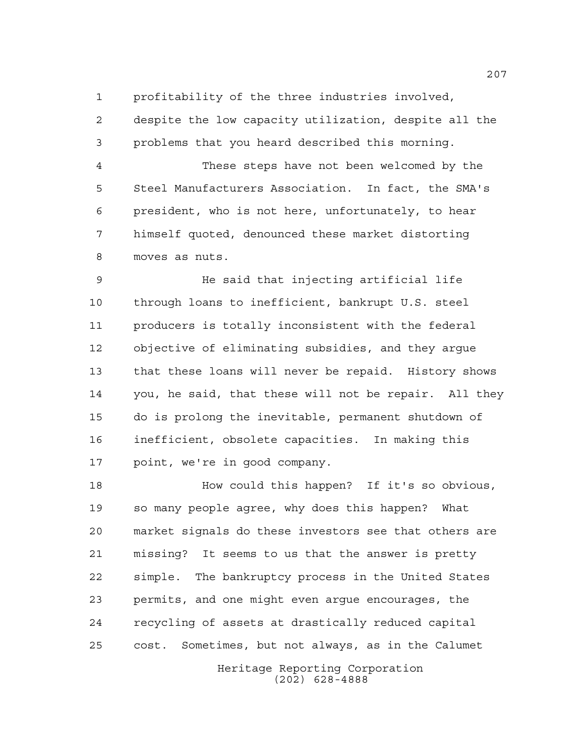profitability of the three industries involved,

 despite the low capacity utilization, despite all the problems that you heard described this morning.

 These steps have not been welcomed by the Steel Manufacturers Association. In fact, the SMA's president, who is not here, unfortunately, to hear himself quoted, denounced these market distorting moves as nuts.

 He said that injecting artificial life through loans to inefficient, bankrupt U.S. steel producers is totally inconsistent with the federal objective of eliminating subsidies, and they argue that these loans will never be repaid. History shows you, he said, that these will not be repair. All they do is prolong the inevitable, permanent shutdown of inefficient, obsolete capacities. In making this point, we're in good company.

Heritage Reporting Corporation How could this happen? If it's so obvious, so many people agree, why does this happen? What market signals do these investors see that others are missing? It seems to us that the answer is pretty simple. The bankruptcy process in the United States permits, and one might even argue encourages, the recycling of assets at drastically reduced capital cost. Sometimes, but not always, as in the Calumet

(202) 628-4888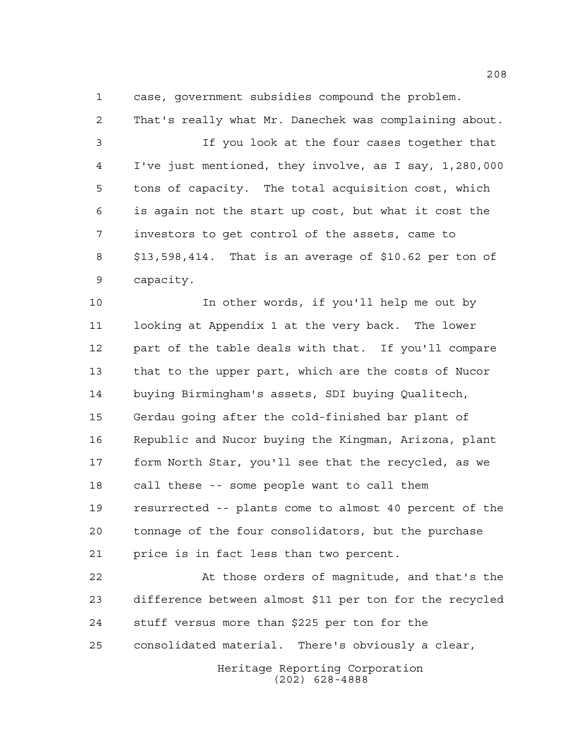case, government subsidies compound the problem.

 That's really what Mr. Danechek was complaining about. If you look at the four cases together that I've just mentioned, they involve, as I say, 1,280,000 tons of capacity. The total acquisition cost, which is again not the start up cost, but what it cost the investors to get control of the assets, came to \$13,598,414. That is an average of \$10.62 per ton of capacity.

 In other words, if you'll help me out by looking at Appendix 1 at the very back. The lower part of the table deals with that. If you'll compare that to the upper part, which are the costs of Nucor buying Birmingham's assets, SDI buying Qualitech, Gerdau going after the cold-finished bar plant of Republic and Nucor buying the Kingman, Arizona, plant form North Star, you'll see that the recycled, as we call these -- some people want to call them resurrected -- plants come to almost 40 percent of the tonnage of the four consolidators, but the purchase price is in fact less than two percent.

 At those orders of magnitude, and that's the difference between almost \$11 per ton for the recycled stuff versus more than \$225 per ton for the consolidated material. There's obviously a clear,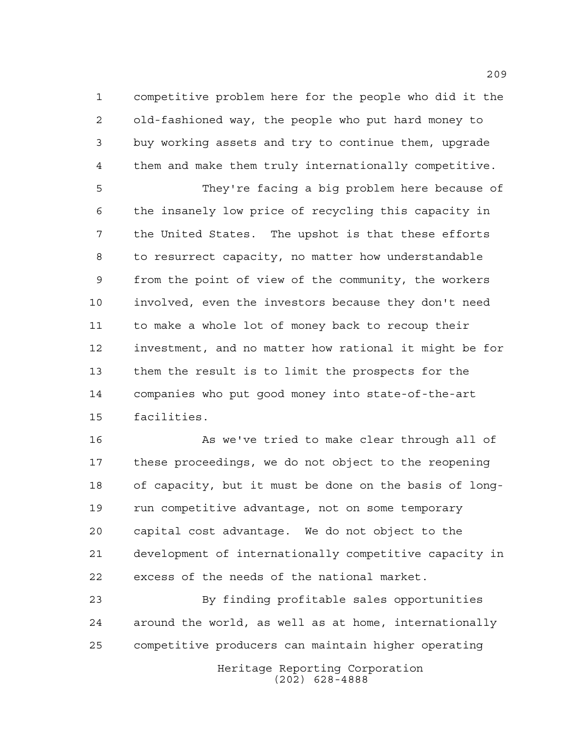competitive problem here for the people who did it the old-fashioned way, the people who put hard money to buy working assets and try to continue them, upgrade them and make them truly internationally competitive.

 They're facing a big problem here because of the insanely low price of recycling this capacity in the United States. The upshot is that these efforts to resurrect capacity, no matter how understandable from the point of view of the community, the workers involved, even the investors because they don't need to make a whole lot of money back to recoup their investment, and no matter how rational it might be for them the result is to limit the prospects for the companies who put good money into state-of-the-art facilities.

 As we've tried to make clear through all of these proceedings, we do not object to the reopening of capacity, but it must be done on the basis of long- run competitive advantage, not on some temporary capital cost advantage. We do not object to the development of internationally competitive capacity in excess of the needs of the national market.

Heritage Reporting Corporation By finding profitable sales opportunities around the world, as well as at home, internationally competitive producers can maintain higher operating

(202) 628-4888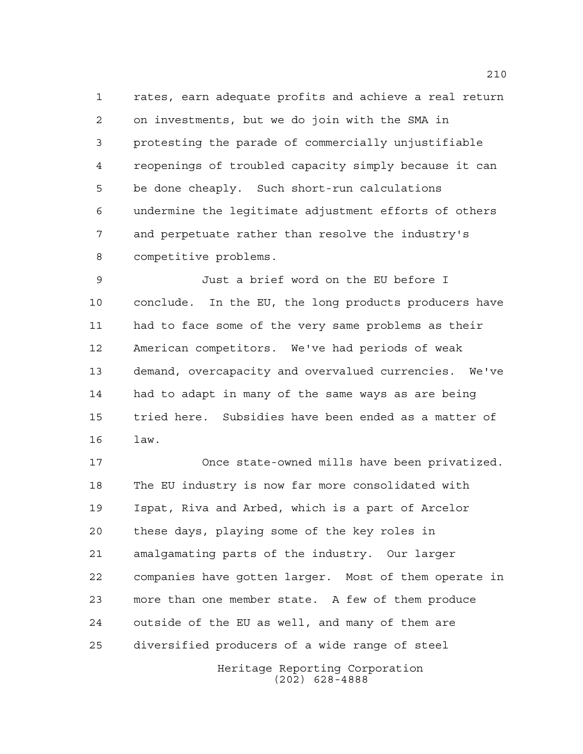rates, earn adequate profits and achieve a real return on investments, but we do join with the SMA in protesting the parade of commercially unjustifiable reopenings of troubled capacity simply because it can be done cheaply. Such short-run calculations undermine the legitimate adjustment efforts of others and perpetuate rather than resolve the industry's competitive problems.

 Just a brief word on the EU before I conclude. In the EU, the long products producers have had to face some of the very same problems as their American competitors. We've had periods of weak demand, overcapacity and overvalued currencies. We've had to adapt in many of the same ways as are being tried here. Subsidies have been ended as a matter of law.

 Once state-owned mills have been privatized. The EU industry is now far more consolidated with Ispat, Riva and Arbed, which is a part of Arcelor these days, playing some of the key roles in amalgamating parts of the industry. Our larger companies have gotten larger. Most of them operate in more than one member state. A few of them produce outside of the EU as well, and many of them are diversified producers of a wide range of steel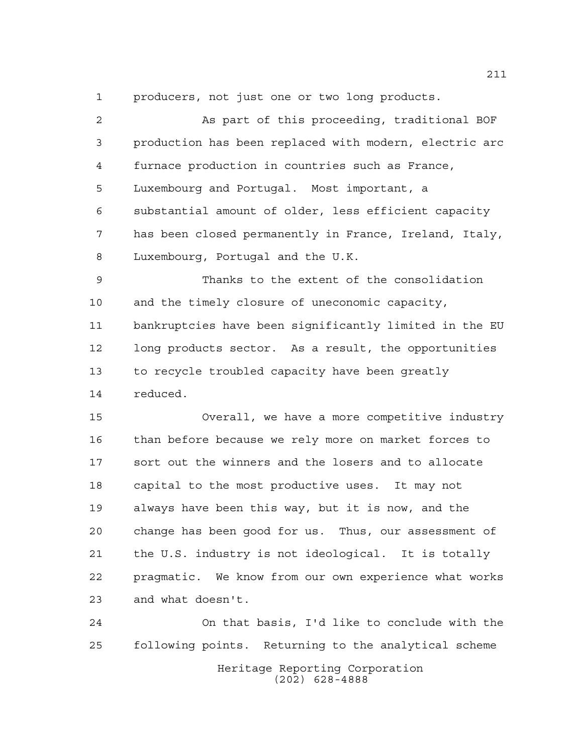producers, not just one or two long products.

| $\overline{a}$ | As part of this proceeding, traditional BOF            |
|----------------|--------------------------------------------------------|
| 3              | production has been replaced with modern, electric arc |
| 4              | furnace production in countries such as France,        |
| 5              | Luxembourg and Portugal. Most important, a             |
| 6              | substantial amount of older, less efficient capacity   |
| 7              | has been closed permanently in France, Ireland, Italy, |
| 8              | Luxembourg, Portugal and the U.K.                      |
| $\mathsf 9$    | Thanks to the extent of the consolidation              |
| 10             | and the timely closure of uneconomic capacity,         |
| 11             | bankruptcies have been significantly limited in the EU |
| 12             | long products sector. As a result, the opportunities   |
| 13             | to recycle troubled capacity have been greatly         |
| 14             | reduced.                                               |
| 15             | Overall, we have a more competitive industry           |
| 16             | than before because we rely more on market forces to   |
| 17             | sort out the winners and the losers and to allocate    |
| 18             | capital to the most productive uses. It may not        |
| 19             | always have been this way, but it is now, and the      |
| 20             | change has been good for us. Thus, our assessment of   |
| 21             | the U.S. industry is not ideological. It is totally    |
| 22             | pragmatic. We know from our own experience what works  |
| 23             | and what doesn't.                                      |
| 24             | On that basis, I'd like to conclude with the           |

Heritage Reporting Corporation (202) 628-4888

following points. Returning to the analytical scheme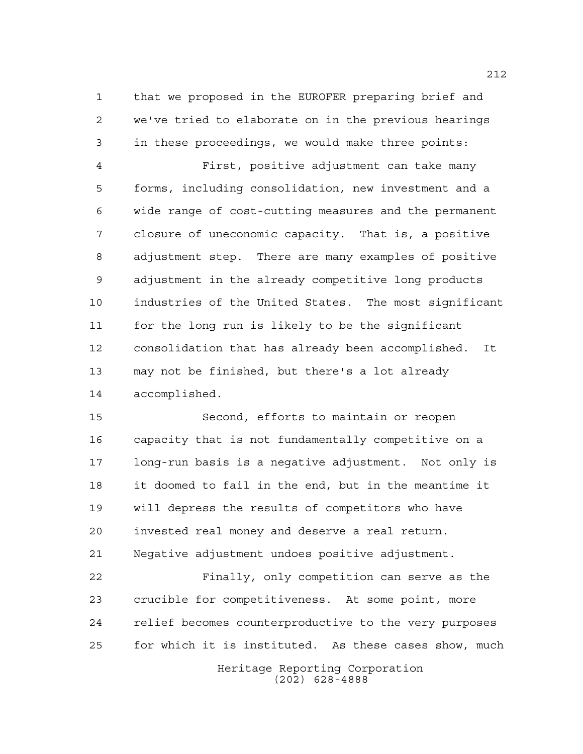that we proposed in the EUROFER preparing brief and we've tried to elaborate on in the previous hearings in these proceedings, we would make three points:

 First, positive adjustment can take many forms, including consolidation, new investment and a wide range of cost-cutting measures and the permanent closure of uneconomic capacity. That is, a positive adjustment step. There are many examples of positive adjustment in the already competitive long products industries of the United States. The most significant for the long run is likely to be the significant consolidation that has already been accomplished. It may not be finished, but there's a lot already accomplished.

 Second, efforts to maintain or reopen capacity that is not fundamentally competitive on a long-run basis is a negative adjustment. Not only is it doomed to fail in the end, but in the meantime it will depress the results of competitors who have invested real money and deserve a real return. Negative adjustment undoes positive adjustment.

 Finally, only competition can serve as the crucible for competitiveness. At some point, more relief becomes counterproductive to the very purposes for which it is instituted. As these cases show, much

> Heritage Reporting Corporation (202) 628-4888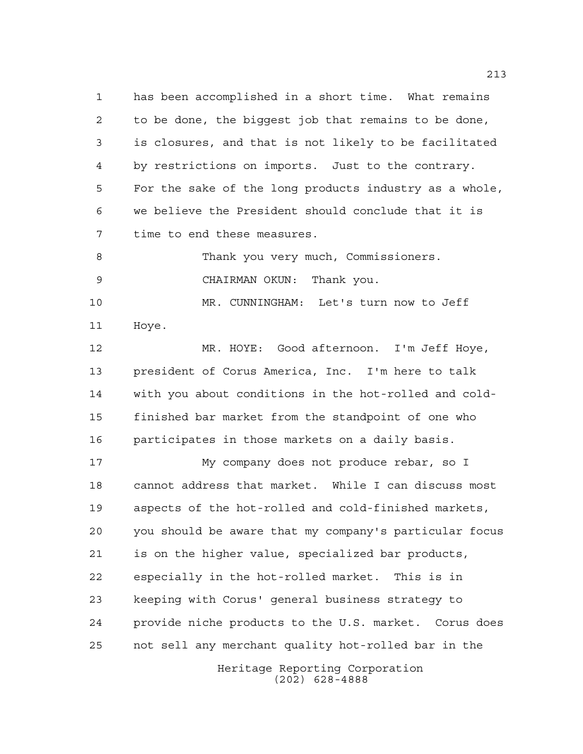has been accomplished in a short time. What remains to be done, the biggest job that remains to be done, is closures, and that is not likely to be facilitated by restrictions on imports. Just to the contrary. For the sake of the long products industry as a whole, we believe the President should conclude that it is time to end these measures.

8 Thank you very much, Commissioners. CHAIRMAN OKUN: Thank you.

 MR. CUNNINGHAM: Let's turn now to Jeff Hoye.

 MR. HOYE: Good afternoon. I'm Jeff Hoye, president of Corus America, Inc. I'm here to talk with you about conditions in the hot-rolled and cold- finished bar market from the standpoint of one who participates in those markets on a daily basis.

 My company does not produce rebar, so I cannot address that market. While I can discuss most aspects of the hot-rolled and cold-finished markets, you should be aware that my company's particular focus is on the higher value, specialized bar products, especially in the hot-rolled market. This is in keeping with Corus' general business strategy to provide niche products to the U.S. market. Corus does not sell any merchant quality hot-rolled bar in the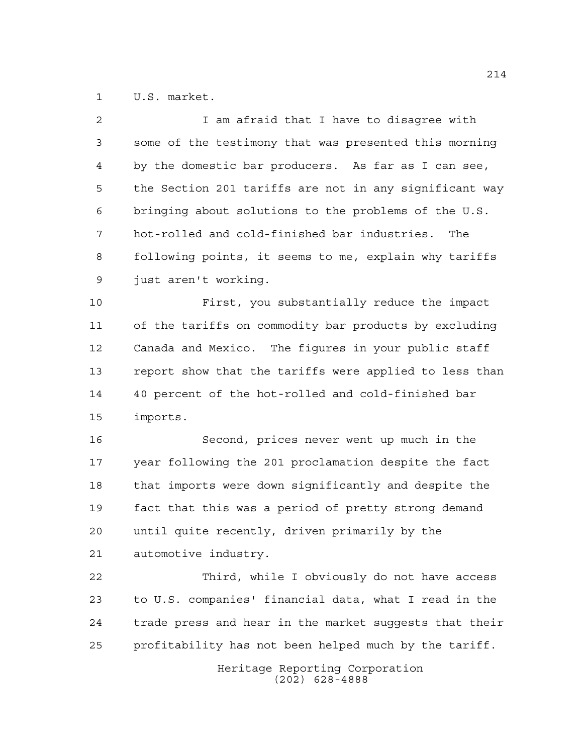U.S. market.

| $\overline{a}$ | I am afraid that I have to disagree with               |
|----------------|--------------------------------------------------------|
| 3              | some of the testimony that was presented this morning  |
| 4              | by the domestic bar producers. As far as I can see,    |
| 5              | the Section 201 tariffs are not in any significant way |
| 6              | bringing about solutions to the problems of the U.S.   |
| 7              | hot-rolled and cold-finished bar industries.<br>The    |
| 8              | following points, it seems to me, explain why tariffs  |
| 9              | just aren't working.                                   |
| 10             | First, you substantially reduce the impact             |
| 11             | of the tariffs on commodity bar products by excluding  |
| 12             | Canada and Mexico. The figures in your public staff    |
| 13             | report show that the tariffs were applied to less than |
| 14             | 40 percent of the hot-rolled and cold-finished bar     |
| 15             | imports.                                               |
| 16             | Second, prices never went up much in the               |
| 17             | year following the 201 proclamation despite the fact   |
| 18             | that imports were down significantly and despite the   |
| 19             | fact that this was a period of pretty strong demand    |
| 20             | until quite recently, driven primarily by the          |
| 21             | automotive industry.                                   |
| 22             | Third, while I obviously do not have access            |
| 23             | to U.S. companies' financial data, what I read in the  |
| 24             | trade press and hear in the market suggests that their |
| 25             | profitability has not been helped much by the tariff.  |
|                | Heritage Reporting Corporation                         |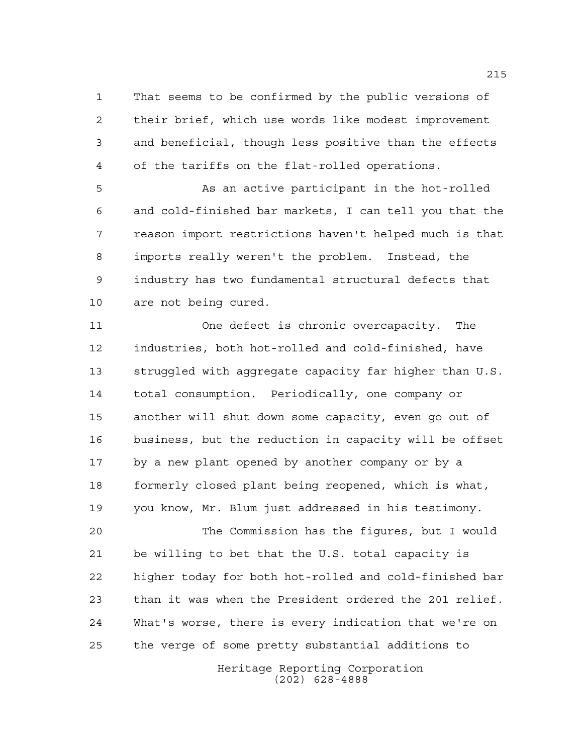That seems to be confirmed by the public versions of their brief, which use words like modest improvement and beneficial, though less positive than the effects of the tariffs on the flat-rolled operations.

 As an active participant in the hot-rolled and cold-finished bar markets, I can tell you that the reason import restrictions haven't helped much is that imports really weren't the problem. Instead, the industry has two fundamental structural defects that are not being cured.

 One defect is chronic overcapacity. The industries, both hot-rolled and cold-finished, have struggled with aggregate capacity far higher than U.S. total consumption. Periodically, one company or another will shut down some capacity, even go out of business, but the reduction in capacity will be offset by a new plant opened by another company or by a formerly closed plant being reopened, which is what, you know, Mr. Blum just addressed in his testimony.

 The Commission has the figures, but I would be willing to bet that the U.S. total capacity is higher today for both hot-rolled and cold-finished bar than it was when the President ordered the 201 relief. What's worse, there is every indication that we're on the verge of some pretty substantial additions to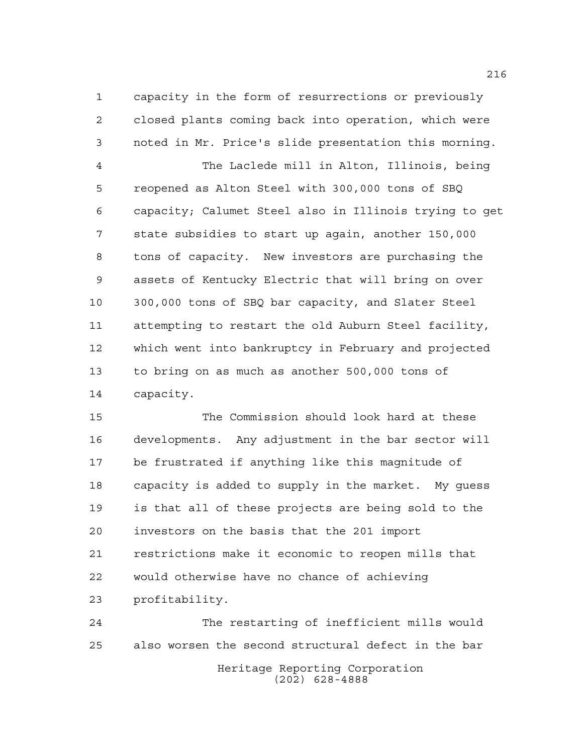capacity in the form of resurrections or previously closed plants coming back into operation, which were noted in Mr. Price's slide presentation this morning.

 The Laclede mill in Alton, Illinois, being reopened as Alton Steel with 300,000 tons of SBQ capacity; Calumet Steel also in Illinois trying to get state subsidies to start up again, another 150,000 tons of capacity. New investors are purchasing the assets of Kentucky Electric that will bring on over 300,000 tons of SBQ bar capacity, and Slater Steel attempting to restart the old Auburn Steel facility, which went into bankruptcy in February and projected to bring on as much as another 500,000 tons of capacity.

 The Commission should look hard at these developments. Any adjustment in the bar sector will be frustrated if anything like this magnitude of capacity is added to supply in the market. My guess is that all of these projects are being sold to the investors on the basis that the 201 import restrictions make it economic to reopen mills that would otherwise have no chance of achieving profitability.

Heritage Reporting Corporation (202) 628-4888 The restarting of inefficient mills would also worsen the second structural defect in the bar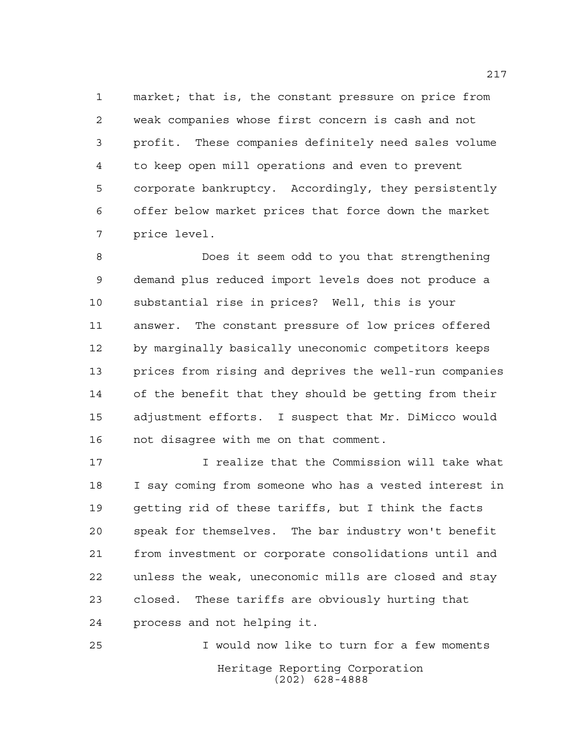market; that is, the constant pressure on price from weak companies whose first concern is cash and not profit. These companies definitely need sales volume to keep open mill operations and even to prevent corporate bankruptcy. Accordingly, they persistently offer below market prices that force down the market price level.

 Does it seem odd to you that strengthening demand plus reduced import levels does not produce a substantial rise in prices? Well, this is your answer. The constant pressure of low prices offered by marginally basically uneconomic competitors keeps prices from rising and deprives the well-run companies of the benefit that they should be getting from their adjustment efforts. I suspect that Mr. DiMicco would not disagree with me on that comment.

 I realize that the Commission will take what I say coming from someone who has a vested interest in getting rid of these tariffs, but I think the facts speak for themselves. The bar industry won't benefit from investment or corporate consolidations until and unless the weak, uneconomic mills are closed and stay closed. These tariffs are obviously hurting that process and not helping it.

Heritage Reporting Corporation (202) 628-4888 I would now like to turn for a few moments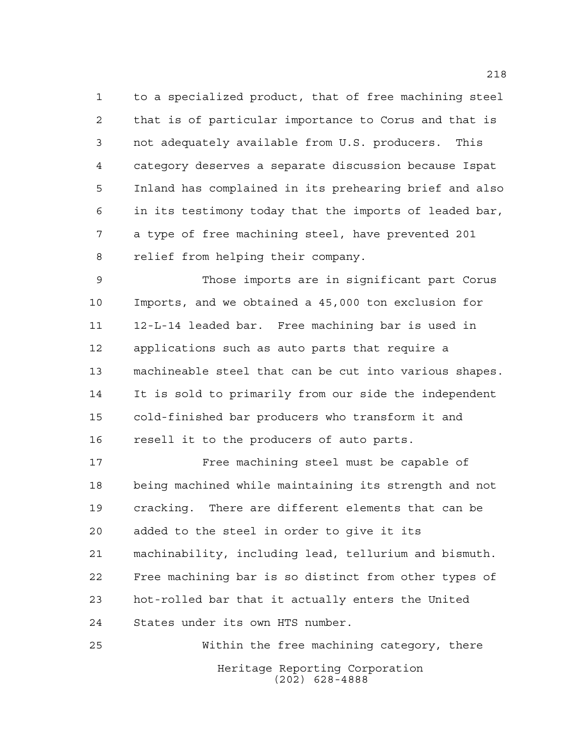to a specialized product, that of free machining steel that is of particular importance to Corus and that is not adequately available from U.S. producers. This category deserves a separate discussion because Ispat Inland has complained in its prehearing brief and also in its testimony today that the imports of leaded bar, a type of free machining steel, have prevented 201 relief from helping their company.

 Those imports are in significant part Corus Imports, and we obtained a 45,000 ton exclusion for 12-L-14 leaded bar. Free machining bar is used in applications such as auto parts that require a machineable steel that can be cut into various shapes. It is sold to primarily from our side the independent cold-finished bar producers who transform it and resell it to the producers of auto parts.

 Free machining steel must be capable of being machined while maintaining its strength and not cracking. There are different elements that can be added to the steel in order to give it its machinability, including lead, tellurium and bismuth. Free machining bar is so distinct from other types of hot-rolled bar that it actually enters the United States under its own HTS number.

Heritage Reporting Corporation (202) 628-4888 Within the free machining category, there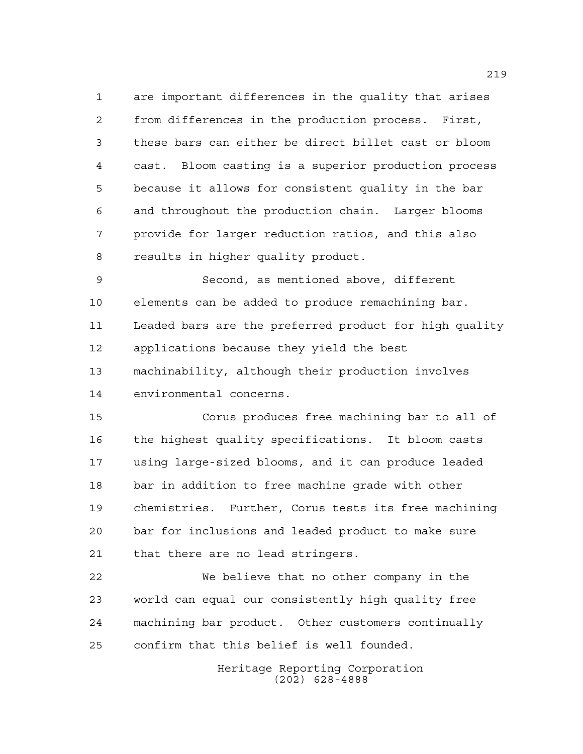are important differences in the quality that arises from differences in the production process. First, these bars can either be direct billet cast or bloom cast. Bloom casting is a superior production process because it allows for consistent quality in the bar and throughout the production chain. Larger blooms provide for larger reduction ratios, and this also results in higher quality product.

 Second, as mentioned above, different elements can be added to produce remachining bar. Leaded bars are the preferred product for high quality applications because they yield the best machinability, although their production involves environmental concerns.

 Corus produces free machining bar to all of the highest quality specifications. It bloom casts using large-sized blooms, and it can produce leaded bar in addition to free machine grade with other chemistries. Further, Corus tests its free machining bar for inclusions and leaded product to make sure that there are no lead stringers.

 We believe that no other company in the world can equal our consistently high quality free machining bar product. Other customers continually confirm that this belief is well founded.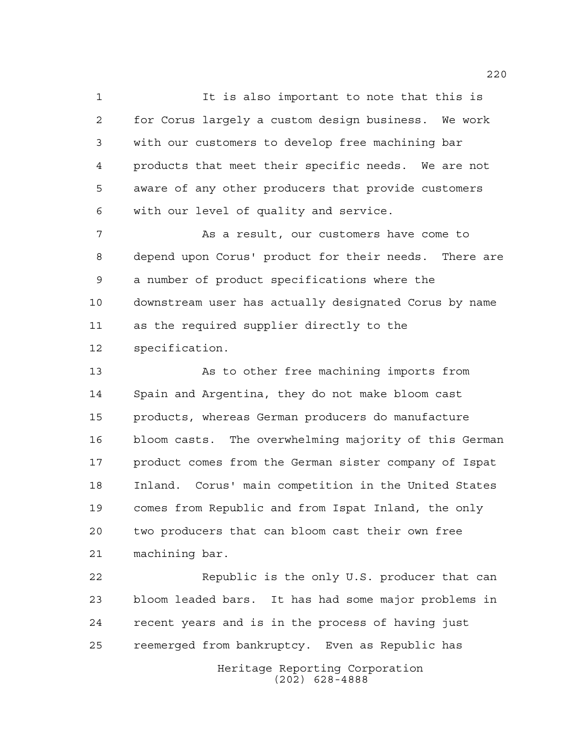It is also important to note that this is for Corus largely a custom design business. We work with our customers to develop free machining bar products that meet their specific needs. We are not aware of any other producers that provide customers with our level of quality and service.

 As a result, our customers have come to depend upon Corus' product for their needs. There are a number of product specifications where the downstream user has actually designated Corus by name as the required supplier directly to the specification.

13 As to other free machining imports from Spain and Argentina, they do not make bloom cast products, whereas German producers do manufacture bloom casts. The overwhelming majority of this German product comes from the German sister company of Ispat Inland. Corus' main competition in the United States comes from Republic and from Ispat Inland, the only two producers that can bloom cast their own free machining bar.

Heritage Reporting Corporation 22 Republic is the only U.S. producer that can bloom leaded bars. It has had some major problems in recent years and is in the process of having just reemerged from bankruptcy. Even as Republic has

(202) 628-4888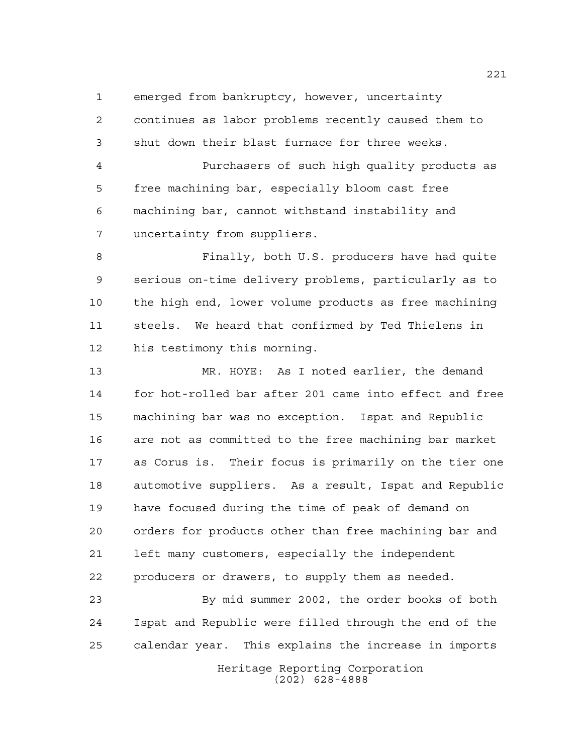emerged from bankruptcy, however, uncertainty

 continues as labor problems recently caused them to shut down their blast furnace for three weeks.

 Purchasers of such high quality products as free machining bar, especially bloom cast free machining bar, cannot withstand instability and uncertainty from suppliers.

 Finally, both U.S. producers have had quite serious on-time delivery problems, particularly as to the high end, lower volume products as free machining steels. We heard that confirmed by Ted Thielens in his testimony this morning.

 MR. HOYE: As I noted earlier, the demand for hot-rolled bar after 201 came into effect and free machining bar was no exception. Ispat and Republic are not as committed to the free machining bar market as Corus is. Their focus is primarily on the tier one automotive suppliers. As a result, Ispat and Republic have focused during the time of peak of demand on orders for products other than free machining bar and left many customers, especially the independent producers or drawers, to supply them as needed.

 By mid summer 2002, the order books of both Ispat and Republic were filled through the end of the calendar year. This explains the increase in imports

> Heritage Reporting Corporation (202) 628-4888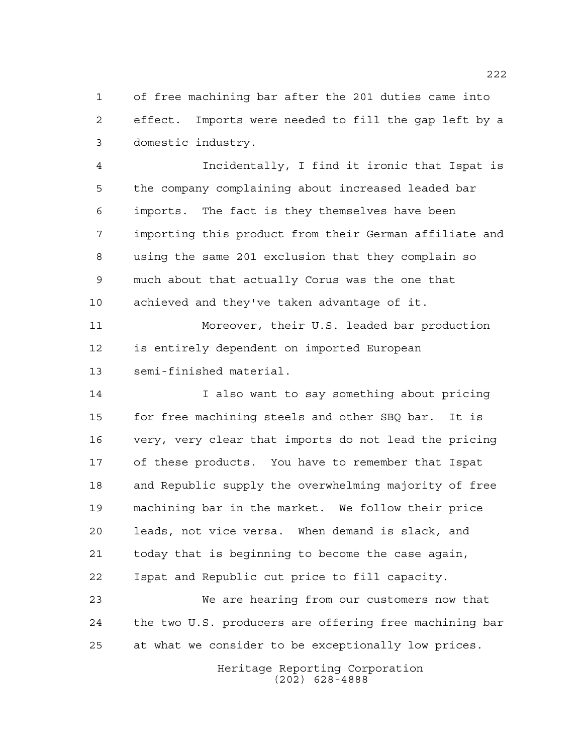of free machining bar after the 201 duties came into effect. Imports were needed to fill the gap left by a domestic industry.

 Incidentally, I find it ironic that Ispat is the company complaining about increased leaded bar imports. The fact is they themselves have been importing this product from their German affiliate and using the same 201 exclusion that they complain so much about that actually Corus was the one that achieved and they've taken advantage of it.

 Moreover, their U.S. leaded bar production is entirely dependent on imported European semi-finished material.

 I also want to say something about pricing for free machining steels and other SBQ bar. It is very, very clear that imports do not lead the pricing of these products. You have to remember that Ispat and Republic supply the overwhelming majority of free machining bar in the market. We follow their price leads, not vice versa. When demand is slack, and today that is beginning to become the case again, Ispat and Republic cut price to fill capacity.

 We are hearing from our customers now that the two U.S. producers are offering free machining bar at what we consider to be exceptionally low prices.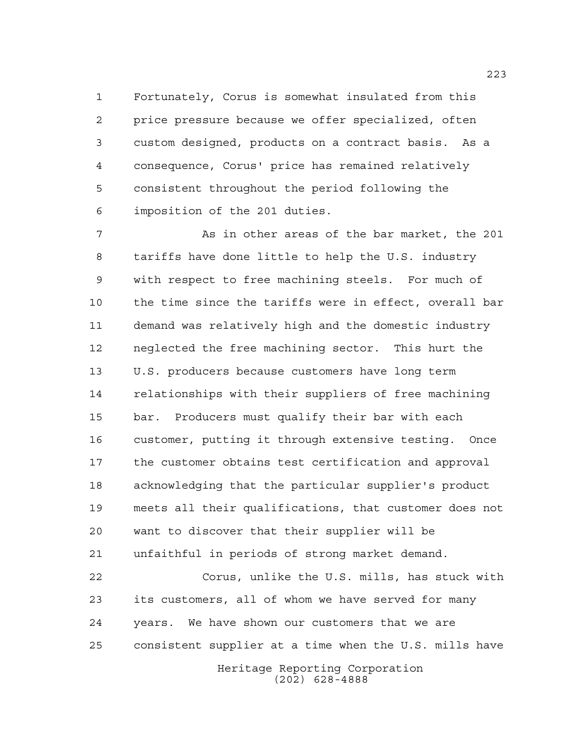Fortunately, Corus is somewhat insulated from this price pressure because we offer specialized, often custom designed, products on a contract basis. As a consequence, Corus' price has remained relatively consistent throughout the period following the imposition of the 201 duties.

 As in other areas of the bar market, the 201 tariffs have done little to help the U.S. industry with respect to free machining steels. For much of the time since the tariffs were in effect, overall bar demand was relatively high and the domestic industry neglected the free machining sector. This hurt the U.S. producers because customers have long term relationships with their suppliers of free machining bar. Producers must qualify their bar with each customer, putting it through extensive testing. Once the customer obtains test certification and approval acknowledging that the particular supplier's product meets all their qualifications, that customer does not want to discover that their supplier will be unfaithful in periods of strong market demand. Corus, unlike the U.S. mills, has stuck with its customers, all of whom we have served for many years. We have shown our customers that we are

consistent supplier at a time when the U.S. mills have

Heritage Reporting Corporation (202) 628-4888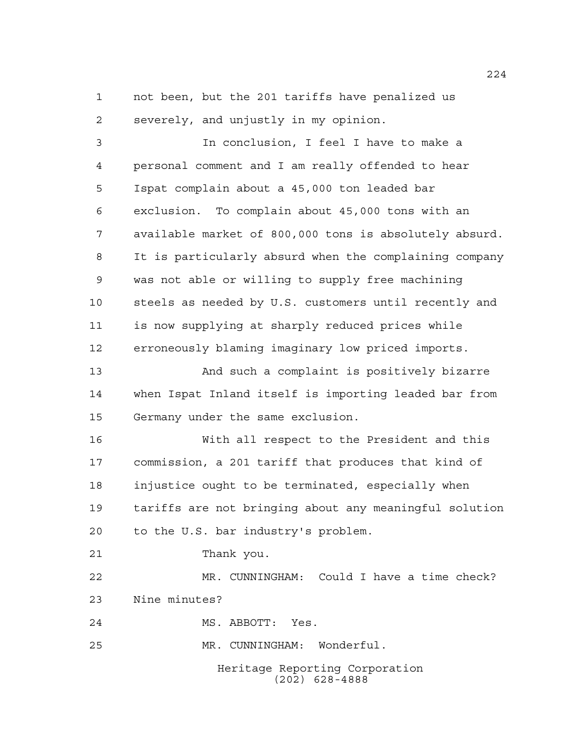not been, but the 201 tariffs have penalized us severely, and unjustly in my opinion.

 In conclusion, I feel I have to make a personal comment and I am really offended to hear Ispat complain about a 45,000 ton leaded bar exclusion. To complain about 45,000 tons with an available market of 800,000 tons is absolutely absurd. It is particularly absurd when the complaining company was not able or willing to supply free machining steels as needed by U.S. customers until recently and is now supplying at sharply reduced prices while erroneously blaming imaginary low priced imports.

 And such a complaint is positively bizarre when Ispat Inland itself is importing leaded bar from Germany under the same exclusion.

 With all respect to the President and this commission, a 201 tariff that produces that kind of injustice ought to be terminated, especially when tariffs are not bringing about any meaningful solution to the U.S. bar industry's problem.

Thank you.

 MR. CUNNINGHAM: Could I have a time check? Nine minutes?

MS. ABBOTT: Yes.

MR. CUNNINGHAM: Wonderful.

Heritage Reporting Corporation (202) 628-4888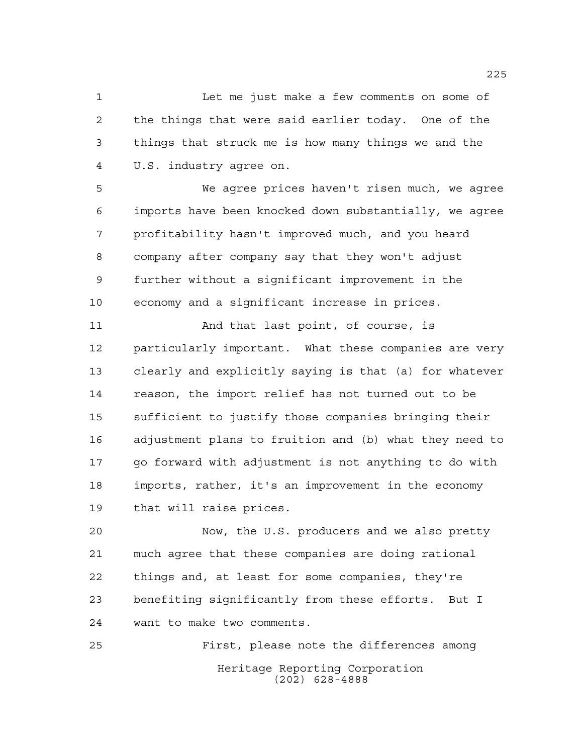Let me just make a few comments on some of the things that were said earlier today. One of the things that struck me is how many things we and the U.S. industry agree on.

 We agree prices haven't risen much, we agree imports have been knocked down substantially, we agree profitability hasn't improved much, and you heard company after company say that they won't adjust further without a significant improvement in the economy and a significant increase in prices.

11 And that last point, of course, is particularly important. What these companies are very clearly and explicitly saying is that (a) for whatever reason, the import relief has not turned out to be sufficient to justify those companies bringing their adjustment plans to fruition and (b) what they need to go forward with adjustment is not anything to do with imports, rather, it's an improvement in the economy that will raise prices.

 Now, the U.S. producers and we also pretty much agree that these companies are doing rational things and, at least for some companies, they're benefiting significantly from these efforts. But I want to make two comments.

Heritage Reporting Corporation (202) 628-4888 First, please note the differences among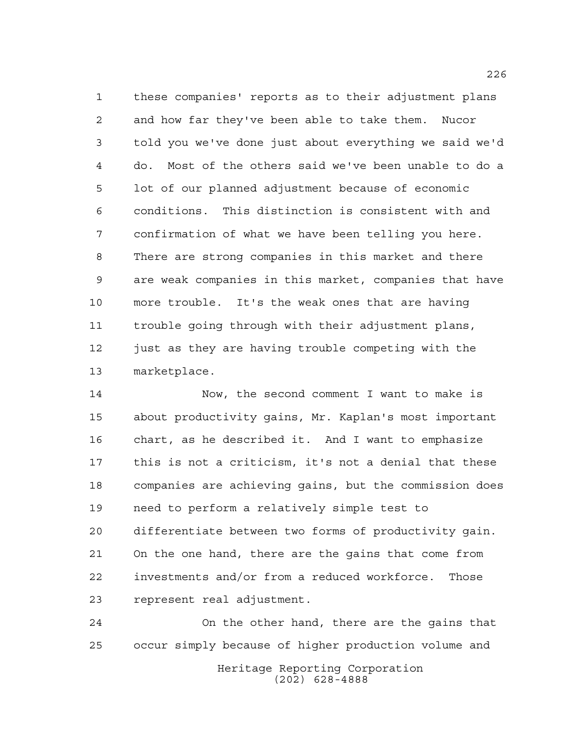these companies' reports as to their adjustment plans and how far they've been able to take them. Nucor told you we've done just about everything we said we'd do. Most of the others said we've been unable to do a lot of our planned adjustment because of economic conditions. This distinction is consistent with and confirmation of what we have been telling you here. There are strong companies in this market and there are weak companies in this market, companies that have more trouble. It's the weak ones that are having trouble going through with their adjustment plans, 12 just as they are having trouble competing with the marketplace.

 Now, the second comment I want to make is about productivity gains, Mr. Kaplan's most important chart, as he described it. And I want to emphasize this is not a criticism, it's not a denial that these companies are achieving gains, but the commission does need to perform a relatively simple test to differentiate between two forms of productivity gain. On the one hand, there are the gains that come from investments and/or from a reduced workforce. Those represent real adjustment.

Heritage Reporting Corporation (202) 628-4888 On the other hand, there are the gains that occur simply because of higher production volume and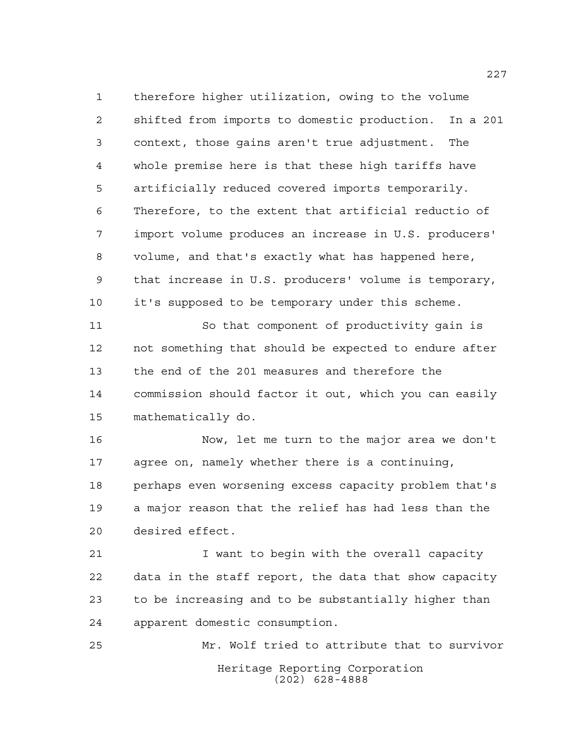therefore higher utilization, owing to the volume shifted from imports to domestic production. In a 201 context, those gains aren't true adjustment. The whole premise here is that these high tariffs have artificially reduced covered imports temporarily. Therefore, to the extent that artificial reductio of import volume produces an increase in U.S. producers' volume, and that's exactly what has happened here, that increase in U.S. producers' volume is temporary, it's supposed to be temporary under this scheme. So that component of productivity gain is not something that should be expected to endure after

 the end of the 201 measures and therefore the commission should factor it out, which you can easily mathematically do.

 Now, let me turn to the major area we don't agree on, namely whether there is a continuing, perhaps even worsening excess capacity problem that's a major reason that the relief has had less than the desired effect.

 I want to begin with the overall capacity data in the staff report, the data that show capacity to be increasing and to be substantially higher than apparent domestic consumption.

Heritage Reporting Corporation (202) 628-4888 Mr. Wolf tried to attribute that to survivor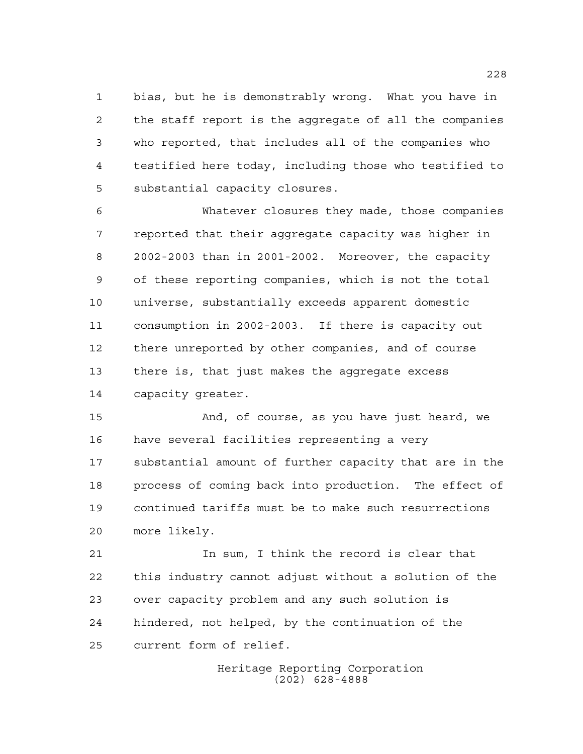bias, but he is demonstrably wrong. What you have in the staff report is the aggregate of all the companies who reported, that includes all of the companies who testified here today, including those who testified to substantial capacity closures.

 Whatever closures they made, those companies reported that their aggregate capacity was higher in 2002-2003 than in 2001-2002. Moreover, the capacity of these reporting companies, which is not the total universe, substantially exceeds apparent domestic consumption in 2002-2003. If there is capacity out there unreported by other companies, and of course there is, that just makes the aggregate excess capacity greater.

 And, of course, as you have just heard, we have several facilities representing a very substantial amount of further capacity that are in the process of coming back into production. The effect of continued tariffs must be to make such resurrections more likely.

 In sum, I think the record is clear that this industry cannot adjust without a solution of the over capacity problem and any such solution is hindered, not helped, by the continuation of the current form of relief.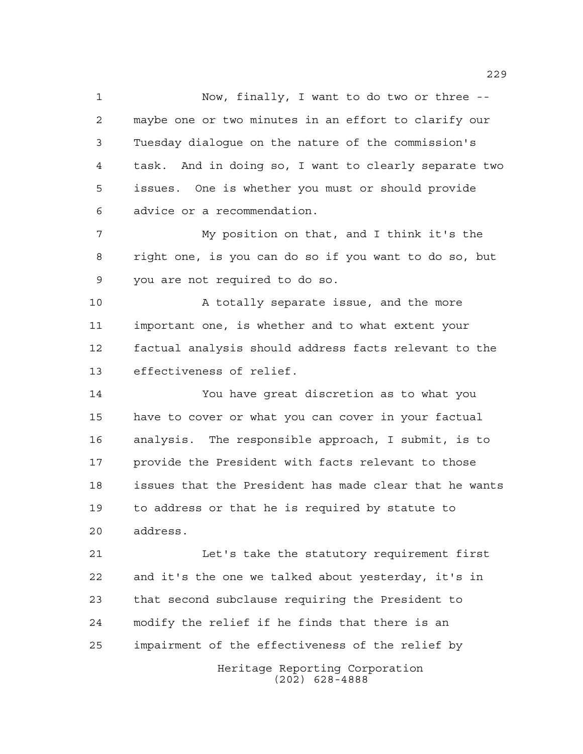Now, finally, I want to do two or three -- maybe one or two minutes in an effort to clarify our Tuesday dialogue on the nature of the commission's task. And in doing so, I want to clearly separate two issues. One is whether you must or should provide advice or a recommendation.

 My position on that, and I think it's the right one, is you can do so if you want to do so, but you are not required to do so.

 A totally separate issue, and the more important one, is whether and to what extent your factual analysis should address facts relevant to the effectiveness of relief.

 You have great discretion as to what you have to cover or what you can cover in your factual analysis. The responsible approach, I submit, is to provide the President with facts relevant to those issues that the President has made clear that he wants to address or that he is required by statute to address.

 Let's take the statutory requirement first and it's the one we talked about yesterday, it's in that second subclause requiring the President to modify the relief if he finds that there is an impairment of the effectiveness of the relief by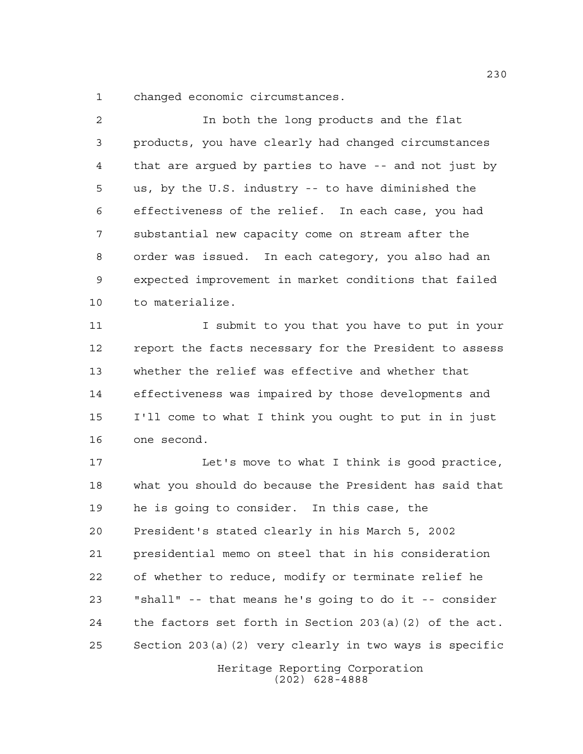changed economic circumstances.

 In both the long products and the flat products, you have clearly had changed circumstances that are argued by parties to have -- and not just by us, by the U.S. industry -- to have diminished the effectiveness of the relief. In each case, you had substantial new capacity come on stream after the order was issued. In each category, you also had an expected improvement in market conditions that failed to materialize.

11 I submit to you that you have to put in your report the facts necessary for the President to assess whether the relief was effective and whether that effectiveness was impaired by those developments and I'll come to what I think you ought to put in in just one second.

 Let's move to what I think is good practice, what you should do because the President has said that he is going to consider. In this case, the President's stated clearly in his March 5, 2002 presidential memo on steel that in his consideration of whether to reduce, modify or terminate relief he "shall" -- that means he's going to do it -- consider the factors set forth in Section 203(a)(2) of the act. Section 203(a)(2) very clearly in two ways is specific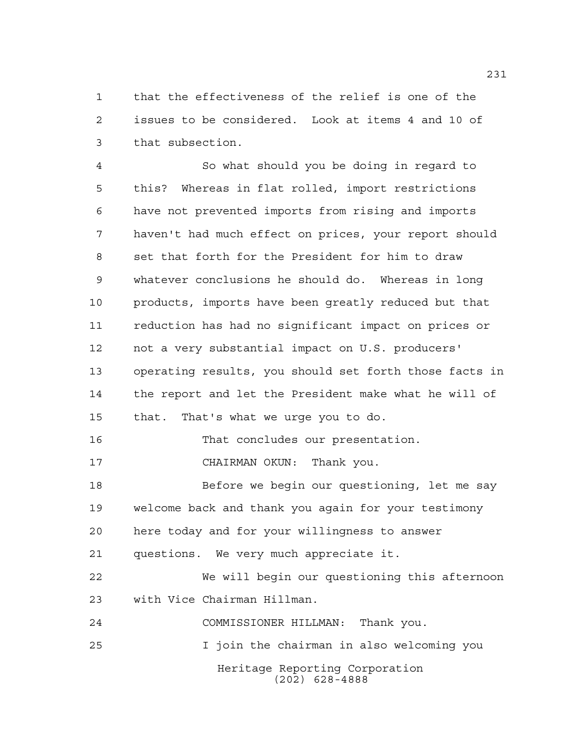that the effectiveness of the relief is one of the issues to be considered. Look at items 4 and 10 of that subsection.

Heritage Reporting Corporation (202) 628-4888 So what should you be doing in regard to this? Whereas in flat rolled, import restrictions have not prevented imports from rising and imports haven't had much effect on prices, your report should set that forth for the President for him to draw whatever conclusions he should do. Whereas in long products, imports have been greatly reduced but that reduction has had no significant impact on prices or not a very substantial impact on U.S. producers' operating results, you should set forth those facts in the report and let the President make what he will of that. That's what we urge you to do. That concludes our presentation. CHAIRMAN OKUN: Thank you. Before we begin our questioning, let me say welcome back and thank you again for your testimony here today and for your willingness to answer questions. We very much appreciate it. We will begin our questioning this afternoon with Vice Chairman Hillman. COMMISSIONER HILLMAN: Thank you. I join the chairman in also welcoming you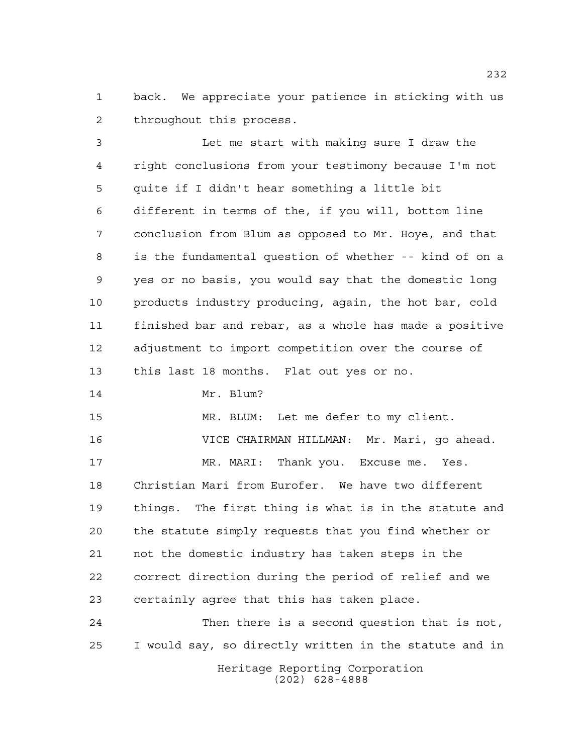back. We appreciate your patience in sticking with us throughout this process.

 Let me start with making sure I draw the right conclusions from your testimony because I'm not quite if I didn't hear something a little bit different in terms of the, if you will, bottom line conclusion from Blum as opposed to Mr. Hoye, and that is the fundamental question of whether -- kind of on a yes or no basis, you would say that the domestic long products industry producing, again, the hot bar, cold finished bar and rebar, as a whole has made a positive adjustment to import competition over the course of this last 18 months. Flat out yes or no. 14 Mr. Blum? MR. BLUM: Let me defer to my client. VICE CHAIRMAN HILLMAN: Mr. Mari, go ahead. MR. MARI: Thank you. Excuse me. Yes. Christian Mari from Eurofer. We have two different things. The first thing is what is in the statute and

 the statute simply requests that you find whether or not the domestic industry has taken steps in the correct direction during the period of relief and we certainly agree that this has taken place.

Heritage Reporting Corporation Then there is a second question that is not, I would say, so directly written in the statute and in

(202) 628-4888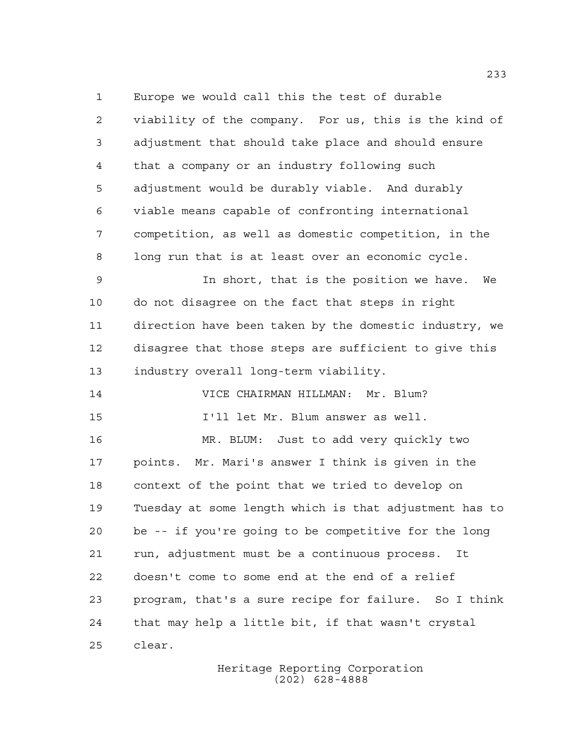Europe we would call this the test of durable viability of the company. For us, this is the kind of adjustment that should take place and should ensure that a company or an industry following such adjustment would be durably viable. And durably viable means capable of confronting international competition, as well as domestic competition, in the long run that is at least over an economic cycle.

 In short, that is the position we have. We do not disagree on the fact that steps in right direction have been taken by the domestic industry, we disagree that those steps are sufficient to give this industry overall long-term viability.

 VICE CHAIRMAN HILLMAN: Mr. Blum? I'll let Mr. Blum answer as well.

 MR. BLUM: Just to add very quickly two points. Mr. Mari's answer I think is given in the context of the point that we tried to develop on Tuesday at some length which is that adjustment has to be -- if you're going to be competitive for the long run, adjustment must be a continuous process. It doesn't come to some end at the end of a relief program, that's a sure recipe for failure. So I think that may help a little bit, if that wasn't crystal clear.

> Heritage Reporting Corporation (202) 628-4888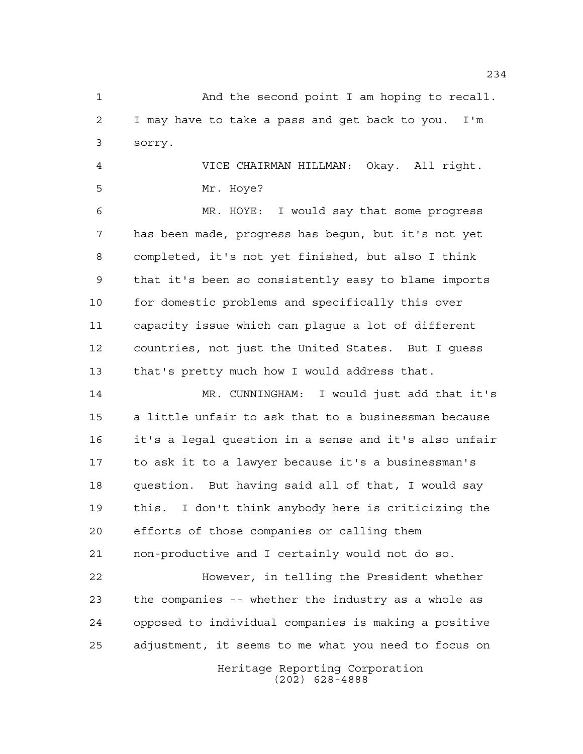And the second point I am hoping to recall. I may have to take a pass and get back to you. I'm sorry.

 VICE CHAIRMAN HILLMAN: Okay. All right. Mr. Hoye?

 MR. HOYE: I would say that some progress has been made, progress has begun, but it's not yet completed, it's not yet finished, but also I think that it's been so consistently easy to blame imports for domestic problems and specifically this over capacity issue which can plague a lot of different countries, not just the United States. But I guess that's pretty much how I would address that.

 MR. CUNNINGHAM: I would just add that it's a little unfair to ask that to a businessman because it's a legal question in a sense and it's also unfair to ask it to a lawyer because it's a businessman's question. But having said all of that, I would say this. I don't think anybody here is criticizing the efforts of those companies or calling them non-productive and I certainly would not do so. However, in telling the President whether

 the companies -- whether the industry as a whole as opposed to individual companies is making a positive adjustment, it seems to me what you need to focus on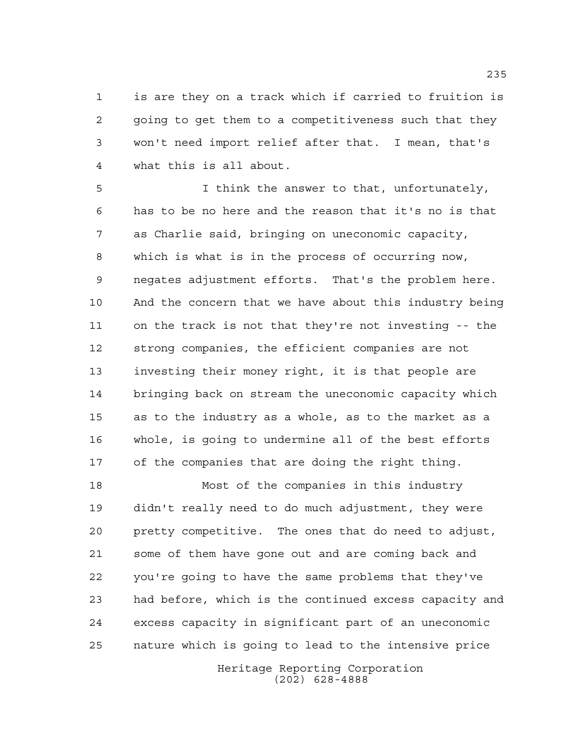is are they on a track which if carried to fruition is going to get them to a competitiveness such that they won't need import relief after that. I mean, that's what this is all about.

 I think the answer to that, unfortunately, has to be no here and the reason that it's no is that as Charlie said, bringing on uneconomic capacity, which is what is in the process of occurring now, negates adjustment efforts. That's the problem here. And the concern that we have about this industry being on the track is not that they're not investing -- the strong companies, the efficient companies are not investing their money right, it is that people are bringing back on stream the uneconomic capacity which as to the industry as a whole, as to the market as a whole, is going to undermine all of the best efforts of the companies that are doing the right thing.

 Most of the companies in this industry didn't really need to do much adjustment, they were pretty competitive. The ones that do need to adjust, some of them have gone out and are coming back and you're going to have the same problems that they've had before, which is the continued excess capacity and excess capacity in significant part of an uneconomic nature which is going to lead to the intensive price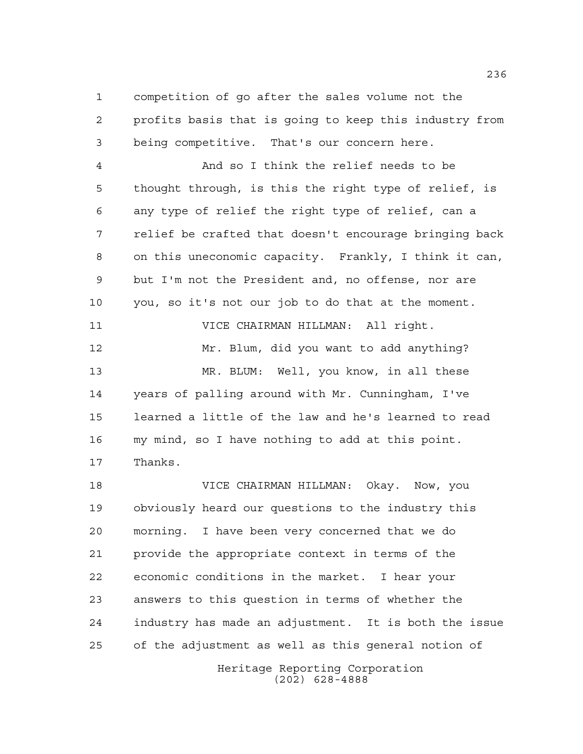competition of go after the sales volume not the profits basis that is going to keep this industry from being competitive. That's our concern here.

 And so I think the relief needs to be thought through, is this the right type of relief, is any type of relief the right type of relief, can a relief be crafted that doesn't encourage bringing back on this uneconomic capacity. Frankly, I think it can, but I'm not the President and, no offense, nor are you, so it's not our job to do that at the moment. VICE CHAIRMAN HILLMAN: All right. Mr. Blum, did you want to add anything? MR. BLUM: Well, you know, in all these years of palling around with Mr. Cunningham, I've learned a little of the law and he's learned to read my mind, so I have nothing to add at this point. Thanks.

 VICE CHAIRMAN HILLMAN: Okay. Now, you obviously heard our questions to the industry this morning. I have been very concerned that we do provide the appropriate context in terms of the economic conditions in the market. I hear your answers to this question in terms of whether the industry has made an adjustment. It is both the issue of the adjustment as well as this general notion of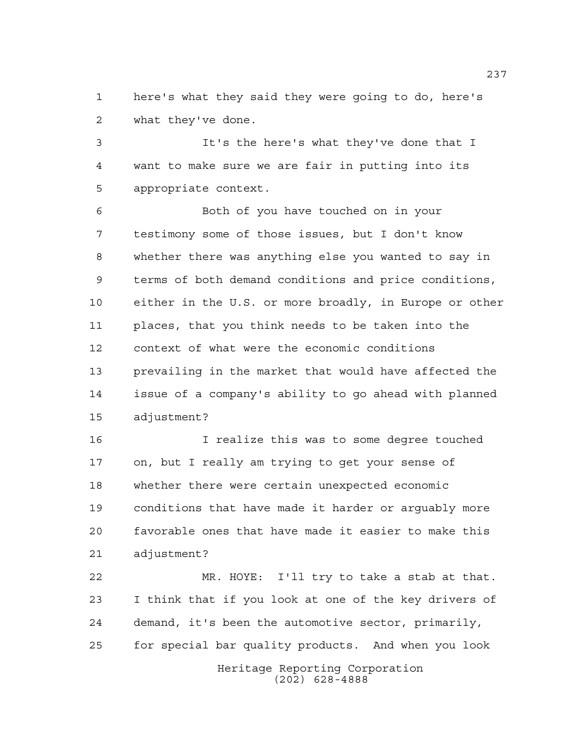here's what they said they were going to do, here's what they've done.

 It's the here's what they've done that I want to make sure we are fair in putting into its appropriate context.

 Both of you have touched on in your testimony some of those issues, but I don't know whether there was anything else you wanted to say in terms of both demand conditions and price conditions, either in the U.S. or more broadly, in Europe or other places, that you think needs to be taken into the context of what were the economic conditions prevailing in the market that would have affected the issue of a company's ability to go ahead with planned adjustment?

 I realize this was to some degree touched on, but I really am trying to get your sense of whether there were certain unexpected economic conditions that have made it harder or arguably more favorable ones that have made it easier to make this adjustment?

 MR. HOYE: I'll try to take a stab at that. I think that if you look at one of the key drivers of demand, it's been the automotive sector, primarily, for special bar quality products. And when you look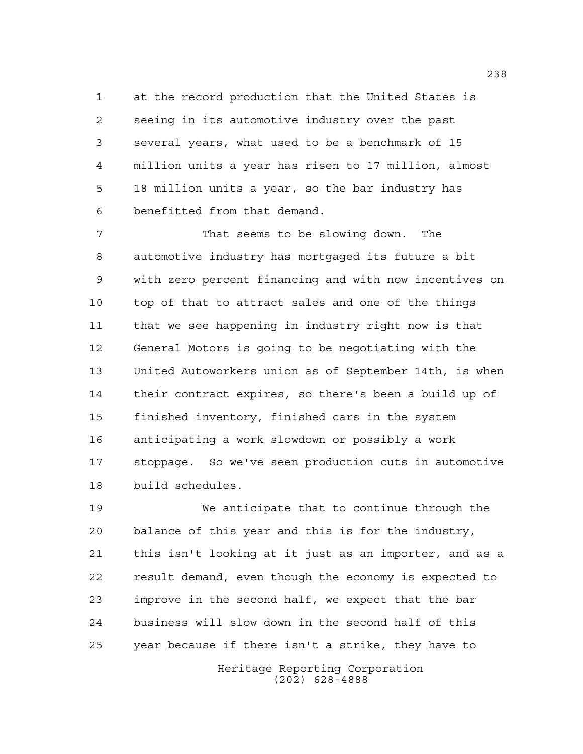at the record production that the United States is seeing in its automotive industry over the past several years, what used to be a benchmark of 15 million units a year has risen to 17 million, almost 18 million units a year, so the bar industry has benefitted from that demand.

 That seems to be slowing down. The automotive industry has mortgaged its future a bit with zero percent financing and with now incentives on top of that to attract sales and one of the things that we see happening in industry right now is that General Motors is going to be negotiating with the United Autoworkers union as of September 14th, is when their contract expires, so there's been a build up of finished inventory, finished cars in the system anticipating a work slowdown or possibly a work stoppage. So we've seen production cuts in automotive build schedules.

Heritage Reporting Corporation (202) 628-4888 We anticipate that to continue through the balance of this year and this is for the industry, this isn't looking at it just as an importer, and as a result demand, even though the economy is expected to improve in the second half, we expect that the bar business will slow down in the second half of this year because if there isn't a strike, they have to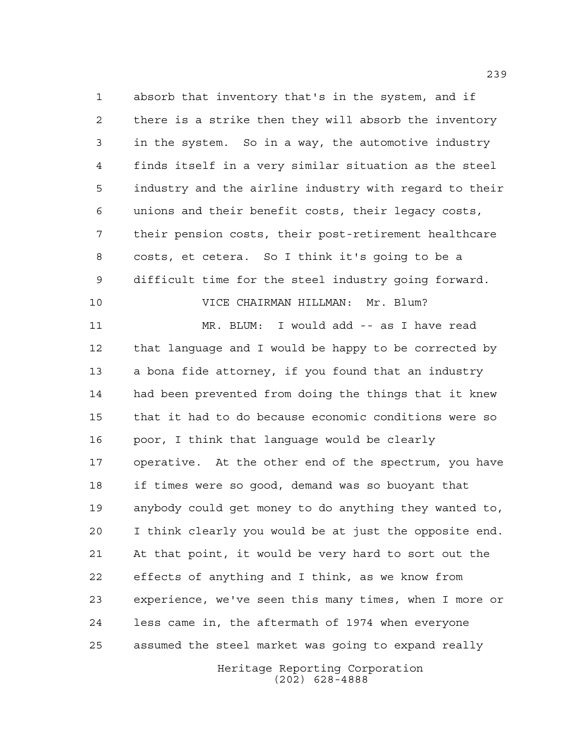absorb that inventory that's in the system, and if there is a strike then they will absorb the inventory in the system. So in a way, the automotive industry finds itself in a very similar situation as the steel industry and the airline industry with regard to their unions and their benefit costs, their legacy costs, their pension costs, their post-retirement healthcare costs, et cetera. So I think it's going to be a difficult time for the steel industry going forward. VICE CHAIRMAN HILLMAN: Mr. Blum? MR. BLUM: I would add -- as I have read that language and I would be happy to be corrected by a bona fide attorney, if you found that an industry had been prevented from doing the things that it knew that it had to do because economic conditions were so poor, I think that language would be clearly operative. At the other end of the spectrum, you have if times were so good, demand was so buoyant that anybody could get money to do anything they wanted to, I think clearly you would be at just the opposite end. At that point, it would be very hard to sort out the effects of anything and I think, as we know from experience, we've seen this many times, when I more or

assumed the steel market was going to expand really

less came in, the aftermath of 1974 when everyone

Heritage Reporting Corporation (202) 628-4888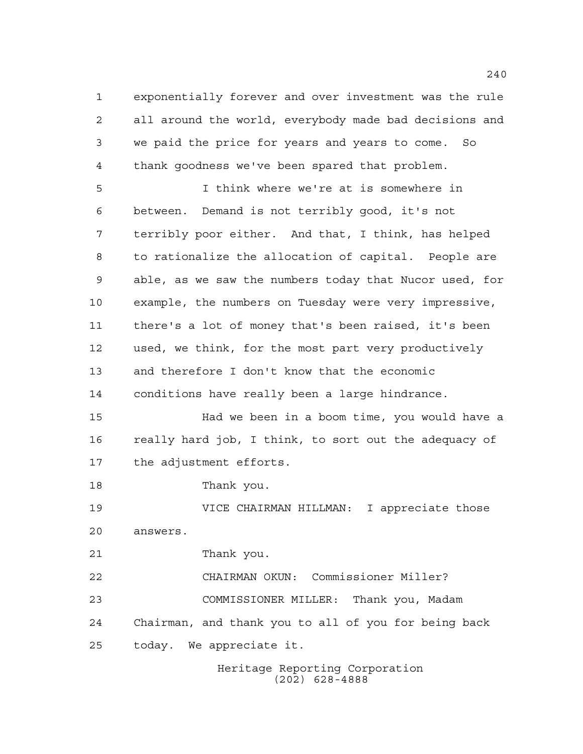exponentially forever and over investment was the rule all around the world, everybody made bad decisions and we paid the price for years and years to come. So thank goodness we've been spared that problem.

 I think where we're at is somewhere in between. Demand is not terribly good, it's not terribly poor either. And that, I think, has helped to rationalize the allocation of capital. People are able, as we saw the numbers today that Nucor used, for example, the numbers on Tuesday were very impressive, there's a lot of money that's been raised, it's been used, we think, for the most part very productively and therefore I don't know that the economic conditions have really been a large hindrance. Had we been in a boom time, you would have a really hard job, I think, to sort out the adequacy of the adjustment efforts. Thank you. VICE CHAIRMAN HILLMAN: I appreciate those

answers.

Thank you.

 CHAIRMAN OKUN: Commissioner Miller? COMMISSIONER MILLER: Thank you, Madam Chairman, and thank you to all of you for being back today. We appreciate it.

> Heritage Reporting Corporation (202) 628-4888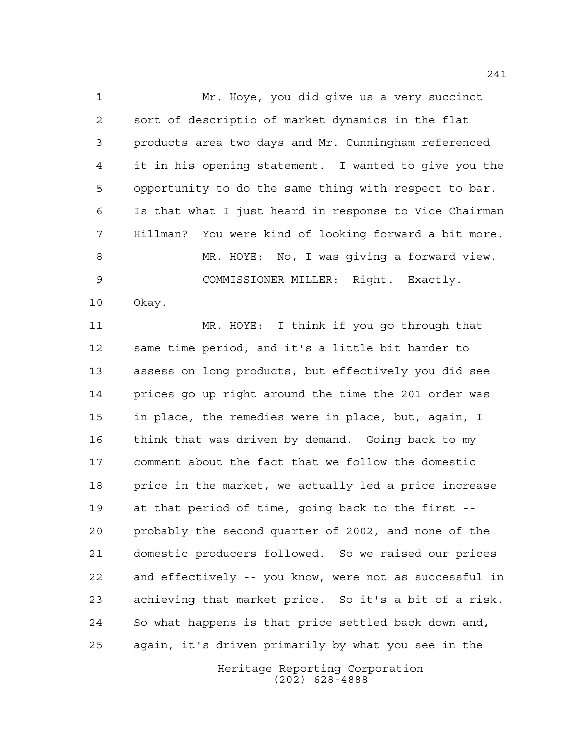Mr. Hoye, you did give us a very succinct sort of descriptio of market dynamics in the flat products area two days and Mr. Cunningham referenced it in his opening statement. I wanted to give you the opportunity to do the same thing with respect to bar. Is that what I just heard in response to Vice Chairman Hillman? You were kind of looking forward a bit more. MR. HOYE: No, I was giving a forward view. COMMISSIONER MILLER: Right. Exactly. Okay.

 MR. HOYE: I think if you go through that same time period, and it's a little bit harder to assess on long products, but effectively you did see prices go up right around the time the 201 order was in place, the remedies were in place, but, again, I think that was driven by demand. Going back to my comment about the fact that we follow the domestic price in the market, we actually led a price increase at that period of time, going back to the first -- probably the second quarter of 2002, and none of the domestic producers followed. So we raised our prices and effectively -- you know, were not as successful in achieving that market price. So it's a bit of a risk. So what happens is that price settled back down and, again, it's driven primarily by what you see in the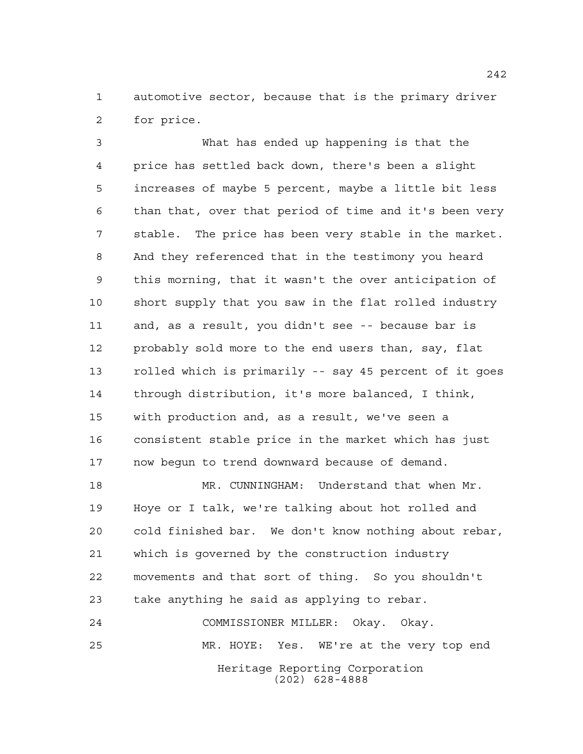automotive sector, because that is the primary driver for price.

 What has ended up happening is that the price has settled back down, there's been a slight increases of maybe 5 percent, maybe a little bit less than that, over that period of time and it's been very stable. The price has been very stable in the market. And they referenced that in the testimony you heard this morning, that it wasn't the over anticipation of short supply that you saw in the flat rolled industry and, as a result, you didn't see -- because bar is probably sold more to the end users than, say, flat rolled which is primarily -- say 45 percent of it goes through distribution, it's more balanced, I think, with production and, as a result, we've seen a consistent stable price in the market which has just now begun to trend downward because of demand.

 MR. CUNNINGHAM: Understand that when Mr. Hoye or I talk, we're talking about hot rolled and cold finished bar. We don't know nothing about rebar, which is governed by the construction industry movements and that sort of thing. So you shouldn't take anything he said as applying to rebar.

Heritage Reporting Corporation (202) 628-4888 COMMISSIONER MILLER: Okay. Okay. MR. HOYE: Yes. WE're at the very top end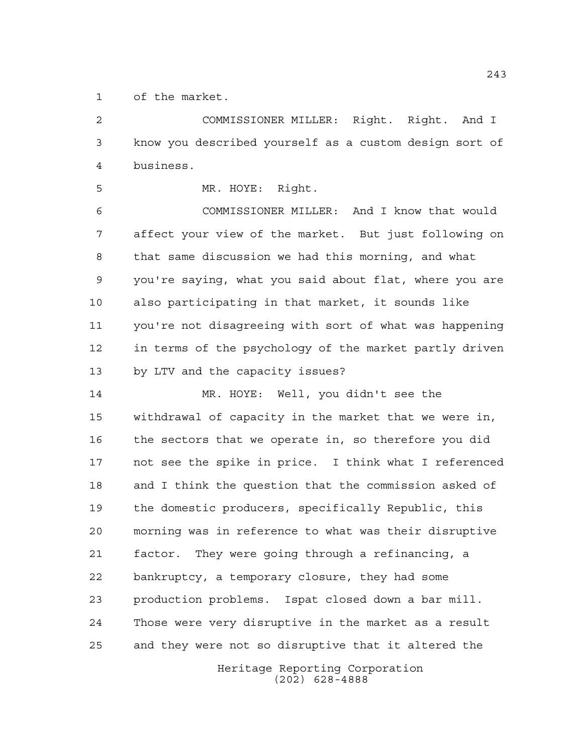of the market.

 COMMISSIONER MILLER: Right. Right. And I know you described yourself as a custom design sort of business.

MR. HOYE: Right.

 COMMISSIONER MILLER: And I know that would affect your view of the market. But just following on that same discussion we had this morning, and what you're saying, what you said about flat, where you are also participating in that market, it sounds like you're not disagreeing with sort of what was happening in terms of the psychology of the market partly driven by LTV and the capacity issues?

 MR. HOYE: Well, you didn't see the withdrawal of capacity in the market that we were in, the sectors that we operate in, so therefore you did not see the spike in price. I think what I referenced and I think the question that the commission asked of the domestic producers, specifically Republic, this morning was in reference to what was their disruptive factor. They were going through a refinancing, a bankruptcy, a temporary closure, they had some production problems. Ispat closed down a bar mill. Those were very disruptive in the market as a result and they were not so disruptive that it altered the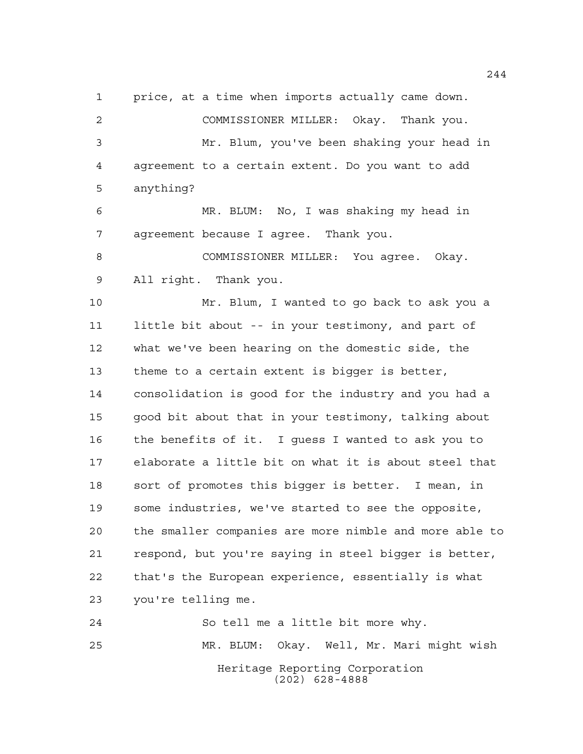price, at a time when imports actually came down. COMMISSIONER MILLER: Okay. Thank you.

 Mr. Blum, you've been shaking your head in agreement to a certain extent. Do you want to add anything?

 MR. BLUM: No, I was shaking my head in agreement because I agree. Thank you.

 COMMISSIONER MILLER: You agree. Okay. All right. Thank you.

 Mr. Blum, I wanted to go back to ask you a little bit about -- in your testimony, and part of what we've been hearing on the domestic side, the theme to a certain extent is bigger is better, consolidation is good for the industry and you had a good bit about that in your testimony, talking about the benefits of it. I guess I wanted to ask you to elaborate a little bit on what it is about steel that sort of promotes this bigger is better. I mean, in some industries, we've started to see the opposite, the smaller companies are more nimble and more able to respond, but you're saying in steel bigger is better, that's the European experience, essentially is what you're telling me.

Heritage Reporting Corporation (202) 628-4888 So tell me a little bit more why. MR. BLUM: Okay. Well, Mr. Mari might wish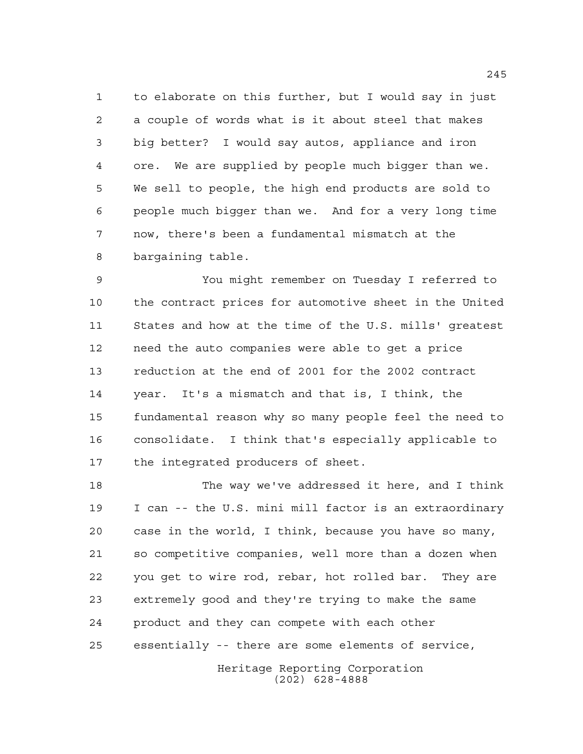to elaborate on this further, but I would say in just a couple of words what is it about steel that makes big better? I would say autos, appliance and iron ore. We are supplied by people much bigger than we. We sell to people, the high end products are sold to people much bigger than we. And for a very long time now, there's been a fundamental mismatch at the bargaining table.

 You might remember on Tuesday I referred to the contract prices for automotive sheet in the United States and how at the time of the U.S. mills' greatest need the auto companies were able to get a price reduction at the end of 2001 for the 2002 contract year. It's a mismatch and that is, I think, the fundamental reason why so many people feel the need to consolidate. I think that's especially applicable to the integrated producers of sheet.

 The way we've addressed it here, and I think I can -- the U.S. mini mill factor is an extraordinary case in the world, I think, because you have so many, so competitive companies, well more than a dozen when you get to wire rod, rebar, hot rolled bar. They are extremely good and they're trying to make the same product and they can compete with each other essentially -- there are some elements of service,

> Heritage Reporting Corporation (202) 628-4888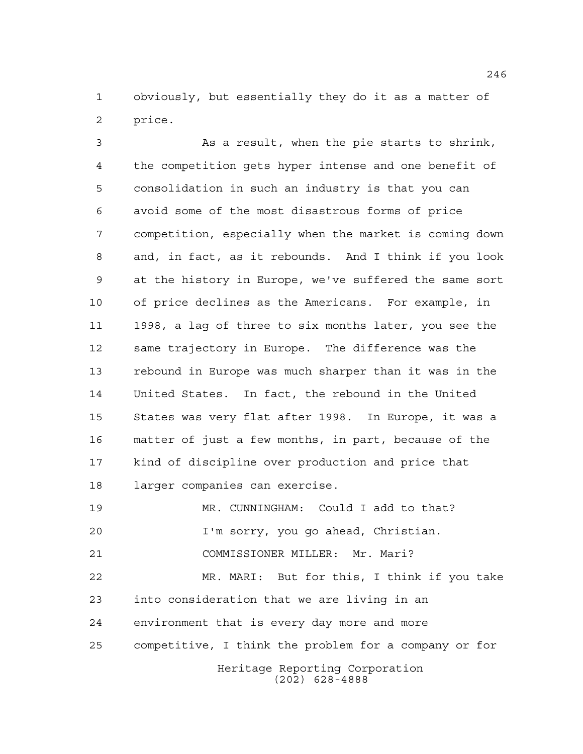obviously, but essentially they do it as a matter of price.

 As a result, when the pie starts to shrink, the competition gets hyper intense and one benefit of consolidation in such an industry is that you can avoid some of the most disastrous forms of price competition, especially when the market is coming down and, in fact, as it rebounds. And I think if you look at the history in Europe, we've suffered the same sort of price declines as the Americans. For example, in 1998, a lag of three to six months later, you see the same trajectory in Europe. The difference was the rebound in Europe was much sharper than it was in the United States. In fact, the rebound in the United States was very flat after 1998. In Europe, it was a matter of just a few months, in part, because of the kind of discipline over production and price that larger companies can exercise.

Heritage Reporting Corporation (202) 628-4888 MR. CUNNINGHAM: Could I add to that? I'm sorry, you go ahead, Christian. COMMISSIONER MILLER: Mr. Mari? MR. MARI: But for this, I think if you take into consideration that we are living in an environment that is every day more and more competitive, I think the problem for a company or for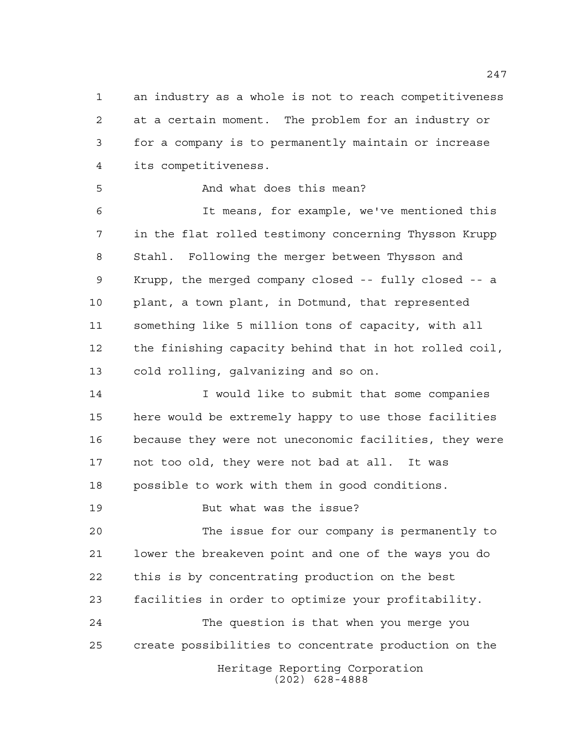an industry as a whole is not to reach competitiveness at a certain moment. The problem for an industry or for a company is to permanently maintain or increase its competitiveness.

## And what does this mean?

 It means, for example, we've mentioned this in the flat rolled testimony concerning Thysson Krupp Stahl. Following the merger between Thysson and Krupp, the merged company closed -- fully closed -- a plant, a town plant, in Dotmund, that represented something like 5 million tons of capacity, with all the finishing capacity behind that in hot rolled coil, cold rolling, galvanizing and so on.

 I would like to submit that some companies here would be extremely happy to use those facilities because they were not uneconomic facilities, they were not too old, they were not bad at all. It was possible to work with them in good conditions.

But what was the issue?

 The issue for our company is permanently to lower the breakeven point and one of the ways you do this is by concentrating production on the best facilities in order to optimize your profitability. The question is that when you merge you create possibilities to concentrate production on the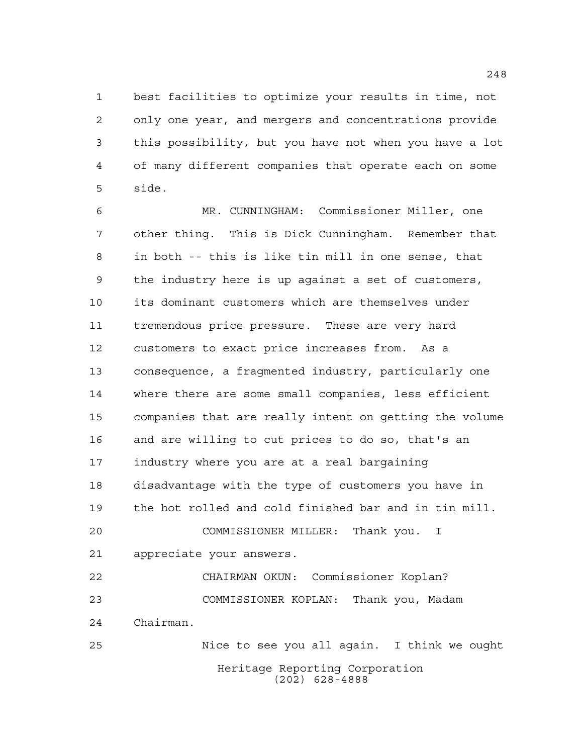best facilities to optimize your results in time, not only one year, and mergers and concentrations provide this possibility, but you have not when you have a lot of many different companies that operate each on some side.

 MR. CUNNINGHAM: Commissioner Miller, one other thing. This is Dick Cunningham. Remember that in both -- this is like tin mill in one sense, that the industry here is up against a set of customers, its dominant customers which are themselves under tremendous price pressure. These are very hard customers to exact price increases from. As a consequence, a fragmented industry, particularly one where there are some small companies, less efficient companies that are really intent on getting the volume and are willing to cut prices to do so, that's an industry where you are at a real bargaining disadvantage with the type of customers you have in the hot rolled and cold finished bar and in tin mill. COMMISSIONER MILLER: Thank you. I appreciate your answers. CHAIRMAN OKUN: Commissioner Koplan? COMMISSIONER KOPLAN: Thank you, Madam Chairman. Nice to see you all again. I think we ought

> Heritage Reporting Corporation (202) 628-4888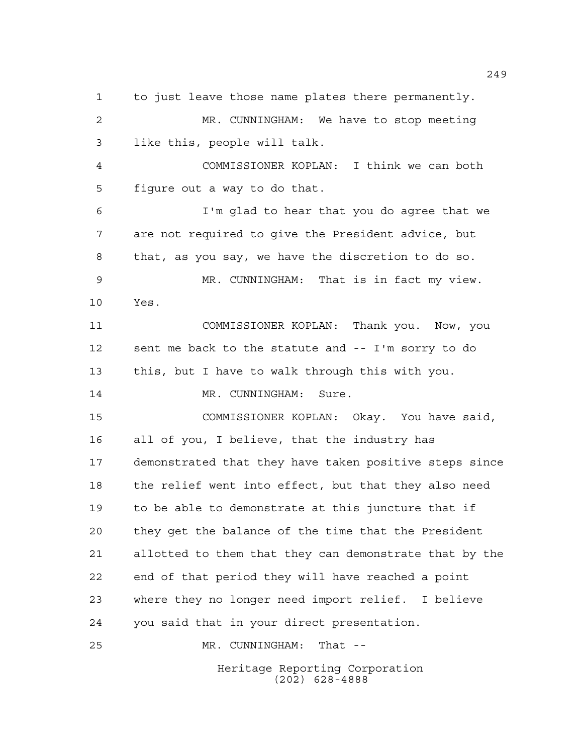to just leave those name plates there permanently. MR. CUNNINGHAM: We have to stop meeting like this, people will talk. COMMISSIONER KOPLAN: I think we can both figure out a way to do that. I'm glad to hear that you do agree that we are not required to give the President advice, but that, as you say, we have the discretion to do so. MR. CUNNINGHAM: That is in fact my view. Yes. COMMISSIONER KOPLAN: Thank you. Now, you sent me back to the statute and -- I'm sorry to do this, but I have to walk through this with you. 14 MR. CUNNINGHAM: Sure. COMMISSIONER KOPLAN: Okay. You have said, all of you, I believe, that the industry has demonstrated that they have taken positive steps since the relief went into effect, but that they also need to be able to demonstrate at this juncture that if they get the balance of the time that the President allotted to them that they can demonstrate that by the end of that period they will have reached a point where they no longer need import relief. I believe you said that in your direct presentation. MR. CUNNINGHAM: That --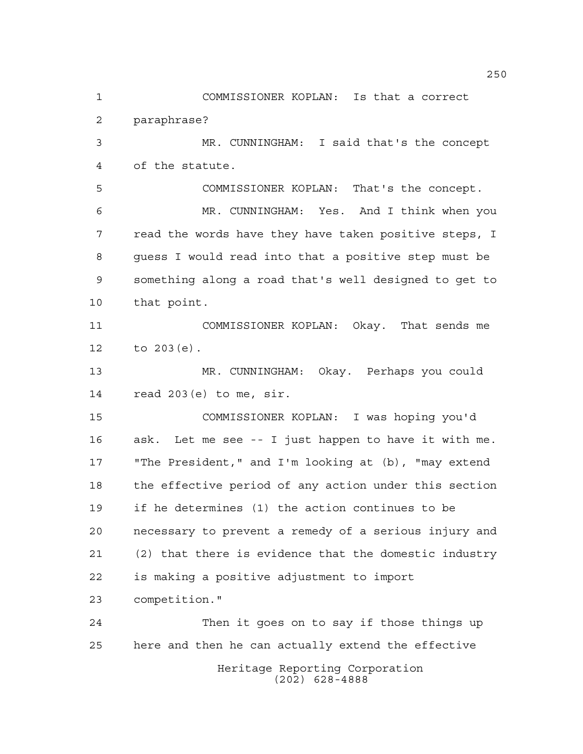Heritage Reporting Corporation COMMISSIONER KOPLAN: Is that a correct paraphrase? MR. CUNNINGHAM: I said that's the concept of the statute. COMMISSIONER KOPLAN: That's the concept. MR. CUNNINGHAM: Yes. And I think when you read the words have they have taken positive steps, I guess I would read into that a positive step must be something along a road that's well designed to get to that point. COMMISSIONER KOPLAN: Okay. That sends me to 203(e). MR. CUNNINGHAM: Okay. Perhaps you could read 203(e) to me, sir. COMMISSIONER KOPLAN: I was hoping you'd ask. Let me see -- I just happen to have it with me. "The President," and I'm looking at (b), "may extend the effective period of any action under this section if he determines (1) the action continues to be necessary to prevent a remedy of a serious injury and (2) that there is evidence that the domestic industry is making a positive adjustment to import competition." Then it goes on to say if those things up here and then he can actually extend the effective

(202) 628-4888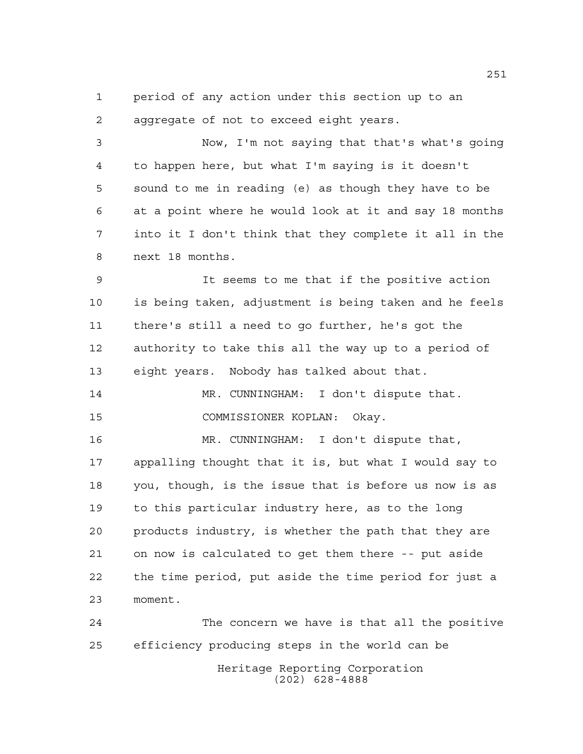period of any action under this section up to an aggregate of not to exceed eight years.

 Now, I'm not saying that that's what's going to happen here, but what I'm saying is it doesn't sound to me in reading (e) as though they have to be at a point where he would look at it and say 18 months into it I don't think that they complete it all in the next 18 months.

 It seems to me that if the positive action is being taken, adjustment is being taken and he feels there's still a need to go further, he's got the authority to take this all the way up to a period of eight years. Nobody has talked about that.

 MR. CUNNINGHAM: I don't dispute that. COMMISSIONER KOPLAN: Okay.

 MR. CUNNINGHAM: I don't dispute that, appalling thought that it is, but what I would say to you, though, is the issue that is before us now is as to this particular industry here, as to the long products industry, is whether the path that they are on now is calculated to get them there -- put aside the time period, put aside the time period for just a moment.

Heritage Reporting Corporation (202) 628-4888 The concern we have is that all the positive efficiency producing steps in the world can be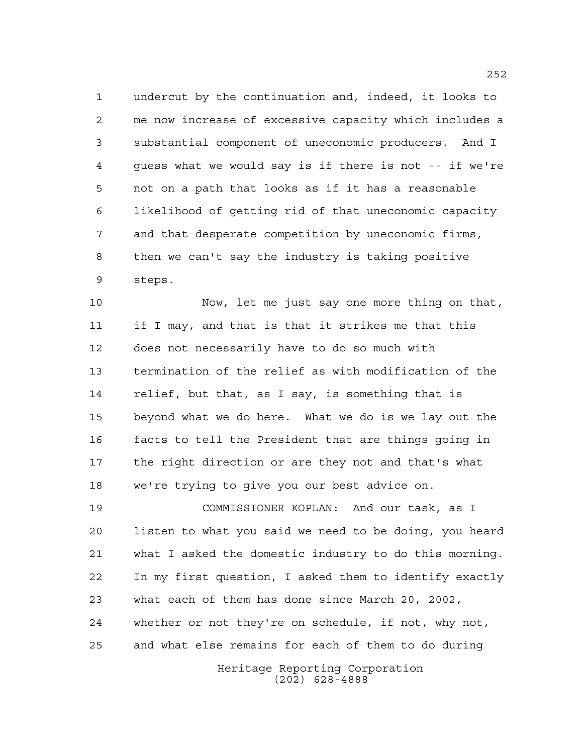undercut by the continuation and, indeed, it looks to me now increase of excessive capacity which includes a substantial component of uneconomic producers. And I guess what we would say is if there is not -- if we're not on a path that looks as if it has a reasonable likelihood of getting rid of that uneconomic capacity and that desperate competition by uneconomic firms, then we can't say the industry is taking positive steps.

 Now, let me just say one more thing on that, if I may, and that is that it strikes me that this does not necessarily have to do so much with termination of the relief as with modification of the relief, but that, as I say, is something that is beyond what we do here. What we do is we lay out the facts to tell the President that are things going in the right direction or are they not and that's what we're trying to give you our best advice on.

 COMMISSIONER KOPLAN: And our task, as I listen to what you said we need to be doing, you heard what I asked the domestic industry to do this morning. In my first question, I asked them to identify exactly what each of them has done since March 20, 2002, whether or not they're on schedule, if not, why not, and what else remains for each of them to do during

> Heritage Reporting Corporation (202) 628-4888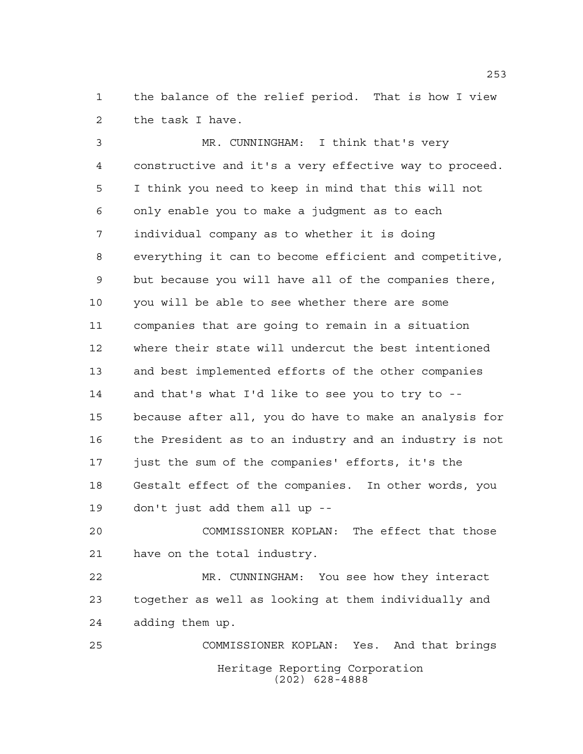the balance of the relief period. That is how I view the task I have.

 MR. CUNNINGHAM: I think that's very constructive and it's a very effective way to proceed. I think you need to keep in mind that this will not only enable you to make a judgment as to each individual company as to whether it is doing everything it can to become efficient and competitive, but because you will have all of the companies there, you will be able to see whether there are some companies that are going to remain in a situation where their state will undercut the best intentioned and best implemented efforts of the other companies and that's what I'd like to see you to try to -- because after all, you do have to make an analysis for the President as to an industry and an industry is not just the sum of the companies' efforts, it's the Gestalt effect of the companies. In other words, you don't just add them all up --

 COMMISSIONER KOPLAN: The effect that those have on the total industry.

 MR. CUNNINGHAM: You see how they interact together as well as looking at them individually and adding them up.

Heritage Reporting Corporation (202) 628-4888 COMMISSIONER KOPLAN: Yes. And that brings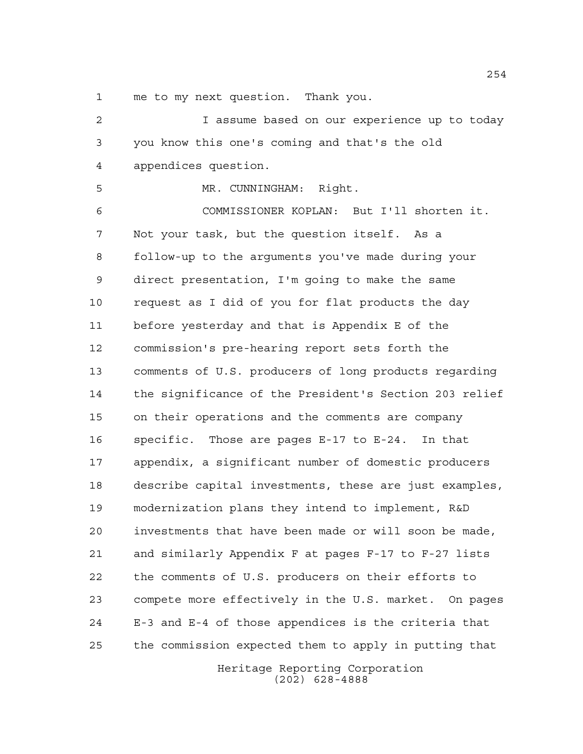me to my next question. Thank you.

 I assume based on our experience up to today you know this one's coming and that's the old appendices question. MR. CUNNINGHAM: Right. COMMISSIONER KOPLAN: But I'll shorten it. Not your task, but the question itself. As a follow-up to the arguments you've made during your direct presentation, I'm going to make the same request as I did of you for flat products the day before yesterday and that is Appendix E of the commission's pre-hearing report sets forth the comments of U.S. producers of long products regarding the significance of the President's Section 203 relief on their operations and the comments are company specific. Those are pages E-17 to E-24. In that appendix, a significant number of domestic producers describe capital investments, these are just examples, modernization plans they intend to implement, R&D investments that have been made or will soon be made, and similarly Appendix F at pages F-17 to F-27 lists the comments of U.S. producers on their efforts to compete more effectively in the U.S. market. On pages E-3 and E-4 of those appendices is the criteria that the commission expected them to apply in putting that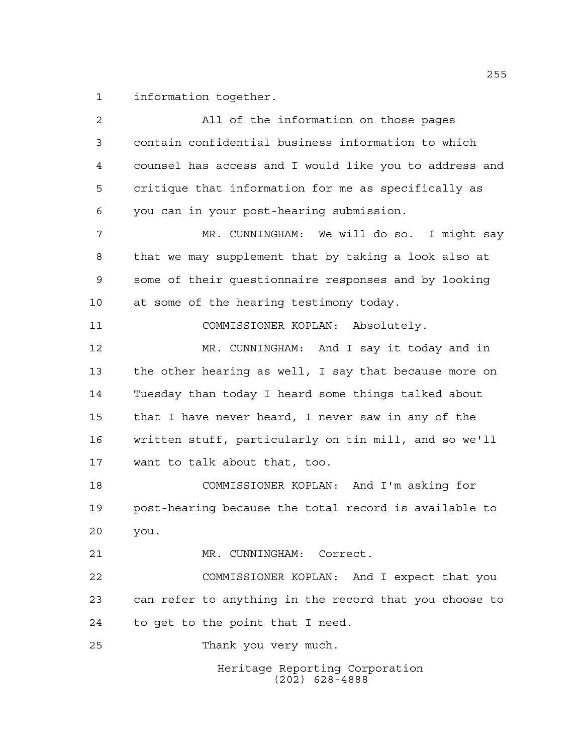information together.

Heritage Reporting Corporation (202) 628-4888 All of the information on those pages contain confidential business information to which counsel has access and I would like you to address and critique that information for me as specifically as you can in your post-hearing submission. MR. CUNNINGHAM: We will do so. I might say that we may supplement that by taking a look also at some of their questionnaire responses and by looking at some of the hearing testimony today. COMMISSIONER KOPLAN: Absolutely. MR. CUNNINGHAM: And I say it today and in the other hearing as well, I say that because more on Tuesday than today I heard some things talked about that I have never heard, I never saw in any of the written stuff, particularly on tin mill, and so we'll want to talk about that, too. COMMISSIONER KOPLAN: And I'm asking for post-hearing because the total record is available to you. MR. CUNNINGHAM: Correct. COMMISSIONER KOPLAN: And I expect that you can refer to anything in the record that you choose to to get to the point that I need. Thank you very much.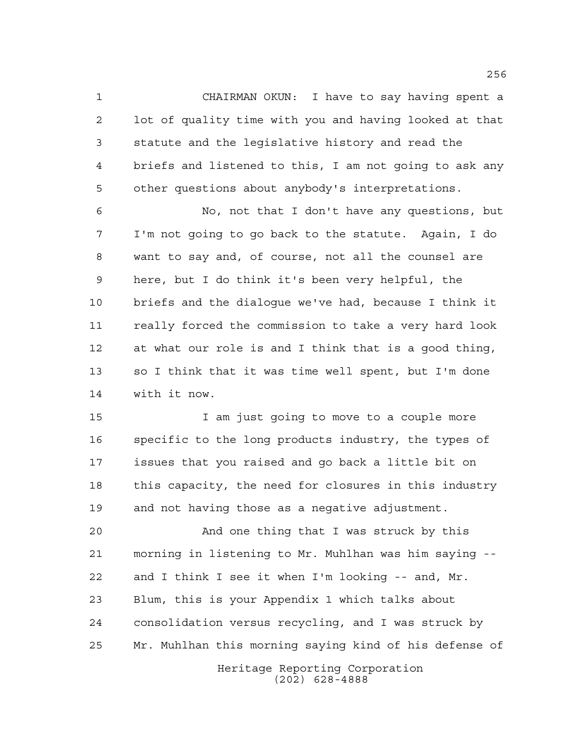CHAIRMAN OKUN: I have to say having spent a lot of quality time with you and having looked at that statute and the legislative history and read the briefs and listened to this, I am not going to ask any other questions about anybody's interpretations.

 No, not that I don't have any questions, but I'm not going to go back to the statute. Again, I do want to say and, of course, not all the counsel are here, but I do think it's been very helpful, the briefs and the dialogue we've had, because I think it really forced the commission to take a very hard look at what our role is and I think that is a good thing, so I think that it was time well spent, but I'm done with it now.

 I am just going to move to a couple more specific to the long products industry, the types of issues that you raised and go back a little bit on this capacity, the need for closures in this industry and not having those as a negative adjustment.

Heritage Reporting Corporation And one thing that I was struck by this morning in listening to Mr. Muhlhan was him saying -- and I think I see it when I'm looking -- and, Mr. Blum, this is your Appendix 1 which talks about consolidation versus recycling, and I was struck by Mr. Muhlhan this morning saying kind of his defense of

(202) 628-4888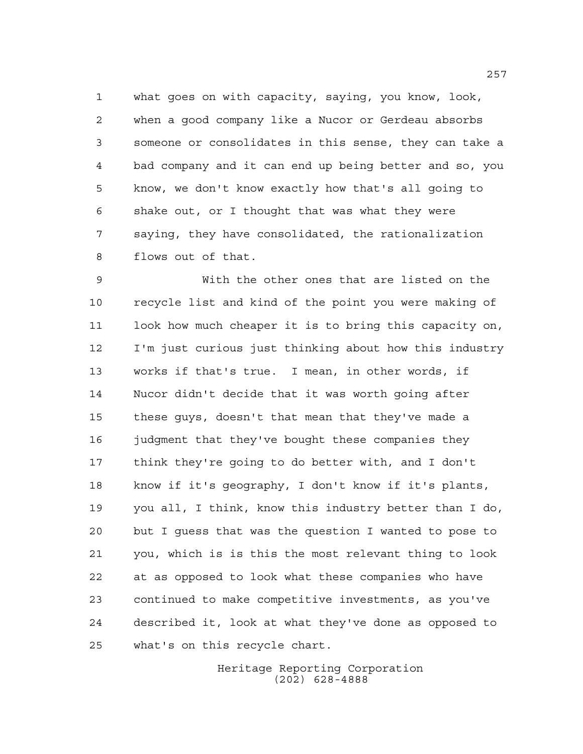what goes on with capacity, saying, you know, look, when a good company like a Nucor or Gerdeau absorbs someone or consolidates in this sense, they can take a bad company and it can end up being better and so, you know, we don't know exactly how that's all going to shake out, or I thought that was what they were saying, they have consolidated, the rationalization flows out of that.

 With the other ones that are listed on the recycle list and kind of the point you were making of look how much cheaper it is to bring this capacity on, I'm just curious just thinking about how this industry works if that's true. I mean, in other words, if Nucor didn't decide that it was worth going after these guys, doesn't that mean that they've made a judgment that they've bought these companies they think they're going to do better with, and I don't know if it's geography, I don't know if it's plants, you all, I think, know this industry better than I do, but I guess that was the question I wanted to pose to you, which is is this the most relevant thing to look at as opposed to look what these companies who have continued to make competitive investments, as you've described it, look at what they've done as opposed to what's on this recycle chart.

> Heritage Reporting Corporation (202) 628-4888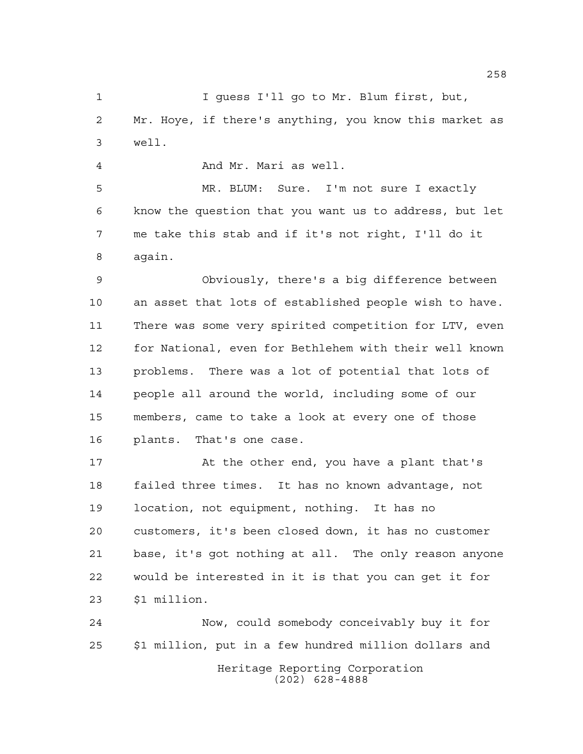I guess I'll go to Mr. Blum first, but, Mr. Hoye, if there's anything, you know this market as well.

And Mr. Mari as well.

 MR. BLUM: Sure. I'm not sure I exactly know the question that you want us to address, but let me take this stab and if it's not right, I'll do it again.

 Obviously, there's a big difference between an asset that lots of established people wish to have. There was some very spirited competition for LTV, even for National, even for Bethlehem with their well known problems. There was a lot of potential that lots of people all around the world, including some of our members, came to take a look at every one of those plants. That's one case.

 At the other end, you have a plant that's failed three times. It has no known advantage, not location, not equipment, nothing. It has no customers, it's been closed down, it has no customer base, it's got nothing at all. The only reason anyone would be interested in it is that you can get it for \$1 million.

Heritage Reporting Corporation (202) 628-4888 Now, could somebody conceivably buy it for \$1 million, put in a few hundred million dollars and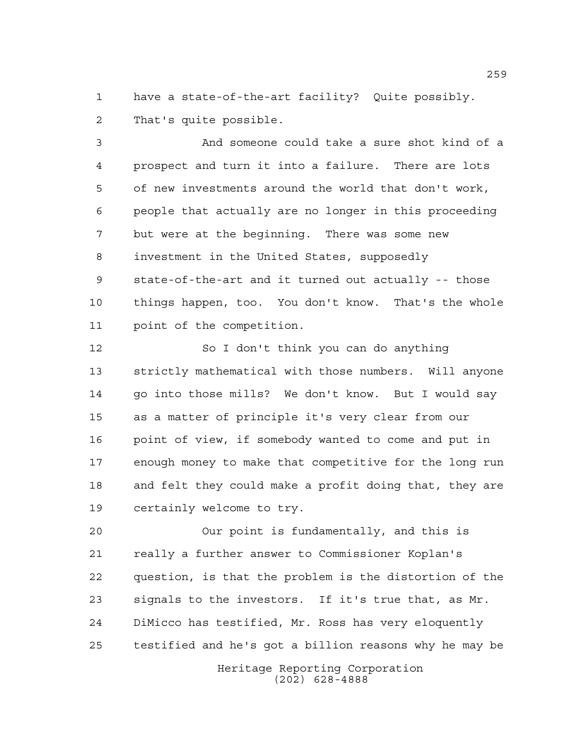have a state-of-the-art facility? Quite possibly. That's quite possible.

 And someone could take a sure shot kind of a prospect and turn it into a failure. There are lots of new investments around the world that don't work, people that actually are no longer in this proceeding but were at the beginning. There was some new investment in the United States, supposedly state-of-the-art and it turned out actually -- those things happen, too. You don't know. That's the whole point of the competition.

 So I don't think you can do anything strictly mathematical with those numbers. Will anyone go into those mills? We don't know. But I would say as a matter of principle it's very clear from our point of view, if somebody wanted to come and put in enough money to make that competitive for the long run and felt they could make a profit doing that, they are certainly welcome to try.

 Our point is fundamentally, and this is really a further answer to Commissioner Koplan's question, is that the problem is the distortion of the signals to the investors. If it's true that, as Mr. DiMicco has testified, Mr. Ross has very eloquently testified and he's got a billion reasons why he may be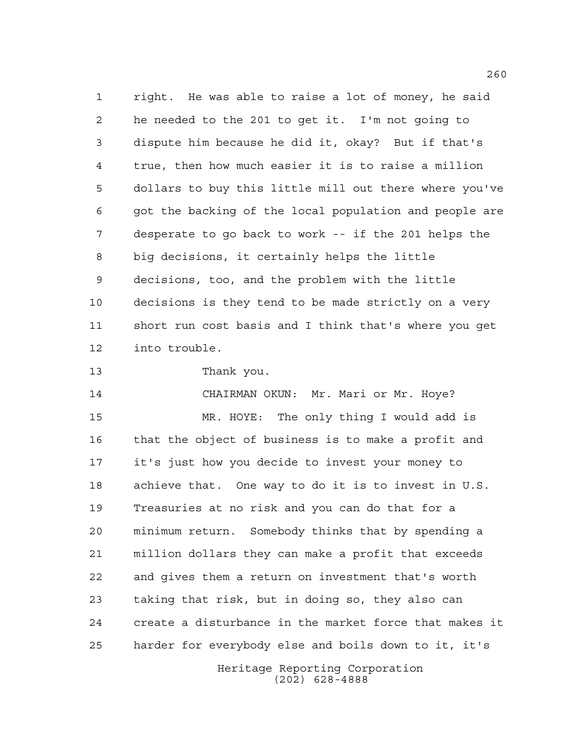right. He was able to raise a lot of money, he said he needed to the 201 to get it. I'm not going to dispute him because he did it, okay? But if that's true, then how much easier it is to raise a million dollars to buy this little mill out there where you've got the backing of the local population and people are desperate to go back to work -- if the 201 helps the big decisions, it certainly helps the little decisions, too, and the problem with the little decisions is they tend to be made strictly on a very short run cost basis and I think that's where you get into trouble.

## Thank you.

 CHAIRMAN OKUN: Mr. Mari or Mr. Hoye? MR. HOYE: The only thing I would add is that the object of business is to make a profit and it's just how you decide to invest your money to achieve that. One way to do it is to invest in U.S. Treasuries at no risk and you can do that for a minimum return. Somebody thinks that by spending a million dollars they can make a profit that exceeds and gives them a return on investment that's worth taking that risk, but in doing so, they also can create a disturbance in the market force that makes it harder for everybody else and boils down to it, it's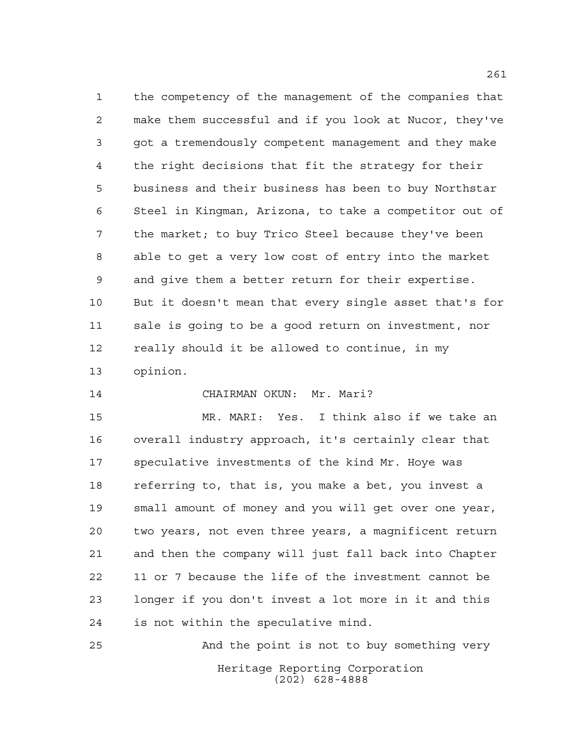the competency of the management of the companies that make them successful and if you look at Nucor, they've got a tremendously competent management and they make the right decisions that fit the strategy for their business and their business has been to buy Northstar Steel in Kingman, Arizona, to take a competitor out of the market; to buy Trico Steel because they've been able to get a very low cost of entry into the market and give them a better return for their expertise. But it doesn't mean that every single asset that's for sale is going to be a good return on investment, nor really should it be allowed to continue, in my opinion.

CHAIRMAN OKUN: Mr. Mari?

 MR. MARI: Yes. I think also if we take an overall industry approach, it's certainly clear that speculative investments of the kind Mr. Hoye was referring to, that is, you make a bet, you invest a small amount of money and you will get over one year, two years, not even three years, a magnificent return and then the company will just fall back into Chapter 11 or 7 because the life of the investment cannot be longer if you don't invest a lot more in it and this is not within the speculative mind.

Heritage Reporting Corporation (202) 628-4888 And the point is not to buy something very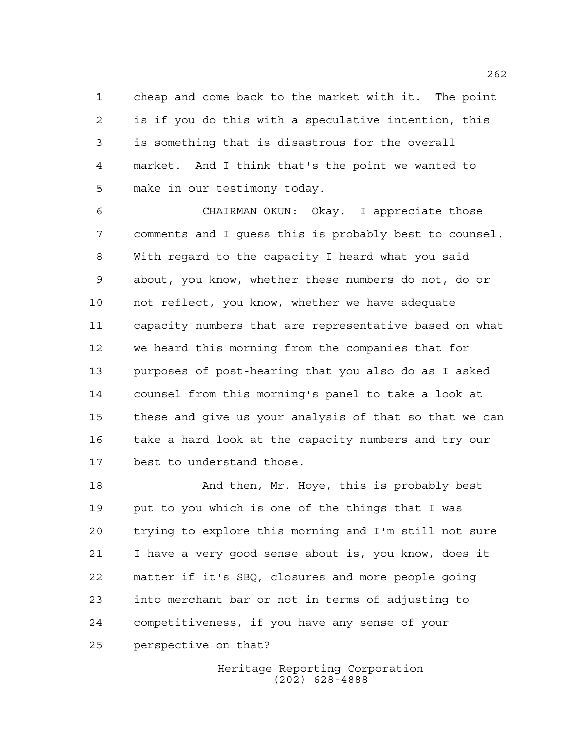cheap and come back to the market with it. The point is if you do this with a speculative intention, this is something that is disastrous for the overall market. And I think that's the point we wanted to make in our testimony today.

 CHAIRMAN OKUN: Okay. I appreciate those comments and I guess this is probably best to counsel. With regard to the capacity I heard what you said about, you know, whether these numbers do not, do or not reflect, you know, whether we have adequate capacity numbers that are representative based on what we heard this morning from the companies that for purposes of post-hearing that you also do as I asked counsel from this morning's panel to take a look at these and give us your analysis of that so that we can take a hard look at the capacity numbers and try our best to understand those.

 And then, Mr. Hoye, this is probably best put to you which is one of the things that I was trying to explore this morning and I'm still not sure I have a very good sense about is, you know, does it matter if it's SBQ, closures and more people going into merchant bar or not in terms of adjusting to competitiveness, if you have any sense of your perspective on that?

> Heritage Reporting Corporation (202) 628-4888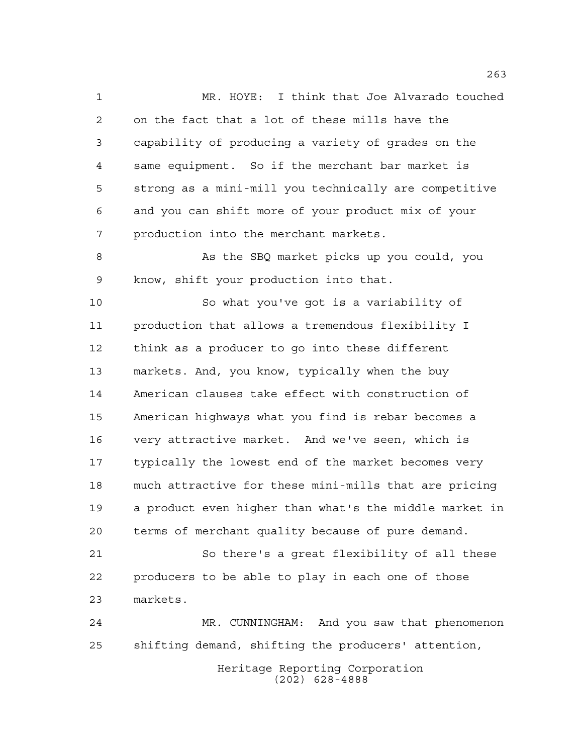MR. HOYE: I think that Joe Alvarado touched on the fact that a lot of these mills have the capability of producing a variety of grades on the same equipment. So if the merchant bar market is strong as a mini-mill you technically are competitive and you can shift more of your product mix of your production into the merchant markets.

8 As the SBQ market picks up you could, you know, shift your production into that.

 So what you've got is a variability of production that allows a tremendous flexibility I think as a producer to go into these different markets. And, you know, typically when the buy American clauses take effect with construction of American highways what you find is rebar becomes a very attractive market. And we've seen, which is typically the lowest end of the market becomes very much attractive for these mini-mills that are pricing a product even higher than what's the middle market in terms of merchant quality because of pure demand.

 So there's a great flexibility of all these producers to be able to play in each one of those markets.

 MR. CUNNINGHAM: And you saw that phenomenon shifting demand, shifting the producers' attention,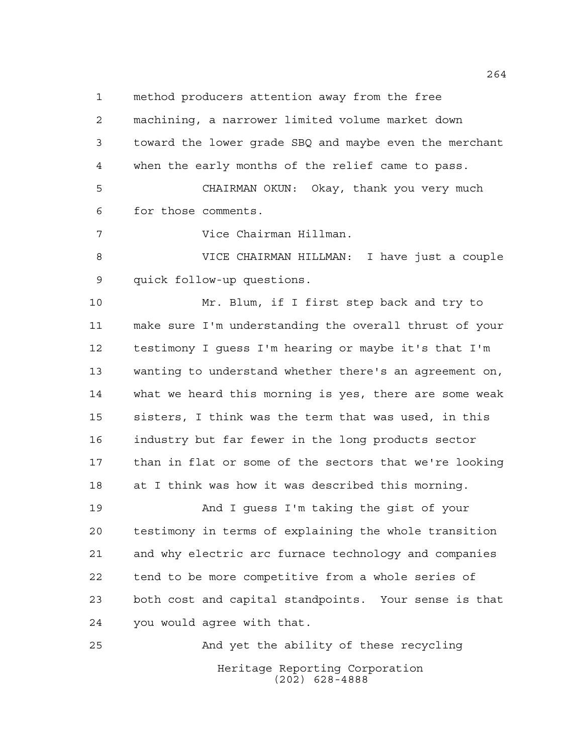method producers attention away from the free

 machining, a narrower limited volume market down toward the lower grade SBQ and maybe even the merchant when the early months of the relief came to pass.

 CHAIRMAN OKUN: Okay, thank you very much for those comments.

Vice Chairman Hillman.

 VICE CHAIRMAN HILLMAN: I have just a couple quick follow-up questions.

 Mr. Blum, if I first step back and try to make sure I'm understanding the overall thrust of your testimony I guess I'm hearing or maybe it's that I'm wanting to understand whether there's an agreement on, what we heard this morning is yes, there are some weak sisters, I think was the term that was used, in this industry but far fewer in the long products sector than in flat or some of the sectors that we're looking at I think was how it was described this morning.

 And I guess I'm taking the gist of your testimony in terms of explaining the whole transition and why electric arc furnace technology and companies tend to be more competitive from a whole series of both cost and capital standpoints. Your sense is that you would agree with that.

Heritage Reporting Corporation (202) 628-4888 And yet the ability of these recycling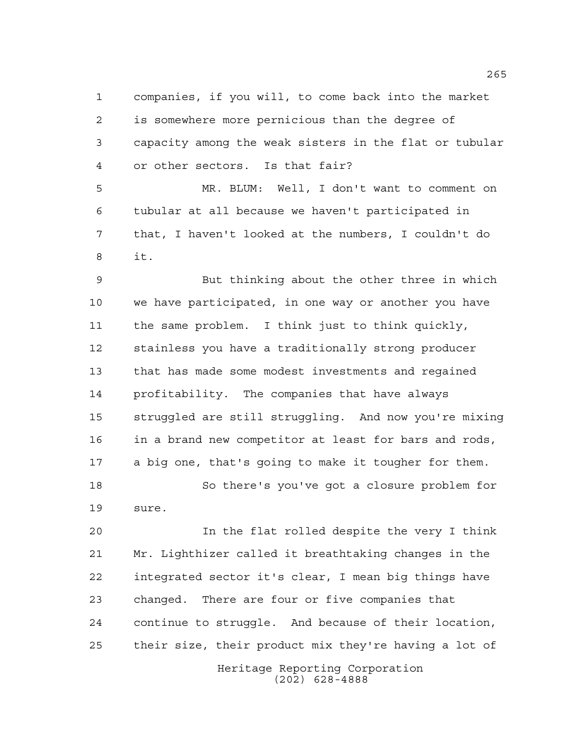companies, if you will, to come back into the market is somewhere more pernicious than the degree of capacity among the weak sisters in the flat or tubular or other sectors. Is that fair?

 MR. BLUM: Well, I don't want to comment on tubular at all because we haven't participated in that, I haven't looked at the numbers, I couldn't do it.

 But thinking about the other three in which we have participated, in one way or another you have the same problem. I think just to think quickly, stainless you have a traditionally strong producer that has made some modest investments and regained profitability. The companies that have always struggled are still struggling. And now you're mixing in a brand new competitor at least for bars and rods, a big one, that's going to make it tougher for them. So there's you've got a closure problem for sure.

 In the flat rolled despite the very I think Mr. Lighthizer called it breathtaking changes in the integrated sector it's clear, I mean big things have changed. There are four or five companies that continue to struggle. And because of their location, their size, their product mix they're having a lot of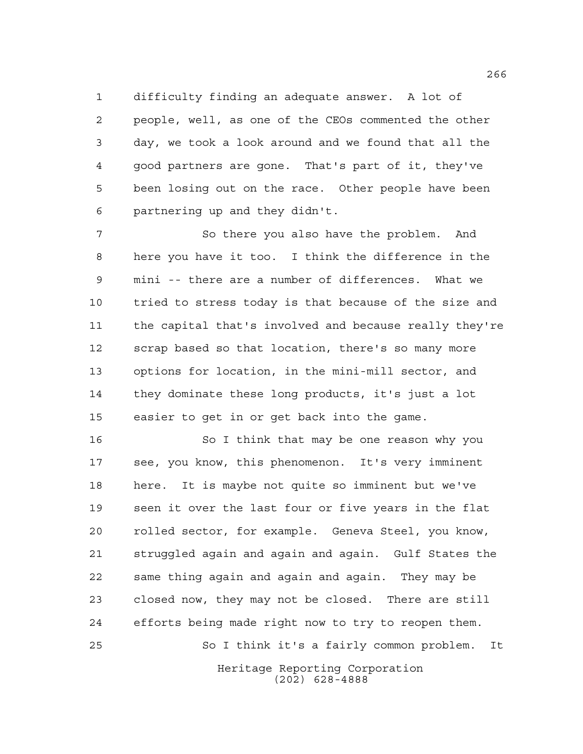difficulty finding an adequate answer. A lot of people, well, as one of the CEOs commented the other day, we took a look around and we found that all the good partners are gone. That's part of it, they've been losing out on the race. Other people have been partnering up and they didn't.

7 So there you also have the problem. And here you have it too. I think the difference in the mini -- there are a number of differences. What we tried to stress today is that because of the size and the capital that's involved and because really they're scrap based so that location, there's so many more options for location, in the mini-mill sector, and they dominate these long products, it's just a lot easier to get in or get back into the game.

Heritage Reporting Corporation So I think that may be one reason why you see, you know, this phenomenon. It's very imminent here. It is maybe not quite so imminent but we've seen it over the last four or five years in the flat rolled sector, for example. Geneva Steel, you know, struggled again and again and again. Gulf States the same thing again and again and again. They may be closed now, they may not be closed. There are still efforts being made right now to try to reopen them. So I think it's a fairly common problem. It

(202) 628-4888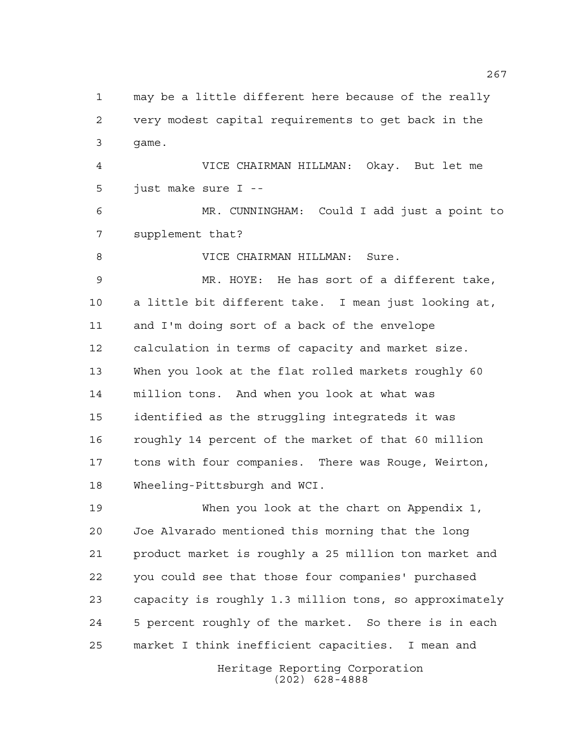may be a little different here because of the really very modest capital requirements to get back in the game. VICE CHAIRMAN HILLMAN: Okay. But let me just make sure I -- MR. CUNNINGHAM: Could I add just a point to supplement that? 8 VICE CHAIRMAN HILLMAN: Sure. MR. HOYE: He has sort of a different take, a little bit different take. I mean just looking at, and I'm doing sort of a back of the envelope calculation in terms of capacity and market size. When you look at the flat rolled markets roughly 60 million tons. And when you look at what was identified as the struggling integrateds it was roughly 14 percent of the market of that 60 million tons with four companies. There was Rouge, Weirton, Wheeling-Pittsburgh and WCI. When you look at the chart on Appendix 1, Joe Alvarado mentioned this morning that the long product market is roughly a 25 million ton market and you could see that those four companies' purchased capacity is roughly 1.3 million tons, so approximately 5 percent roughly of the market. So there is in each market I think inefficient capacities. I mean and

> Heritage Reporting Corporation (202) 628-4888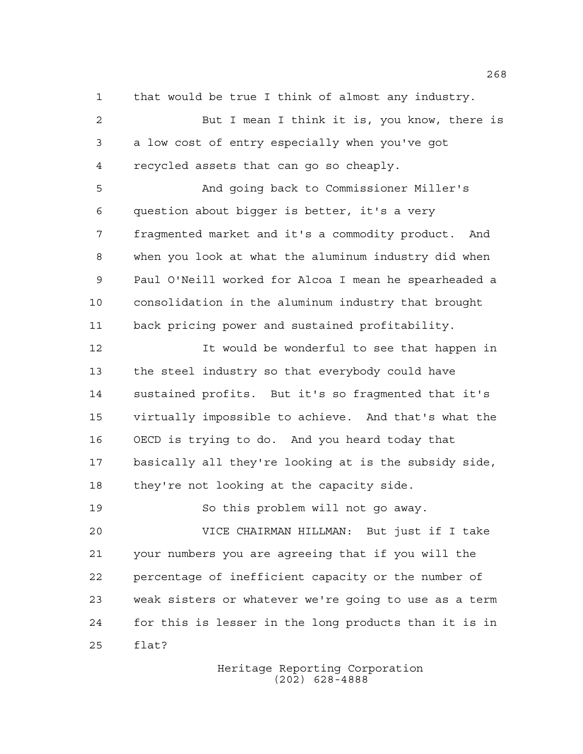that would be true I think of almost any industry.

 But I mean I think it is, you know, there is a low cost of entry especially when you've got recycled assets that can go so cheaply.

 And going back to Commissioner Miller's question about bigger is better, it's a very fragmented market and it's a commodity product. And when you look at what the aluminum industry did when Paul O'Neill worked for Alcoa I mean he spearheaded a consolidation in the aluminum industry that brought back pricing power and sustained profitability.

12 12 It would be wonderful to see that happen in the steel industry so that everybody could have sustained profits. But it's so fragmented that it's virtually impossible to achieve. And that's what the OECD is trying to do. And you heard today that basically all they're looking at is the subsidy side, they're not looking at the capacity side.

 So this problem will not go away. VICE CHAIRMAN HILLMAN: But just if I take your numbers you are agreeing that if you will the percentage of inefficient capacity or the number of weak sisters or whatever we're going to use as a term for this is lesser in the long products than it is in flat?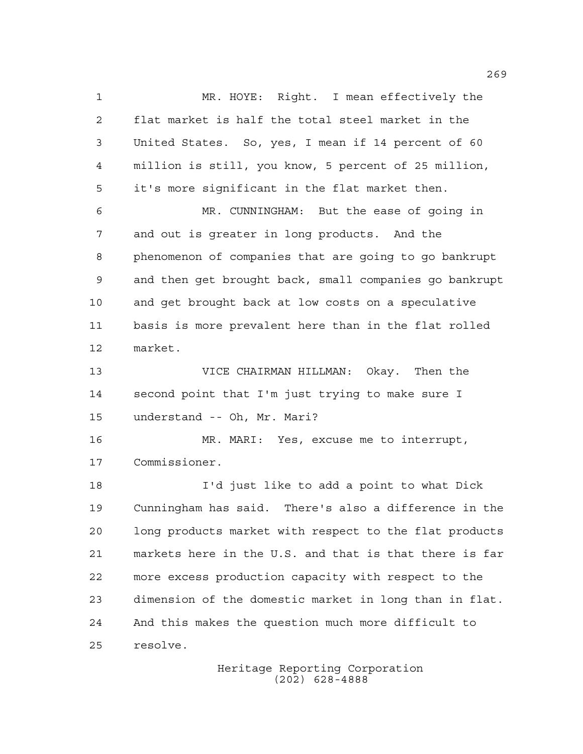MR. HOYE: Right. I mean effectively the flat market is half the total steel market in the United States. So, yes, I mean if 14 percent of 60 million is still, you know, 5 percent of 25 million, it's more significant in the flat market then. MR. CUNNINGHAM: But the ease of going in and out is greater in long products. And the phenomenon of companies that are going to go bankrupt and then get brought back, small companies go bankrupt and get brought back at low costs on a speculative basis is more prevalent here than in the flat rolled market. VICE CHAIRMAN HILLMAN: Okay. Then the second point that I'm just trying to make sure I understand -- Oh, Mr. Mari? MR. MARI: Yes, excuse me to interrupt, Commissioner. I'd just like to add a point to what Dick Cunningham has said. There's also a difference in the long products market with respect to the flat products markets here in the U.S. and that is that there is far more excess production capacity with respect to the dimension of the domestic market in long than in flat. And this makes the question much more difficult to resolve.

> Heritage Reporting Corporation (202) 628-4888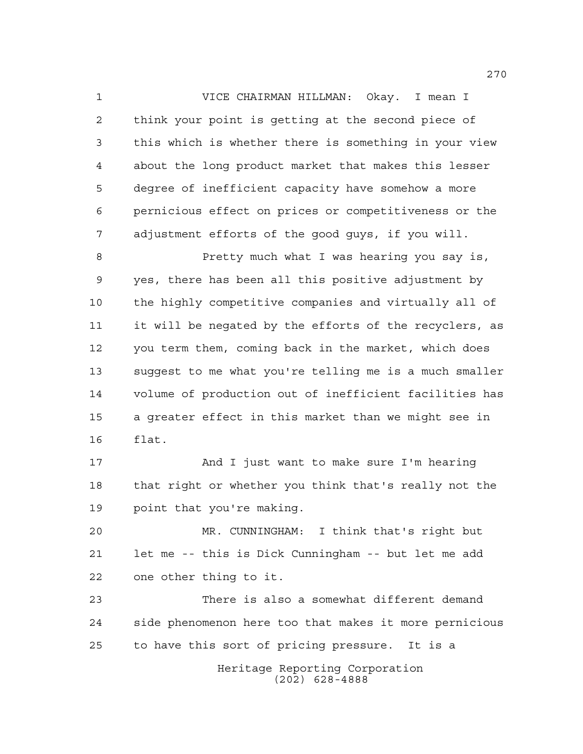VICE CHAIRMAN HILLMAN: Okay. I mean I think your point is getting at the second piece of this which is whether there is something in your view about the long product market that makes this lesser degree of inefficient capacity have somehow a more pernicious effect on prices or competitiveness or the adjustment efforts of the good guys, if you will.

 Pretty much what I was hearing you say is, yes, there has been all this positive adjustment by the highly competitive companies and virtually all of it will be negated by the efforts of the recyclers, as you term them, coming back in the market, which does suggest to me what you're telling me is a much smaller volume of production out of inefficient facilities has a greater effect in this market than we might see in flat.

 And I just want to make sure I'm hearing that right or whether you think that's really not the point that you're making.

 MR. CUNNINGHAM: I think that's right but let me -- this is Dick Cunningham -- but let me add one other thing to it.

 There is also a somewhat different demand side phenomenon here too that makes it more pernicious to have this sort of pricing pressure. It is a

> Heritage Reporting Corporation (202) 628-4888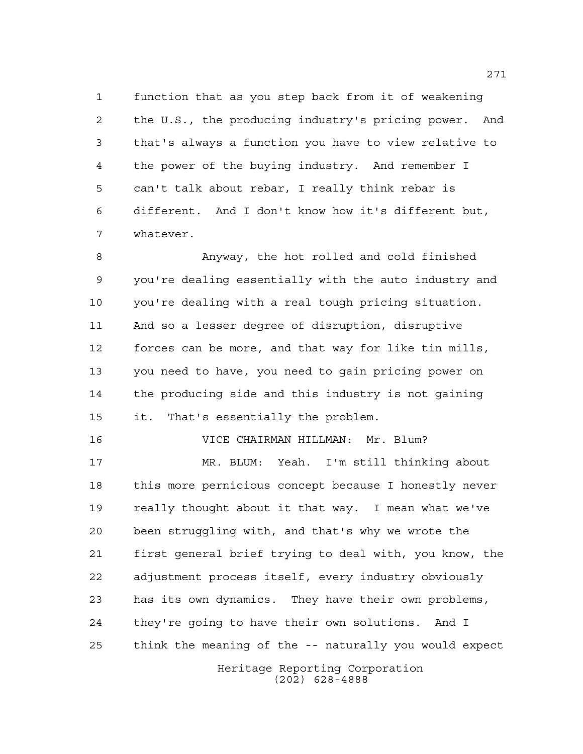function that as you step back from it of weakening the U.S., the producing industry's pricing power. And that's always a function you have to view relative to the power of the buying industry. And remember I can't talk about rebar, I really think rebar is different. And I don't know how it's different but, whatever.

 Anyway, the hot rolled and cold finished you're dealing essentially with the auto industry and you're dealing with a real tough pricing situation. And so a lesser degree of disruption, disruptive forces can be more, and that way for like tin mills, you need to have, you need to gain pricing power on the producing side and this industry is not gaining it. That's essentially the problem.

VICE CHAIRMAN HILLMAN: Mr. Blum?

Heritage Reporting Corporation (202) 628-4888 MR. BLUM: Yeah. I'm still thinking about this more pernicious concept because I honestly never really thought about it that way. I mean what we've been struggling with, and that's why we wrote the first general brief trying to deal with, you know, the adjustment process itself, every industry obviously has its own dynamics. They have their own problems, they're going to have their own solutions. And I think the meaning of the -- naturally you would expect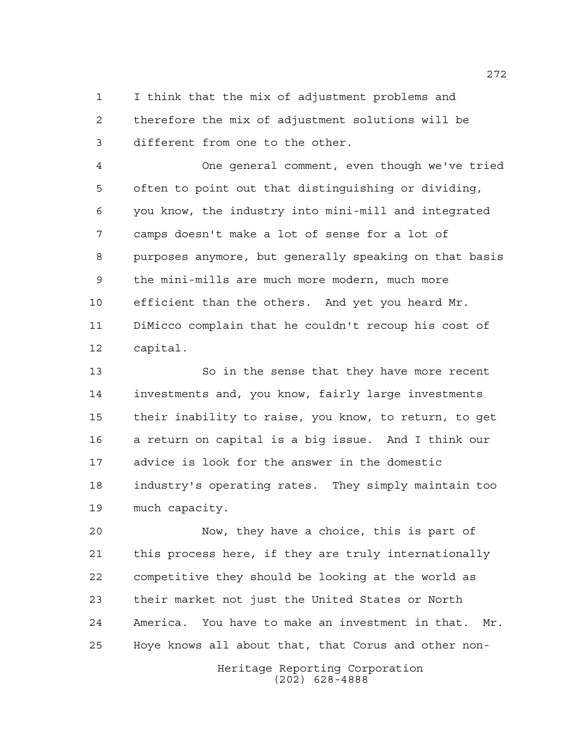I think that the mix of adjustment problems and therefore the mix of adjustment solutions will be different from one to the other.

 One general comment, even though we've tried often to point out that distinguishing or dividing, you know, the industry into mini-mill and integrated camps doesn't make a lot of sense for a lot of purposes anymore, but generally speaking on that basis the mini-mills are much more modern, much more efficient than the others. And yet you heard Mr. DiMicco complain that he couldn't recoup his cost of capital.

 So in the sense that they have more recent investments and, you know, fairly large investments their inability to raise, you know, to return, to get a return on capital is a big issue. And I think our advice is look for the answer in the domestic industry's operating rates. They simply maintain too much capacity.

 Now, they have a choice, this is part of this process here, if they are truly internationally competitive they should be looking at the world as their market not just the United States or North America. You have to make an investment in that. Mr. Hoye knows all about that, that Corus and other non-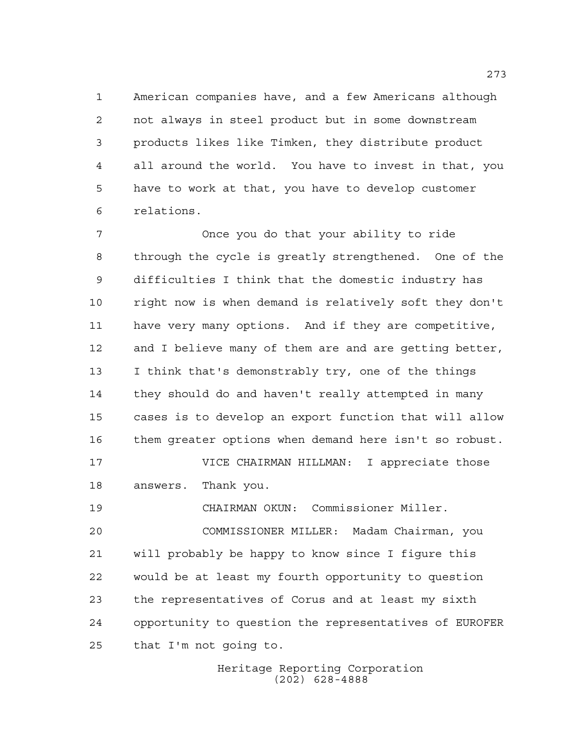American companies have, and a few Americans although not always in steel product but in some downstream products likes like Timken, they distribute product all around the world. You have to invest in that, you have to work at that, you have to develop customer relations.

 Once you do that your ability to ride through the cycle is greatly strengthened. One of the difficulties I think that the domestic industry has right now is when demand is relatively soft they don't have very many options. And if they are competitive, and I believe many of them are and are getting better, I think that's demonstrably try, one of the things they should do and haven't really attempted in many cases is to develop an export function that will allow them greater options when demand here isn't so robust. VICE CHAIRMAN HILLMAN: I appreciate those

answers. Thank you.

CHAIRMAN OKUN: Commissioner Miller.

 COMMISSIONER MILLER: Madam Chairman, you will probably be happy to know since I figure this would be at least my fourth opportunity to question the representatives of Corus and at least my sixth opportunity to question the representatives of EUROFER that I'm not going to.

> Heritage Reporting Corporation (202) 628-4888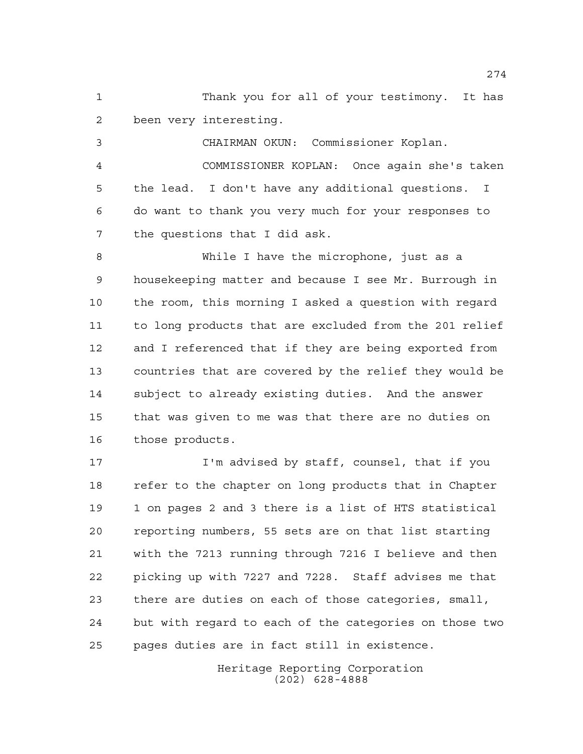Thank you for all of your testimony. It has been very interesting.

 CHAIRMAN OKUN: Commissioner Koplan. COMMISSIONER KOPLAN: Once again she's taken the lead. I don't have any additional questions. I do want to thank you very much for your responses to the questions that I did ask.

 While I have the microphone, just as a housekeeping matter and because I see Mr. Burrough in the room, this morning I asked a question with regard to long products that are excluded from the 201 relief and I referenced that if they are being exported from countries that are covered by the relief they would be subject to already existing duties. And the answer that was given to me was that there are no duties on those products.

17 I'm advised by staff, counsel, that if you refer to the chapter on long products that in Chapter 1 on pages 2 and 3 there is a list of HTS statistical reporting numbers, 55 sets are on that list starting with the 7213 running through 7216 I believe and then picking up with 7227 and 7228. Staff advises me that there are duties on each of those categories, small, but with regard to each of the categories on those two pages duties are in fact still in existence.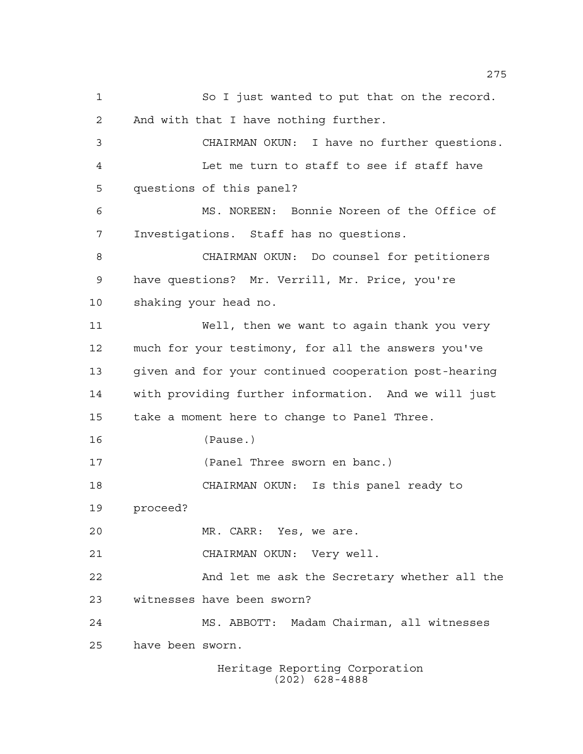Heritage Reporting Corporation So I just wanted to put that on the record. And with that I have nothing further. CHAIRMAN OKUN: I have no further questions. Let me turn to staff to see if staff have questions of this panel? MS. NOREEN: Bonnie Noreen of the Office of Investigations. Staff has no questions. CHAIRMAN OKUN: Do counsel for petitioners have questions? Mr. Verrill, Mr. Price, you're shaking your head no. Well, then we want to again thank you very much for your testimony, for all the answers you've given and for your continued cooperation post-hearing with providing further information. And we will just take a moment here to change to Panel Three. (Pause.) (Panel Three sworn en banc.) CHAIRMAN OKUN: Is this panel ready to proceed? MR. CARR: Yes, we are. CHAIRMAN OKUN: Very well. And let me ask the Secretary whether all the witnesses have been sworn? MS. ABBOTT: Madam Chairman, all witnesses have been sworn.

(202) 628-4888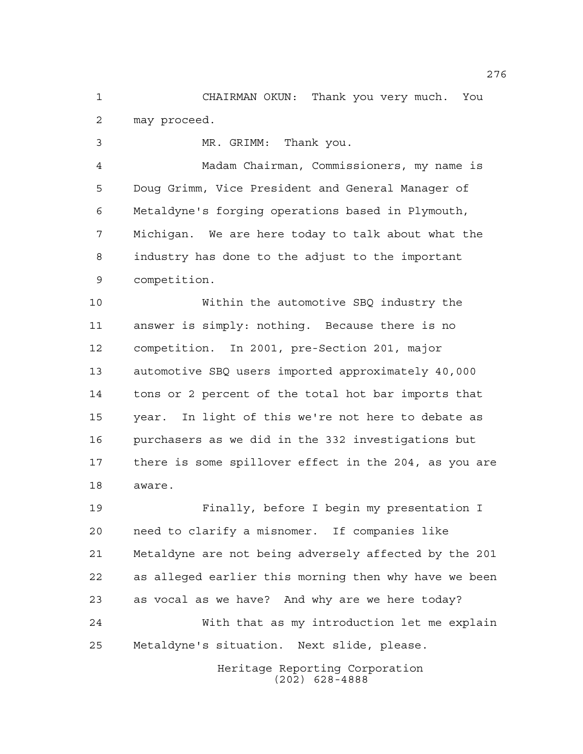CHAIRMAN OKUN: Thank you very much. You may proceed.

MR. GRIMM: Thank you.

 Madam Chairman, Commissioners, my name is Doug Grimm, Vice President and General Manager of Metaldyne's forging operations based in Plymouth, Michigan. We are here today to talk about what the industry has done to the adjust to the important competition.

 Within the automotive SBQ industry the answer is simply: nothing. Because there is no competition. In 2001, pre-Section 201, major automotive SBQ users imported approximately 40,000 tons or 2 percent of the total hot bar imports that year. In light of this we're not here to debate as purchasers as we did in the 332 investigations but there is some spillover effect in the 204, as you are aware.

 Finally, before I begin my presentation I need to clarify a misnomer. If companies like Metaldyne are not being adversely affected by the 201 as alleged earlier this morning then why have we been as vocal as we have? And why are we here today? With that as my introduction let me explain Metaldyne's situation. Next slide, please.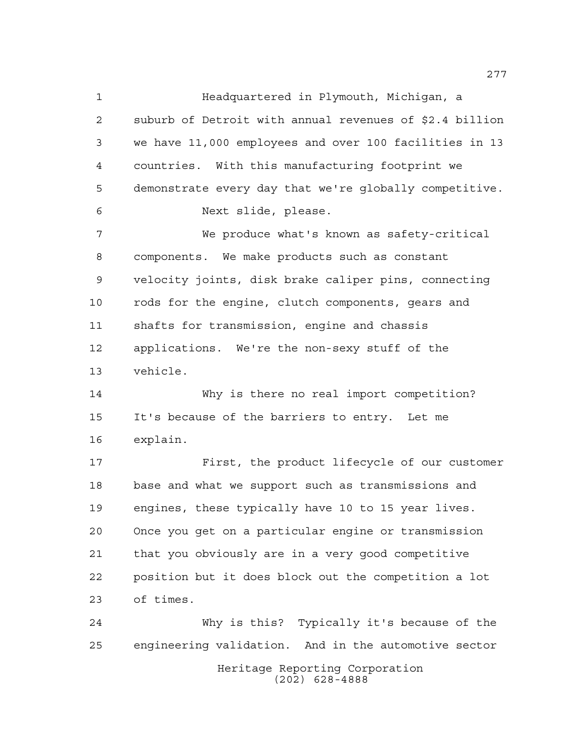Headquartered in Plymouth, Michigan, a suburb of Detroit with annual revenues of \$2.4 billion we have 11,000 employees and over 100 facilities in 13 countries. With this manufacturing footprint we demonstrate every day that we're globally competitive. Next slide, please. We produce what's known as safety-critical components. We make products such as constant velocity joints, disk brake caliper pins, connecting rods for the engine, clutch components, gears and shafts for transmission, engine and chassis applications. We're the non-sexy stuff of the vehicle. Why is there no real import competition? It's because of the barriers to entry. Let me explain. First, the product lifecycle of our customer

 base and what we support such as transmissions and engines, these typically have 10 to 15 year lives. Once you get on a particular engine or transmission that you obviously are in a very good competitive position but it does block out the competition a lot of times.

Heritage Reporting Corporation (202) 628-4888 Why is this? Typically it's because of the engineering validation. And in the automotive sector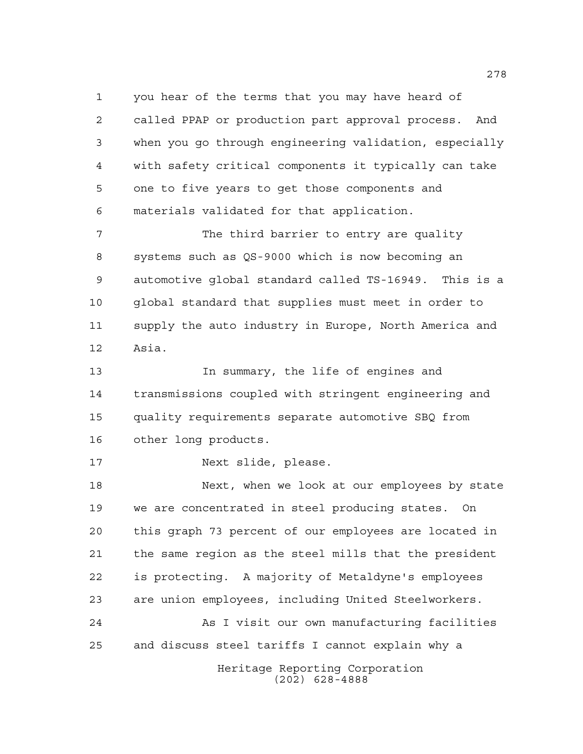you hear of the terms that you may have heard of called PPAP or production part approval process. And when you go through engineering validation, especially with safety critical components it typically can take one to five years to get those components and materials validated for that application.

 The third barrier to entry are quality systems such as QS-9000 which is now becoming an automotive global standard called TS-16949. This is a global standard that supplies must meet in order to supply the auto industry in Europe, North America and Asia.

 In summary, the life of engines and transmissions coupled with stringent engineering and quality requirements separate automotive SBQ from other long products.

Next slide, please.

 Next, when we look at our employees by state we are concentrated in steel producing states. On this graph 73 percent of our employees are located in the same region as the steel mills that the president is protecting. A majority of Metaldyne's employees are union employees, including United Steelworkers.

 As I visit our own manufacturing facilities and discuss steel tariffs I cannot explain why a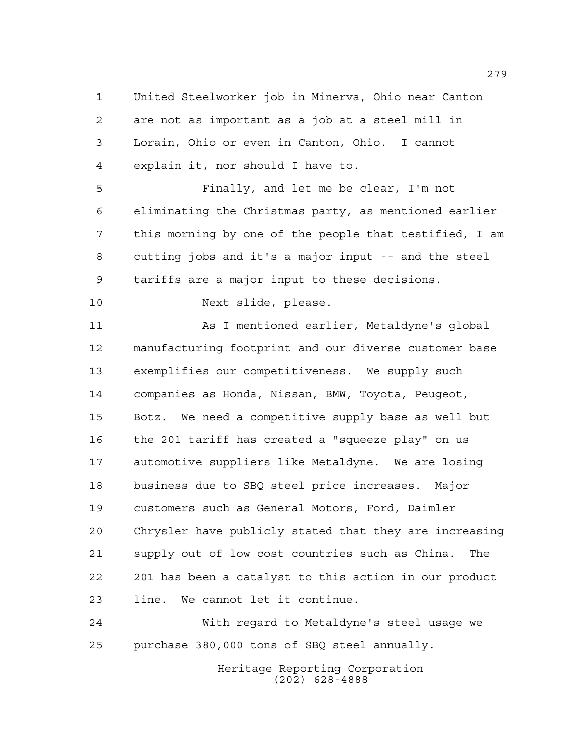United Steelworker job in Minerva, Ohio near Canton are not as important as a job at a steel mill in Lorain, Ohio or even in Canton, Ohio. I cannot explain it, nor should I have to.

 Finally, and let me be clear, I'm not eliminating the Christmas party, as mentioned earlier this morning by one of the people that testified, I am cutting jobs and it's a major input -- and the steel tariffs are a major input to these decisions.

Next slide, please.

 As I mentioned earlier, Metaldyne's global manufacturing footprint and our diverse customer base exemplifies our competitiveness. We supply such companies as Honda, Nissan, BMW, Toyota, Peugeot, Botz. We need a competitive supply base as well but the 201 tariff has created a "squeeze play" on us automotive suppliers like Metaldyne. We are losing business due to SBQ steel price increases. Major customers such as General Motors, Ford, Daimler Chrysler have publicly stated that they are increasing supply out of low cost countries such as China. The 201 has been a catalyst to this action in our product line. We cannot let it continue.

 With regard to Metaldyne's steel usage we purchase 380,000 tons of SBQ steel annually.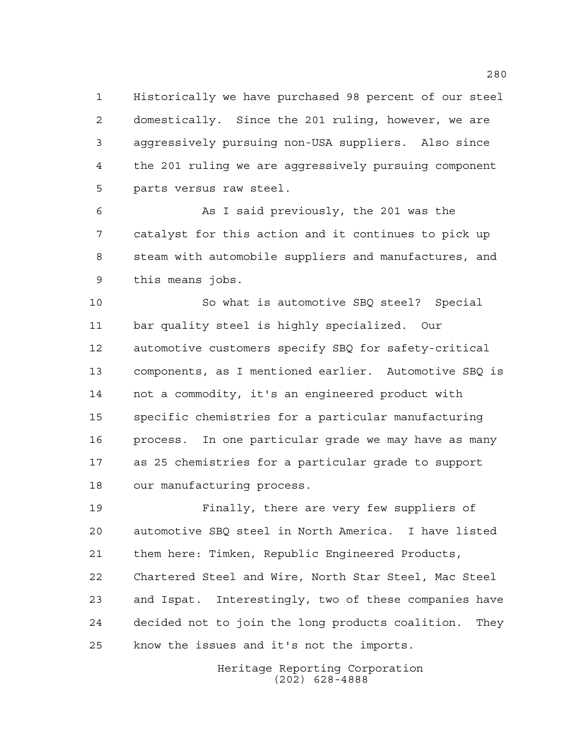Historically we have purchased 98 percent of our steel domestically. Since the 201 ruling, however, we are aggressively pursuing non-USA suppliers. Also since the 201 ruling we are aggressively pursuing component parts versus raw steel.

 As I said previously, the 201 was the catalyst for this action and it continues to pick up steam with automobile suppliers and manufactures, and this means jobs.

 So what is automotive SBQ steel? Special bar quality steel is highly specialized. Our automotive customers specify SBQ for safety-critical components, as I mentioned earlier. Automotive SBQ is not a commodity, it's an engineered product with specific chemistries for a particular manufacturing process. In one particular grade we may have as many as 25 chemistries for a particular grade to support our manufacturing process.

 Finally, there are very few suppliers of automotive SBQ steel in North America. I have listed them here: Timken, Republic Engineered Products, Chartered Steel and Wire, North Star Steel, Mac Steel and Ispat. Interestingly, two of these companies have decided not to join the long products coalition. They know the issues and it's not the imports.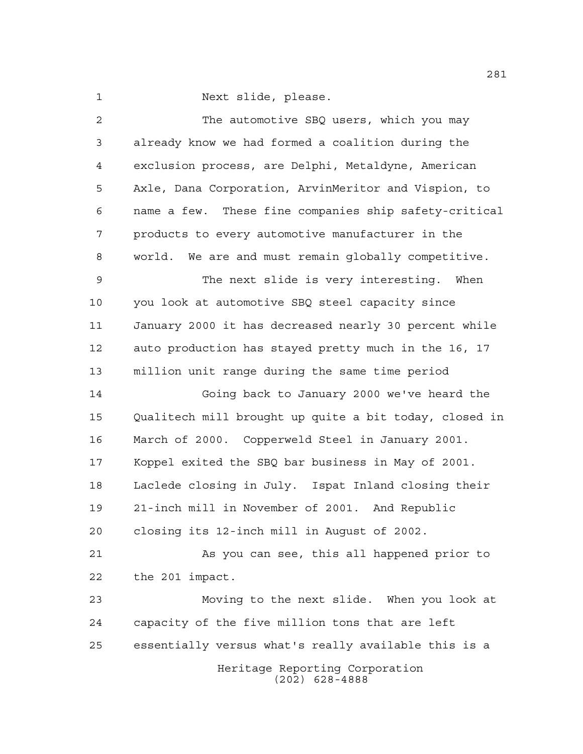Next slide, please.

| $\overline{a}$ | The automotive SBQ users, which you may                |
|----------------|--------------------------------------------------------|
| 3              | already know we had formed a coalition during the      |
| $\overline{4}$ | exclusion process, are Delphi, Metaldyne, American     |
| 5              | Axle, Dana Corporation, ArvinMeritor and Vispion, to   |
| 6              | name a few. These fine companies ship safety-critical  |
| 7              | products to every automotive manufacturer in the       |
| 8              | world. We are and must remain globally competitive.    |
| 9              | The next slide is very interesting. When               |
| 10             | you look at automotive SBQ steel capacity since        |
| 11             | January 2000 it has decreased nearly 30 percent while  |
| 12             | auto production has stayed pretty much in the 16, 17   |
| 13             | million unit range during the same time period         |
| 14             | Going back to January 2000 we've heard the             |
| 15             | Qualitech mill brought up quite a bit today, closed in |
| 16             | March of 2000. Copperweld Steel in January 2001.       |
| 17             | Koppel exited the SBQ bar business in May of 2001.     |
| 18             | Laclede closing in July. Ispat Inland closing their    |
| 19             | 21-inch mill in November of 2001. And Republic         |
| 20             | closing its 12-inch mill in August of 2002.            |
| 21             | As you can see, this all happened prior to             |
| 22             | the 201 impact.                                        |
| 23             | Moving to the next slide. When you look at             |
| 24             | capacity of the five million tons that are left        |
| 25             | essentially versus what's really available this is a   |
|                | Heritage Reporting Corporation<br>$(202)$ 628-4888     |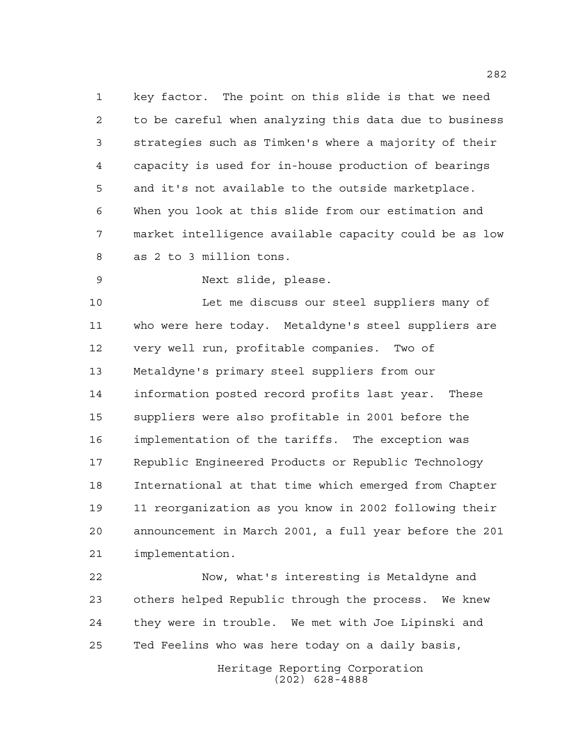key factor. The point on this slide is that we need to be careful when analyzing this data due to business strategies such as Timken's where a majority of their capacity is used for in-house production of bearings and it's not available to the outside marketplace. When you look at this slide from our estimation and market intelligence available capacity could be as low as 2 to 3 million tons.

Next slide, please.

 Let me discuss our steel suppliers many of who were here today. Metaldyne's steel suppliers are very well run, profitable companies. Two of Metaldyne's primary steel suppliers from our information posted record profits last year. These suppliers were also profitable in 2001 before the implementation of the tariffs. The exception was Republic Engineered Products or Republic Technology International at that time which emerged from Chapter 11 reorganization as you know in 2002 following their announcement in March 2001, a full year before the 201 implementation.

 Now, what's interesting is Metaldyne and others helped Republic through the process. We knew they were in trouble. We met with Joe Lipinski and Ted Feelins who was here today on a daily basis,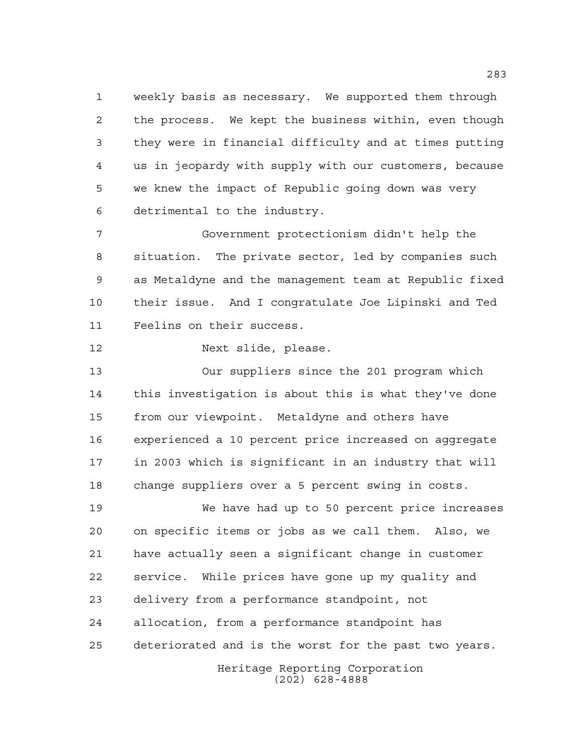weekly basis as necessary. We supported them through the process. We kept the business within, even though they were in financial difficulty and at times putting us in jeopardy with supply with our customers, because we knew the impact of Republic going down was very detrimental to the industry.

 Government protectionism didn't help the situation. The private sector, led by companies such as Metaldyne and the management team at Republic fixed their issue. And I congratulate Joe Lipinski and Ted Feelins on their success.

Next slide, please.

 Our suppliers since the 201 program which this investigation is about this is what they've done from our viewpoint. Metaldyne and others have experienced a 10 percent price increased on aggregate in 2003 which is significant in an industry that will change suppliers over a 5 percent swing in costs.

 We have had up to 50 percent price increases on specific items or jobs as we call them. Also, we have actually seen a significant change in customer service. While prices have gone up my quality and delivery from a performance standpoint, not allocation, from a performance standpoint has deteriorated and is the worst for the past two years.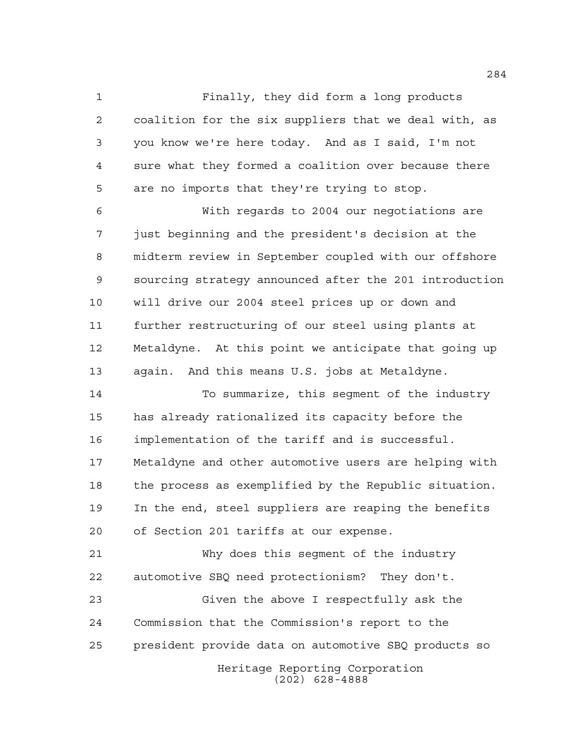Finally, they did form a long products coalition for the six suppliers that we deal with, as you know we're here today. And as I said, I'm not sure what they formed a coalition over because there are no imports that they're trying to stop.

 With regards to 2004 our negotiations are just beginning and the president's decision at the midterm review in September coupled with our offshore sourcing strategy announced after the 201 introduction will drive our 2004 steel prices up or down and further restructuring of our steel using plants at Metaldyne. At this point we anticipate that going up again. And this means U.S. jobs at Metaldyne.

 To summarize, this segment of the industry has already rationalized its capacity before the implementation of the tariff and is successful. Metaldyne and other automotive users are helping with the process as exemplified by the Republic situation. In the end, steel suppliers are reaping the benefits of Section 201 tariffs at our expense.

 Why does this segment of the industry automotive SBQ need protectionism? They don't.

Heritage Reporting Corporation (202) 628-4888 Given the above I respectfully ask the Commission that the Commission's report to the president provide data on automotive SBQ products so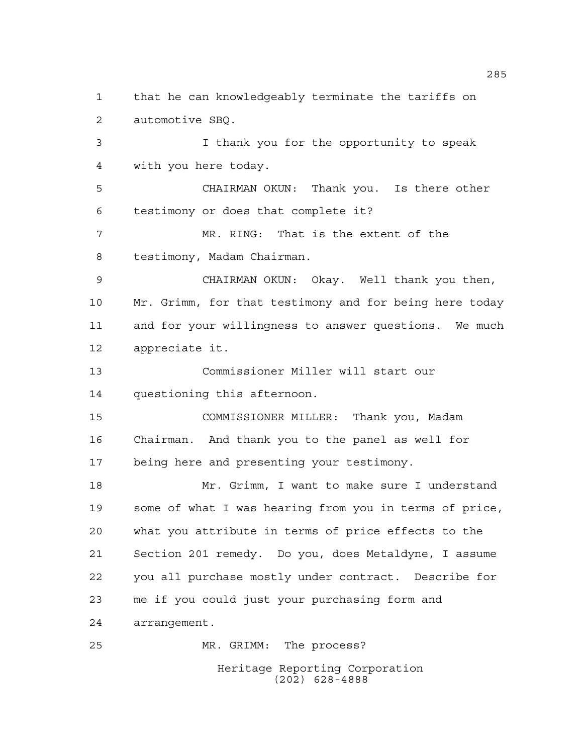Heritage Reporting Corporation that he can knowledgeably terminate the tariffs on automotive SBQ. I thank you for the opportunity to speak with you here today. CHAIRMAN OKUN: Thank you. Is there other testimony or does that complete it? MR. RING: That is the extent of the testimony, Madam Chairman. CHAIRMAN OKUN: Okay. Well thank you then, Mr. Grimm, for that testimony and for being here today and for your willingness to answer questions. We much appreciate it. Commissioner Miller will start our questioning this afternoon. COMMISSIONER MILLER: Thank you, Madam Chairman. And thank you to the panel as well for being here and presenting your testimony. Mr. Grimm, I want to make sure I understand some of what I was hearing from you in terms of price, what you attribute in terms of price effects to the Section 201 remedy. Do you, does Metaldyne, I assume you all purchase mostly under contract. Describe for me if you could just your purchasing form and arrangement. MR. GRIMM: The process?

(202) 628-4888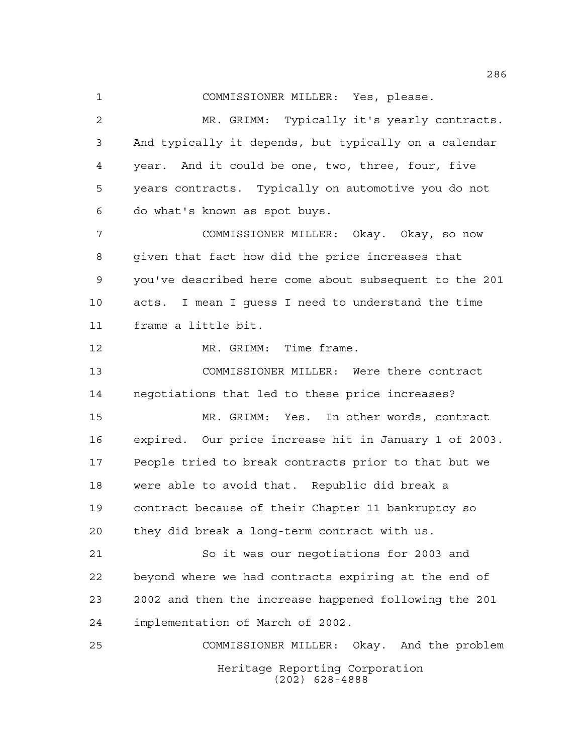COMMISSIONER MILLER: Yes, please.

 MR. GRIMM: Typically it's yearly contracts. And typically it depends, but typically on a calendar year. And it could be one, two, three, four, five years contracts. Typically on automotive you do not do what's known as spot buys.

 COMMISSIONER MILLER: Okay. Okay, so now given that fact how did the price increases that you've described here come about subsequent to the 201 acts. I mean I guess I need to understand the time frame a little bit.

12 MR. GRIMM: Time frame.

 COMMISSIONER MILLER: Were there contract negotiations that led to these price increases?

 MR. GRIMM: Yes. In other words, contract expired. Our price increase hit in January 1 of 2003. People tried to break contracts prior to that but we were able to avoid that. Republic did break a contract because of their Chapter 11 bankruptcy so they did break a long-term contract with us.

 So it was our negotiations for 2003 and beyond where we had contracts expiring at the end of 2002 and then the increase happened following the 201 implementation of March of 2002.

Heritage Reporting Corporation (202) 628-4888 COMMISSIONER MILLER: Okay. And the problem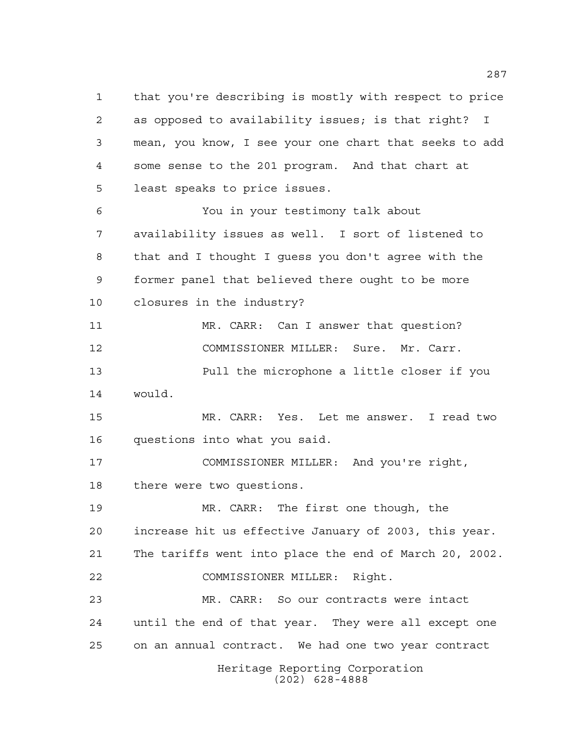Heritage Reporting Corporation (202) 628-4888 that you're describing is mostly with respect to price as opposed to availability issues; is that right? I mean, you know, I see your one chart that seeks to add some sense to the 201 program. And that chart at least speaks to price issues. You in your testimony talk about availability issues as well. I sort of listened to that and I thought I guess you don't agree with the former panel that believed there ought to be more closures in the industry? MR. CARR: Can I answer that question? COMMISSIONER MILLER: Sure. Mr. Carr. Pull the microphone a little closer if you would. MR. CARR: Yes. Let me answer. I read two questions into what you said. COMMISSIONER MILLER: And you're right, there were two questions. MR. CARR: The first one though, the increase hit us effective January of 2003, this year. The tariffs went into place the end of March 20, 2002. COMMISSIONER MILLER: Right. MR. CARR: So our contracts were intact until the end of that year. They were all except one on an annual contract. We had one two year contract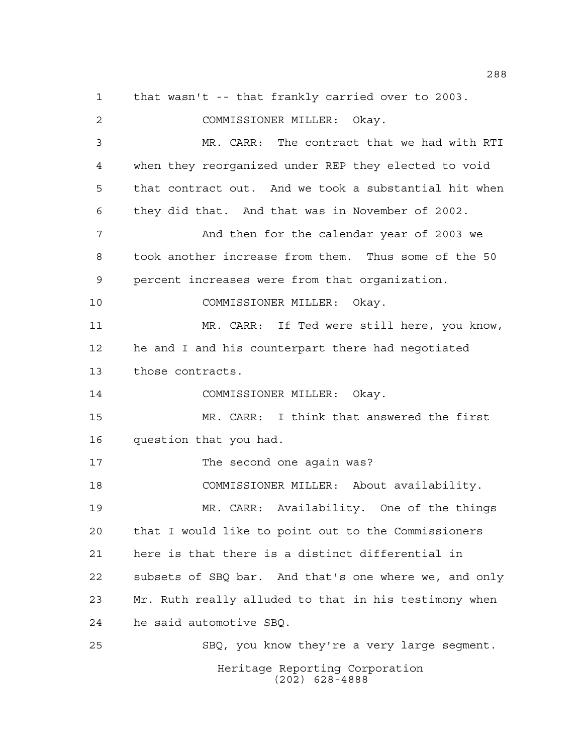Heritage Reporting Corporation (202) 628-4888 that wasn't -- that frankly carried over to 2003. COMMISSIONER MILLER: Okay. MR. CARR: The contract that we had with RTI when they reorganized under REP they elected to void that contract out. And we took a substantial hit when they did that. And that was in November of 2002. And then for the calendar year of 2003 we took another increase from them. Thus some of the 50 percent increases were from that organization. COMMISSIONER MILLER: Okay. MR. CARR: If Ted were still here, you know, he and I and his counterpart there had negotiated those contracts. COMMISSIONER MILLER: Okay. MR. CARR: I think that answered the first question that you had. 17 The second one again was? COMMISSIONER MILLER: About availability. MR. CARR: Availability. One of the things that I would like to point out to the Commissioners here is that there is a distinct differential in subsets of SBQ bar. And that's one where we, and only Mr. Ruth really alluded to that in his testimony when he said automotive SBQ. SBQ, you know they're a very large segment.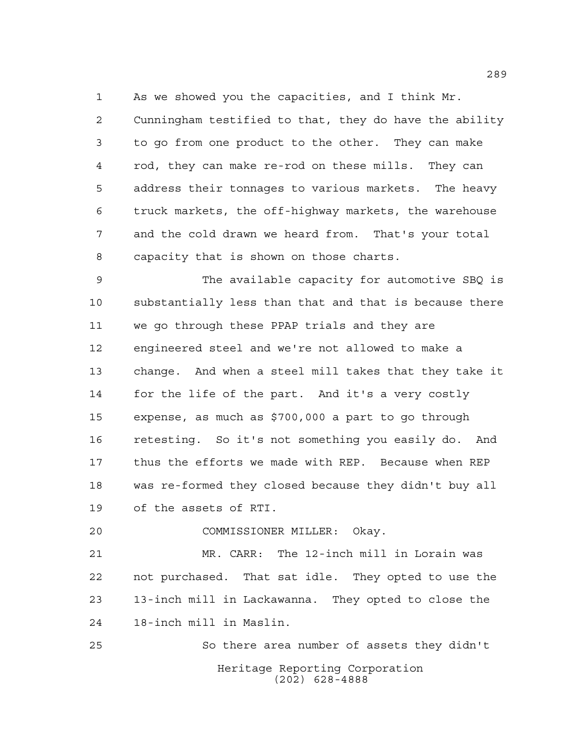As we showed you the capacities, and I think Mr.

 Cunningham testified to that, they do have the ability to go from one product to the other. They can make rod, they can make re-rod on these mills. They can address their tonnages to various markets. The heavy truck markets, the off-highway markets, the warehouse and the cold drawn we heard from. That's your total capacity that is shown on those charts.

 The available capacity for automotive SBQ is substantially less than that and that is because there we go through these PPAP trials and they are engineered steel and we're not allowed to make a change. And when a steel mill takes that they take it for the life of the part. And it's a very costly expense, as much as \$700,000 a part to go through retesting. So it's not something you easily do. And thus the efforts we made with REP. Because when REP was re-formed they closed because they didn't buy all of the assets of RTI.

COMMISSIONER MILLER: Okay.

 MR. CARR: The 12-inch mill in Lorain was not purchased. That sat idle. They opted to use the 13-inch mill in Lackawanna. They opted to close the 18-inch mill in Maslin.

Heritage Reporting Corporation (202) 628-4888 So there area number of assets they didn't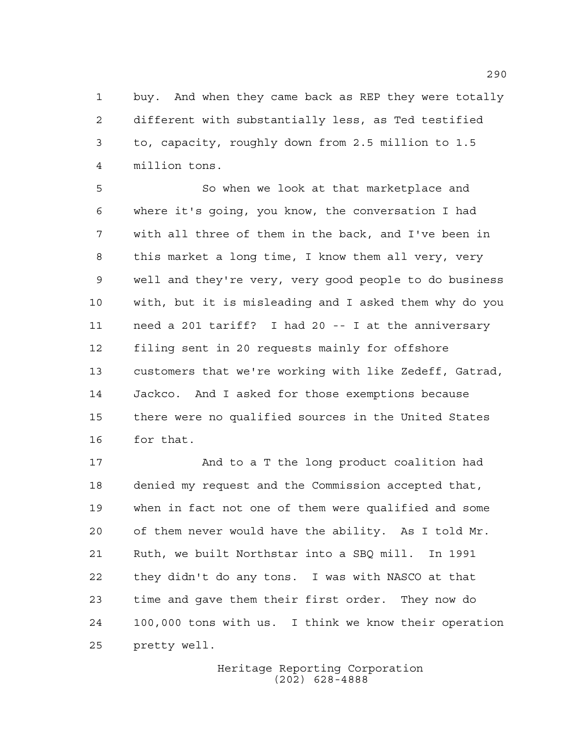buy. And when they came back as REP they were totally different with substantially less, as Ted testified to, capacity, roughly down from 2.5 million to 1.5 million tons.

 So when we look at that marketplace and where it's going, you know, the conversation I had with all three of them in the back, and I've been in this market a long time, I know them all very, very well and they're very, very good people to do business with, but it is misleading and I asked them why do you need a 201 tariff? I had 20 -- I at the anniversary filing sent in 20 requests mainly for offshore customers that we're working with like Zedeff, Gatrad, Jackco. And I asked for those exemptions because there were no qualified sources in the United States for that.

 And to a T the long product coalition had denied my request and the Commission accepted that, when in fact not one of them were qualified and some of them never would have the ability. As I told Mr. Ruth, we built Northstar into a SBQ mill. In 1991 they didn't do any tons. I was with NASCO at that time and gave them their first order. They now do 100,000 tons with us. I think we know their operation pretty well.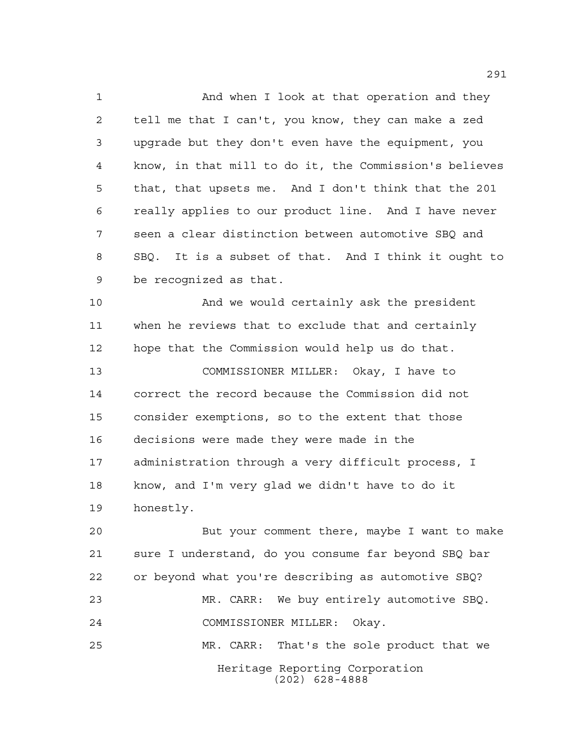And when I look at that operation and they tell me that I can't, you know, they can make a zed upgrade but they don't even have the equipment, you know, in that mill to do it, the Commission's believes that, that upsets me. And I don't think that the 201 really applies to our product line. And I have never seen a clear distinction between automotive SBQ and SBQ. It is a subset of that. And I think it ought to be recognized as that.

 And we would certainly ask the president when he reviews that to exclude that and certainly hope that the Commission would help us do that.

 COMMISSIONER MILLER: Okay, I have to correct the record because the Commission did not consider exemptions, so to the extent that those decisions were made they were made in the administration through a very difficult process, I know, and I'm very glad we didn't have to do it honestly.

Heritage Reporting Corporation (202) 628-4888 But your comment there, maybe I want to make sure I understand, do you consume far beyond SBQ bar or beyond what you're describing as automotive SBQ? MR. CARR: We buy entirely automotive SBQ. COMMISSIONER MILLER: Okay. MR. CARR: That's the sole product that we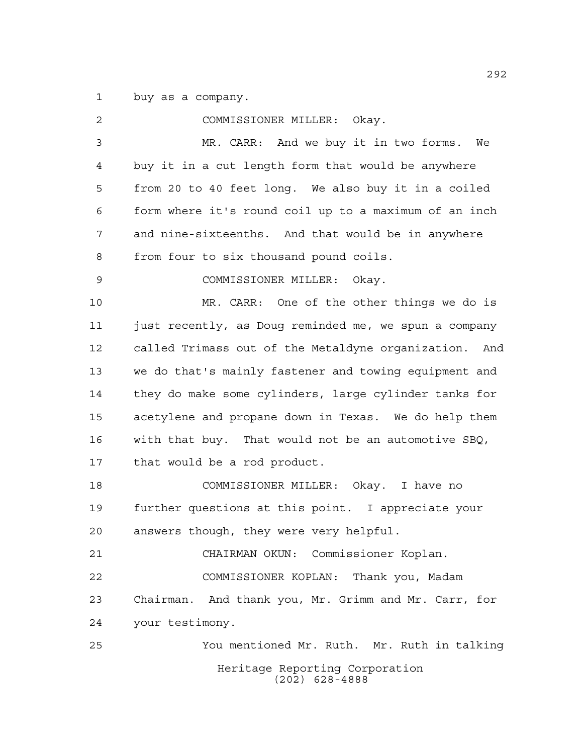buy as a company.

| 2  | COMMISSIONER MILLER: Okay.                            |
|----|-------------------------------------------------------|
| 3  | MR. CARR: And we buy it in two forms. We              |
| 4  | buy it in a cut length form that would be anywhere    |
| 5  | from 20 to 40 feet long. We also buy it in a coiled   |
| 6  | form where it's round coil up to a maximum of an inch |
| 7  | and nine-sixteenths. And that would be in anywhere    |
| 8  | from four to six thousand pound coils.                |
| 9  | COMMISSIONER MILLER: Okay.                            |
| 10 | MR. CARR: One of the other things we do is            |
| 11 | just recently, as Doug reminded me, we spun a company |
| 12 | called Trimass out of the Metaldyne organization. And |
| 13 | we do that's mainly fastener and towing equipment and |
| 14 | they do make some cylinders, large cylinder tanks for |
| 15 | acetylene and propane down in Texas. We do help them  |
| 16 | with that buy. That would not be an automotive SBQ,   |
| 17 | that would be a rod product.                          |
| 18 | COMMISSIONER MILLER: Okay. I have no                  |
| 19 | further questions at this point. I appreciate your    |
| 20 | answers though, they were very helpful.               |
| 21 | CHAIRMAN OKUN: Commissioner Koplan.                   |
| 22 | COMMISSIONER KOPLAN: Thank you, Madam                 |
| 23 | Chairman. And thank you, Mr. Grimm and Mr. Carr, for  |
| 24 | your testimony.                                       |
| 25 | You mentioned Mr. Ruth. Mr. Ruth in talking           |
|    | Heritage Reporting Corporation<br>$(202)$ 628-4888    |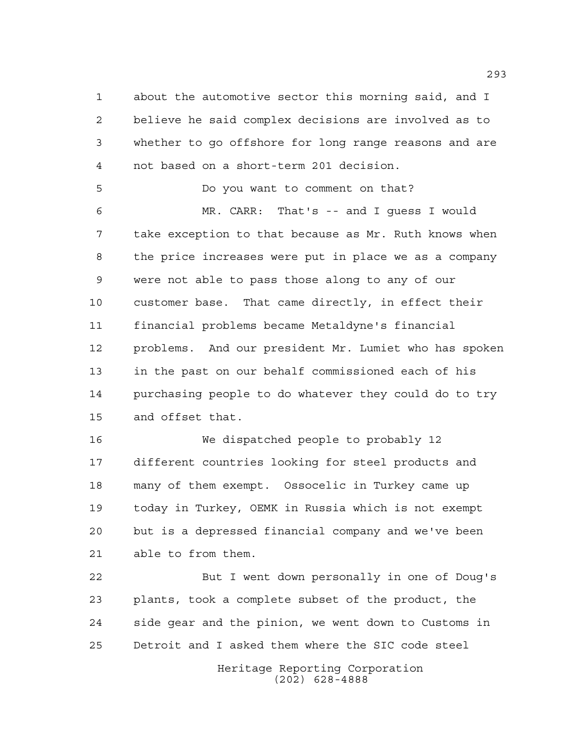about the automotive sector this morning said, and I believe he said complex decisions are involved as to whether to go offshore for long range reasons and are not based on a short-term 201 decision.

Do you want to comment on that?

 MR. CARR: That's -- and I guess I would take exception to that because as Mr. Ruth knows when the price increases were put in place we as a company were not able to pass those along to any of our customer base. That came directly, in effect their financial problems became Metaldyne's financial problems. And our president Mr. Lumiet who has spoken in the past on our behalf commissioned each of his purchasing people to do whatever they could do to try and offset that.

 We dispatched people to probably 12 different countries looking for steel products and many of them exempt. Ossocelic in Turkey came up today in Turkey, OEMK in Russia which is not exempt but is a depressed financial company and we've been able to from them.

 But I went down personally in one of Doug's plants, took a complete subset of the product, the side gear and the pinion, we went down to Customs in Detroit and I asked them where the SIC code steel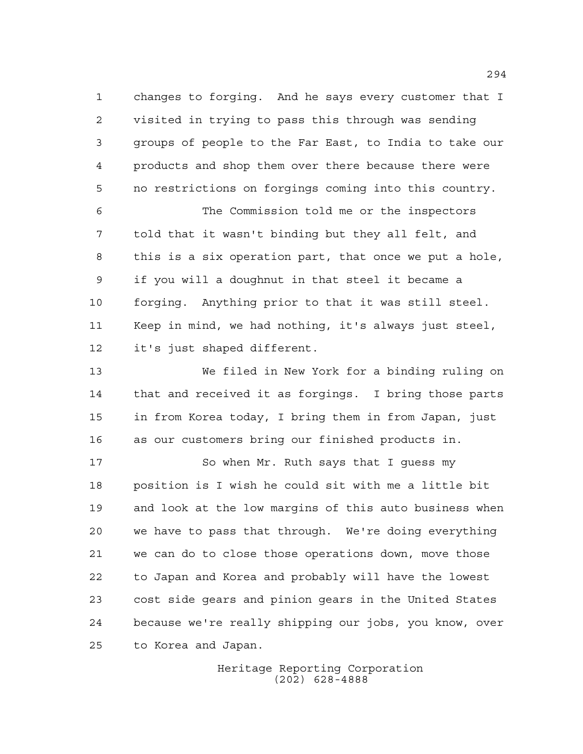changes to forging. And he says every customer that I visited in trying to pass this through was sending groups of people to the Far East, to India to take our products and shop them over there because there were no restrictions on forgings coming into this country.

 The Commission told me or the inspectors told that it wasn't binding but they all felt, and this is a six operation part, that once we put a hole, if you will a doughnut in that steel it became a forging. Anything prior to that it was still steel. Keep in mind, we had nothing, it's always just steel, it's just shaped different.

 We filed in New York for a binding ruling on that and received it as forgings. I bring those parts in from Korea today, I bring them in from Japan, just as our customers bring our finished products in.

17 So when Mr. Ruth says that I quess my position is I wish he could sit with me a little bit and look at the low margins of this auto business when we have to pass that through. We're doing everything we can do to close those operations down, move those to Japan and Korea and probably will have the lowest cost side gears and pinion gears in the United States because we're really shipping our jobs, you know, over to Korea and Japan.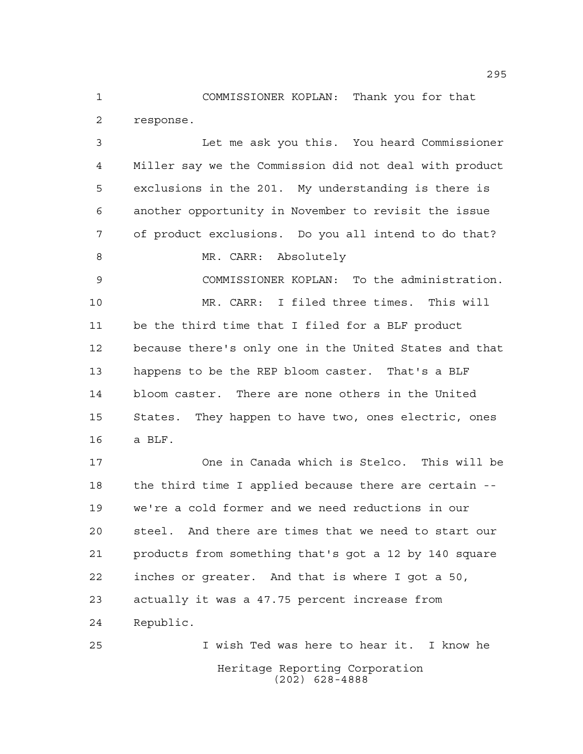COMMISSIONER KOPLAN: Thank you for that response.

 Let me ask you this. You heard Commissioner Miller say we the Commission did not deal with product exclusions in the 201. My understanding is there is another opportunity in November to revisit the issue of product exclusions. Do you all intend to do that? 8 MR. CARR: Absolutely COMMISSIONER KOPLAN: To the administration. MR. CARR: I filed three times. This will be the third time that I filed for a BLF product because there's only one in the United States and that happens to be the REP bloom caster. That's a BLF bloom caster. There are none others in the United States. They happen to have two, ones electric, ones a BLF. One in Canada which is Stelco. This will be the third time I applied because there are certain -- we're a cold former and we need reductions in our steel. And there are times that we need to start our products from something that's got a 12 by 140 square inches or greater. And that is where I got a 50, actually it was a 47.75 percent increase from Republic. I wish Ted was here to hear it. I know he

> Heritage Reporting Corporation (202) 628-4888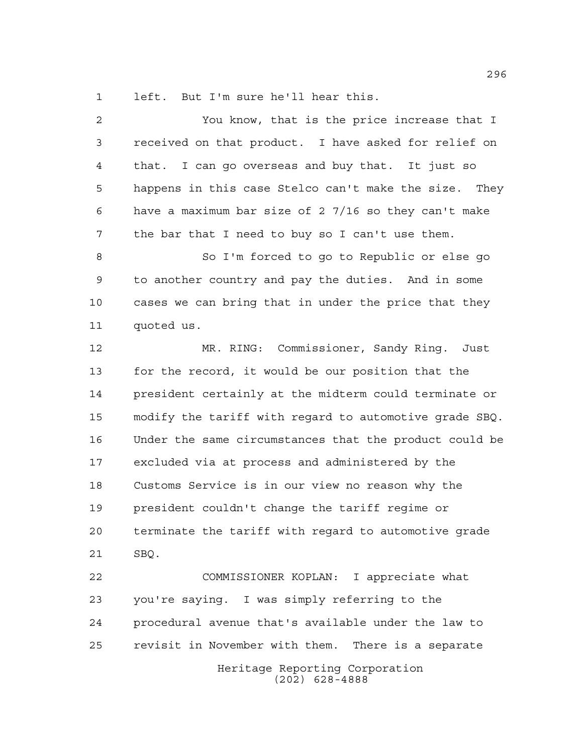left. But I'm sure he'll hear this.

| $\overline{2}$ | You know, that is the price increase that I            |
|----------------|--------------------------------------------------------|
| 3              | received on that product. I have asked for relief on   |
| 4              | that. I can go overseas and buy that. It just so       |
| 5              | happens in this case Stelco can't make the size. They  |
| 6              | have a maximum bar size of 2 7/16 so they can't make   |
| 7              | the bar that I need to buy so I can't use them.        |
| 8              | So I'm forced to go to Republic or else go             |
| 9              | to another country and pay the duties. And in some     |
| 10             | cases we can bring that in under the price that they   |
| 11             | quoted us.                                             |
| 12             | MR. RING: Commissioner, Sandy Ring. Just               |
| 13             | for the record, it would be our position that the      |
| 14             | president certainly at the midterm could terminate or  |
| 15             | modify the tariff with regard to automotive grade SBQ. |
| 16             | Under the same circumstances that the product could be |
| 17             | excluded via at process and administered by the        |
| 18             | Customs Service is in our view no reason why the       |
| 19             | president couldn't change the tariff regime or         |
| 20             | terminate the tariff with regard to automotive grade   |
| 21             | SBQ.                                                   |
| 22             | COMMISSIONER KOPLAN: I appreciate what                 |
| 23             | you're saying. I was simply referring to the           |
| 24             | procedural avenue that's available under the law to    |
| 25             | revisit in November with them. There is a separate     |
|                | Heritage Reporting Corporation<br>$(202)$ 628-4888     |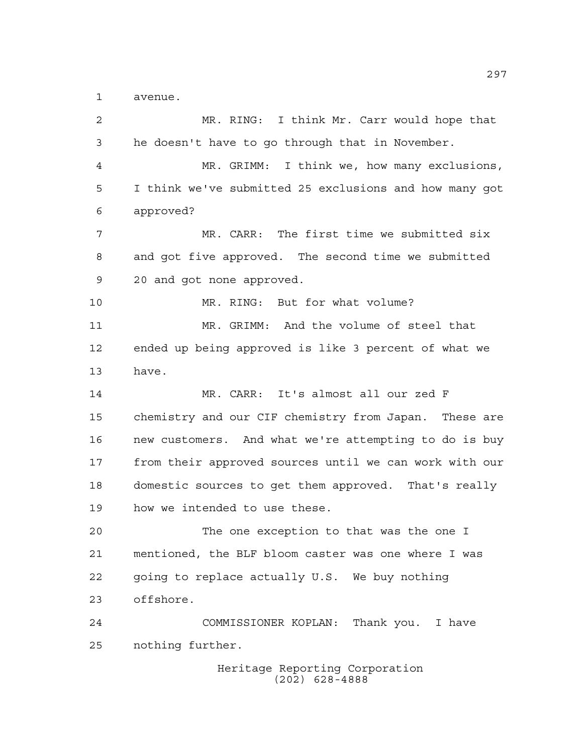avenue.

| $\overline{2}$ | MR. RING: I think Mr. Carr would hope that             |
|----------------|--------------------------------------------------------|
| 3              | he doesn't have to go through that in November.        |
| 4              | MR. GRIMM: I think we, how many exclusions,            |
| 5              | I think we've submitted 25 exclusions and how many got |
| 6              | approved?                                              |
| 7              | MR. CARR: The first time we submitted six              |
| 8              | and got five approved. The second time we submitted    |
| $\mathsf 9$    | 20 and got none approved.                              |
| 10             | MR. RING: But for what volume?                         |
| 11             | MR. GRIMM: And the volume of steel that                |
| 12             | ended up being approved is like 3 percent of what we   |
| 13             | have.                                                  |
| 14             | MR. CARR: It's almost all our zed F                    |
| 15             | chemistry and our CIF chemistry from Japan. These are  |
| 16             | new customers. And what we're attempting to do is buy  |
| 17             | from their approved sources until we can work with our |
| 18             | domestic sources to get them approved. That's really   |
| 19             | how we intended to use these.                          |
| 20             | The one exception to that was the one I                |
| 21             | mentioned, the BLF bloom caster was one where I was    |
| 22             | going to replace actually U.S. We buy nothing          |
| 23             | offshore.                                              |
| 24             | COMMISSIONER KOPLAN: Thank you. I have                 |
| 25             | nothing further.                                       |
|                | Heritage Reporting Corporation<br>$(202)$ 628-4888     |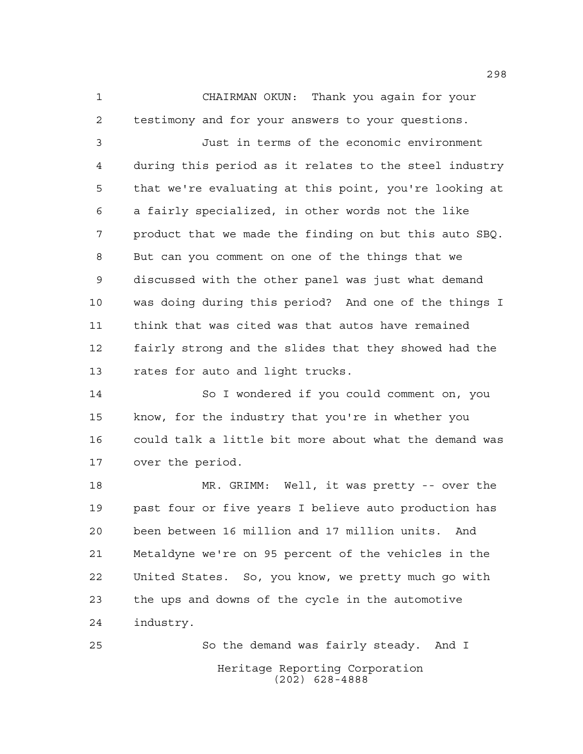CHAIRMAN OKUN: Thank you again for your testimony and for your answers to your questions.

 Just in terms of the economic environment during this period as it relates to the steel industry that we're evaluating at this point, you're looking at a fairly specialized, in other words not the like product that we made the finding on but this auto SBQ. But can you comment on one of the things that we discussed with the other panel was just what demand was doing during this period? And one of the things I think that was cited was that autos have remained fairly strong and the slides that they showed had the rates for auto and light trucks.

 So I wondered if you could comment on, you know, for the industry that you're in whether you could talk a little bit more about what the demand was over the period.

 MR. GRIMM: Well, it was pretty -- over the past four or five years I believe auto production has been between 16 million and 17 million units. And Metaldyne we're on 95 percent of the vehicles in the United States. So, you know, we pretty much go with the ups and downs of the cycle in the automotive industry.

Heritage Reporting Corporation (202) 628-4888 So the demand was fairly steady. And I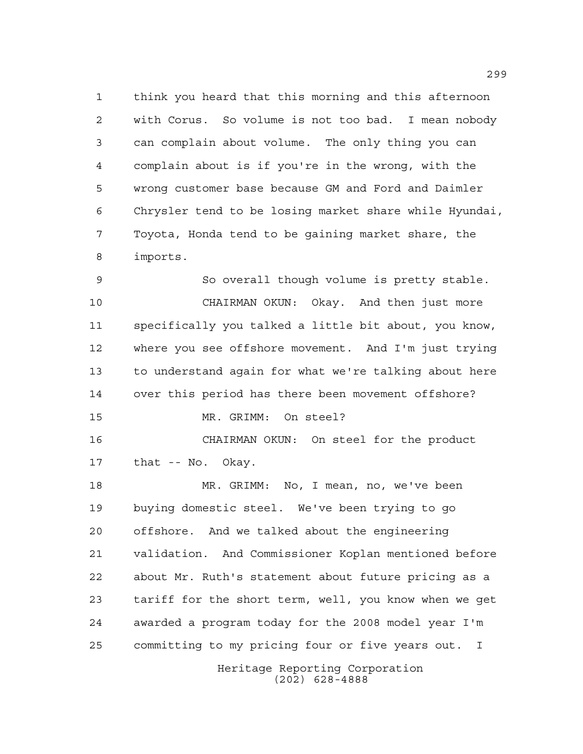think you heard that this morning and this afternoon with Corus. So volume is not too bad. I mean nobody can complain about volume. The only thing you can complain about is if you're in the wrong, with the wrong customer base because GM and Ford and Daimler Chrysler tend to be losing market share while Hyundai, Toyota, Honda tend to be gaining market share, the imports.

 So overall though volume is pretty stable. CHAIRMAN OKUN: Okay. And then just more specifically you talked a little bit about, you know, where you see offshore movement. And I'm just trying to understand again for what we're talking about here over this period has there been movement offshore? MR. GRIMM: On steel? CHAIRMAN OKUN: On steel for the product that -- No. Okay. MR. GRIMM: No, I mean, no, we've been buying domestic steel. We've been trying to go offshore. And we talked about the engineering validation. And Commissioner Koplan mentioned before about Mr. Ruth's statement about future pricing as a tariff for the short term, well, you know when we get

committing to my pricing four or five years out. I

awarded a program today for the 2008 model year I'm

Heritage Reporting Corporation (202) 628-4888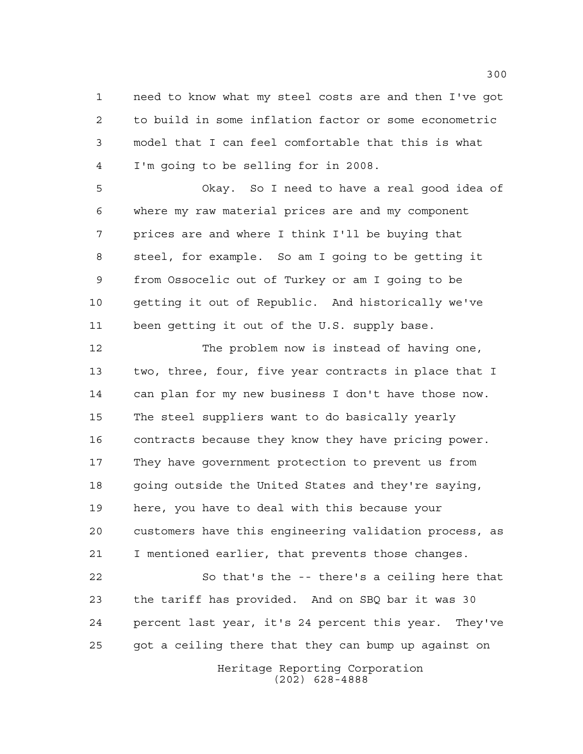need to know what my steel costs are and then I've got to build in some inflation factor or some econometric model that I can feel comfortable that this is what I'm going to be selling for in 2008.

 Okay. So I need to have a real good idea of where my raw material prices are and my component prices are and where I think I'll be buying that steel, for example. So am I going to be getting it from Ossocelic out of Turkey or am I going to be getting it out of Republic. And historically we've been getting it out of the U.S. supply base.

 The problem now is instead of having one, two, three, four, five year contracts in place that I can plan for my new business I don't have those now. The steel suppliers want to do basically yearly contracts because they know they have pricing power. They have government protection to prevent us from going outside the United States and they're saying, here, you have to deal with this because your customers have this engineering validation process, as I mentioned earlier, that prevents those changes. So that's the -- there's a ceiling here that the tariff has provided. And on SBQ bar it was 30

 percent last year, it's 24 percent this year. They've got a ceiling there that they can bump up against on

> Heritage Reporting Corporation (202) 628-4888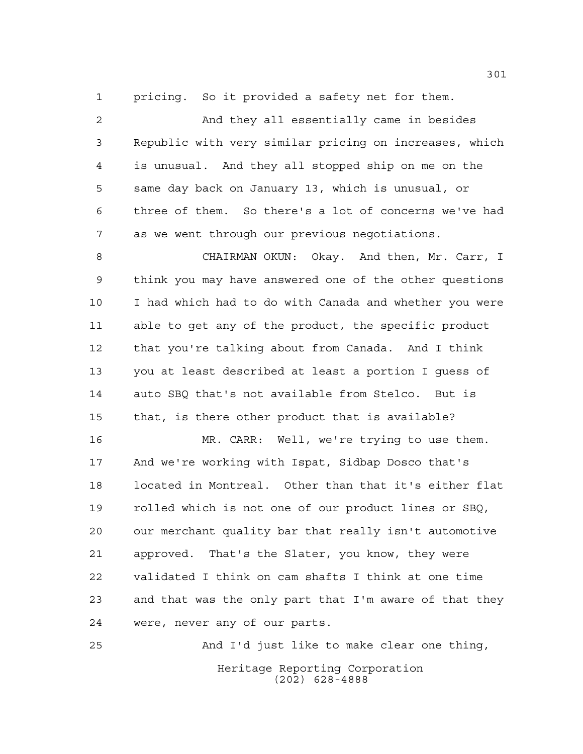pricing. So it provided a safety net for them.

 And they all essentially came in besides Republic with very similar pricing on increases, which is unusual. And they all stopped ship on me on the same day back on January 13, which is unusual, or three of them. So there's a lot of concerns we've had as we went through our previous negotiations.

 CHAIRMAN OKUN: Okay. And then, Mr. Carr, I think you may have answered one of the other questions I had which had to do with Canada and whether you were able to get any of the product, the specific product that you're talking about from Canada. And I think you at least described at least a portion I guess of auto SBQ that's not available from Stelco. But is that, is there other product that is available?

 MR. CARR: Well, we're trying to use them. And we're working with Ispat, Sidbap Dosco that's located in Montreal. Other than that it's either flat rolled which is not one of our product lines or SBQ, our merchant quality bar that really isn't automotive approved. That's the Slater, you know, they were validated I think on cam shafts I think at one time and that was the only part that I'm aware of that they were, never any of our parts.

Heritage Reporting Corporation (202) 628-4888 And I'd just like to make clear one thing,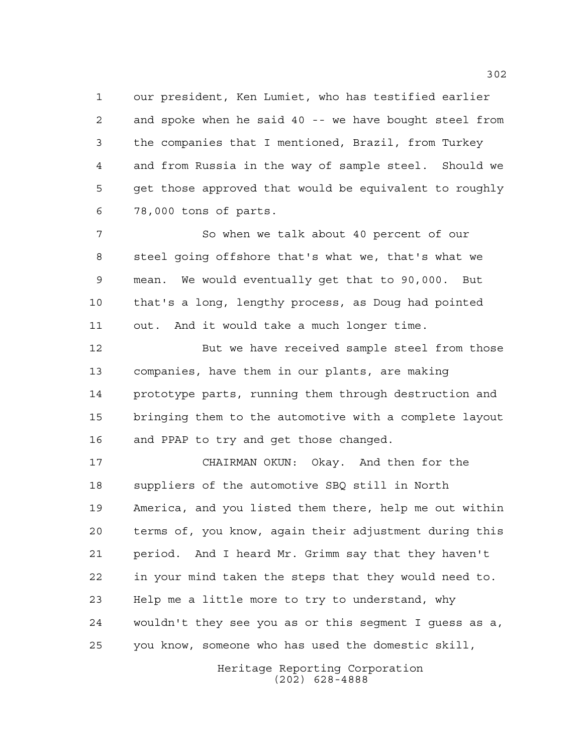our president, Ken Lumiet, who has testified earlier and spoke when he said 40 -- we have bought steel from the companies that I mentioned, Brazil, from Turkey and from Russia in the way of sample steel. Should we get those approved that would be equivalent to roughly 78,000 tons of parts.

 So when we talk about 40 percent of our steel going offshore that's what we, that's what we mean. We would eventually get that to 90,000. But that's a long, lengthy process, as Doug had pointed out. And it would take a much longer time.

 But we have received sample steel from those companies, have them in our plants, are making prototype parts, running them through destruction and bringing them to the automotive with a complete layout and PPAP to try and get those changed.

 CHAIRMAN OKUN: Okay. And then for the suppliers of the automotive SBQ still in North America, and you listed them there, help me out within terms of, you know, again their adjustment during this period. And I heard Mr. Grimm say that they haven't in your mind taken the steps that they would need to. Help me a little more to try to understand, why wouldn't they see you as or this segment I guess as a, you know, someone who has used the domestic skill,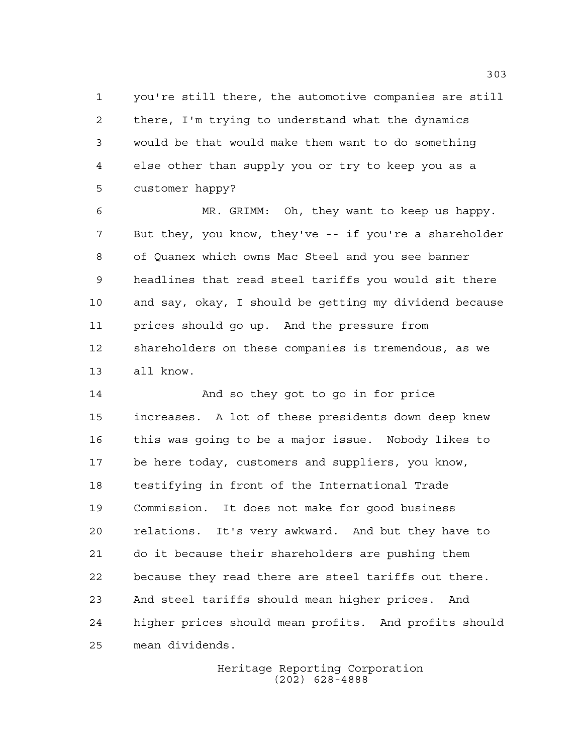you're still there, the automotive companies are still there, I'm trying to understand what the dynamics would be that would make them want to do something else other than supply you or try to keep you as a customer happy?

 MR. GRIMM: Oh, they want to keep us happy. But they, you know, they've -- if you're a shareholder of Quanex which owns Mac Steel and you see banner headlines that read steel tariffs you would sit there and say, okay, I should be getting my dividend because prices should go up. And the pressure from shareholders on these companies is tremendous, as we all know.

 And so they got to go in for price increases. A lot of these presidents down deep knew this was going to be a major issue. Nobody likes to be here today, customers and suppliers, you know, testifying in front of the International Trade Commission. It does not make for good business relations. It's very awkward. And but they have to do it because their shareholders are pushing them because they read there are steel tariffs out there. And steel tariffs should mean higher prices. And higher prices should mean profits. And profits should mean dividends.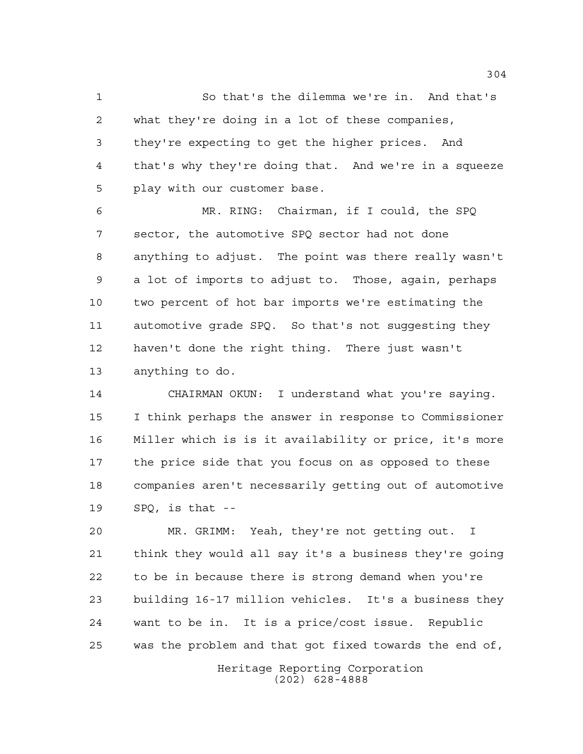So that's the dilemma we're in. And that's what they're doing in a lot of these companies, they're expecting to get the higher prices. And that's why they're doing that. And we're in a squeeze play with our customer base.

 MR. RING: Chairman, if I could, the SPQ sector, the automotive SPQ sector had not done anything to adjust. The point was there really wasn't a lot of imports to adjust to. Those, again, perhaps two percent of hot bar imports we're estimating the automotive grade SPQ. So that's not suggesting they haven't done the right thing. There just wasn't anything to do.

 CHAIRMAN OKUN: I understand what you're saying. I think perhaps the answer in response to Commissioner Miller which is is it availability or price, it's more the price side that you focus on as opposed to these companies aren't necessarily getting out of automotive SPQ, is that --

 MR. GRIMM: Yeah, they're not getting out. I think they would all say it's a business they're going to be in because there is strong demand when you're building 16-17 million vehicles. It's a business they want to be in. It is a price/cost issue. Republic was the problem and that got fixed towards the end of,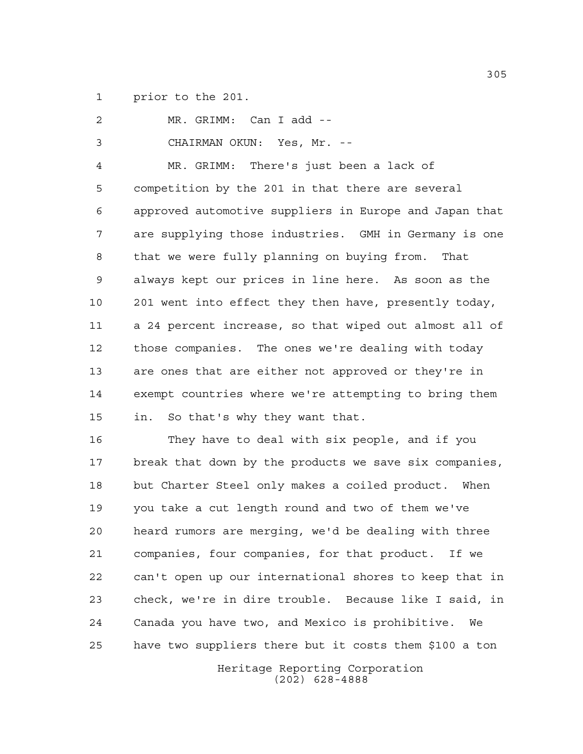prior to the 201.

 MR. GRIMM: Can I add -- CHAIRMAN OKUN: Yes, Mr. -- MR. GRIMM: There's just been a lack of competition by the 201 in that there are several approved automotive suppliers in Europe and Japan that are supplying those industries. GMH in Germany is one that we were fully planning on buying from. That always kept our prices in line here. As soon as the 201 went into effect they then have, presently today, a 24 percent increase, so that wiped out almost all of those companies. The ones we're dealing with today are ones that are either not approved or they're in exempt countries where we're attempting to bring them in. So that's why they want that.

 They have to deal with six people, and if you break that down by the products we save six companies, but Charter Steel only makes a coiled product. When you take a cut length round and two of them we've heard rumors are merging, we'd be dealing with three companies, four companies, for that product. If we can't open up our international shores to keep that in check, we're in dire trouble. Because like I said, in Canada you have two, and Mexico is prohibitive. We have two suppliers there but it costs them \$100 a ton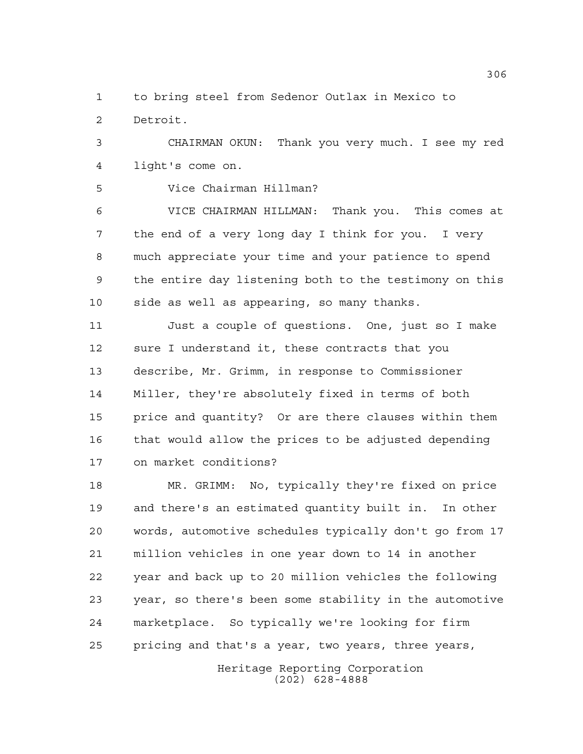to bring steel from Sedenor Outlax in Mexico to Detroit.

 CHAIRMAN OKUN: Thank you very much. I see my red light's come on.

Vice Chairman Hillman?

 VICE CHAIRMAN HILLMAN: Thank you. This comes at the end of a very long day I think for you. I very much appreciate your time and your patience to spend the entire day listening both to the testimony on this side as well as appearing, so many thanks.

 Just a couple of questions. One, just so I make sure I understand it, these contracts that you describe, Mr. Grimm, in response to Commissioner Miller, they're absolutely fixed in terms of both price and quantity? Or are there clauses within them that would allow the prices to be adjusted depending on market conditions?

 MR. GRIMM: No, typically they're fixed on price and there's an estimated quantity built in. In other words, automotive schedules typically don't go from 17 million vehicles in one year down to 14 in another year and back up to 20 million vehicles the following year, so there's been some stability in the automotive marketplace. So typically we're looking for firm pricing and that's a year, two years, three years,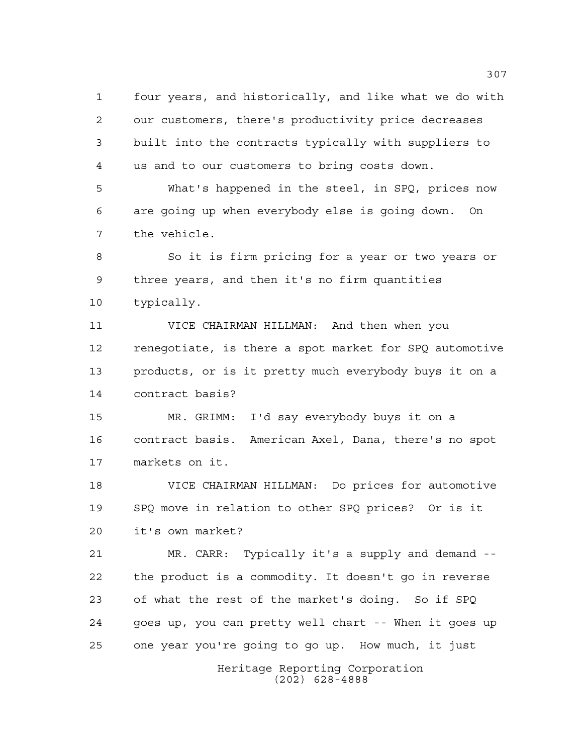four years, and historically, and like what we do with our customers, there's productivity price decreases built into the contracts typically with suppliers to us and to our customers to bring costs down.

 What's happened in the steel, in SPQ, prices now are going up when everybody else is going down. On the vehicle.

 So it is firm pricing for a year or two years or three years, and then it's no firm quantities typically.

 VICE CHAIRMAN HILLMAN: And then when you renegotiate, is there a spot market for SPQ automotive products, or is it pretty much everybody buys it on a contract basis?

 MR. GRIMM: I'd say everybody buys it on a contract basis. American Axel, Dana, there's no spot markets on it.

 VICE CHAIRMAN HILLMAN: Do prices for automotive SPQ move in relation to other SPQ prices? Or is it it's own market?

 MR. CARR: Typically it's a supply and demand -- the product is a commodity. It doesn't go in reverse of what the rest of the market's doing. So if SPQ goes up, you can pretty well chart -- When it goes up one year you're going to go up. How much, it just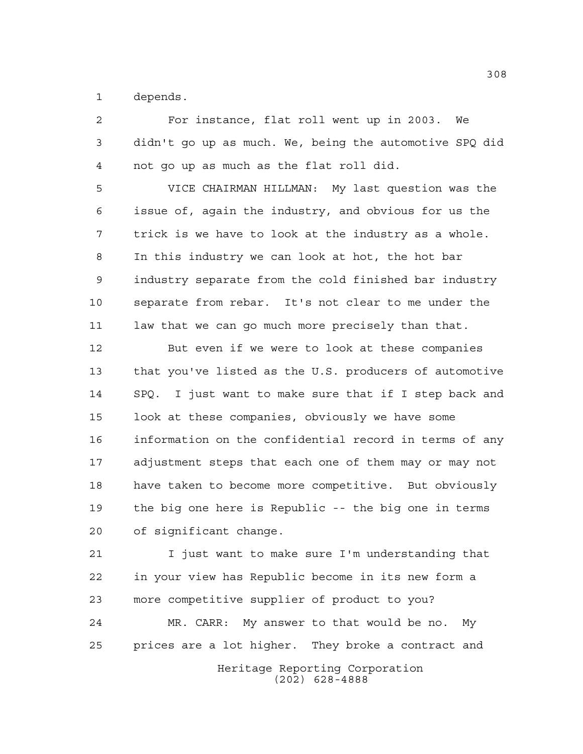depends.

 For instance, flat roll went up in 2003. We didn't go up as much. We, being the automotive SPQ did not go up as much as the flat roll did.

 VICE CHAIRMAN HILLMAN: My last question was the issue of, again the industry, and obvious for us the trick is we have to look at the industry as a whole. In this industry we can look at hot, the hot bar industry separate from the cold finished bar industry separate from rebar. It's not clear to me under the 11 law that we can go much more precisely than that.

 But even if we were to look at these companies that you've listed as the U.S. producers of automotive SPQ. I just want to make sure that if I step back and look at these companies, obviously we have some information on the confidential record in terms of any adjustment steps that each one of them may or may not have taken to become more competitive. But obviously the big one here is Republic -- the big one in terms of significant change.

 I just want to make sure I'm understanding that in your view has Republic become in its new form a more competitive supplier of product to you?

 MR. CARR: My answer to that would be no. My prices are a lot higher. They broke a contract and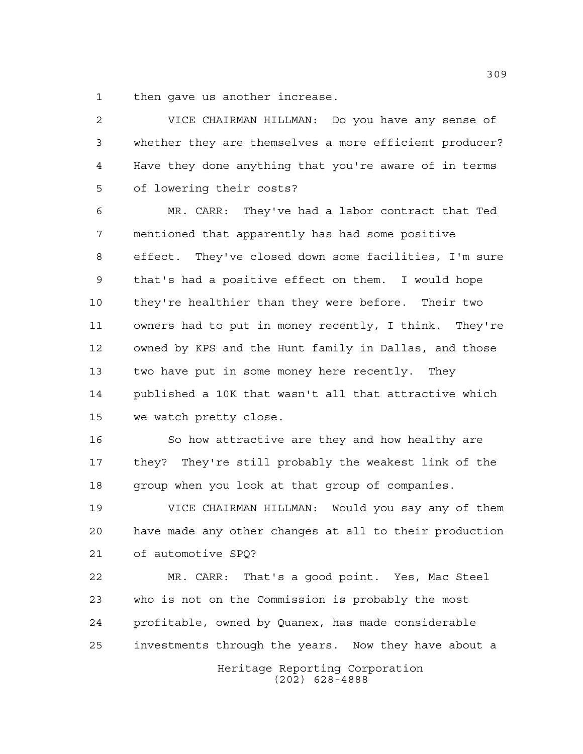then gave us another increase.

 VICE CHAIRMAN HILLMAN: Do you have any sense of whether they are themselves a more efficient producer? Have they done anything that you're aware of in terms of lowering their costs?

 MR. CARR: They've had a labor contract that Ted mentioned that apparently has had some positive effect. They've closed down some facilities, I'm sure that's had a positive effect on them. I would hope they're healthier than they were before. Their two owners had to put in money recently, I think. They're owned by KPS and the Hunt family in Dallas, and those two have put in some money here recently. They published a 10K that wasn't all that attractive which we watch pretty close.

 So how attractive are they and how healthy are they? They're still probably the weakest link of the group when you look at that group of companies.

 VICE CHAIRMAN HILLMAN: Would you say any of them have made any other changes at all to their production of automotive SPQ?

 MR. CARR: That's a good point. Yes, Mac Steel who is not on the Commission is probably the most profitable, owned by Quanex, has made considerable investments through the years. Now they have about a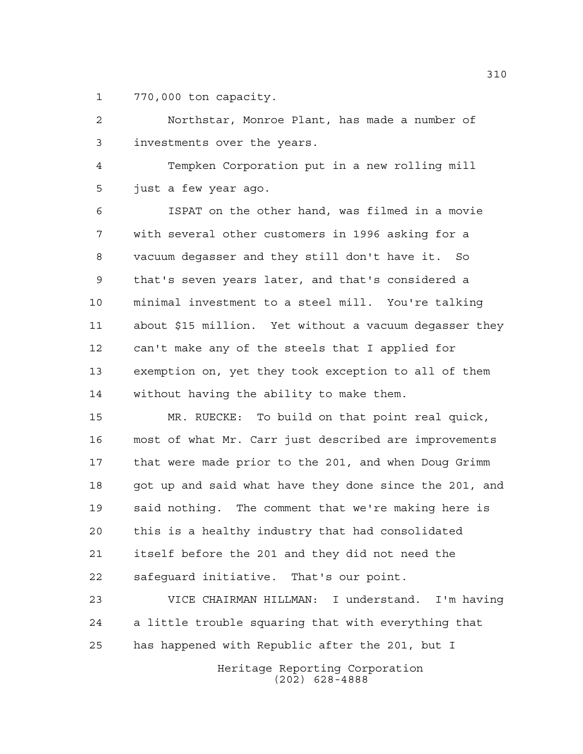770,000 ton capacity.

 Northstar, Monroe Plant, has made a number of investments over the years.

 Tempken Corporation put in a new rolling mill just a few year ago.

 ISPAT on the other hand, was filmed in a movie with several other customers in 1996 asking for a vacuum degasser and they still don't have it. So that's seven years later, and that's considered a minimal investment to a steel mill. You're talking about \$15 million. Yet without a vacuum degasser they can't make any of the steels that I applied for exemption on, yet they took exception to all of them without having the ability to make them.

 MR. RUECKE: To build on that point real quick, most of what Mr. Carr just described are improvements that were made prior to the 201, and when Doug Grimm 18 got up and said what have they done since the 201, and said nothing. The comment that we're making here is this is a healthy industry that had consolidated itself before the 201 and they did not need the safeguard initiative. That's our point.

 VICE CHAIRMAN HILLMAN: I understand. I'm having a little trouble squaring that with everything that has happened with Republic after the 201, but I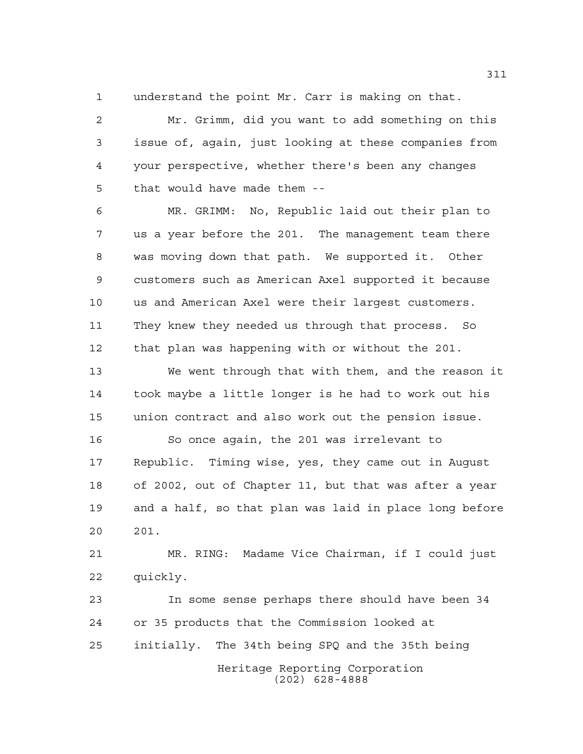understand the point Mr. Carr is making on that.

 Mr. Grimm, did you want to add something on this issue of, again, just looking at these companies from your perspective, whether there's been any changes that would have made them --

 MR. GRIMM: No, Republic laid out their plan to us a year before the 201. The management team there was moving down that path. We supported it. Other customers such as American Axel supported it because us and American Axel were their largest customers. They knew they needed us through that process. So that plan was happening with or without the 201.

 We went through that with them, and the reason it took maybe a little longer is he had to work out his union contract and also work out the pension issue.

 So once again, the 201 was irrelevant to Republic. Timing wise, yes, they came out in August of 2002, out of Chapter 11, but that was after a year and a half, so that plan was laid in place long before 201.

 MR. RING: Madame Vice Chairman, if I could just quickly.

Heritage Reporting Corporation In some sense perhaps there should have been 34 or 35 products that the Commission looked at initially. The 34th being SPQ and the 35th being

(202) 628-4888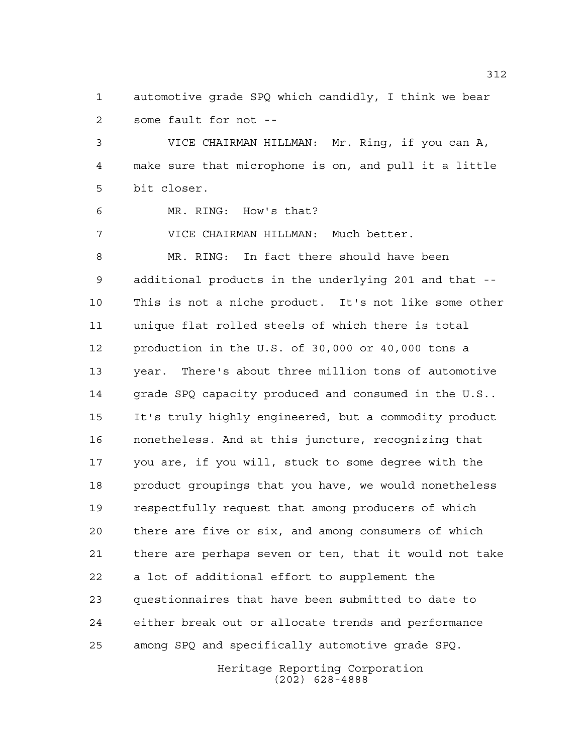automotive grade SPQ which candidly, I think we bear some fault for not --

 VICE CHAIRMAN HILLMAN: Mr. Ring, if you can A, make sure that microphone is on, and pull it a little bit closer.

MR. RING: How's that?

VICE CHAIRMAN HILLMAN: Much better.

 MR. RING: In fact there should have been additional products in the underlying 201 and that -- This is not a niche product. It's not like some other unique flat rolled steels of which there is total production in the U.S. of 30,000 or 40,000 tons a year. There's about three million tons of automotive 14 grade SPQ capacity produced and consumed in the U.S.. It's truly highly engineered, but a commodity product nonetheless. And at this juncture, recognizing that you are, if you will, stuck to some degree with the product groupings that you have, we would nonetheless respectfully request that among producers of which there are five or six, and among consumers of which there are perhaps seven or ten, that it would not take a lot of additional effort to supplement the questionnaires that have been submitted to date to either break out or allocate trends and performance among SPQ and specifically automotive grade SPQ.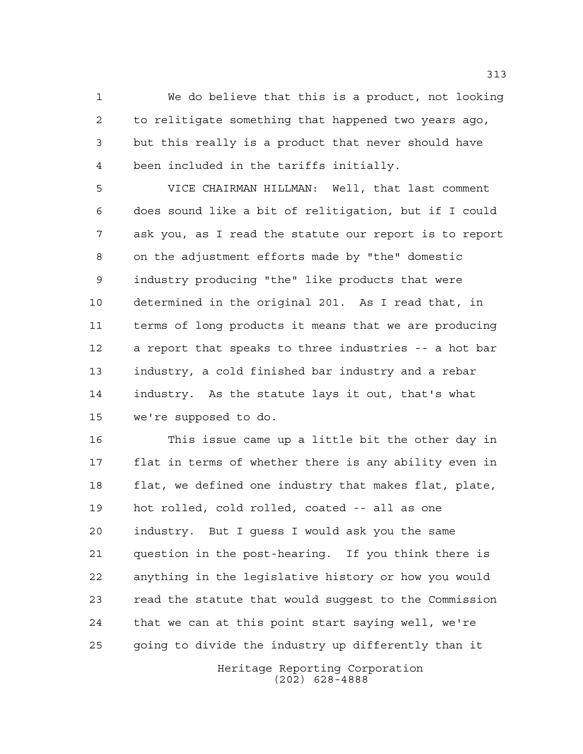We do believe that this is a product, not looking to relitigate something that happened two years ago, but this really is a product that never should have been included in the tariffs initially.

 VICE CHAIRMAN HILLMAN: Well, that last comment does sound like a bit of relitigation, but if I could ask you, as I read the statute our report is to report on the adjustment efforts made by "the" domestic industry producing "the" like products that were determined in the original 201. As I read that, in terms of long products it means that we are producing a report that speaks to three industries -- a hot bar industry, a cold finished bar industry and a rebar industry. As the statute lays it out, that's what we're supposed to do.

 This issue came up a little bit the other day in flat in terms of whether there is any ability even in flat, we defined one industry that makes flat, plate, hot rolled, cold rolled, coated -- all as one industry. But I guess I would ask you the same question in the post-hearing. If you think there is anything in the legislative history or how you would read the statute that would suggest to the Commission that we can at this point start saying well, we're going to divide the industry up differently than it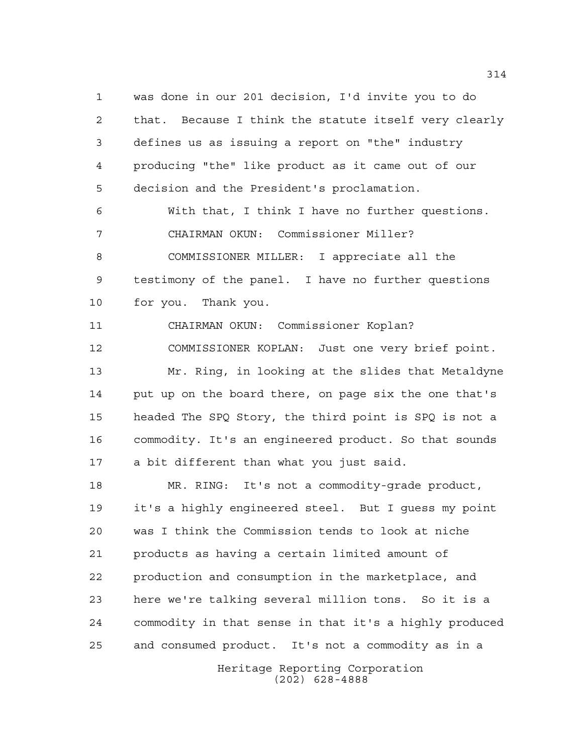was done in our 201 decision, I'd invite you to do that. Because I think the statute itself very clearly defines us as issuing a report on "the" industry producing "the" like product as it came out of our decision and the President's proclamation.

 With that, I think I have no further questions. CHAIRMAN OKUN: Commissioner Miller? COMMISSIONER MILLER: I appreciate all the testimony of the panel. I have no further questions for you. Thank you.

CHAIRMAN OKUN: Commissioner Koplan?

 COMMISSIONER KOPLAN: Just one very brief point. Mr. Ring, in looking at the slides that Metaldyne put up on the board there, on page six the one that's headed The SPQ Story, the third point is SPQ is not a commodity. It's an engineered product. So that sounds a bit different than what you just said.

Heritage Reporting Corporation MR. RING: It's not a commodity-grade product, it's a highly engineered steel. But I guess my point was I think the Commission tends to look at niche products as having a certain limited amount of production and consumption in the marketplace, and here we're talking several million tons. So it is a commodity in that sense in that it's a highly produced and consumed product. It's not a commodity as in a

(202) 628-4888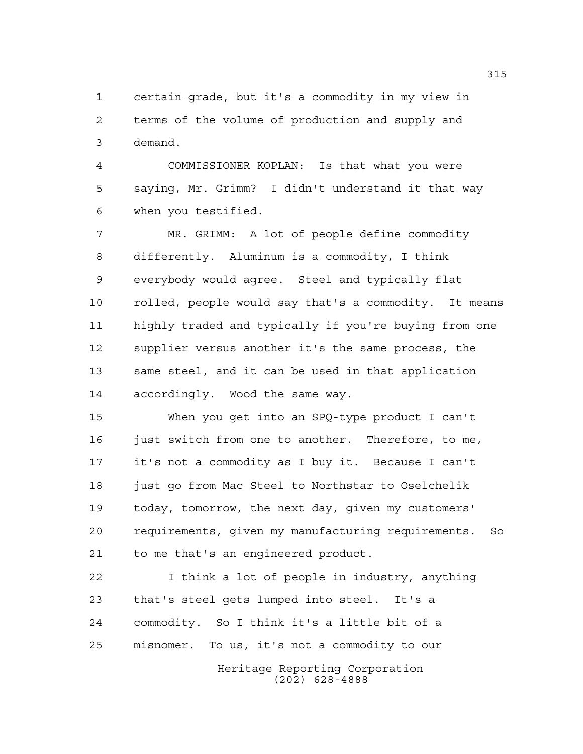certain grade, but it's a commodity in my view in terms of the volume of production and supply and demand.

 COMMISSIONER KOPLAN: Is that what you were saying, Mr. Grimm? I didn't understand it that way when you testified.

 MR. GRIMM: A lot of people define commodity differently. Aluminum is a commodity, I think everybody would agree. Steel and typically flat rolled, people would say that's a commodity. It means highly traded and typically if you're buying from one supplier versus another it's the same process, the same steel, and it can be used in that application accordingly. Wood the same way.

 When you get into an SPQ-type product I can't 16 just switch from one to another. Therefore, to me, it's not a commodity as I buy it. Because I can't just go from Mac Steel to Northstar to Oselchelik today, tomorrow, the next day, given my customers' requirements, given my manufacturing requirements. So to me that's an engineered product.

 I think a lot of people in industry, anything that's steel gets lumped into steel. It's a commodity. So I think it's a little bit of a misnomer. To us, it's not a commodity to our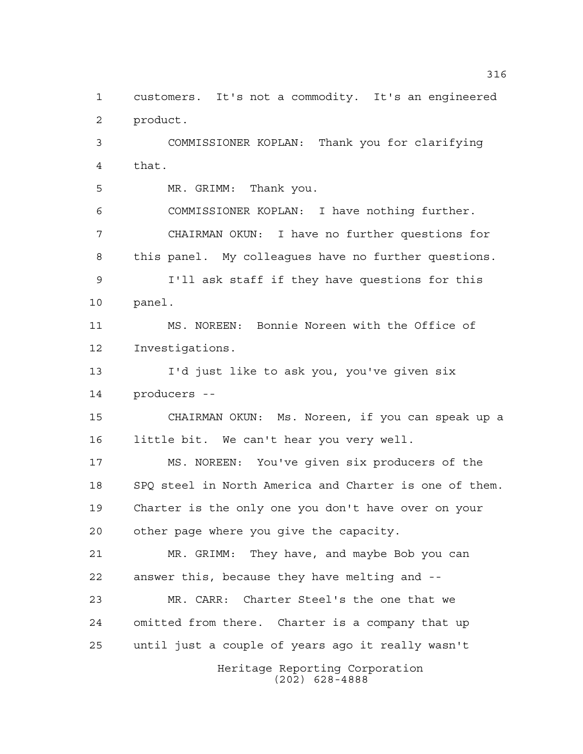Heritage Reporting Corporation (202) 628-4888 customers. It's not a commodity. It's an engineered product. COMMISSIONER KOPLAN: Thank you for clarifying that. MR. GRIMM: Thank you. COMMISSIONER KOPLAN: I have nothing further. CHAIRMAN OKUN: I have no further questions for this panel. My colleagues have no further questions. I'll ask staff if they have questions for this panel. MS. NOREEN: Bonnie Noreen with the Office of Investigations. I'd just like to ask you, you've given six producers -- CHAIRMAN OKUN: Ms. Noreen, if you can speak up a little bit. We can't hear you very well. MS. NOREEN: You've given six producers of the SPQ steel in North America and Charter is one of them. Charter is the only one you don't have over on your other page where you give the capacity. MR. GRIMM: They have, and maybe Bob you can answer this, because they have melting and -- MR. CARR: Charter Steel's the one that we omitted from there. Charter is a company that up until just a couple of years ago it really wasn't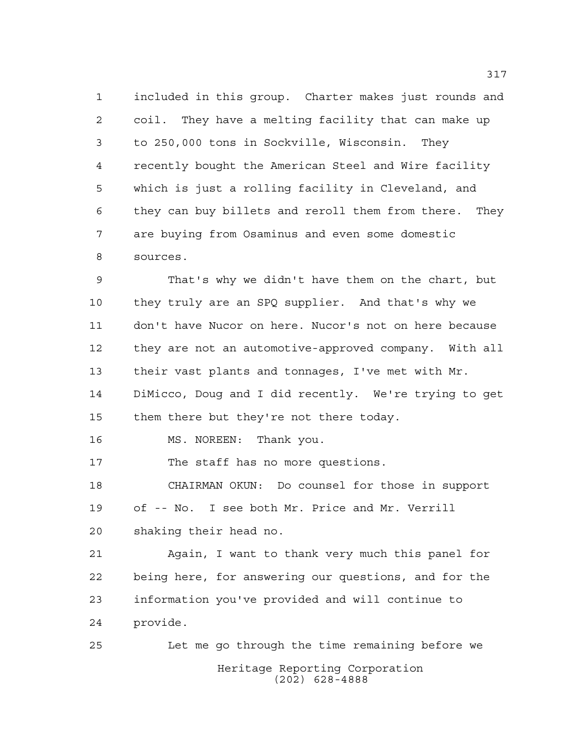included in this group. Charter makes just rounds and coil. They have a melting facility that can make up to 250,000 tons in Sockville, Wisconsin. They recently bought the American Steel and Wire facility which is just a rolling facility in Cleveland, and they can buy billets and reroll them from there. They are buying from Osaminus and even some domestic sources.

 That's why we didn't have them on the chart, but they truly are an SPQ supplier. And that's why we don't have Nucor on here. Nucor's not on here because they are not an automotive-approved company. With all their vast plants and tonnages, I've met with Mr. DiMicco, Doug and I did recently. We're trying to get them there but they're not there today.

16 MS. NOREEN: Thank you.

The staff has no more questions.

 CHAIRMAN OKUN: Do counsel for those in support of -- No. I see both Mr. Price and Mr. Verrill shaking their head no.

 Again, I want to thank very much this panel for being here, for answering our questions, and for the information you've provided and will continue to provide.

Heritage Reporting Corporation (202) 628-4888 Let me go through the time remaining before we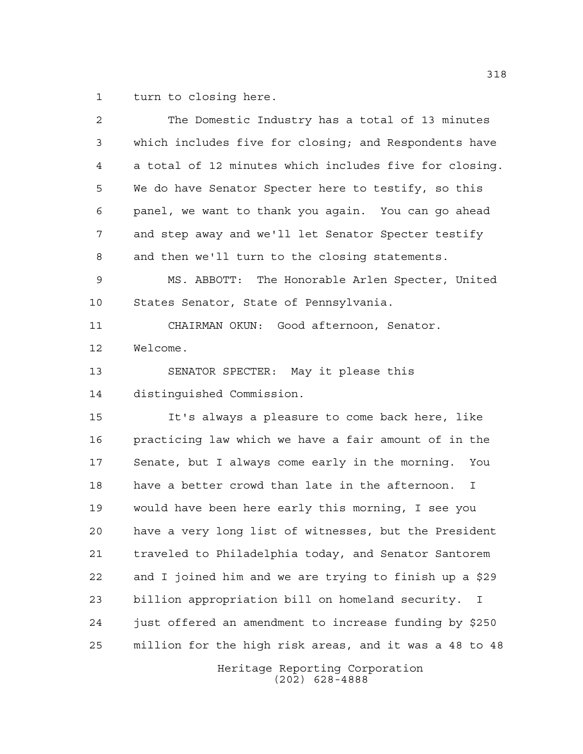turn to closing here.

| $\overline{2}$ | The Domestic Industry has a total of 13 minutes        |
|----------------|--------------------------------------------------------|
| 3              | which includes five for closing; and Respondents have  |
| $\overline{4}$ | a total of 12 minutes which includes five for closing. |
| 5              | We do have Senator Specter here to testify, so this    |
| 6              | panel, we want to thank you again. You can go ahead    |
| 7              | and step away and we'll let Senator Specter testify    |
| 8              | and then we'll turn to the closing statements.         |
| 9              | MS. ABBOTT: The Honorable Arlen Specter, United        |
| 10             | States Senator, State of Pennsylvania.                 |
| 11             | CHAIRMAN OKUN: Good afternoon, Senator.                |
| 12             | Welcome.                                               |
| 13             | SENATOR SPECTER: May it please this                    |
| 14             | distinguished Commission.                              |
| 15             | It's always a pleasure to come back here, like         |
| 16             | practicing law which we have a fair amount of in the   |
| 17             | Senate, but I always come early in the morning. You    |
| 18             | have a better crowd than late in the afternoon.<br>Ι.  |
| 19             | would have been here early this morning, I see you     |
| 20             | have a very long list of witnesses, but the President  |
| 21             | traveled to Philadelphia today, and Senator Santorem   |
| 22             | and I joined him and we are trying to finish up a \$29 |
| 23             | billion appropriation bill on homeland security.<br>I  |
| 24             | just offered an amendment to increase funding by \$250 |
| 25             | million for the high risk areas, and it was a 48 to 48 |
|                | Heritage Reporting Corporation<br>$(202)$ 628-4888     |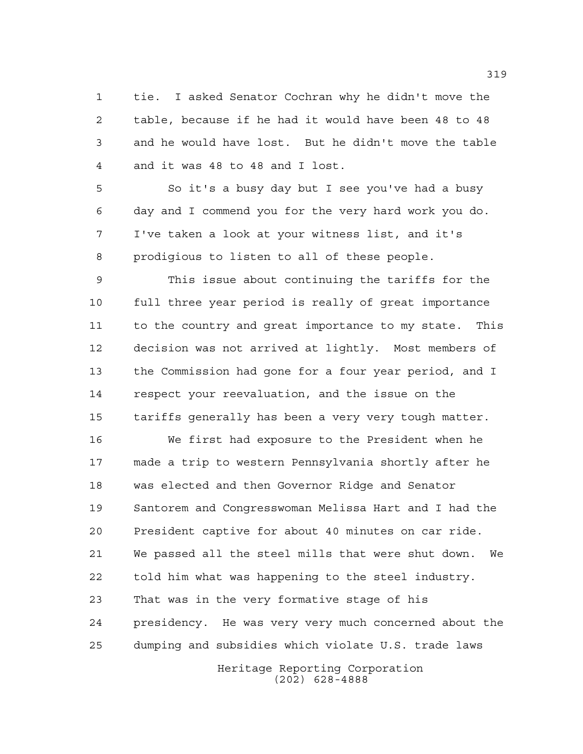tie. I asked Senator Cochran why he didn't move the table, because if he had it would have been 48 to 48 and he would have lost. But he didn't move the table and it was 48 to 48 and I lost.

 So it's a busy day but I see you've had a busy day and I commend you for the very hard work you do. I've taken a look at your witness list, and it's prodigious to listen to all of these people.

 This issue about continuing the tariffs for the full three year period is really of great importance to the country and great importance to my state. This decision was not arrived at lightly. Most members of the Commission had gone for a four year period, and I respect your reevaluation, and the issue on the tariffs generally has been a very very tough matter.

 We first had exposure to the President when he made a trip to western Pennsylvania shortly after he was elected and then Governor Ridge and Senator Santorem and Congresswoman Melissa Hart and I had the President captive for about 40 minutes on car ride. We passed all the steel mills that were shut down. We told him what was happening to the steel industry. That was in the very formative stage of his presidency. He was very very much concerned about the dumping and subsidies which violate U.S. trade laws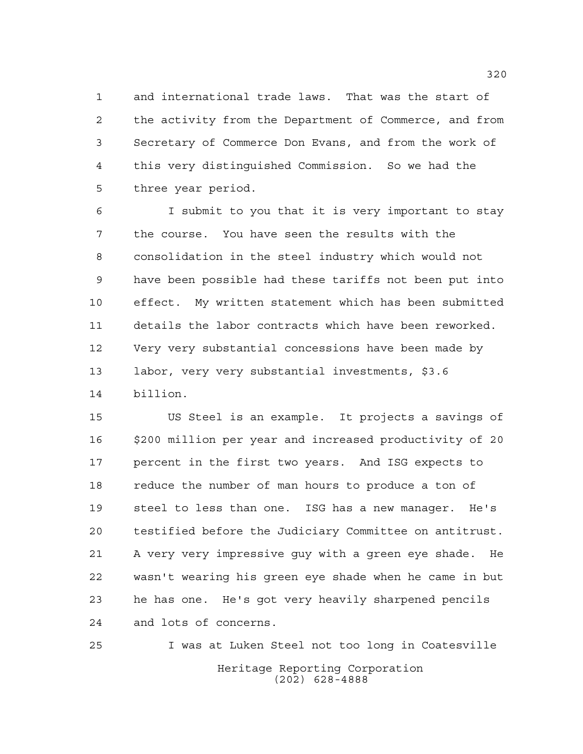and international trade laws. That was the start of the activity from the Department of Commerce, and from Secretary of Commerce Don Evans, and from the work of this very distinguished Commission. So we had the three year period.

 I submit to you that it is very important to stay the course. You have seen the results with the consolidation in the steel industry which would not have been possible had these tariffs not been put into effect. My written statement which has been submitted details the labor contracts which have been reworked. Very very substantial concessions have been made by labor, very very substantial investments, \$3.6 billion.

 US Steel is an example. It projects a savings of \$200 million per year and increased productivity of 20 percent in the first two years. And ISG expects to reduce the number of man hours to produce a ton of steel to less than one. ISG has a new manager. He's testified before the Judiciary Committee on antitrust. A very very impressive guy with a green eye shade. He wasn't wearing his green eye shade when he came in but he has one. He's got very heavily sharpened pencils and lots of concerns.

Heritage Reporting Corporation (202) 628-4888 I was at Luken Steel not too long in Coatesville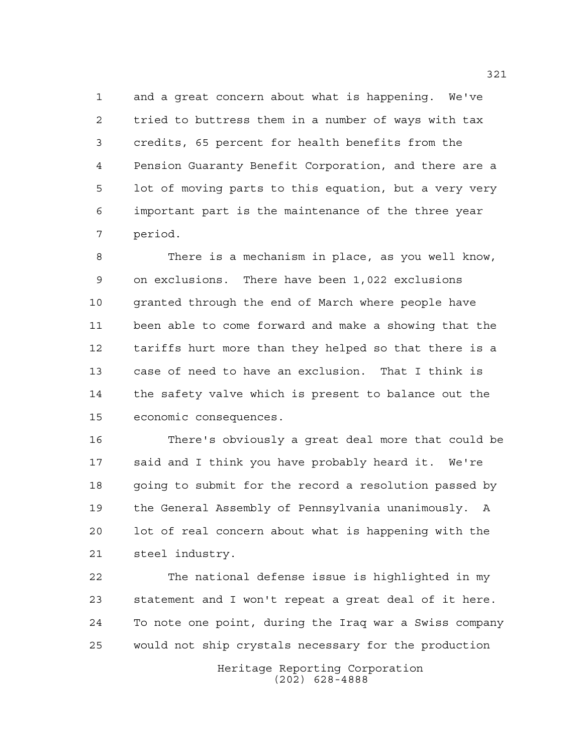and a great concern about what is happening. We've tried to buttress them in a number of ways with tax credits, 65 percent for health benefits from the Pension Guaranty Benefit Corporation, and there are a lot of moving parts to this equation, but a very very important part is the maintenance of the three year period.

 There is a mechanism in place, as you well know, on exclusions. There have been 1,022 exclusions granted through the end of March where people have been able to come forward and make a showing that the tariffs hurt more than they helped so that there is a case of need to have an exclusion. That I think is the safety valve which is present to balance out the economic consequences.

 There's obviously a great deal more that could be said and I think you have probably heard it. We're going to submit for the record a resolution passed by the General Assembly of Pennsylvania unanimously. A lot of real concern about what is happening with the steel industry.

 The national defense issue is highlighted in my statement and I won't repeat a great deal of it here. To note one point, during the Iraq war a Swiss company would not ship crystals necessary for the production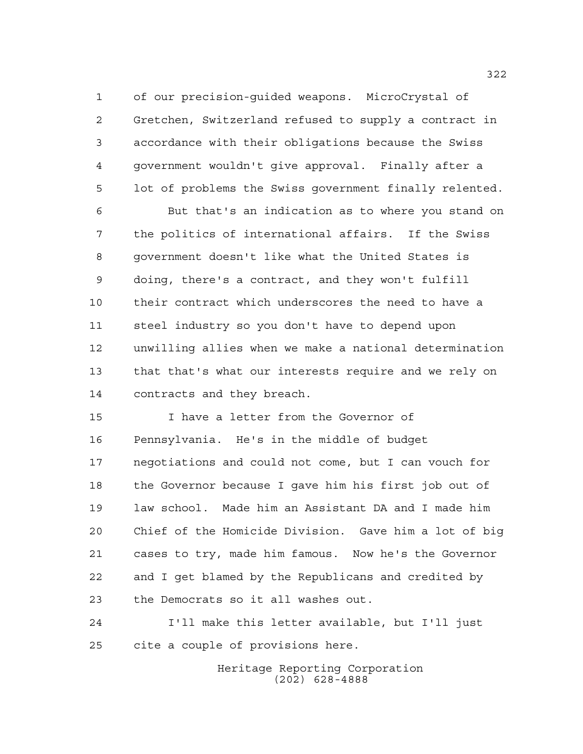of our precision-guided weapons. MicroCrystal of Gretchen, Switzerland refused to supply a contract in accordance with their obligations because the Swiss government wouldn't give approval. Finally after a lot of problems the Swiss government finally relented.

 But that's an indication as to where you stand on the politics of international affairs. If the Swiss government doesn't like what the United States is doing, there's a contract, and they won't fulfill their contract which underscores the need to have a steel industry so you don't have to depend upon unwilling allies when we make a national determination that that's what our interests require and we rely on contracts and they breach.

 I have a letter from the Governor of Pennsylvania. He's in the middle of budget negotiations and could not come, but I can vouch for the Governor because I gave him his first job out of law school. Made him an Assistant DA and I made him Chief of the Homicide Division. Gave him a lot of big cases to try, made him famous. Now he's the Governor and I get blamed by the Republicans and credited by the Democrats so it all washes out.

 I'll make this letter available, but I'll just cite a couple of provisions here.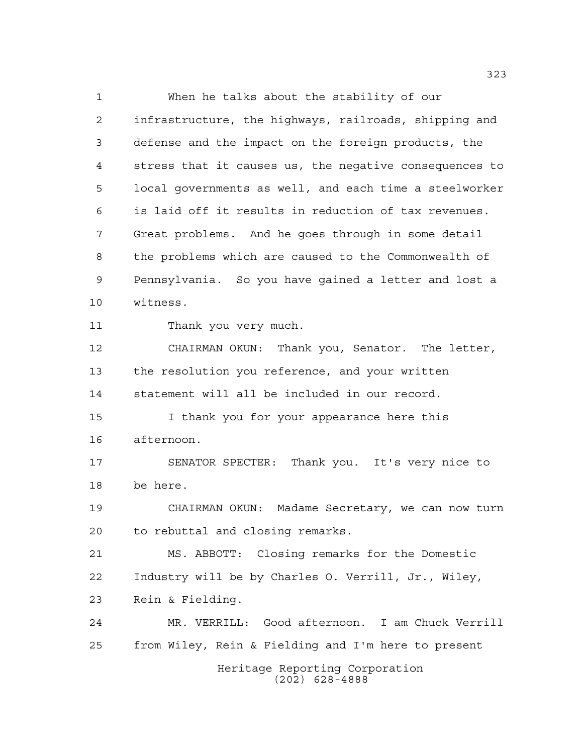When he talks about the stability of our infrastructure, the highways, railroads, shipping and defense and the impact on the foreign products, the stress that it causes us, the negative consequences to local governments as well, and each time a steelworker is laid off it results in reduction of tax revenues. Great problems. And he goes through in some detail the problems which are caused to the Commonwealth of Pennsylvania. So you have gained a letter and lost a witness. Thank you very much. CHAIRMAN OKUN: Thank you, Senator. The letter, the resolution you reference, and your written statement will all be included in our record. I thank you for your appearance here this afternoon. SENATOR SPECTER: Thank you. It's very nice to be here. CHAIRMAN OKUN: Madame Secretary, we can now turn to rebuttal and closing remarks. MS. ABBOTT: Closing remarks for the Domestic Industry will be by Charles O. Verrill, Jr., Wiley, Rein & Fielding. MR. VERRILL: Good afternoon. I am Chuck Verrill from Wiley, Rein & Fielding and I'm here to present

Heritage Reporting Corporation (202) 628-4888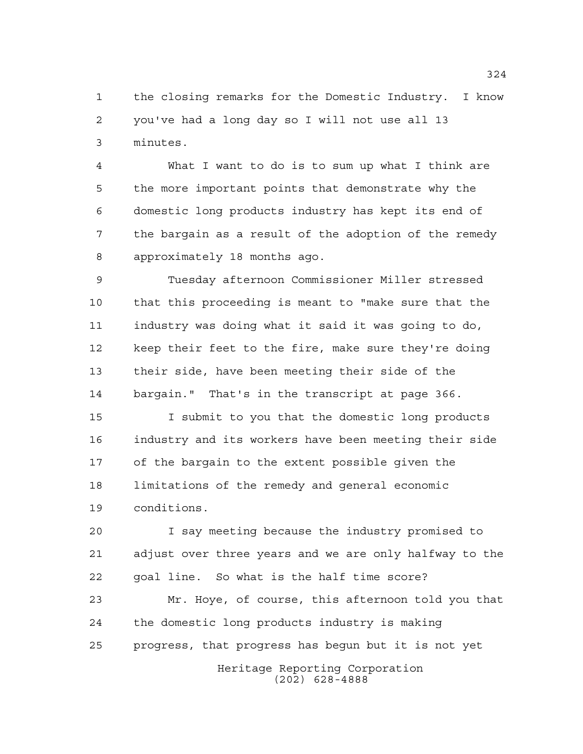the closing remarks for the Domestic Industry. I know you've had a long day so I will not use all 13 minutes.

 What I want to do is to sum up what I think are the more important points that demonstrate why the domestic long products industry has kept its end of the bargain as a result of the adoption of the remedy approximately 18 months ago.

 Tuesday afternoon Commissioner Miller stressed that this proceeding is meant to "make sure that the industry was doing what it said it was going to do, keep their feet to the fire, make sure they're doing their side, have been meeting their side of the bargain." That's in the transcript at page 366.

 I submit to you that the domestic long products industry and its workers have been meeting their side of the bargain to the extent possible given the limitations of the remedy and general economic conditions.

 I say meeting because the industry promised to adjust over three years and we are only halfway to the goal line. So what is the half time score?

 Mr. Hoye, of course, this afternoon told you that the domestic long products industry is making progress, that progress has begun but it is not yet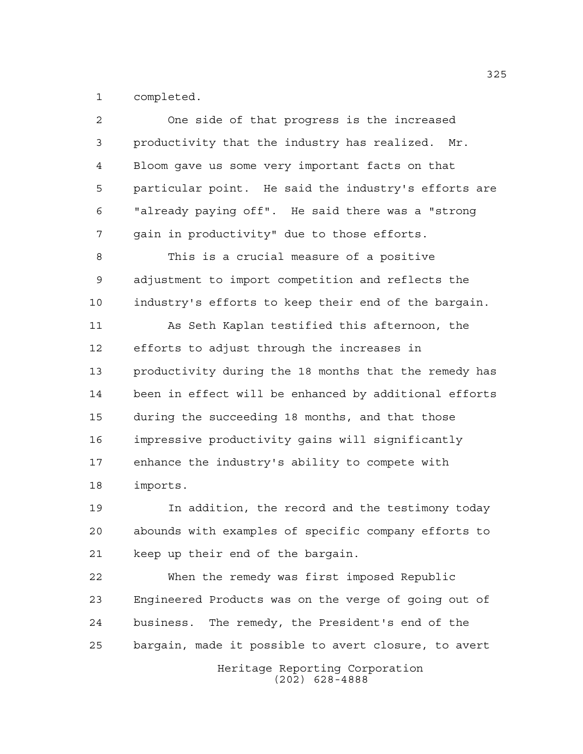completed.

| $\overline{2}$ | One side of that progress is the increased            |
|----------------|-------------------------------------------------------|
| 3              | productivity that the industry has realized. Mr.      |
| 4              | Bloom gave us some very important facts on that       |
| 5              | particular point. He said the industry's efforts are  |
| 6              | "already paying off". He said there was a "strong     |
| 7              | gain in productivity" due to those efforts.           |
| 8              | This is a crucial measure of a positive               |
| 9              | adjustment to import competition and reflects the     |
| 10             | industry's efforts to keep their end of the bargain.  |
| 11             | As Seth Kaplan testified this afternoon, the          |
| 12             | efforts to adjust through the increases in            |
| 13             | productivity during the 18 months that the remedy has |
| 14             | been in effect will be enhanced by additional efforts |
| 15             | during the succeeding 18 months, and that those       |
| 16             | impressive productivity gains will significantly      |
| 17             | enhance the industry's ability to compete with        |
| 18             | imports.                                              |
| 19             | In addition, the record and the testimony today       |
| 20             | abounds with examples of specific company efforts to  |
| 21             | keep up their end of the bargain.                     |

 When the remedy was first imposed Republic Engineered Products was on the verge of going out of business. The remedy, the President's end of the bargain, made it possible to avert closure, to avert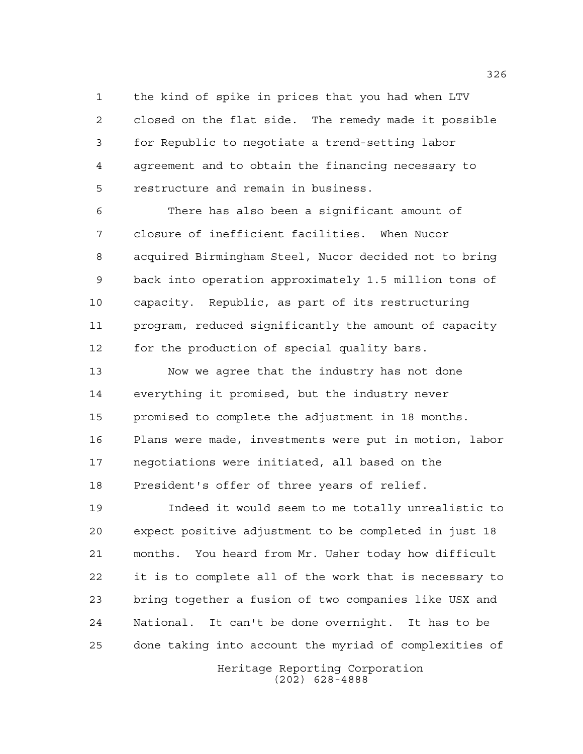the kind of spike in prices that you had when LTV closed on the flat side. The remedy made it possible for Republic to negotiate a trend-setting labor agreement and to obtain the financing necessary to restructure and remain in business.

 There has also been a significant amount of closure of inefficient facilities. When Nucor acquired Birmingham Steel, Nucor decided not to bring back into operation approximately 1.5 million tons of capacity. Republic, as part of its restructuring program, reduced significantly the amount of capacity for the production of special quality bars.

 Now we agree that the industry has not done everything it promised, but the industry never promised to complete the adjustment in 18 months. Plans were made, investments were put in motion, labor negotiations were initiated, all based on the President's offer of three years of relief.

 Indeed it would seem to me totally unrealistic to expect positive adjustment to be completed in just 18 months. You heard from Mr. Usher today how difficult it is to complete all of the work that is necessary to bring together a fusion of two companies like USX and National. It can't be done overnight. It has to be done taking into account the myriad of complexities of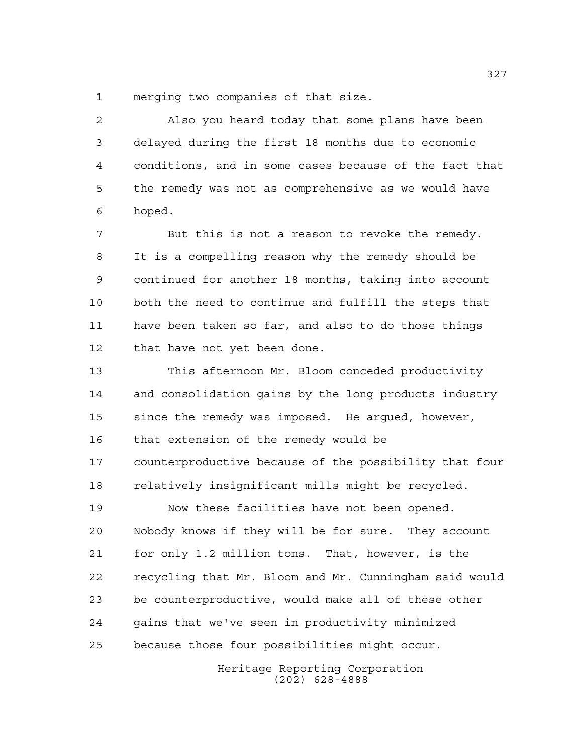merging two companies of that size.

 Also you heard today that some plans have been delayed during the first 18 months due to economic conditions, and in some cases because of the fact that the remedy was not as comprehensive as we would have hoped.

 But this is not a reason to revoke the remedy. It is a compelling reason why the remedy should be continued for another 18 months, taking into account both the need to continue and fulfill the steps that have been taken so far, and also to do those things that have not yet been done.

 This afternoon Mr. Bloom conceded productivity and consolidation gains by the long products industry since the remedy was imposed. He argued, however, that extension of the remedy would be counterproductive because of the possibility that four relatively insignificant mills might be recycled.

 Now these facilities have not been opened. Nobody knows if they will be for sure. They account for only 1.2 million tons. That, however, is the recycling that Mr. Bloom and Mr. Cunningham said would be counterproductive, would make all of these other gains that we've seen in productivity minimized because those four possibilities might occur.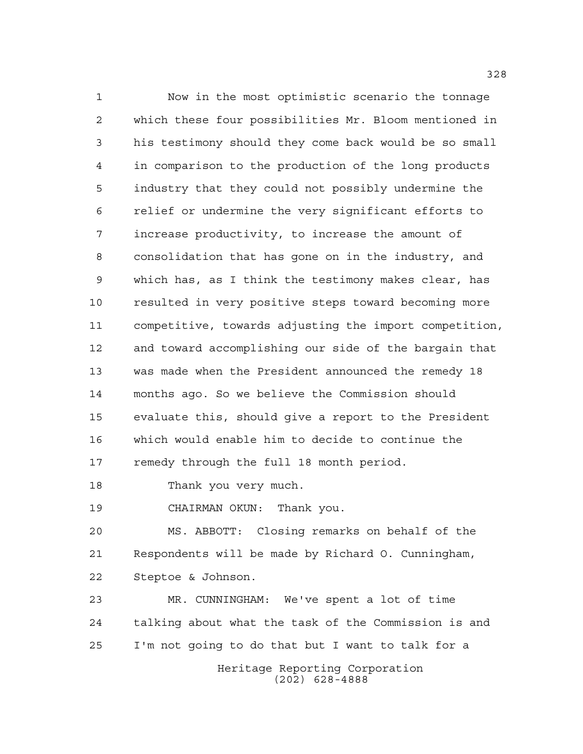Now in the most optimistic scenario the tonnage which these four possibilities Mr. Bloom mentioned in his testimony should they come back would be so small in comparison to the production of the long products industry that they could not possibly undermine the relief or undermine the very significant efforts to increase productivity, to increase the amount of consolidation that has gone on in the industry, and which has, as I think the testimony makes clear, has resulted in very positive steps toward becoming more competitive, towards adjusting the import competition, and toward accomplishing our side of the bargain that was made when the President announced the remedy 18 months ago. So we believe the Commission should evaluate this, should give a report to the President which would enable him to decide to continue the remedy through the full 18 month period.

Thank you very much.

CHAIRMAN OKUN: Thank you.

 MS. ABBOTT: Closing remarks on behalf of the Respondents will be made by Richard O. Cunningham, Steptoe & Johnson.

 MR. CUNNINGHAM: We've spent a lot of time talking about what the task of the Commission is and I'm not going to do that but I want to talk for a

> Heritage Reporting Corporation (202) 628-4888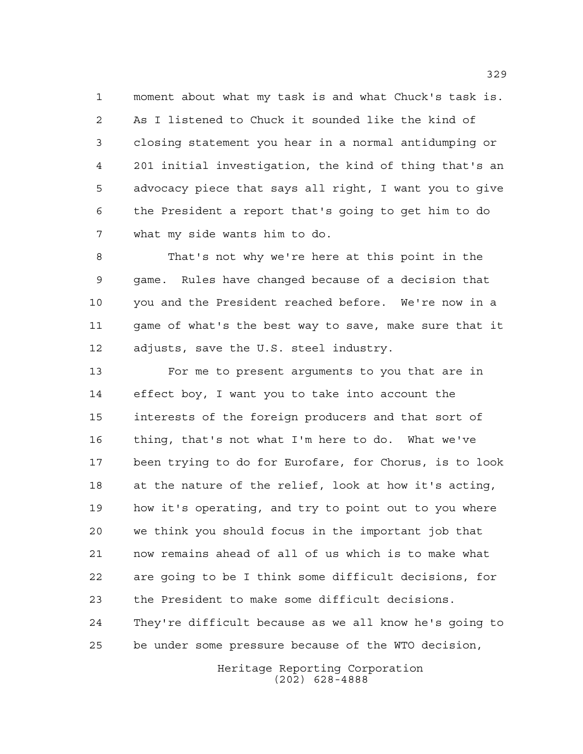moment about what my task is and what Chuck's task is. As I listened to Chuck it sounded like the kind of closing statement you hear in a normal antidumping or 201 initial investigation, the kind of thing that's an advocacy piece that says all right, I want you to give the President a report that's going to get him to do what my side wants him to do.

 That's not why we're here at this point in the game. Rules have changed because of a decision that you and the President reached before. We're now in a game of what's the best way to save, make sure that it adjusts, save the U.S. steel industry.

 For me to present arguments to you that are in effect boy, I want you to take into account the interests of the foreign producers and that sort of thing, that's not what I'm here to do. What we've been trying to do for Eurofare, for Chorus, is to look at the nature of the relief, look at how it's acting, how it's operating, and try to point out to you where we think you should focus in the important job that now remains ahead of all of us which is to make what are going to be I think some difficult decisions, for the President to make some difficult decisions. They're difficult because as we all know he's going to be under some pressure because of the WTO decision,

> Heritage Reporting Corporation (202) 628-4888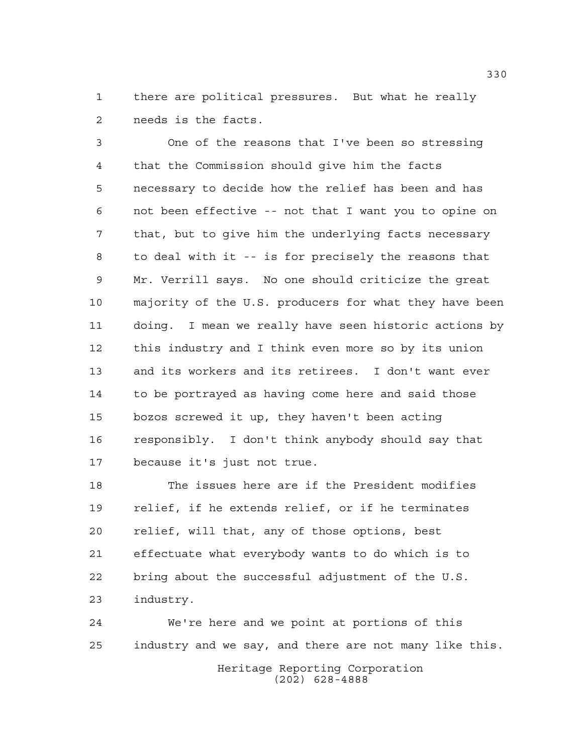there are political pressures. But what he really needs is the facts.

 One of the reasons that I've been so stressing that the Commission should give him the facts necessary to decide how the relief has been and has not been effective -- not that I want you to opine on that, but to give him the underlying facts necessary to deal with it -- is for precisely the reasons that Mr. Verrill says. No one should criticize the great majority of the U.S. producers for what they have been doing. I mean we really have seen historic actions by this industry and I think even more so by its union and its workers and its retirees. I don't want ever to be portrayed as having come here and said those bozos screwed it up, they haven't been acting responsibly. I don't think anybody should say that because it's just not true.

 The issues here are if the President modifies relief, if he extends relief, or if he terminates relief, will that, any of those options, best effectuate what everybody wants to do which is to bring about the successful adjustment of the U.S. industry.

 We're here and we point at portions of this industry and we say, and there are not many like this.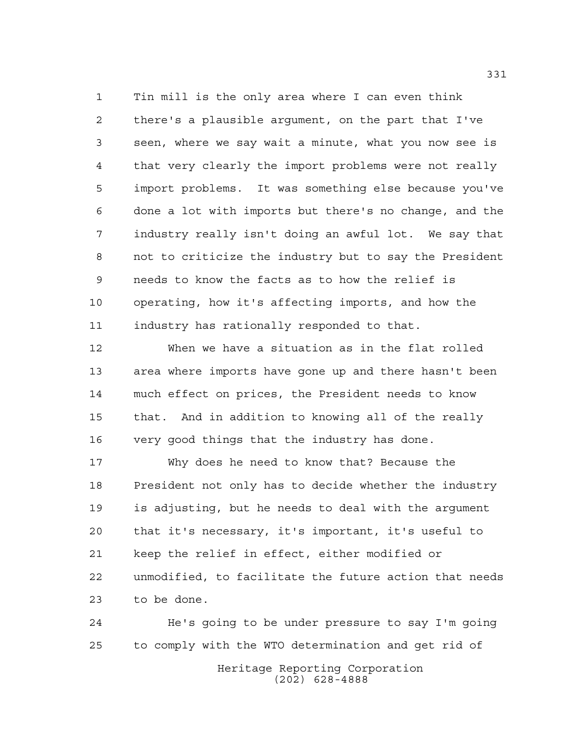Tin mill is the only area where I can even think there's a plausible argument, on the part that I've seen, where we say wait a minute, what you now see is that very clearly the import problems were not really import problems. It was something else because you've done a lot with imports but there's no change, and the industry really isn't doing an awful lot. We say that not to criticize the industry but to say the President needs to know the facts as to how the relief is operating, how it's affecting imports, and how the industry has rationally responded to that.

 When we have a situation as in the flat rolled area where imports have gone up and there hasn't been much effect on prices, the President needs to know that. And in addition to knowing all of the really very good things that the industry has done.

 Why does he need to know that? Because the President not only has to decide whether the industry is adjusting, but he needs to deal with the argument that it's necessary, it's important, it's useful to keep the relief in effect, either modified or unmodified, to facilitate the future action that needs to be done.

Heritage Reporting Corporation (202) 628-4888 He's going to be under pressure to say I'm going to comply with the WTO determination and get rid of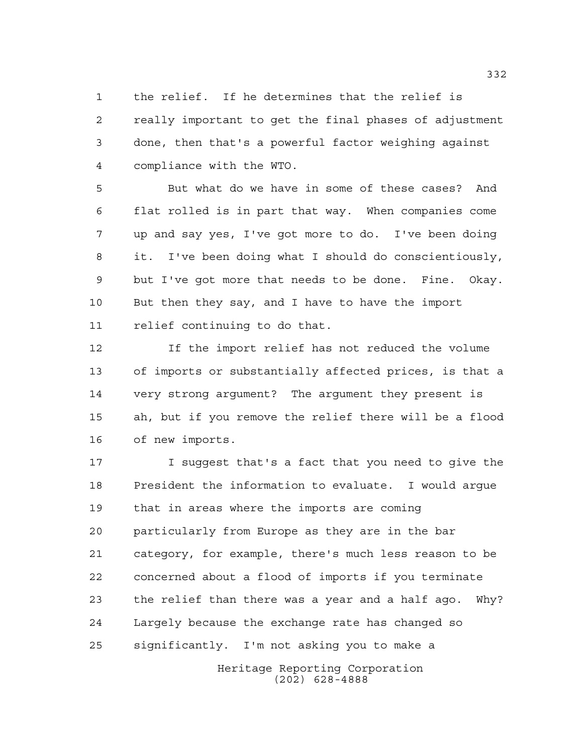the relief. If he determines that the relief is really important to get the final phases of adjustment done, then that's a powerful factor weighing against compliance with the WTO.

 But what do we have in some of these cases? And flat rolled is in part that way. When companies come up and say yes, I've got more to do. I've been doing it. I've been doing what I should do conscientiously, but I've got more that needs to be done. Fine. Okay. But then they say, and I have to have the import relief continuing to do that.

 If the import relief has not reduced the volume of imports or substantially affected prices, is that a very strong argument? The argument they present is ah, but if you remove the relief there will be a flood of new imports.

 I suggest that's a fact that you need to give the President the information to evaluate. I would argue that in areas where the imports are coming particularly from Europe as they are in the bar category, for example, there's much less reason to be concerned about a flood of imports if you terminate the relief than there was a year and a half ago. Why? Largely because the exchange rate has changed so significantly. I'm not asking you to make a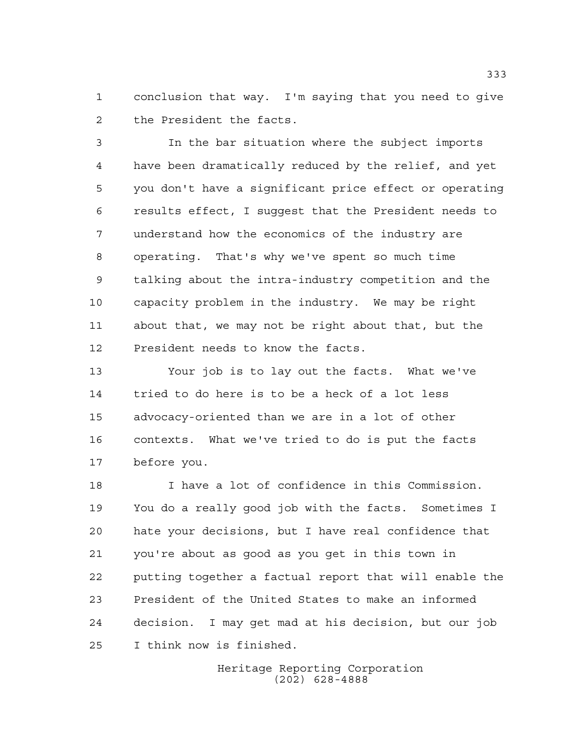conclusion that way. I'm saying that you need to give the President the facts.

 In the bar situation where the subject imports have been dramatically reduced by the relief, and yet you don't have a significant price effect or operating results effect, I suggest that the President needs to understand how the economics of the industry are operating. That's why we've spent so much time talking about the intra-industry competition and the capacity problem in the industry. We may be right about that, we may not be right about that, but the President needs to know the facts.

 Your job is to lay out the facts. What we've tried to do here is to be a heck of a lot less advocacy-oriented than we are in a lot of other contexts. What we've tried to do is put the facts before you.

 I have a lot of confidence in this Commission. You do a really good job with the facts. Sometimes I hate your decisions, but I have real confidence that you're about as good as you get in this town in putting together a factual report that will enable the President of the United States to make an informed decision. I may get mad at his decision, but our job I think now is finished.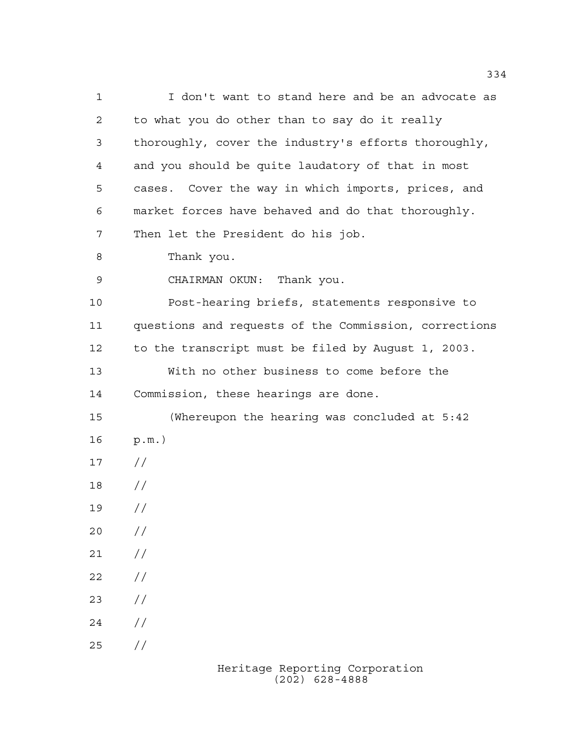I don't want to stand here and be an advocate as to what you do other than to say do it really thoroughly, cover the industry's efforts thoroughly, and you should be quite laudatory of that in most cases. Cover the way in which imports, prices, and market forces have behaved and do that thoroughly. Then let the President do his job. Thank you. CHAIRMAN OKUN: Thank you. Post-hearing briefs, statements responsive to questions and requests of the Commission, corrections to the transcript must be filed by August 1, 2003. With no other business to come before the Commission, these hearings are done. (Whereupon the hearing was concluded at 5:42 p.m.) // // //  $20 /$  $21 /$  $22 / /$  $23 / /$  $24 /$  $25 / /$